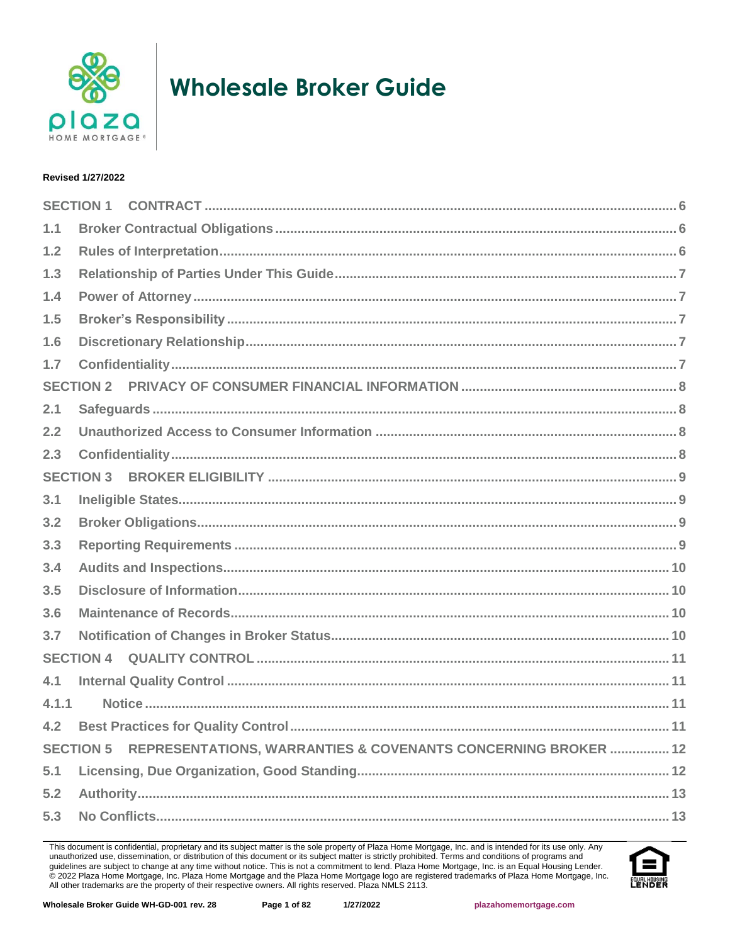

# **Wholesale Broker Guide**

## **Revised 1/27/2022**

|       | <b>SECTION 1</b>                                                                  |
|-------|-----------------------------------------------------------------------------------|
| 1.1   |                                                                                   |
| 1.2   |                                                                                   |
| $1.3$ |                                                                                   |
| 1.4   |                                                                                   |
| 1.5   |                                                                                   |
| 1.6   |                                                                                   |
| 1.7   |                                                                                   |
|       | <b>SECTION 2</b>                                                                  |
| 2.1   |                                                                                   |
| 2.2   |                                                                                   |
| 2.3   |                                                                                   |
|       | <b>SECTION 3</b>                                                                  |
| 3.1   |                                                                                   |
| 3.2   |                                                                                   |
| 3.3   |                                                                                   |
| 3.4   |                                                                                   |
| 3.5   |                                                                                   |
| 3.6   |                                                                                   |
| 3.7   |                                                                                   |
|       | <b>SECTION 4</b>                                                                  |
| 4.1   |                                                                                   |
| 4.1.1 |                                                                                   |
| 4.2   |                                                                                   |
|       | <b>SECTION 5</b><br>REPRESENTATIONS, WARRANTIES & COVENANTS CONCERNING BROKER  12 |
| 5.1   |                                                                                   |
| 5.2   |                                                                                   |
| 5.3   |                                                                                   |

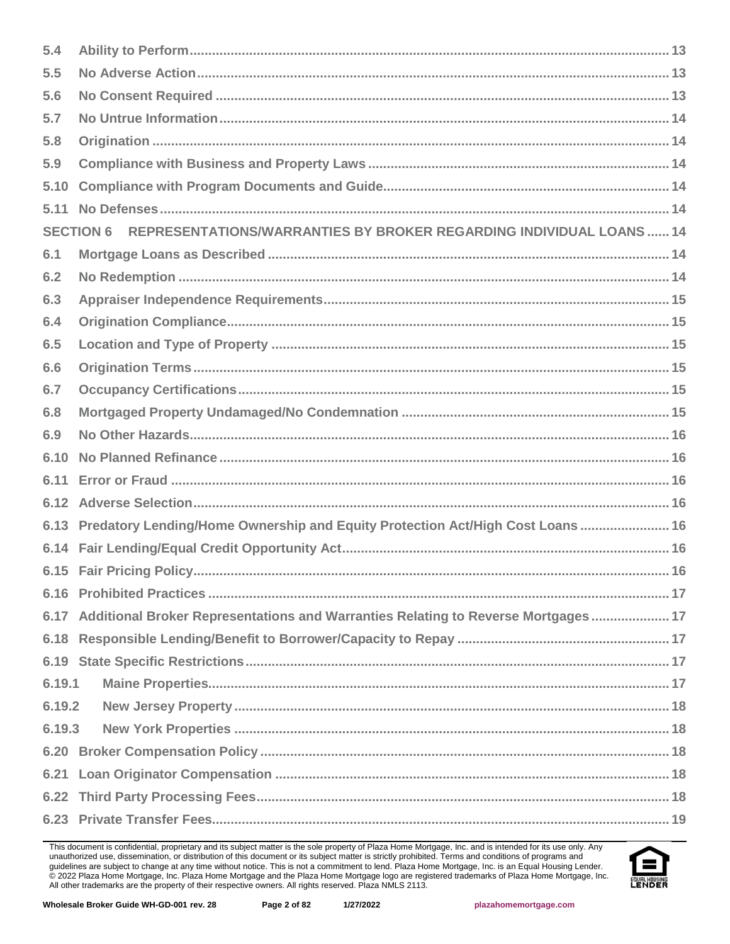| 5.4    |                                                                                         |  |  |  |
|--------|-----------------------------------------------------------------------------------------|--|--|--|
| 5.5    |                                                                                         |  |  |  |
| 5.6    |                                                                                         |  |  |  |
| 5.7    |                                                                                         |  |  |  |
| 5.8    |                                                                                         |  |  |  |
| 5.9    |                                                                                         |  |  |  |
| 5.10   |                                                                                         |  |  |  |
| 5.11   |                                                                                         |  |  |  |
|        | REPRESENTATIONS/WARRANTIES BY BROKER REGARDING INDIVIDUAL LOANS  14<br><b>SECTION 6</b> |  |  |  |
| 6.1    |                                                                                         |  |  |  |
| 6.2    |                                                                                         |  |  |  |
| 6.3    |                                                                                         |  |  |  |
| 6.4    |                                                                                         |  |  |  |
| 6.5    |                                                                                         |  |  |  |
| 6.6    |                                                                                         |  |  |  |
| 6.7    |                                                                                         |  |  |  |
| 6.8    |                                                                                         |  |  |  |
| 6.9    |                                                                                         |  |  |  |
| 6.10   |                                                                                         |  |  |  |
| 6.11   |                                                                                         |  |  |  |
|        |                                                                                         |  |  |  |
|        | 6.13 Predatory Lending/Home Ownership and Equity Protection Act/High Cost Loans 16      |  |  |  |
|        |                                                                                         |  |  |  |
|        |                                                                                         |  |  |  |
|        |                                                                                         |  |  |  |
|        | 6.17 Additional Broker Representations and Warranties Relating to Reverse Mortgages  17 |  |  |  |
|        |                                                                                         |  |  |  |
|        |                                                                                         |  |  |  |
| 6.19.1 |                                                                                         |  |  |  |
| 6.19.2 |                                                                                         |  |  |  |
| 6.19.3 |                                                                                         |  |  |  |
|        |                                                                                         |  |  |  |
|        |                                                                                         |  |  |  |
|        |                                                                                         |  |  |  |
|        |                                                                                         |  |  |  |

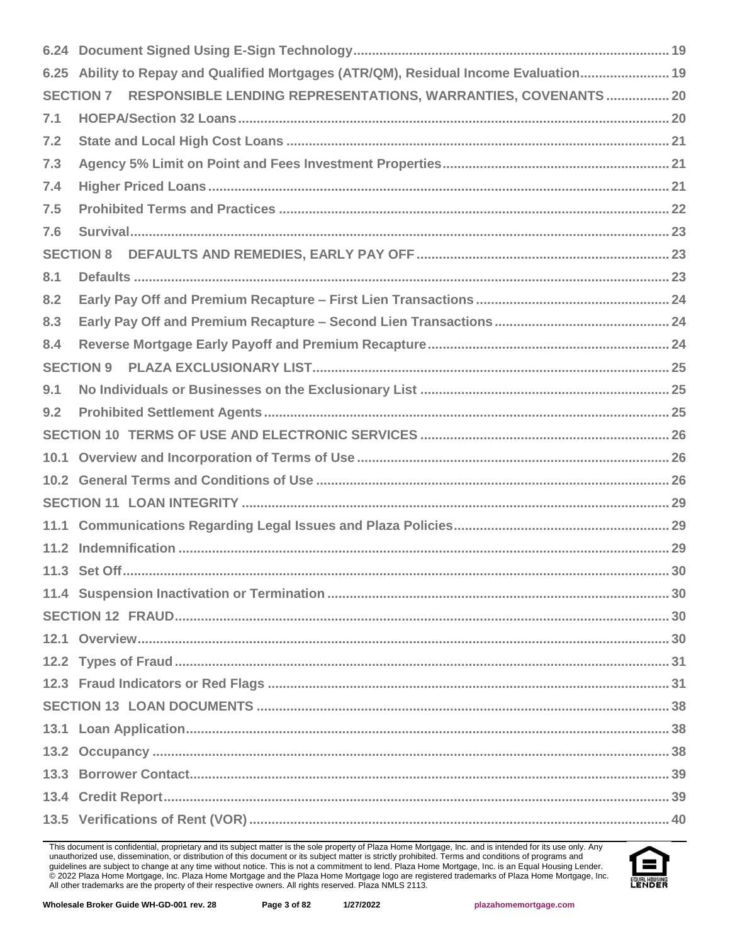|     | 6.25 Ability to Repay and Qualified Mortgages (ATR/QM), Residual Income Evaluation 19 |
|-----|---------------------------------------------------------------------------------------|
|     | RESPONSIBLE LENDING REPRESENTATIONS, WARRANTIES, COVENANTS  20<br><b>SECTION 7</b>    |
| 7.1 |                                                                                       |
| 7.2 |                                                                                       |
| 7.3 |                                                                                       |
| 7.4 |                                                                                       |
| 7.5 |                                                                                       |
| 7.6 |                                                                                       |
|     | <b>SECTION 8</b>                                                                      |
| 8.1 |                                                                                       |
| 8.2 |                                                                                       |
| 8.3 |                                                                                       |
| 8.4 |                                                                                       |
|     | <b>SECTION 9</b>                                                                      |
| 9.1 |                                                                                       |
| 9.2 |                                                                                       |
|     |                                                                                       |
|     |                                                                                       |
|     |                                                                                       |
|     |                                                                                       |
|     |                                                                                       |
|     |                                                                                       |
|     |                                                                                       |
|     |                                                                                       |
|     |                                                                                       |
|     |                                                                                       |
|     |                                                                                       |
|     |                                                                                       |
|     |                                                                                       |
|     |                                                                                       |
|     |                                                                                       |
|     |                                                                                       |
|     |                                                                                       |
|     |                                                                                       |

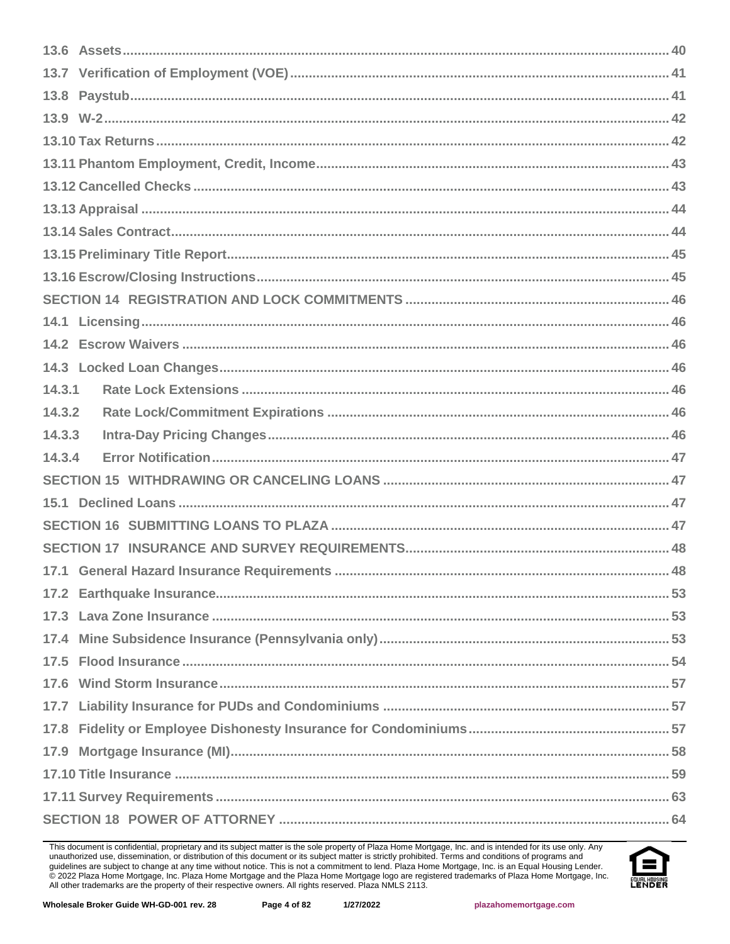| 14.3.1 |  |
|--------|--|
| 14.3.2 |  |
| 14.3.3 |  |
| 14.3.4 |  |
|        |  |
| 15.1   |  |
|        |  |
|        |  |
|        |  |
|        |  |
|        |  |
|        |  |
|        |  |
|        |  |
|        |  |
|        |  |
|        |  |
|        |  |
|        |  |
|        |  |

This document is confidential, proprietary and its subject matter is the sole property of Plaza Home Mortgage, Inc. and is intended for its use only. Any unauthorized use, dissemination, or distribution of this document or

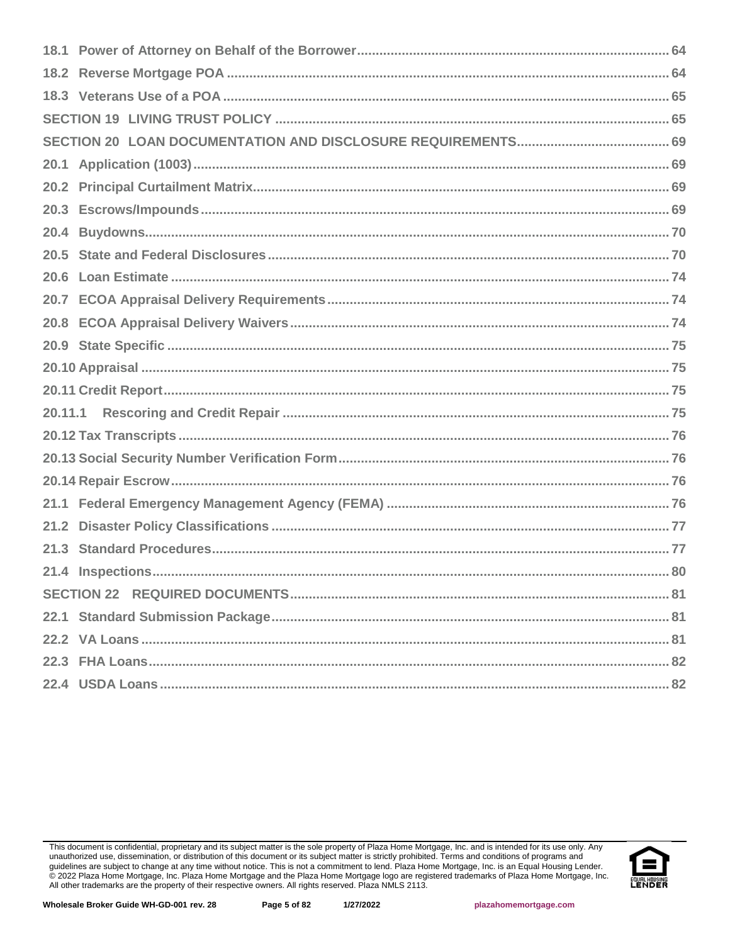| 20.4 |  |
|------|--|
|      |  |
|      |  |
|      |  |
|      |  |
|      |  |
|      |  |
|      |  |
|      |  |
|      |  |
|      |  |
|      |  |
| 21.1 |  |
| 21.2 |  |
|      |  |
|      |  |
|      |  |
|      |  |
|      |  |
|      |  |
|      |  |

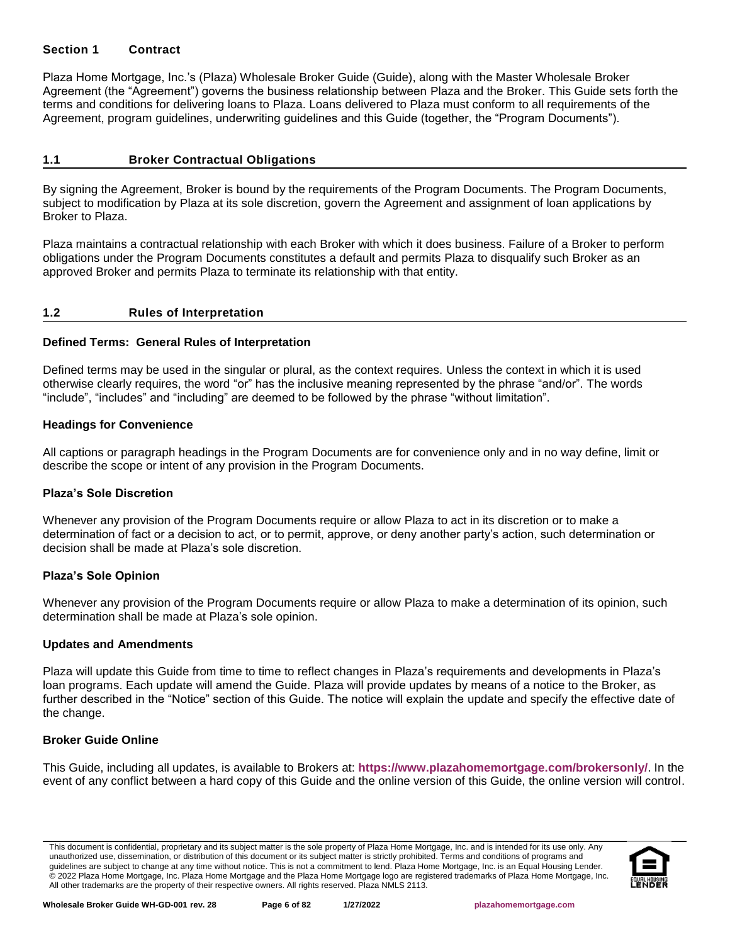## <span id="page-5-0"></span>**Section 1 Contract**

Plaza Home Mortgage, Inc.'s (Plaza) Wholesale Broker Guide (Guide), along with the Master Wholesale Broker Agreement (the "Agreement") governs the business relationship between Plaza and the Broker. This Guide sets forth the terms and conditions for delivering loans to Plaza. Loans delivered to Plaza must conform to all requirements of the Agreement, program guidelines, underwriting guidelines and this Guide (together, the "Program Documents").

#### <span id="page-5-1"></span>**1.1 Broker Contractual Obligations**

By signing the Agreement, Broker is bound by the requirements of the Program Documents. The Program Documents, subject to modification by Plaza at its sole discretion, govern the Agreement and assignment of loan applications by Broker to Plaza.

Plaza maintains a contractual relationship with each Broker with which it does business. Failure of a Broker to perform obligations under the Program Documents constitutes a default and permits Plaza to disqualify such Broker as an approved Broker and permits Plaza to terminate its relationship with that entity.

## <span id="page-5-2"></span>**1.2 Rules of Interpretation**

## **Defined Terms: General Rules of Interpretation**

Defined terms may be used in the singular or plural, as the context requires. Unless the context in which it is used otherwise clearly requires, the word "or" has the inclusive meaning represented by the phrase "and/or". The words "include", "includes" and "including" are deemed to be followed by the phrase "without limitation".

#### **Headings for Convenience**

All captions or paragraph headings in the Program Documents are for convenience only and in no way define, limit or describe the scope or intent of any provision in the Program Documents.

#### **Plaza's Sole Discretion**

Whenever any provision of the Program Documents require or allow Plaza to act in its discretion or to make a determination of fact or a decision to act, or to permit, approve, or deny another party's action, such determination or decision shall be made at Plaza's sole discretion.

#### **Plaza's Sole Opinion**

Whenever any provision of the Program Documents require or allow Plaza to make a determination of its opinion, such determination shall be made at Plaza's sole opinion.

#### **Updates and Amendments**

Plaza will update this Guide from time to time to reflect changes in Plaza's requirements and developments in Plaza's loan programs. Each update will amend the Guide. Plaza will provide updates by means of a notice to the Broker, as further described in the "Notice" section of this Guide. The notice will explain the update and specify the effective date of the change.

#### **Broker Guide Online**

This Guide, including all updates, is available to Brokers at: **<https://www.plazahomemortgage.com/brokersonly/>**. In the event of any conflict between a hard copy of this Guide and the online version of this Guide, the online version will control.

This document is confidential, proprietary and its subject matter is the sole property of Plaza Home Mortgage, Inc. and is intended for its use only. Any unauthorized use, dissemination, or distribution of this document or its subject matter is strictly prohibited. Terms and conditions of programs and guidelines are subject to change at any time without notice. This is not a commitment to lend. Plaza Home Mortgage, Inc. is an Equal Housing Lender. © 2022 Plaza Home Mortgage, Inc. Plaza Home Mortgage and the Plaza Home Mortgage logo are registered trademarks of Plaza Home Mortgage, Inc. All other trademarks are the property of their respective owners. All rights reserved. Plaza NMLS 2113.

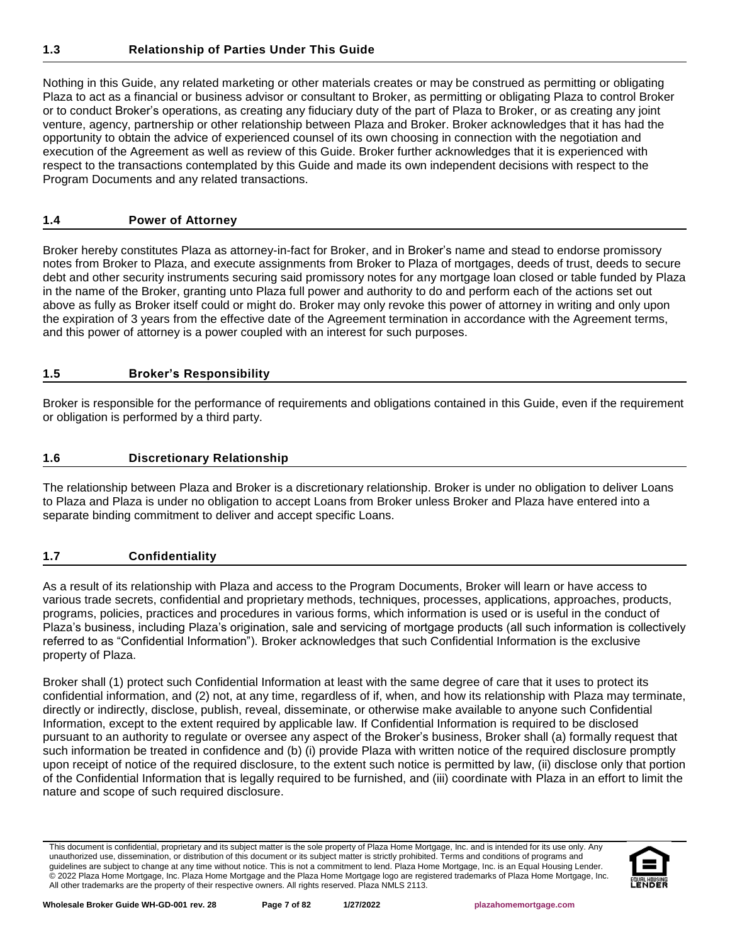<span id="page-6-0"></span>Nothing in this Guide, any related marketing or other materials creates or may be construed as permitting or obligating Plaza to act as a financial or business advisor or consultant to Broker, as permitting or obligating Plaza to control Broker or to conduct Broker's operations, as creating any fiduciary duty of the part of Plaza to Broker, or as creating any joint venture, agency, partnership or other relationship between Plaza and Broker. Broker acknowledges that it has had the opportunity to obtain the advice of experienced counsel of its own choosing in connection with the negotiation and execution of the Agreement as well as review of this Guide. Broker further acknowledges that it is experienced with respect to the transactions contemplated by this Guide and made its own independent decisions with respect to the Program Documents and any related transactions.

# <span id="page-6-1"></span>**1.4 Power of Attorney**

Broker hereby constitutes Plaza as attorney-in-fact for Broker, and in Broker's name and stead to endorse promissory notes from Broker to Plaza, and execute assignments from Broker to Plaza of mortgages, deeds of trust, deeds to secure debt and other security instruments securing said promissory notes for any mortgage loan closed or table funded by Plaza in the name of the Broker, granting unto Plaza full power and authority to do and perform each of the actions set out above as fully as Broker itself could or might do. Broker may only revoke this power of attorney in writing and only upon the expiration of 3 years from the effective date of the Agreement termination in accordance with the Agreement terms, and this power of attorney is a power coupled with an interest for such purposes.

# <span id="page-6-2"></span>**1.5 Broker's Responsibility**

Broker is responsible for the performance of requirements and obligations contained in this Guide, even if the requirement or obligation is performed by a third party.

# <span id="page-6-3"></span>**1.6 Discretionary Relationship**

The relationship between Plaza and Broker is a discretionary relationship. Broker is under no obligation to deliver Loans to Plaza and Plaza is under no obligation to accept Loans from Broker unless Broker and Plaza have entered into a separate binding commitment to deliver and accept specific Loans.

## <span id="page-6-4"></span>**1.7 Confidentiality**

As a result of its relationship with Plaza and access to the Program Documents, Broker will learn or have access to various trade secrets, confidential and proprietary methods, techniques, processes, applications, approaches, products, programs, policies, practices and procedures in various forms, which information is used or is useful in the conduct of Plaza's business, including Plaza's origination, sale and servicing of mortgage products (all such information is collectively referred to as "Confidential Information"). Broker acknowledges that such Confidential Information is the exclusive property of Plaza.

Broker shall (1) protect such Confidential Information at least with the same degree of care that it uses to protect its confidential information, and (2) not, at any time, regardless of if, when, and how its relationship with Plaza may terminate, directly or indirectly, disclose, publish, reveal, disseminate, or otherwise make available to anyone such Confidential Information, except to the extent required by applicable law. If Confidential Information is required to be disclosed pursuant to an authority to regulate or oversee any aspect of the Broker's business, Broker shall (a) formally request that such information be treated in confidence and (b) (i) provide Plaza with written notice of the required disclosure promptly upon receipt of notice of the required disclosure, to the extent such notice is permitted by law, (ii) disclose only that portion of the Confidential Information that is legally required to be furnished, and (iii) coordinate with Plaza in an effort to limit the nature and scope of such required disclosure.

This document is confidential, proprietary and its subject matter is the sole property of Plaza Home Mortgage, Inc. and is intended for its use only. Any unauthorized use, dissemination, or distribution of this document or its subject matter is strictly prohibited. Terms and conditions of programs and guidelines are subject to change at any time without notice. This is not a commitment to lend. Plaza Home Mortgage, Inc. is an Equal Housing Lender. © 2022 Plaza Home Mortgage, Inc. Plaza Home Mortgage and the Plaza Home Mortgage logo are registered trademarks of Plaza Home Mortgage, Inc. All other trademarks are the property of their respective owners. All rights reserved. Plaza NMLS 2113.

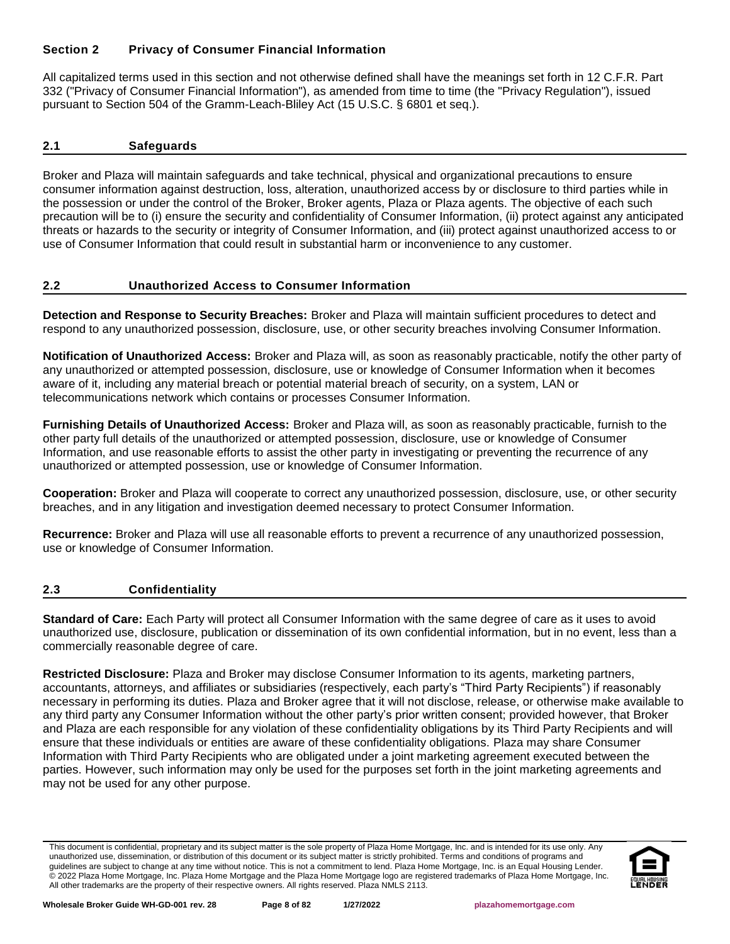# <span id="page-7-0"></span>**Section 2 Privacy of Consumer Financial Information**

All capitalized terms used in this section and not otherwise defined shall have the meanings set forth in 12 C.F.R. Part 332 ("Privacy of Consumer Financial Information"), as amended from time to time (the "Privacy Regulation"), issued pursuant to Section 504 of the Gramm-Leach-Bliley Act (15 U.S.C. § 6801 et seq.).

## <span id="page-7-1"></span>**2.1 Safeguards**

Broker and Plaza will maintain safeguards and take technical, physical and organizational precautions to ensure consumer information against destruction, loss, alteration, unauthorized access by or disclosure to third parties while in the possession or under the control of the Broker, Broker agents, Plaza or Plaza agents. The objective of each such precaution will be to (i) ensure the security and confidentiality of Consumer Information, (ii) protect against any anticipated threats or hazards to the security or integrity of Consumer Information, and (iii) protect against unauthorized access to or use of Consumer Information that could result in substantial harm or inconvenience to any customer.

## <span id="page-7-2"></span>**2.2 Unauthorized Access to Consumer Information**

**Detection and Response to Security Breaches:** Broker and Plaza will maintain sufficient procedures to detect and respond to any unauthorized possession, disclosure, use, or other security breaches involving Consumer Information.

**Notification of Unauthorized Access:** Broker and Plaza will, as soon as reasonably practicable, notify the other party of any unauthorized or attempted possession, disclosure, use or knowledge of Consumer Information when it becomes aware of it, including any material breach or potential material breach of security, on a system, LAN or telecommunications network which contains or processes Consumer Information.

**Furnishing Details of Unauthorized Access:** Broker and Plaza will, as soon as reasonably practicable, furnish to the other party full details of the unauthorized or attempted possession, disclosure, use or knowledge of Consumer Information, and use reasonable efforts to assist the other party in investigating or preventing the recurrence of any unauthorized or attempted possession, use or knowledge of Consumer Information.

**Cooperation:** Broker and Plaza will cooperate to correct any unauthorized possession, disclosure, use, or other security breaches, and in any litigation and investigation deemed necessary to protect Consumer Information.

**Recurrence:** Broker and Plaza will use all reasonable efforts to prevent a recurrence of any unauthorized possession, use or knowledge of Consumer Information.

## <span id="page-7-3"></span>**2.3 Confidentiality**

**Standard of Care:** Each Party will protect all Consumer Information with the same degree of care as it uses to avoid unauthorized use, disclosure, publication or dissemination of its own confidential information, but in no event, less than a commercially reasonable degree of care.

**Restricted Disclosure:** Plaza and Broker may disclose Consumer Information to its agents, marketing partners, accountants, attorneys, and affiliates or subsidiaries (respectively, each party's "Third Party Recipients") if reasonably necessary in performing its duties. Plaza and Broker agree that it will not disclose, release, or otherwise make available to any third party any Consumer Information without the other party's prior written consent; provided however, that Broker and Plaza are each responsible for any violation of these confidentiality obligations by its Third Party Recipients and will ensure that these individuals or entities are aware of these confidentiality obligations. Plaza may share Consumer Information with Third Party Recipients who are obligated under a joint marketing agreement executed between the parties. However, such information may only be used for the purposes set forth in the joint marketing agreements and may not be used for any other purpose.

This document is confidential, proprietary and its subject matter is the sole property of Plaza Home Mortgage, Inc. and is intended for its use only. Any unauthorized use, dissemination, or distribution of this document or its subject matter is strictly prohibited. Terms and conditions of programs and guidelines are subject to change at any time without notice. This is not a commitment to lend. Plaza Home Mortgage, Inc. is an Equal Housing Lender. © 2022 Plaza Home Mortgage, Inc. Plaza Home Mortgage and the Plaza Home Mortgage logo are registered trademarks of Plaza Home Mortgage, Inc. All other trademarks are the property of their respective owners. All rights reserved. Plaza NMLS 2113.

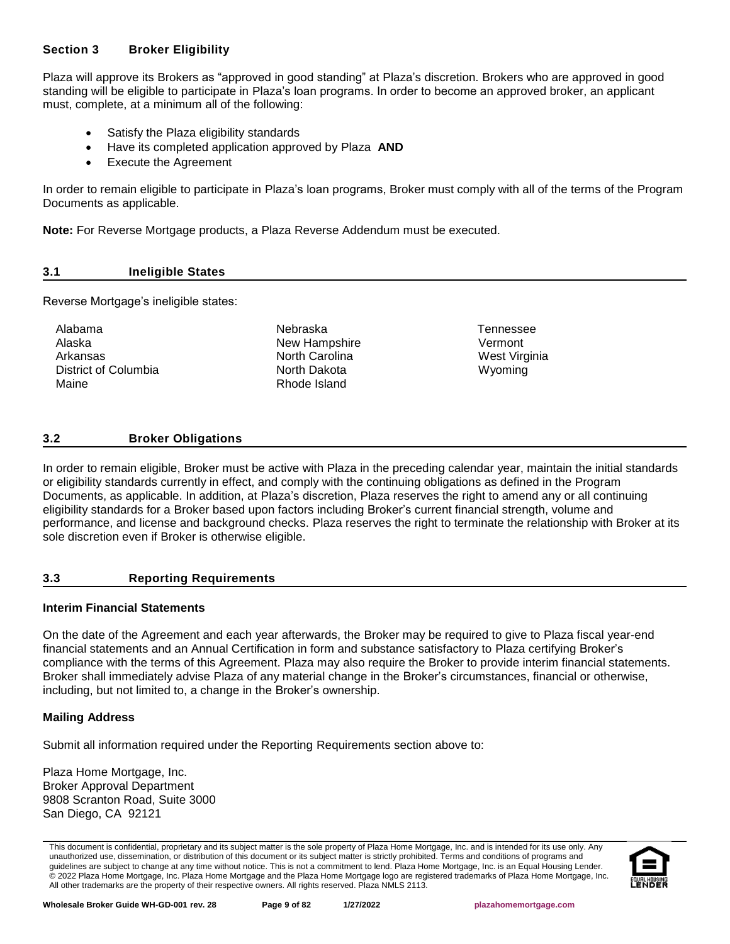## <span id="page-8-0"></span>**Section 3 Broker Eligibility**

Plaza will approve its Brokers as "approved in good standing" at Plaza's discretion. Brokers who are approved in good standing will be eligible to participate in Plaza's loan programs. In order to become an approved broker, an applicant must, complete, at a minimum all of the following:

- Satisfy the Plaza eligibility standards
- Have its completed application approved by Plaza **AND**
- Execute the Agreement

In order to remain eligible to participate in Plaza's loan programs, Broker must comply with all of the terms of the Program Documents as applicable.

**Note:** For Reverse Mortgage products, a Plaza Reverse Addendum must be executed.

## <span id="page-8-1"></span>**3.1 Ineligible States**

Reverse Mortgage's ineligible states:

| Alabama              | Nebraska       | Tennesse  |
|----------------------|----------------|-----------|
| Alaska               | New Hampshire  | Vermont   |
| Arkansas             | North Carolina | West Virc |
| District of Columbia | North Dakota   | Wyoming   |
| Maine                | Rhode Island   |           |

**Tennessee West Virginia** 

## <span id="page-8-2"></span>**3.2 Broker Obligations**

In order to remain eligible, Broker must be active with Plaza in the preceding calendar year, maintain the initial standards or eligibility standards currently in effect, and comply with the continuing obligations as defined in the Program Documents, as applicable. In addition, at Plaza's discretion, Plaza reserves the right to amend any or all continuing eligibility standards for a Broker based upon factors including Broker's current financial strength, volume and performance, and license and background checks. Plaza reserves the right to terminate the relationship with Broker at its sole discretion even if Broker is otherwise eligible.

## <span id="page-8-3"></span>**3.3 Reporting Requirements**

## **Interim Financial Statements**

On the date of the Agreement and each year afterwards, the Broker may be required to give to Plaza fiscal year-end financial statements and an Annual Certification in form and substance satisfactory to Plaza certifying Broker's compliance with the terms of this Agreement. Plaza may also require the Broker to provide interim financial statements. Broker shall immediately advise Plaza of any material change in the Broker's circumstances, financial or otherwise, including, but not limited to, a change in the Broker's ownership.

## **Mailing Address**

Submit all information required under the Reporting Requirements section above to:

Plaza Home Mortgage, Inc. Broker Approval Department 9808 Scranton Road, Suite 3000 San Diego, CA 92121

This document is confidential, proprietary and its subject matter is the sole property of Plaza Home Mortgage, Inc. and is intended for its use only. Any unauthorized use, dissemination, or distribution of this document or its subject matter is strictly prohibited. Terms and conditions of programs and guidelines are subject to change at any time without notice. This is not a commitment to lend. Plaza Home Mortgage, Inc. is an Equal Housing Lender. © 2022 Plaza Home Mortgage, Inc. Plaza Home Mortgage and the Plaza Home Mortgage logo are registered trademarks of Plaza Home Mortgage, Inc. All other trademarks are the property of their respective owners. All rights reserved. Plaza NMLS 2113.

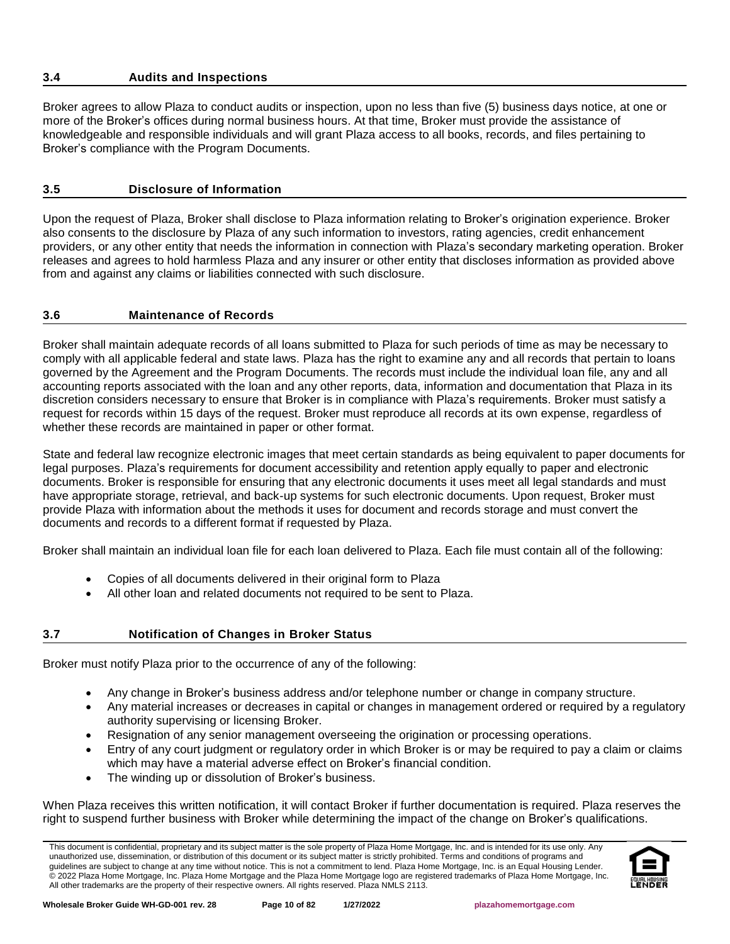## <span id="page-9-0"></span>**3.4 Audits and Inspections**

Broker agrees to allow Plaza to conduct audits or inspection, upon no less than five (5) business days notice, at one or more of the Broker's offices during normal business hours. At that time, Broker must provide the assistance of knowledgeable and responsible individuals and will grant Plaza access to all books, records, and files pertaining to Broker's compliance with the Program Documents.

## <span id="page-9-1"></span>**3.5 Disclosure of Information**

Upon the request of Plaza, Broker shall disclose to Plaza information relating to Broker's origination experience. Broker also consents to the disclosure by Plaza of any such information to investors, rating agencies, credit enhancement providers, or any other entity that needs the information in connection with Plaza's secondary marketing operation. Broker releases and agrees to hold harmless Plaza and any insurer or other entity that discloses information as provided above from and against any claims or liabilities connected with such disclosure.

## <span id="page-9-2"></span>**3.6 Maintenance of Records**

Broker shall maintain adequate records of all loans submitted to Plaza for such periods of time as may be necessary to comply with all applicable federal and state laws. Plaza has the right to examine any and all records that pertain to loans governed by the Agreement and the Program Documents. The records must include the individual loan file, any and all accounting reports associated with the loan and any other reports, data, information and documentation that Plaza in its discretion considers necessary to ensure that Broker is in compliance with Plaza's requirements. Broker must satisfy a request for records within 15 days of the request. Broker must reproduce all records at its own expense, regardless of whether these records are maintained in paper or other format.

State and federal law recognize electronic images that meet certain standards as being equivalent to paper documents for legal purposes. Plaza's requirements for document accessibility and retention apply equally to paper and electronic documents. Broker is responsible for ensuring that any electronic documents it uses meet all legal standards and must have appropriate storage, retrieval, and back-up systems for such electronic documents. Upon request, Broker must provide Plaza with information about the methods it uses for document and records storage and must convert the documents and records to a different format if requested by Plaza.

Broker shall maintain an individual loan file for each loan delivered to Plaza. Each file must contain all of the following:

- Copies of all documents delivered in their original form to Plaza
- All other loan and related documents not required to be sent to Plaza.

#### <span id="page-9-3"></span>**3.7 Notification of Changes in Broker Status**

Broker must notify Plaza prior to the occurrence of any of the following:

- Any change in Broker's business address and/or telephone number or change in company structure.
- Any material increases or decreases in capital or changes in management ordered or required by a regulatory authority supervising or licensing Broker.
- Resignation of any senior management overseeing the origination or processing operations.
- Entry of any court judgment or regulatory order in which Broker is or may be required to pay a claim or claims which may have a material adverse effect on Broker's financial condition.
- The winding up or dissolution of Broker's business.

When Plaza receives this written notification, it will contact Broker if further documentation is required. Plaza reserves the right to suspend further business with Broker while determining the impact of the change on Broker's qualifications.

This document is confidential, proprietary and its subject matter is the sole property of Plaza Home Mortgage, Inc. and is intended for its use only. Any unauthorized use, dissemination, or distribution of this document or its subject matter is strictly prohibited. Terms and conditions of programs and guidelines are subject to change at any time without notice. This is not a commitment to lend. Plaza Home Mortgage, Inc. is an Equal Housing Lender. © 2022 Plaza Home Mortgage, Inc. Plaza Home Mortgage and the Plaza Home Mortgage logo are registered trademarks of Plaza Home Mortgage, Inc. All other trademarks are the property of their respective owners. All rights reserved. Plaza NMLS 2113.

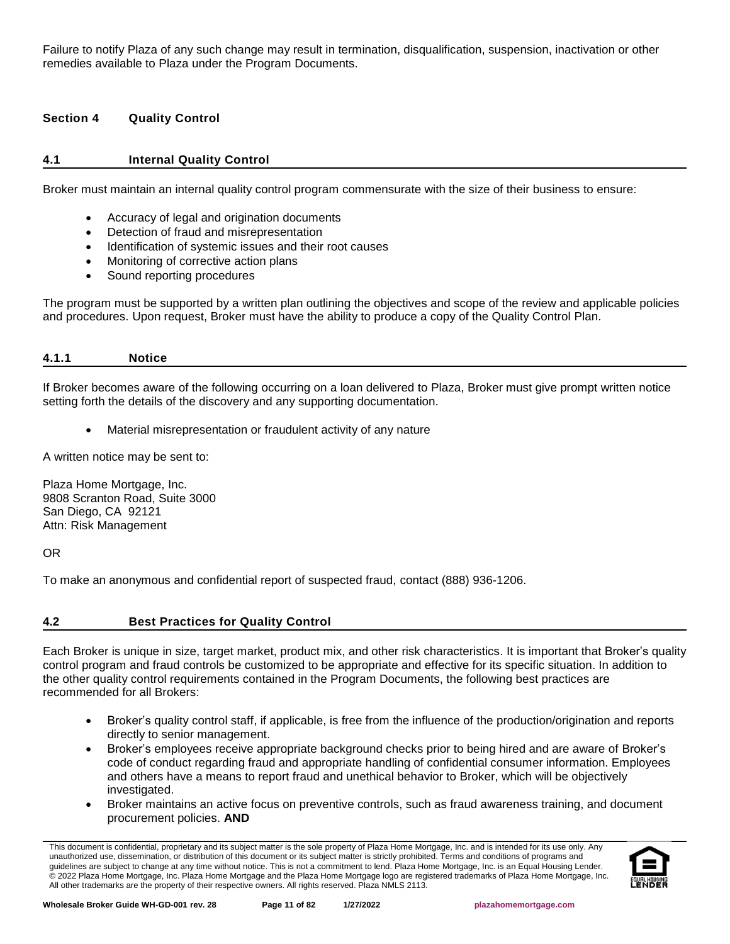Failure to notify Plaza of any such change may result in termination, disqualification, suspension, inactivation or other remedies available to Plaza under the Program Documents.

## <span id="page-10-0"></span>**Section 4 Quality Control**

## <span id="page-10-1"></span>**4.1 Internal Quality Control**

Broker must maintain an internal quality control program commensurate with the size of their business to ensure:

- Accuracy of legal and origination documents
- Detection of fraud and misrepresentation
- Identification of systemic issues and their root causes
- Monitoring of corrective action plans
- Sound reporting procedures

The program must be supported by a written plan outlining the objectives and scope of the review and applicable policies and procedures. Upon request, Broker must have the ability to produce a copy of the Quality Control Plan.

<span id="page-10-2"></span>

| 4.1 | гіг<br>. |  |  |
|-----|----------|--|--|
|     |          |  |  |

If Broker becomes aware of the following occurring on a loan delivered to Plaza, Broker must give prompt written notice setting forth the details of the discovery and any supporting documentation.

• Material misrepresentation or fraudulent activity of any nature

A written notice may be sent to:

Plaza Home Mortgage, Inc. 9808 Scranton Road, Suite 3000 San Diego, CA 92121 Attn: Risk Management

OR

To make an anonymous and confidential report of suspected fraud, contact (888) 936-1206.

#### <span id="page-10-3"></span>**4.2 Best Practices for Quality Control**

Each Broker is unique in size, target market, product mix, and other risk characteristics. It is important that Broker's quality control program and fraud controls be customized to be appropriate and effective for its specific situation. In addition to the other quality control requirements contained in the Program Documents, the following best practices are recommended for all Brokers:

- Broker's quality control staff, if applicable, is free from the influence of the production/origination and reports directly to senior management.
- Broker's employees receive appropriate background checks prior to being hired and are aware of Broker's code of conduct regarding fraud and appropriate handling of confidential consumer information. Employees and others have a means to report fraud and unethical behavior to Broker, which will be objectively investigated.
- Broker maintains an active focus on preventive controls, such as fraud awareness training, and document procurement policies. **AND**

This document is confidential, proprietary and its subject matter is the sole property of Plaza Home Mortgage, Inc. and is intended for its use only. Any unauthorized use, dissemination, or distribution of this document or its subject matter is strictly prohibited. Terms and conditions of programs and guidelines are subject to change at any time without notice. This is not a commitment to lend. Plaza Home Mortgage, Inc. is an Equal Housing Lender. © 2022 Plaza Home Mortgage, Inc. Plaza Home Mortgage and the Plaza Home Mortgage logo are registered trademarks of Plaza Home Mortgage, Inc. All other trademarks are the property of their respective owners. All rights reserved. Plaza NMLS 2113.

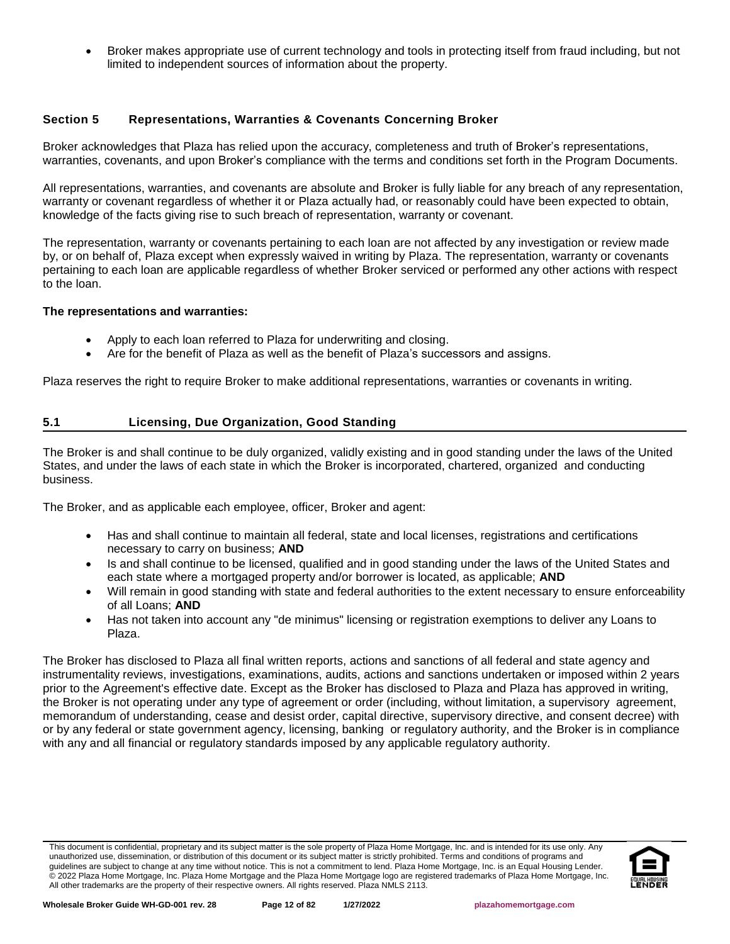• Broker makes appropriate use of current technology and tools in protecting itself from fraud including, but not limited to independent sources of information about the property.

## <span id="page-11-0"></span>**Section 5 Representations, Warranties & Covenants Concerning Broker**

Broker acknowledges that Plaza has relied upon the accuracy, completeness and truth of Broker's representations, warranties, covenants, and upon Broker's compliance with the terms and conditions set forth in the Program Documents.

All representations, warranties, and covenants are absolute and Broker is fully liable for any breach of any representation, warranty or covenant regardless of whether it or Plaza actually had, or reasonably could have been expected to obtain, knowledge of the facts giving rise to such breach of representation, warranty or covenant.

The representation, warranty or covenants pertaining to each loan are not affected by any investigation or review made by, or on behalf of, Plaza except when expressly waived in writing by Plaza. The representation, warranty or covenants pertaining to each loan are applicable regardless of whether Broker serviced or performed any other actions with respect to the loan.

#### **The representations and warranties:**

- Apply to each loan referred to Plaza for underwriting and closing.
- Are for the benefit of Plaza as well as the benefit of Plaza's successors and assigns.

Plaza reserves the right to require Broker to make additional representations, warranties or covenants in writing.

## <span id="page-11-1"></span>**5.1 Licensing, Due Organization, Good Standing**

The Broker is and shall continue to be duly organized, validly existing and in good standing under the laws of the United States, and under the laws of each state in which the Broker is incorporated, chartered, organized and conducting business.

The Broker, and as applicable each employee, officer, Broker and agent:

- Has and shall continue to maintain all federal, state and local licenses, registrations and certifications necessary to carry on business; **AND**
- Is and shall continue to be licensed, qualified and in good standing under the laws of the United States and each state where a mortgaged property and/or borrower is located, as applicable; **AND**
- Will remain in good standing with state and federal authorities to the extent necessary to ensure enforceability of all Loans; **AND**
- Has not taken into account any "de minimus" licensing or registration exemptions to deliver any Loans to Plaza.

The Broker has disclosed to Plaza all final written reports, actions and sanctions of all federal and state agency and instrumentality reviews, investigations, examinations, audits, actions and sanctions undertaken or imposed within 2 years prior to the Agreement's effective date. Except as the Broker has disclosed to Plaza and Plaza has approved in writing, the Broker is not operating under any type of agreement or order (including, without limitation, a supervisory agreement, memorandum of understanding, cease and desist order, capital directive, supervisory directive, and consent decree) with or by any federal or state government agency, licensing, banking or regulatory authority, and the Broker is in compliance with any and all financial or regulatory standards imposed by any applicable regulatory authority.

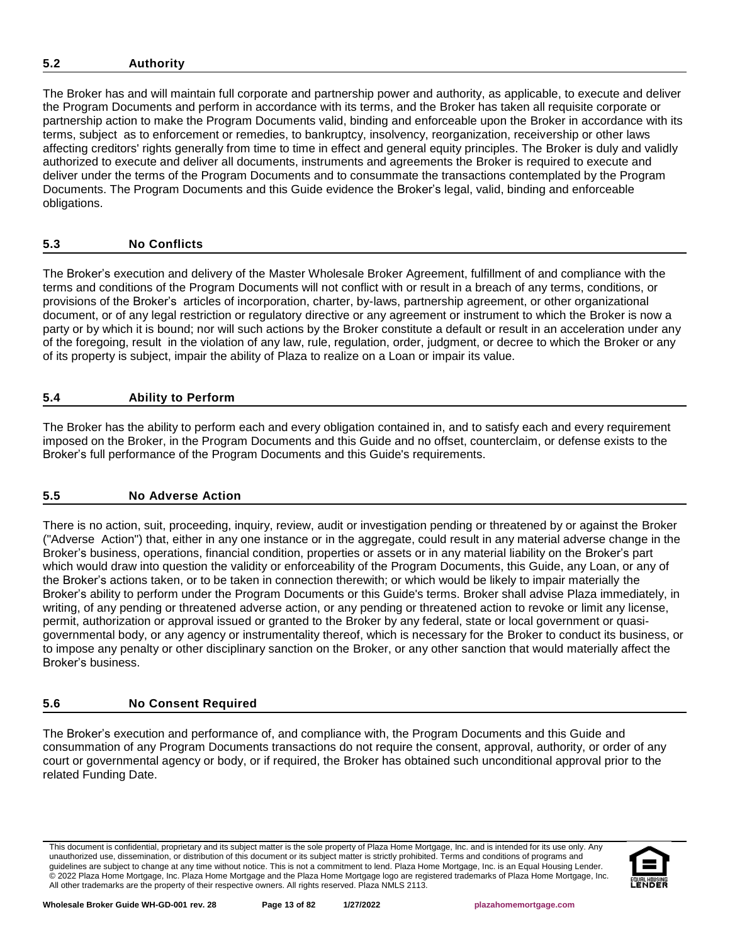## <span id="page-12-0"></span>**5.2 Authority**

The Broker has and will maintain full corporate and partnership power and authority, as applicable, to execute and deliver the Program Documents and perform in accordance with its terms, and the Broker has taken all requisite corporate or partnership action to make the Program Documents valid, binding and enforceable upon the Broker in accordance with its terms, subject as to enforcement or remedies, to bankruptcy, insolvency, reorganization, receivership or other laws affecting creditors' rights generally from time to time in effect and general equity principles. The Broker is duly and validly authorized to execute and deliver all documents, instruments and agreements the Broker is required to execute and deliver under the terms of the Program Documents and to consummate the transactions contemplated by the Program Documents. The Program Documents and this Guide evidence the Broker's legal, valid, binding and enforceable obligations.

## <span id="page-12-1"></span>**5.3 No Conflicts**

The Broker's execution and delivery of the Master Wholesale Broker Agreement, fulfillment of and compliance with the terms and conditions of the Program Documents will not conflict with or result in a breach of any terms, conditions, or provisions of the Broker's articles of incorporation, charter, by-laws, partnership agreement, or other organizational document, or of any legal restriction or regulatory directive or any agreement or instrument to which the Broker is now a party or by which it is bound; nor will such actions by the Broker constitute a default or result in an acceleration under any of the foregoing, result in the violation of any law, rule, regulation, order, judgment, or decree to which the Broker or any of its property is subject, impair the ability of Plaza to realize on a Loan or impair its value.

# <span id="page-12-2"></span>**5.4 Ability to Perform**

The Broker has the ability to perform each and every obligation contained in, and to satisfy each and every requirement imposed on the Broker, in the Program Documents and this Guide and no offset, counterclaim, or defense exists to the Broker's full performance of the Program Documents and this Guide's requirements.

## <span id="page-12-3"></span>**5.5 No Adverse Action**

There is no action, suit, proceeding, inquiry, review, audit or investigation pending or threatened by or against the Broker ("Adverse Action") that, either in any one instance or in the aggregate, could result in any material adverse change in the Broker's business, operations, financial condition, properties or assets or in any material liability on the Broker's part which would draw into question the validity or enforceability of the Program Documents, this Guide, any Loan, or any of the Broker's actions taken, or to be taken in connection therewith; or which would be likely to impair materially the Broker's ability to perform under the Program Documents or this Guide's terms. Broker shall advise Plaza immediately, in writing, of any pending or threatened adverse action, or any pending or threatened action to revoke or limit any license, permit, authorization or approval issued or granted to the Broker by any federal, state or local government or quasigovernmental body, or any agency or instrumentality thereof, which is necessary for the Broker to conduct its business, or to impose any penalty or other disciplinary sanction on the Broker, or any other sanction that would materially affect the Broker's business.

## <span id="page-12-4"></span>**5.6 No Consent Required**

The Broker's execution and performance of, and compliance with, the Program Documents and this Guide and consummation of any Program Documents transactions do not require the consent, approval, authority, or order of any court or governmental agency or body, or if required, the Broker has obtained such unconditional approval prior to the related Funding Date.

This document is confidential, proprietary and its subject matter is the sole property of Plaza Home Mortgage, Inc. and is intended for its use only. Any unauthorized use, dissemination, or distribution of this document or its subject matter is strictly prohibited. Terms and conditions of programs and guidelines are subject to change at any time without notice. This is not a commitment to lend. Plaza Home Mortgage, Inc. is an Equal Housing Lender. © 2022 Plaza Home Mortgage, Inc. Plaza Home Mortgage and the Plaza Home Mortgage logo are registered trademarks of Plaza Home Mortgage, Inc. All other trademarks are the property of their respective owners. All rights reserved. Plaza NMLS 2113.

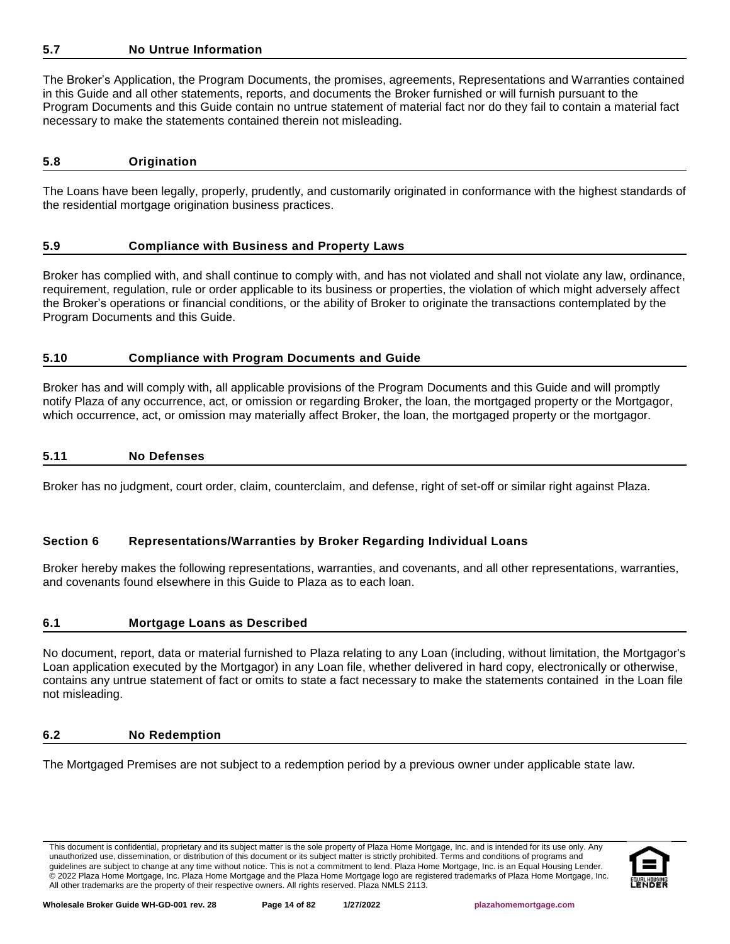## <span id="page-13-0"></span>**5.7 No Untrue Information**

The Broker's Application, the Program Documents, the promises, agreements, Representations and Warranties contained in this Guide and all other statements, reports, and documents the Broker furnished or will furnish pursuant to the Program Documents and this Guide contain no untrue statement of material fact nor do they fail to contain a material fact necessary to make the statements contained therein not misleading.

#### <span id="page-13-1"></span>**5.8 Origination**

The Loans have been legally, properly, prudently, and customarily originated in conformance with the highest standards of the residential mortgage origination business practices.

## <span id="page-13-2"></span>**5.9 Compliance with Business and Property Laws**

Broker has complied with, and shall continue to comply with, and has not violated and shall not violate any law, ordinance, requirement, regulation, rule or order applicable to its business or properties, the violation of which might adversely affect the Broker's operations or financial conditions, or the ability of Broker to originate the transactions contemplated by the Program Documents and this Guide.

## <span id="page-13-3"></span>**5.10 Compliance with Program Documents and Guide**

Broker has and will comply with, all applicable provisions of the Program Documents and this Guide and will promptly notify Plaza of any occurrence, act, or omission or regarding Broker, the loan, the mortgaged property or the Mortgagor, which occurrence, act, or omission may materially affect Broker, the loan, the mortgaged property or the mortgagor.

#### <span id="page-13-4"></span>**5.11 No Defenses**

Broker has no judgment, court order, claim, counterclaim, and defense, right of set-off or similar right against Plaza.

## <span id="page-13-5"></span>**Section 6 Representations/Warranties by Broker Regarding Individual Loans**

Broker hereby makes the following representations, warranties, and covenants, and all other representations, warranties, and covenants found elsewhere in this Guide to Plaza as to each loan.

#### <span id="page-13-6"></span>**6.1 Mortgage Loans as Described**

No document, report, data or material furnished to Plaza relating to any Loan (including, without limitation, the Mortgagor's Loan application executed by the Mortgagor) in any Loan file, whether delivered in hard copy, electronically or otherwise, contains any untrue statement of fact or omits to state a fact necessary to make the statements contained in the Loan file not misleading.

#### <span id="page-13-7"></span>**6.2 No Redemption**

The Mortgaged Premises are not subject to a redemption period by a previous owner under applicable state law.

This document is confidential, proprietary and its subject matter is the sole property of Plaza Home Mortgage, Inc. and is intended for its use only. Any unauthorized use, dissemination, or distribution of this document or its subject matter is strictly prohibited. Terms and conditions of programs and guidelines are subject to change at any time without notice. This is not a commitment to lend. Plaza Home Mortgage, Inc. is an Equal Housing Lender. © 2022 Plaza Home Mortgage, Inc. Plaza Home Mortgage and the Plaza Home Mortgage logo are registered trademarks of Plaza Home Mortgage, Inc. All other trademarks are the property of their respective owners. All rights reserved. Plaza NMLS 2113.

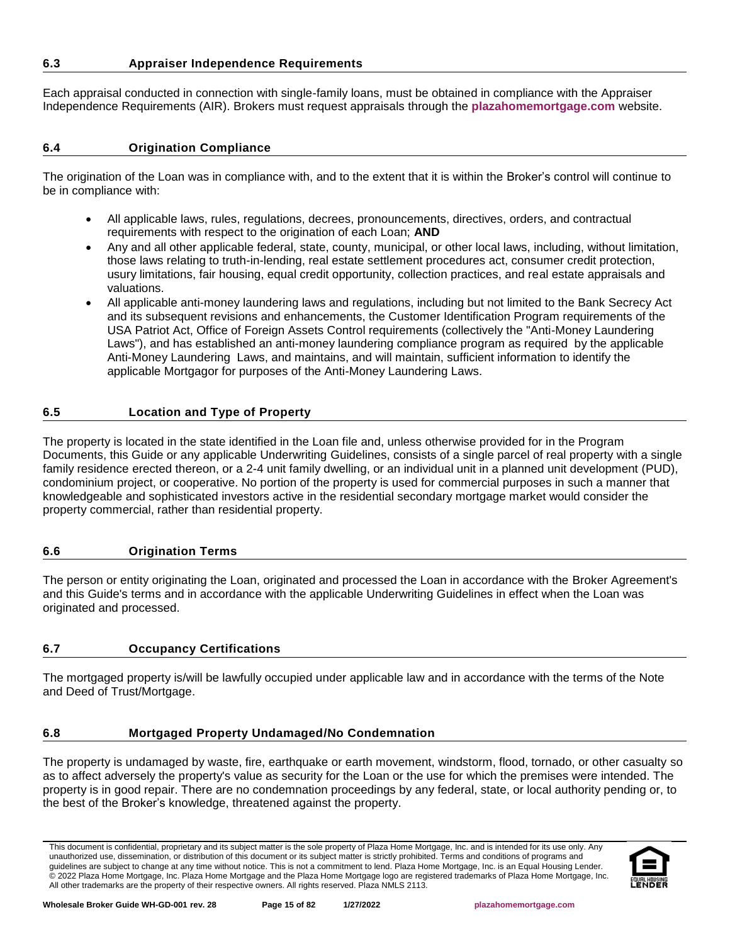## <span id="page-14-0"></span>**6.3 Appraiser Independence Requirements**

Each appraisal conducted in connection with single-family loans, must be obtained in compliance with the Appraiser Independence Requirements (AIR). Brokers must request appraisals through the **[plazahomemortgage.com](https://www.plazahomemortgage.com/brokersonly/)** website.

## <span id="page-14-1"></span>**6.4 Origination Compliance**

The origination of the Loan was in compliance with, and to the extent that it is within the Broker's control will continue to be in compliance with:

- All applicable laws, rules, regulations, decrees, pronouncements, directives, orders, and contractual requirements with respect to the origination of each Loan; **AND**
- Any and all other applicable federal, state, county, municipal, or other local laws, including, without limitation, those laws relating to truth-in-lending, real estate settlement procedures act, consumer credit protection, usury limitations, fair housing, equal credit opportunity, collection practices, and real estate appraisals and valuations.
- All applicable anti-money laundering laws and regulations, including but not limited to the Bank Secrecy Act and its subsequent revisions and enhancements, the Customer Identification Program requirements of the USA Patriot Act, Office of Foreign Assets Control requirements (collectively the "Anti-Money Laundering Laws"), and has established an anti-money laundering compliance program as required by the applicable Anti-Money Laundering Laws, and maintains, and will maintain, sufficient information to identify the applicable Mortgagor for purposes of the Anti-Money Laundering Laws.

# <span id="page-14-2"></span>**6.5 Location and Type of Property**

The property is located in the state identified in the Loan file and, unless otherwise provided for in the Program Documents, this Guide or any applicable Underwriting Guidelines, consists of a single parcel of real property with a single family residence erected thereon, or a 2-4 unit family dwelling, or an individual unit in a planned unit development (PUD), condominium project, or cooperative. No portion of the property is used for commercial purposes in such a manner that knowledgeable and sophisticated investors active in the residential secondary mortgage market would consider the property commercial, rather than residential property.

## <span id="page-14-3"></span>**6.6 Origination Terms**

The person or entity originating the Loan, originated and processed the Loan in accordance with the Broker Agreement's and this Guide's terms and in accordance with the applicable Underwriting Guidelines in effect when the Loan was originated and processed.

## <span id="page-14-4"></span>**6.7 Occupancy Certifications**

The mortgaged property is/will be lawfully occupied under applicable law and in accordance with the terms of the Note and Deed of Trust/Mortgage.

## <span id="page-14-5"></span>**6.8 Mortgaged Property Undamaged/No Condemnation**

The property is undamaged by waste, fire, earthquake or earth movement, windstorm, flood, tornado, or other casualty so as to affect adversely the property's value as security for the Loan or the use for which the premises were intended. The property is in good repair. There are no condemnation proceedings by any federal, state, or local authority pending or, to the best of the Broker's knowledge, threatened against the property.

This document is confidential, proprietary and its subject matter is the sole property of Plaza Home Mortgage, Inc. and is intended for its use only. Any unauthorized use, dissemination, or distribution of this document or its subject matter is strictly prohibited. Terms and conditions of programs and guidelines are subject to change at any time without notice. This is not a commitment to lend. Plaza Home Mortgage, Inc. is an Equal Housing Lender. © 2022 Plaza Home Mortgage, Inc. Plaza Home Mortgage and the Plaza Home Mortgage logo are registered trademarks of Plaza Home Mortgage, Inc. All other trademarks are the property of their respective owners. All rights reserved. Plaza NMLS 2113.

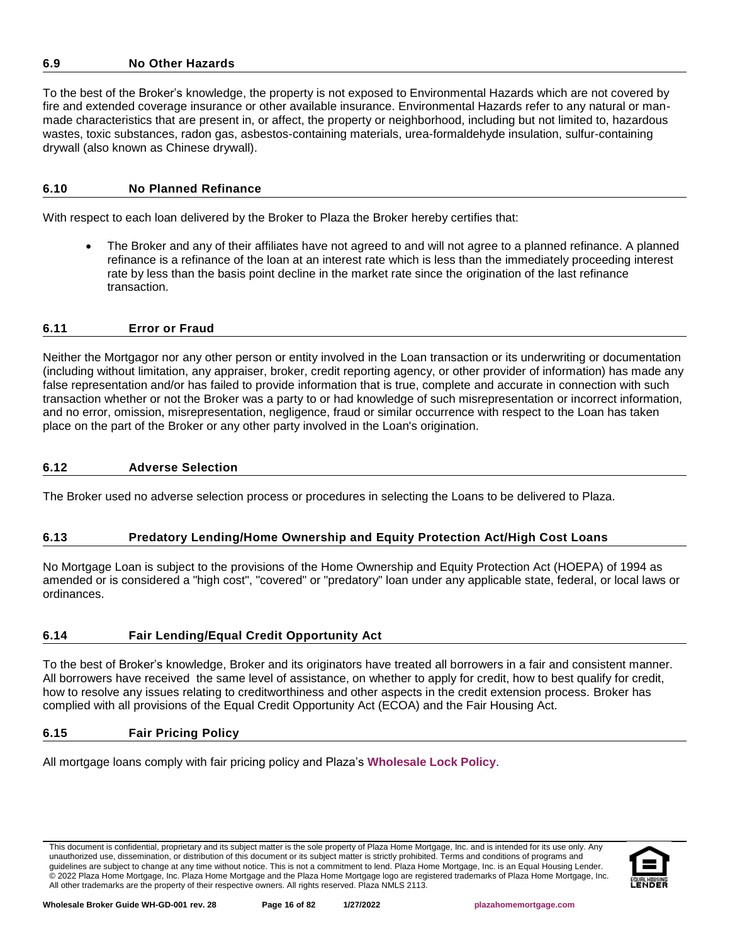# <span id="page-15-0"></span>**6.9 No Other Hazards**

To the best of the Broker's knowledge, the property is not exposed to Environmental Hazards which are not covered by fire and extended coverage insurance or other available insurance. Environmental Hazards refer to any natural or manmade characteristics that are present in, or affect, the property or neighborhood, including but not limited to, hazardous wastes, toxic substances, radon gas, asbestos-containing materials, urea-formaldehyde insulation, sulfur-containing drywall (also known as Chinese drywall).

## <span id="page-15-1"></span>**6.10 No Planned Refinance**

With respect to each loan delivered by the Broker to Plaza the Broker hereby certifies that:

• The Broker and any of their affiliates have not agreed to and will not agree to a planned refinance. A planned refinance is a refinance of the loan at an interest rate which is less than the immediately proceeding interest rate by less than the basis point decline in the market rate since the origination of the last refinance transaction.

## <span id="page-15-2"></span>**6.11 Error or Fraud**

Neither the Mortgagor nor any other person or entity involved in the Loan transaction or its underwriting or documentation (including without limitation, any appraiser, broker, credit reporting agency, or other provider of information) has made any false representation and/or has failed to provide information that is true, complete and accurate in connection with such transaction whether or not the Broker was a party to or had knowledge of such misrepresentation or incorrect information, and no error, omission, misrepresentation, negligence, fraud or similar occurrence with respect to the Loan has taken place on the part of the Broker or any other party involved in the Loan's origination.

## <span id="page-15-3"></span>**6.12 Adverse Selection**

The Broker used no adverse selection process or procedures in selecting the Loans to be delivered to Plaza.

## <span id="page-15-4"></span>**6.13 Predatory Lending/Home Ownership and Equity Protection Act/High Cost Loans**

No Mortgage Loan is subject to the provisions of the Home Ownership and Equity Protection Act (HOEPA) of 1994 as amended or is considered a "high cost", "covered" or "predatory" loan under any applicable state, federal, or local laws or ordinances.

#### <span id="page-15-5"></span>**6.14 Fair Lending/Equal Credit Opportunity Act**

To the best of Broker's knowledge, Broker and its originators have treated all borrowers in a fair and consistent manner. All borrowers have received the same level of assistance, on whether to apply for credit, how to best qualify for credit, how to resolve any issues relating to creditworthiness and other aspects in the credit extension process. Broker has complied with all provisions of the Equal Credit Opportunity Act (ECOA) and the Fair Housing Act.

#### <span id="page-15-6"></span>**6.15 Fair Pricing Policy**

All mortgage loans comply with fair pricing policy and Plaza's **[Wholesale Lock Policy](http://resourcecenter.plazahomemortgage.com/phmidocpublisher.nsf/All/D1165D371EE42A0107257A21005DEA87?OpenDocument)**.

This document is confidential, proprietary and its subject matter is the sole property of Plaza Home Mortgage, Inc. and is intended for its use only. Any unauthorized use, dissemination, or distribution of this document or its subject matter is strictly prohibited. Terms and conditions of programs and guidelines are subject to change at any time without notice. This is not a commitment to lend. Plaza Home Mortgage, Inc. is an Equal Housing Lender. © 2022 Plaza Home Mortgage, Inc. Plaza Home Mortgage and the Plaza Home Mortgage logo are registered trademarks of Plaza Home Mortgage, Inc. All other trademarks are the property of their respective owners. All rights reserved. Plaza NMLS 2113.

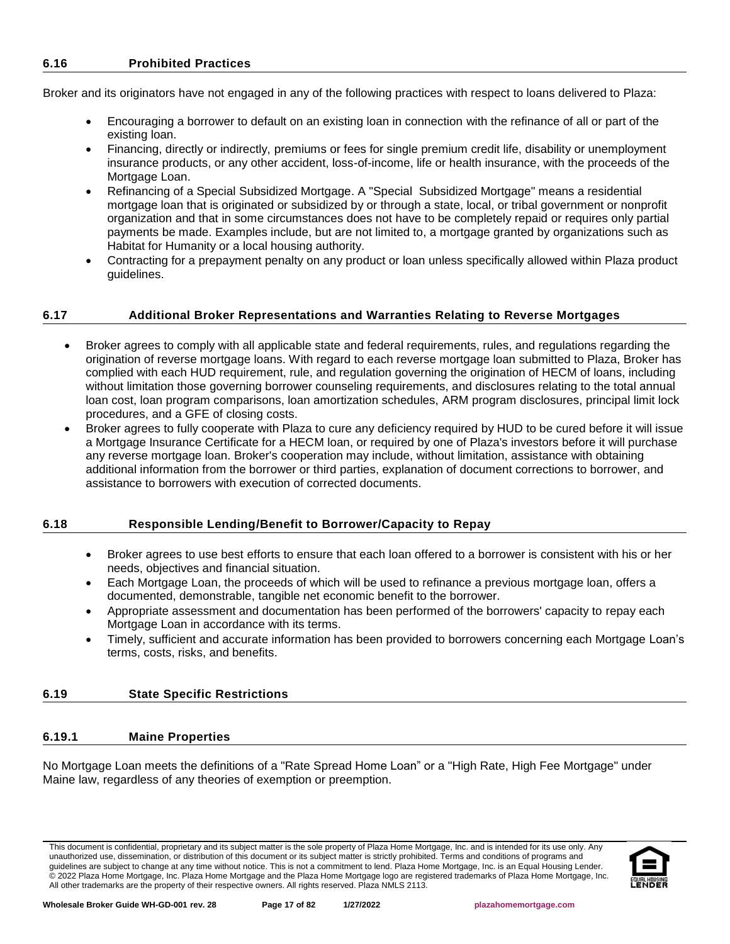<span id="page-16-0"></span>Broker and its originators have not engaged in any of the following practices with respect to loans delivered to Plaza:

- Encouraging a borrower to default on an existing loan in connection with the refinance of all or part of the existing loan.
- Financing, directly or indirectly, premiums or fees for single premium credit life, disability or unemployment insurance products, or any other accident, loss-of-income, life or health insurance, with the proceeds of the Mortgage Loan.
- Refinancing of a Special Subsidized Mortgage. A "Special Subsidized Mortgage" means a residential mortgage loan that is originated or subsidized by or through a state, local, or tribal government or nonprofit organization and that in some circumstances does not have to be completely repaid or requires only partial payments be made. Examples include, but are not limited to, a mortgage granted by organizations such as Habitat for Humanity or a local housing authority.
- Contracting for a prepayment penalty on any product or loan unless specifically allowed within Plaza product guidelines.

## <span id="page-16-1"></span>**6.17 Additional Broker Representations and Warranties Relating to Reverse Mortgages**

- Broker agrees to comply with all applicable state and federal requirements, rules, and regulations regarding the origination of reverse mortgage loans. With regard to each reverse mortgage loan submitted to Plaza, Broker has complied with each HUD requirement, rule, and regulation governing the origination of HECM of loans, including without limitation those governing borrower counseling requirements, and disclosures relating to the total annual loan cost, loan program comparisons, loan amortization schedules, ARM program disclosures, principal limit lock procedures, and a GFE of closing costs.
- Broker agrees to fully cooperate with Plaza to cure any deficiency required by HUD to be cured before it will issue a Mortgage Insurance Certificate for a HECM loan, or required by one of Plaza's investors before it will purchase any reverse mortgage loan. Broker's cooperation may include, without limitation, assistance with obtaining additional information from the borrower or third parties, explanation of document corrections to borrower, and assistance to borrowers with execution of corrected documents.

#### <span id="page-16-2"></span>**6.18 Responsible Lending/Benefit to Borrower/Capacity to Repay**

- Broker agrees to use best efforts to ensure that each loan offered to a borrower is consistent with his or her needs, objectives and financial situation.
- Each Mortgage Loan, the proceeds of which will be used to refinance a previous mortgage loan, offers a documented, demonstrable, tangible net economic benefit to the borrower.
- Appropriate assessment and documentation has been performed of the borrowers' capacity to repay each Mortgage Loan in accordance with its terms.
- Timely, sufficient and accurate information has been provided to borrowers concerning each Mortgage Loan's terms, costs, risks, and benefits.

## <span id="page-16-3"></span>**6.19 State Specific Restrictions**

## <span id="page-16-4"></span>**6.19.1 Maine Properties**

No Mortgage Loan meets the definitions of a "Rate Spread Home Loan" or a "High Rate, High Fee Mortgage" under Maine law, regardless of any theories of exemption or preemption.

This document is confidential, proprietary and its subject matter is the sole property of Plaza Home Mortgage, Inc. and is intended for its use only. Any unauthorized use, dissemination, or distribution of this document or its subject matter is strictly prohibited. Terms and conditions of programs and guidelines are subject to change at any time without notice. This is not a commitment to lend. Plaza Home Mortgage, Inc. is an Equal Housing Lender. © 2022 Plaza Home Mortgage, Inc. Plaza Home Mortgage and the Plaza Home Mortgage logo are registered trademarks of Plaza Home Mortgage, Inc. All other trademarks are the property of their respective owners. All rights reserved. Plaza NMLS 2113.

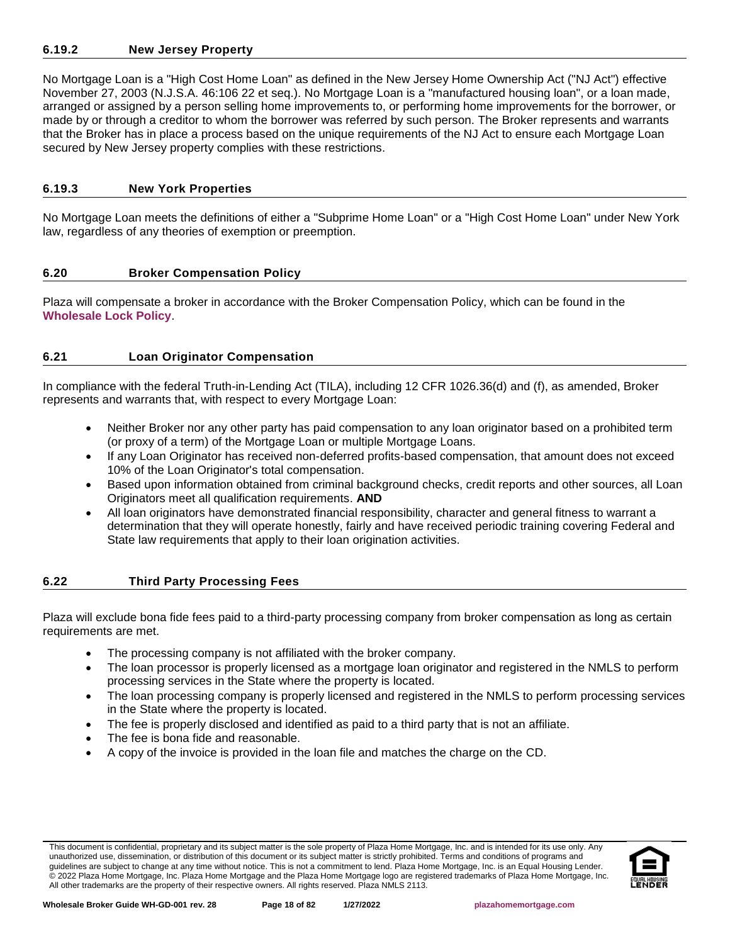## <span id="page-17-0"></span>**6.19.2 New Jersey Property**

No Mortgage Loan is a "High Cost Home Loan" as defined in the New Jersey Home Ownership Act ("NJ Act") effective November 27, 2003 (N.J.S.A. 46:106 22 et seq.). No Mortgage Loan is a "manufactured housing loan", or a loan made, arranged or assigned by a person selling home improvements to, or performing home improvements for the borrower, or made by or through a creditor to whom the borrower was referred by such person. The Broker represents and warrants that the Broker has in place a process based on the unique requirements of the NJ Act to ensure each Mortgage Loan secured by New Jersey property complies with these restrictions.

#### <span id="page-17-1"></span>**6.19.3 New York Properties**

No Mortgage Loan meets the definitions of either a "Subprime Home Loan" or a "High Cost Home Loan" under New York law, regardless of any theories of exemption or preemption.

## <span id="page-17-2"></span>**6.20 Broker Compensation Policy**

Plaza will compensate a broker in accordance with the Broker Compensation Policy, which can be found in the **[Wholesale Lock Policy](http://resourcecenter.plazahomemortgage.com/phmidocpublisher.nsf/All/D1165D371EE42A0107257A21005DEA87?OpenDocument)**.

## <span id="page-17-3"></span>**6.21 Loan Originator Compensation**

In compliance with the federal Truth-in-Lending Act (TILA), including 12 CFR 1026.36(d) and (f), as amended, Broker represents and warrants that, with respect to every Mortgage Loan:

- Neither Broker nor any other party has paid compensation to any loan originator based on a prohibited term (or proxy of a term) of the Mortgage Loan or multiple Mortgage Loans.
- If any Loan Originator has received non-deferred profits-based compensation, that amount does not exceed 10% of the Loan Originator's total compensation.
- Based upon information obtained from criminal background checks, credit reports and other sources, all Loan Originators meet all qualification requirements. **AND**
- All loan originators have demonstrated financial responsibility, character and general fitness to warrant a determination that they will operate honestly, fairly and have received periodic training covering Federal and State law requirements that apply to their loan origination activities.

## <span id="page-17-4"></span>**6.22 Third Party Processing Fees**

Plaza will exclude bona fide fees paid to a third-party processing company from broker compensation as long as certain requirements are met.

- The processing company is not affiliated with the broker company.
- The loan processor is properly licensed as a mortgage loan originator and registered in the NMLS to perform processing services in the State where the property is located.
- The loan processing company is properly licensed and registered in the NMLS to perform processing services in the State where the property is located.
- The fee is properly disclosed and identified as paid to a third party that is not an affiliate.
- The fee is bona fide and reasonable.
- A copy of the invoice is provided in the loan file and matches the charge on the CD.

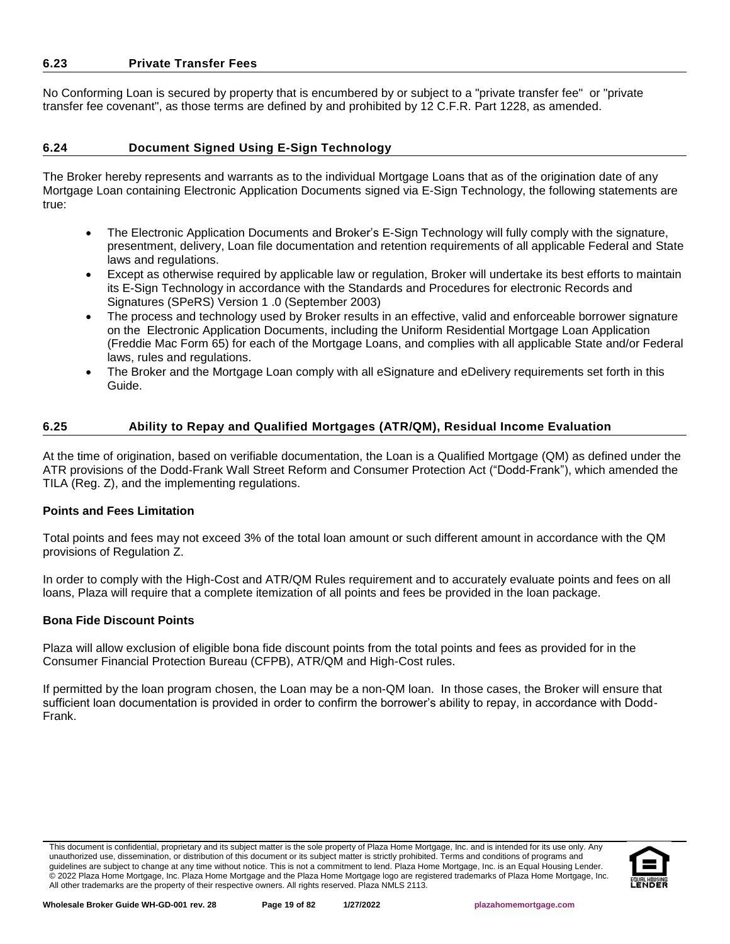#### <span id="page-18-0"></span>**6.23 Private Transfer Fees**

No Conforming Loan is secured by property that is encumbered by or subject to a "private transfer fee" or "private transfer fee covenant", as those terms are defined by and prohibited by 12 C.F.R. Part 1228, as amended.

## <span id="page-18-1"></span>**6.24 Document Signed Using E-Sign Technology**

The Broker hereby represents and warrants as to the individual Mortgage Loans that as of the origination date of any Mortgage Loan containing Electronic Application Documents signed via E-Sign Technology, the following statements are true:

- The Electronic Application Documents and Broker's E-Sign Technology will fully comply with the signature, presentment, delivery, Loan file documentation and retention requirements of all applicable Federal and State laws and regulations.
- Except as otherwise required by applicable law or regulation, Broker will undertake its best efforts to maintain its E-Sign Technology in accordance with the Standards and Procedures for electronic Records and Signatures (SPeRS) Version 1 .0 (September 2003)
- The process and technology used by Broker results in an effective, valid and enforceable borrower signature on the Electronic Application Documents, including the Uniform Residential Mortgage Loan Application (Freddie Mac Form 65) for each of the Mortgage Loans, and complies with all applicable State and/or Federal laws, rules and regulations.
- The Broker and the Mortgage Loan comply with all eSignature and eDelivery requirements set forth in this Guide.

## <span id="page-18-2"></span>**6.25 Ability to Repay and Qualified Mortgages (ATR/QM), Residual Income Evaluation**

At the time of origination, based on verifiable documentation, the Loan is a Qualified Mortgage (QM) as defined under the ATR provisions of the Dodd-Frank Wall Street Reform and Consumer Protection Act ("Dodd-Frank"), which amended the TILA (Reg. Z), and the implementing regulations.

#### **Points and Fees Limitation**

Total points and fees may not exceed 3% of the total loan amount or such different amount in accordance with the QM provisions of Regulation Z.

In order to comply with the High-Cost and ATR/QM Rules requirement and to accurately evaluate points and fees on all loans, Plaza will require that a complete itemization of all points and fees be provided in the loan package.

## **Bona Fide Discount Points**

Plaza will allow exclusion of eligible bona fide discount points from the total points and fees as provided for in the Consumer Financial Protection Bureau (CFPB), ATR/QM and High-Cost rules.

If permitted by the loan program chosen, the Loan may be a non-QM loan. In those cases, the Broker will ensure that sufficient loan documentation is provided in order to confirm the borrower's ability to repay, in accordance with Dodd-Frank.

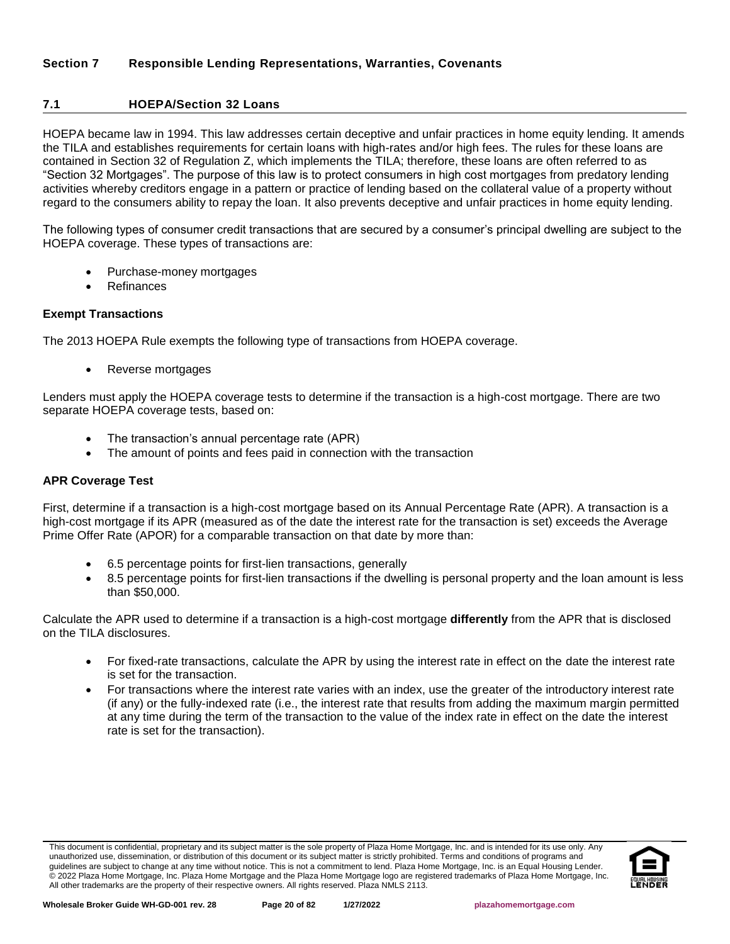## <span id="page-19-1"></span><span id="page-19-0"></span>**7.1 HOEPA/Section 32 Loans**

HOEPA became law in 1994. This law addresses certain deceptive and unfair practices in home equity lending. It amends the TILA and establishes requirements for certain loans with high-rates and/or high fees. The rules for these loans are contained in Section 32 of Regulation Z, which implements the TILA; therefore, these loans are often referred to as "Section 32 Mortgages". The purpose of this law is to protect consumers in high cost mortgages from predatory lending activities whereby creditors engage in a pattern or practice of lending based on the collateral value of a property without regard to the consumers ability to repay the loan. It also prevents deceptive and unfair practices in home equity lending.

The following types of consumer credit transactions that are secured by a consumer's principal dwelling are subject to the HOEPA coverage. These types of transactions are:

- Purchase-money mortgages
- **Refinances**

#### **Exempt Transactions**

The 2013 HOEPA Rule exempts the following type of transactions from HOEPA coverage.

• Reverse mortgages

Lenders must apply the HOEPA coverage tests to determine if the transaction is a high-cost mortgage. There are two separate HOEPA coverage tests, based on:

- The transaction's annual percentage rate (APR)
- The amount of points and fees paid in connection with the transaction

#### **APR Coverage Test**

First, determine if a transaction is a high-cost mortgage based on its Annual Percentage Rate (APR). A transaction is a high-cost mortgage if its APR (measured as of the date the interest rate for the transaction is set) exceeds the Average Prime Offer Rate (APOR) for a comparable transaction on that date by more than:

- 6.5 percentage points for first-lien transactions, generally
- 8.5 percentage points for first-lien transactions if the dwelling is personal property and the loan amount is less than \$50,000.

Calculate the APR used to determine if a transaction is a high-cost mortgage **differently** from the APR that is disclosed on the TILA disclosures.

- For fixed-rate transactions, calculate the APR by using the interest rate in effect on the date the interest rate is set for the transaction.
- For transactions where the interest rate varies with an index, use the greater of the introductory interest rate (if any) or the fully-indexed rate (i.e., the interest rate that results from adding the maximum margin permitted at any time during the term of the transaction to the value of the index rate in effect on the date the interest rate is set for the transaction).

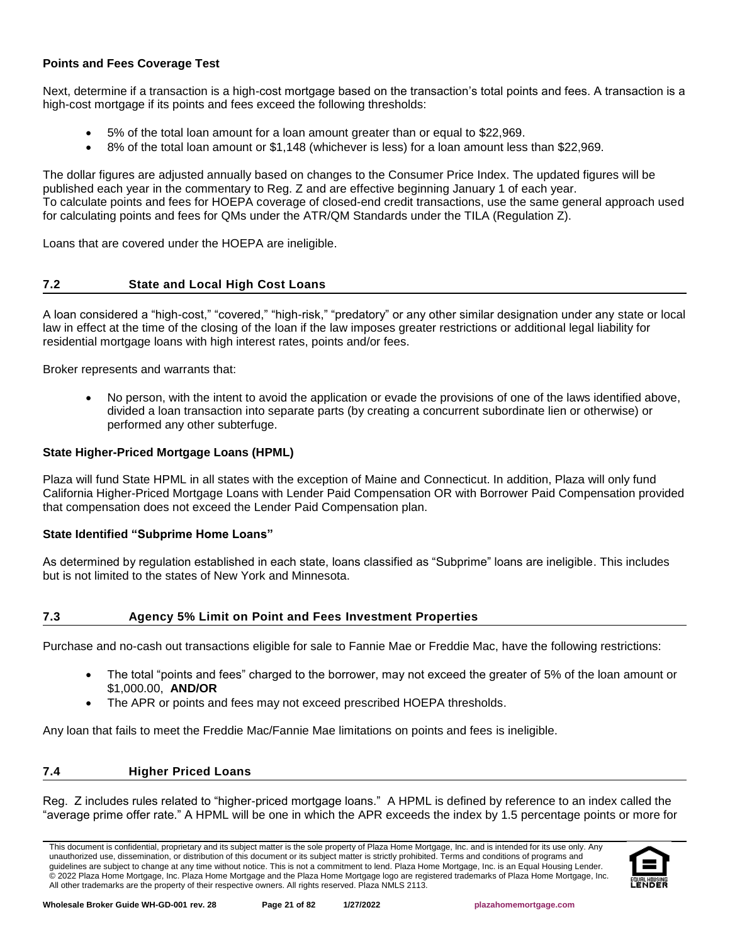## **Points and Fees Coverage Test**

Next, determine if a transaction is a high-cost mortgage based on the transaction's total points and fees. A transaction is a high-cost mortgage if its points and fees exceed the following thresholds:

- 5% of the total loan amount for a loan amount greater than or equal to \$22,969.
- 8% of the total loan amount or \$1,148 (whichever is less) for a loan amount less than \$22,969.

The dollar figures are adjusted annually based on changes to the Consumer Price Index. The updated figures will be published each year in the commentary to Reg. Z and are effective beginning January 1 of each year. To calculate points and fees for HOEPA coverage of closed-end credit transactions, use the same general approach used for calculating points and fees for QMs under the ATR/QM Standards under the TILA (Regulation Z).

Loans that are covered under the HOEPA are ineligible.

## <span id="page-20-0"></span>**7.2 State and Local High Cost Loans**

A loan considered a "high-cost," "covered," "high-risk," "predatory" or any other similar designation under any state or local law in effect at the time of the closing of the loan if the law imposes greater restrictions or additional legal liability for residential mortgage loans with high interest rates, points and/or fees.

Broker represents and warrants that:

• No person, with the intent to avoid the application or evade the provisions of one of the laws identified above, divided a loan transaction into separate parts (by creating a concurrent subordinate lien or otherwise) or performed any other subterfuge.

## **State Higher-Priced Mortgage Loans (HPML)**

Plaza will fund State HPML in all states with the exception of Maine and Connecticut. In addition, Plaza will only fund California Higher-Priced Mortgage Loans with Lender Paid Compensation OR with Borrower Paid Compensation provided that compensation does not exceed the Lender Paid Compensation plan.

#### **State Identified "Subprime Home Loans"**

As determined by regulation established in each state, loans classified as "Subprime" loans are ineligible. This includes but is not limited to the states of New York and Minnesota.

## <span id="page-20-1"></span>**7.3 Agency 5% Limit on Point and Fees Investment Properties**

Purchase and no-cash out transactions eligible for sale to Fannie Mae or Freddie Mac, have the following restrictions:

- The total "points and fees" charged to the borrower, may not exceed the greater of 5% of the loan amount or \$1,000.00, **AND/OR**
- The APR or points and fees may not exceed prescribed HOEPA thresholds.

Any loan that fails to meet the Freddie Mac/Fannie Mae limitations on points and fees is ineligible.

#### <span id="page-20-2"></span>**7.4 Higher Priced Loans**

Reg. Z includes rules related to "higher-priced mortgage loans." A HPML is defined by reference to an index called the "average prime offer rate." A HPML will be one in which the APR exceeds the index by 1.5 percentage points or more for

This document is confidential, proprietary and its subject matter is the sole property of Plaza Home Mortgage, Inc. and is intended for its use only. Any unauthorized use, dissemination, or distribution of this document or its subject matter is strictly prohibited. Terms and conditions of programs and guidelines are subject to change at any time without notice. This is not a commitment to lend. Plaza Home Mortgage, Inc. is an Equal Housing Lender. © 2022 Plaza Home Mortgage, Inc. Plaza Home Mortgage and the Plaza Home Mortgage logo are registered trademarks of Plaza Home Mortgage, Inc. All other trademarks are the property of their respective owners. All rights reserved. Plaza NMLS 2113.

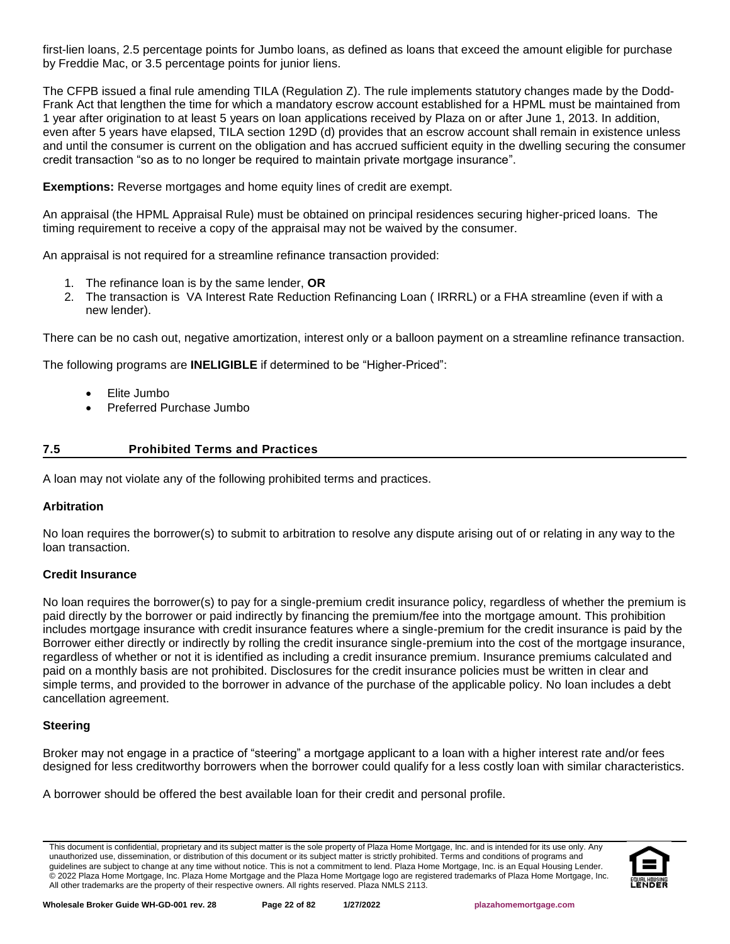first-lien loans, 2.5 percentage points for Jumbo loans, as defined as loans that exceed the amount eligible for purchase by Freddie Mac, or 3.5 percentage points for junior liens.

The CFPB issued a final rule amending TILA (Regulation Z). The rule implements statutory changes made by the Dodd-Frank Act that lengthen the time for which a mandatory escrow account established for a HPML must be maintained from 1 year after origination to at least 5 years on loan applications received by Plaza on or after June 1, 2013. In addition, even after 5 years have elapsed, TILA section 129D (d) provides that an escrow account shall remain in existence unless and until the consumer is current on the obligation and has accrued sufficient equity in the dwelling securing the consumer credit transaction "so as to no longer be required to maintain private mortgage insurance".

**Exemptions:** Reverse mortgages and home equity lines of credit are exempt.

An appraisal (the HPML Appraisal Rule) must be obtained on principal residences securing higher-priced loans. The timing requirement to receive a copy of the appraisal may not be waived by the consumer.

An appraisal is not required for a streamline refinance transaction provided:

- 1. The refinance loan is by the same lender, **OR**
- 2. The transaction is VA Interest Rate Reduction Refinancing Loan ( IRRRL) or a FHA streamline (even if with a new lender).

There can be no cash out, negative amortization, interest only or a balloon payment on a streamline refinance transaction.

The following programs are **INELIGIBLE** if determined to be "Higher-Priced":

- Elite Jumbo
- Preferred Purchase Jumbo

## <span id="page-21-0"></span>**7.5 Prohibited Terms and Practices**

A loan may not violate any of the following prohibited terms and practices.

#### **Arbitration**

No loan requires the borrower(s) to submit to arbitration to resolve any dispute arising out of or relating in any way to the loan transaction.

#### **Credit Insurance**

No loan requires the borrower(s) to pay for a single-premium credit insurance policy, regardless of whether the premium is paid directly by the borrower or paid indirectly by financing the premium/fee into the mortgage amount. This prohibition includes mortgage insurance with credit insurance features where a single-premium for the credit insurance is paid by the Borrower either directly or indirectly by rolling the credit insurance single-premium into the cost of the mortgage insurance, regardless of whether or not it is identified as including a credit insurance premium. Insurance premiums calculated and paid on a monthly basis are not prohibited. Disclosures for the credit insurance policies must be written in clear and simple terms, and provided to the borrower in advance of the purchase of the applicable policy. No loan includes a debt cancellation agreement.

## **Steering**

Broker may not engage in a practice of "steering" a mortgage applicant to a loan with a higher interest rate and/or fees designed for less creditworthy borrowers when the borrower could qualify for a less costly loan with similar characteristics.

A borrower should be offered the best available loan for their credit and personal profile.

This document is confidential, proprietary and its subject matter is the sole property of Plaza Home Mortgage, Inc. and is intended for its use only. Any unauthorized use, dissemination, or distribution of this document or its subject matter is strictly prohibited. Terms and conditions of programs and guidelines are subject to change at any time without notice. This is not a commitment to lend. Plaza Home Mortgage, Inc. is an Equal Housing Lender. © 2022 Plaza Home Mortgage, Inc. Plaza Home Mortgage and the Plaza Home Mortgage logo are registered trademarks of Plaza Home Mortgage, Inc. All other trademarks are the property of their respective owners. All rights reserved. Plaza NMLS 2113.

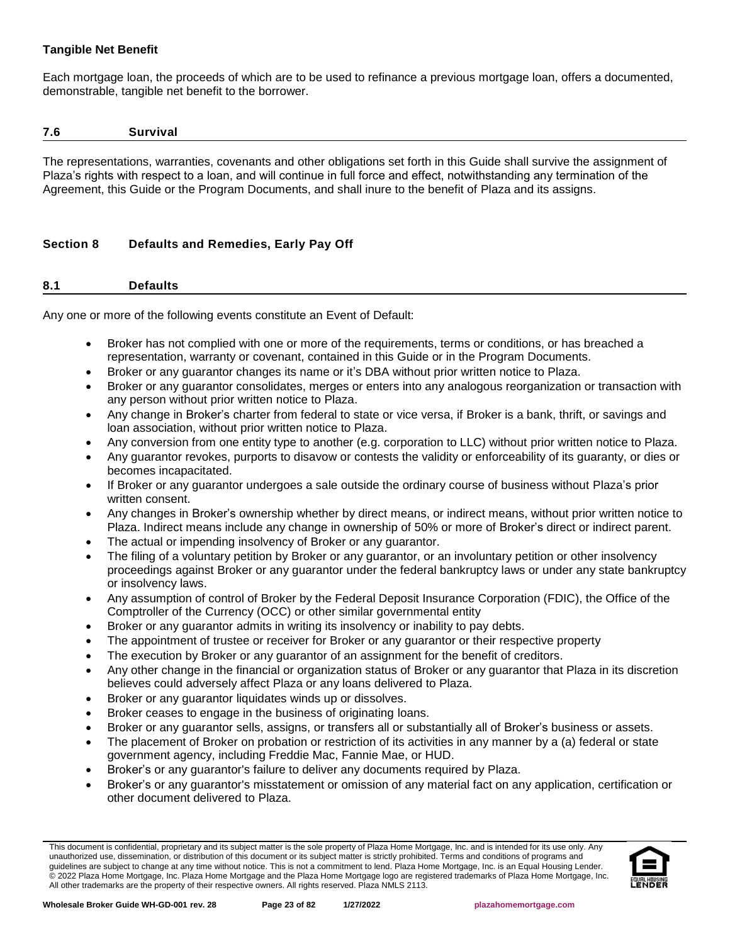## **Tangible Net Benefit**

Each mortgage loan, the proceeds of which are to be used to refinance a previous mortgage loan, offers a documented, demonstrable, tangible net benefit to the borrower.

#### <span id="page-22-0"></span>**7.6 Survival**

The representations, warranties, covenants and other obligations set forth in this Guide shall survive the assignment of Plaza's rights with respect to a loan, and will continue in full force and effect, notwithstanding any termination of the Agreement, this Guide or the Program Documents, and shall inure to the benefit of Plaza and its assigns.

# <span id="page-22-1"></span>**Section 8 Defaults and Remedies, Early Pay Off**

## <span id="page-22-2"></span>**8.1 Defaults**

Any one or more of the following events constitute an Event of Default:

- Broker has not complied with one or more of the requirements, terms or conditions, or has breached a representation, warranty or covenant, contained in this Guide or in the Program Documents.
- Broker or any guarantor changes its name or it's DBA without prior written notice to Plaza.
- Broker or any guarantor consolidates, merges or enters into any analogous reorganization or transaction with any person without prior written notice to Plaza.
- Any change in Broker's charter from federal to state or vice versa, if Broker is a bank, thrift, or savings and loan association, without prior written notice to Plaza.
- Any conversion from one entity type to another (e.g. corporation to LLC) without prior written notice to Plaza.
- Any guarantor revokes, purports to disavow or contests the validity or enforceability of its guaranty, or dies or becomes incapacitated.
- If Broker or any guarantor undergoes a sale outside the ordinary course of business without Plaza's prior written consent.
- Any changes in Broker's ownership whether by direct means, or indirect means, without prior written notice to Plaza. Indirect means include any change in ownership of 50% or more of Broker's direct or indirect parent.
- The actual or impending insolvency of Broker or any guarantor.
- The filing of a voluntary petition by Broker or any guarantor, or an involuntary petition or other insolvency proceedings against Broker or any guarantor under the federal bankruptcy laws or under any state bankruptcy or insolvency laws.
- Any assumption of control of Broker by the Federal Deposit Insurance Corporation (FDIC), the Office of the Comptroller of the Currency (OCC) or other similar governmental entity
- Broker or any guarantor admits in writing its insolvency or inability to pay debts.
- The appointment of trustee or receiver for Broker or any guarantor or their respective property
- The execution by Broker or any guarantor of an assignment for the benefit of creditors.
- Any other change in the financial or organization status of Broker or any guarantor that Plaza in its discretion believes could adversely affect Plaza or any loans delivered to Plaza.
- Broker or any guarantor liquidates winds up or dissolves.
- Broker ceases to engage in the business of originating loans.
- Broker or any guarantor sells, assigns, or transfers all or substantially all of Broker's business or assets.
- The placement of Broker on probation or restriction of its activities in any manner by a (a) federal or state government agency, including Freddie Mac, Fannie Mae, or HUD.
- Broker's or any guarantor's failure to deliver any documents required by Plaza.
- Broker's or any guarantor's misstatement or omission of any material fact on any application, certification or other document delivered to Plaza.

This document is confidential, proprietary and its subject matter is the sole property of Plaza Home Mortgage, Inc. and is intended for its use only. Any unauthorized use, dissemination, or distribution of this document or its subject matter is strictly prohibited. Terms and conditions of programs and guidelines are subject to change at any time without notice. This is not a commitment to lend. Plaza Home Mortgage, Inc. is an Equal Housing Lender. © 2022 Plaza Home Mortgage, Inc. Plaza Home Mortgage and the Plaza Home Mortgage logo are registered trademarks of Plaza Home Mortgage, Inc. All other trademarks are the property of their respective owners. All rights reserved. Plaza NMLS 2113.

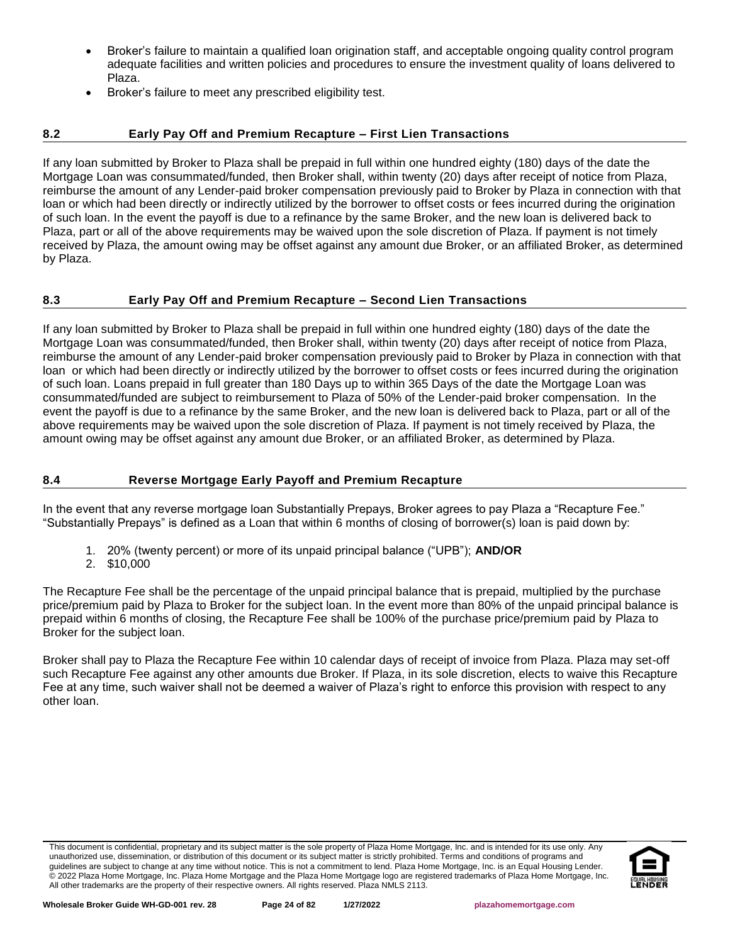- Broker's failure to maintain a qualified loan origination staff, and acceptable ongoing quality control program adequate facilities and written policies and procedures to ensure the investment quality of loans delivered to Plaza.
- Broker's failure to meet any prescribed eligibility test.

# <span id="page-23-0"></span>**8.2 Early Pay Off and Premium Recapture – First Lien Transactions**

If any loan submitted by Broker to Plaza shall be prepaid in full within one hundred eighty (180) days of the date the Mortgage Loan was consummated/funded, then Broker shall, within twenty (20) days after receipt of notice from Plaza, reimburse the amount of any Lender-paid broker compensation previously paid to Broker by Plaza in connection with that loan or which had been directly or indirectly utilized by the borrower to offset costs or fees incurred during the origination of such loan. In the event the payoff is due to a refinance by the same Broker, and the new loan is delivered back to Plaza, part or all of the above requirements may be waived upon the sole discretion of Plaza. If payment is not timely received by Plaza, the amount owing may be offset against any amount due Broker, or an affiliated Broker, as determined by Plaza.

# <span id="page-23-1"></span>**8.3 Early Pay Off and Premium Recapture – Second Lien Transactions**

If any loan submitted by Broker to Plaza shall be prepaid in full within one hundred eighty (180) days of the date the Mortgage Loan was consummated/funded, then Broker shall, within twenty (20) days after receipt of notice from Plaza, reimburse the amount of any Lender-paid broker compensation previously paid to Broker by Plaza in connection with that loan or which had been directly or indirectly utilized by the borrower to offset costs or fees incurred during the origination of such loan. Loans prepaid in full greater than 180 Days up to within 365 Days of the date the Mortgage Loan was consummated/funded are subject to reimbursement to Plaza of 50% of the Lender-paid broker compensation. In the event the payoff is due to a refinance by the same Broker, and the new loan is delivered back to Plaza, part or all of the above requirements may be waived upon the sole discretion of Plaza. If payment is not timely received by Plaza, the amount owing may be offset against any amount due Broker, or an affiliated Broker, as determined by Plaza.

## <span id="page-23-2"></span>**8.4 Reverse Mortgage Early Payoff and Premium Recapture**

In the event that any reverse mortgage loan Substantially Prepays, Broker agrees to pay Plaza a "Recapture Fee." "Substantially Prepays" is defined as a Loan that within 6 months of closing of borrower(s) loan is paid down by:

- 1. 20% (twenty percent) or more of its unpaid principal balance ("UPB"); **AND/OR**
- 2. \$10,000

The Recapture Fee shall be the percentage of the unpaid principal balance that is prepaid, multiplied by the purchase price/premium paid by Plaza to Broker for the subject loan. In the event more than 80% of the unpaid principal balance is prepaid within 6 months of closing, the Recapture Fee shall be 100% of the purchase price/premium paid by Plaza to Broker for the subject loan.

Broker shall pay to Plaza the Recapture Fee within 10 calendar days of receipt of invoice from Plaza. Plaza may set-off such Recapture Fee against any other amounts due Broker. If Plaza, in its sole discretion, elects to waive this Recapture Fee at any time, such waiver shall not be deemed a waiver of Plaza's right to enforce this provision with respect to any other loan.

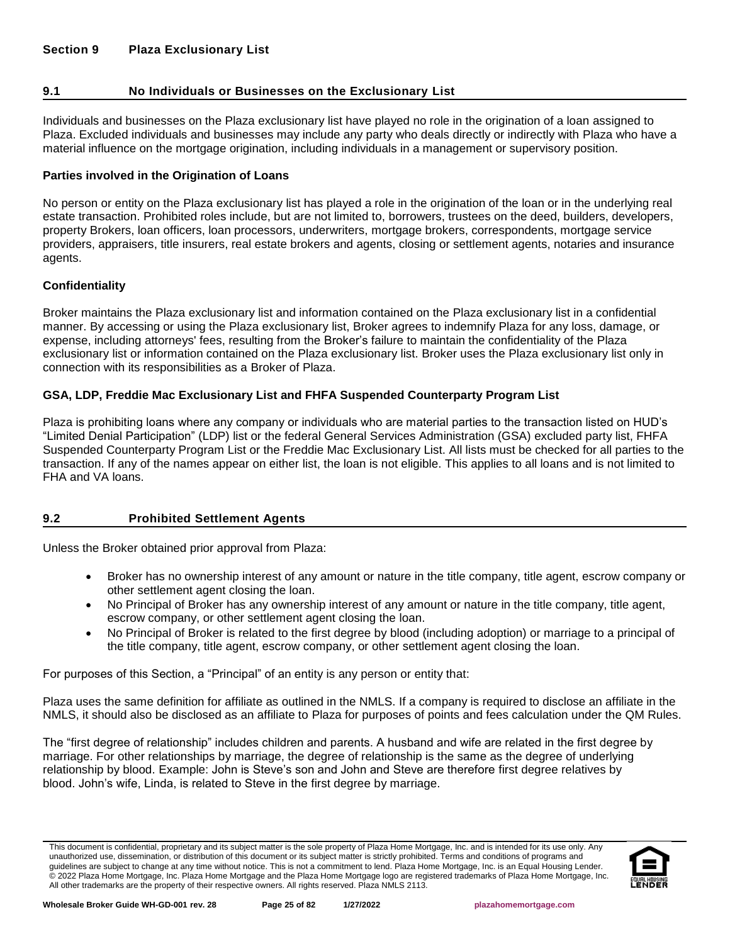## <span id="page-24-1"></span><span id="page-24-0"></span>**9.1 No Individuals or Businesses on the Exclusionary List**

Individuals and businesses on the Plaza exclusionary list have played no role in the origination of a loan assigned to Plaza. Excluded individuals and businesses may include any party who deals directly or indirectly with Plaza who have a material influence on the mortgage origination, including individuals in a management or supervisory position.

## **Parties involved in the Origination of Loans**

No person or entity on the Plaza exclusionary list has played a role in the origination of the loan or in the underlying real estate transaction. Prohibited roles include, but are not limited to, borrowers, trustees on the deed, builders, developers, property Brokers, loan officers, loan processors, underwriters, mortgage brokers, correspondents, mortgage service providers, appraisers, title insurers, real estate brokers and agents, closing or settlement agents, notaries and insurance agents.

## **Confidentiality**

Broker maintains the Plaza exclusionary list and information contained on the Plaza exclusionary list in a confidential manner. By accessing or using the Plaza exclusionary list, Broker agrees to indemnify Plaza for any loss, damage, or expense, including attorneys' fees, resulting from the Broker's failure to maintain the confidentiality of the Plaza exclusionary list or information contained on the Plaza exclusionary list. Broker uses the Plaza exclusionary list only in connection with its responsibilities as a Broker of Plaza.

## **GSA, LDP, Freddie Mac Exclusionary List and FHFA Suspended Counterparty Program List**

Plaza is prohibiting loans where any company or individuals who are material parties to the transaction listed on HUD's "Limited Denial Participation" (LDP) list or the federal General Services Administration (GSA) excluded party list, FHFA Suspended Counterparty Program List or the Freddie Mac Exclusionary List. All lists must be checked for all parties to the transaction. If any of the names appear on either list, the loan is not eligible. This applies to all loans and is not limited to FHA and VA loans.

## <span id="page-24-2"></span>**9.2 Prohibited Settlement Agents**

Unless the Broker obtained prior approval from Plaza:

- Broker has no ownership interest of any amount or nature in the title company, title agent, escrow company or other settlement agent closing the loan.
- No Principal of Broker has any ownership interest of any amount or nature in the title company, title agent, escrow company, or other settlement agent closing the loan.
- No Principal of Broker is related to the first degree by blood (including adoption) or marriage to a principal of the title company, title agent, escrow company, or other settlement agent closing the loan.

For purposes of this Section, a "Principal" of an entity is any person or entity that:

Plaza uses the same definition for affiliate as outlined in the NMLS. If a company is required to disclose an affiliate in the NMLS, it should also be disclosed as an affiliate to Plaza for purposes of points and fees calculation under the QM Rules.

The "first degree of relationship" includes children and parents. A husband and wife are related in the first degree by marriage. For other relationships by marriage, the degree of relationship is the same as the degree of underlying relationship by blood. Example: John is Steve's son and John and Steve are therefore first degree relatives by blood. John's wife, Linda, is related to Steve in the first degree by marriage.

This document is confidential, proprietary and its subject matter is the sole property of Plaza Home Mortgage, Inc. and is intended for its use only. Any unauthorized use, dissemination, or distribution of this document or its subject matter is strictly prohibited. Terms and conditions of programs and guidelines are subject to change at any time without notice. This is not a commitment to lend. Plaza Home Mortgage, Inc. is an Equal Housing Lender. © 2022 Plaza Home Mortgage, Inc. Plaza Home Mortgage and the Plaza Home Mortgage logo are registered trademarks of Plaza Home Mortgage, Inc. All other trademarks are the property of their respective owners. All rights reserved. Plaza NMLS 2113.

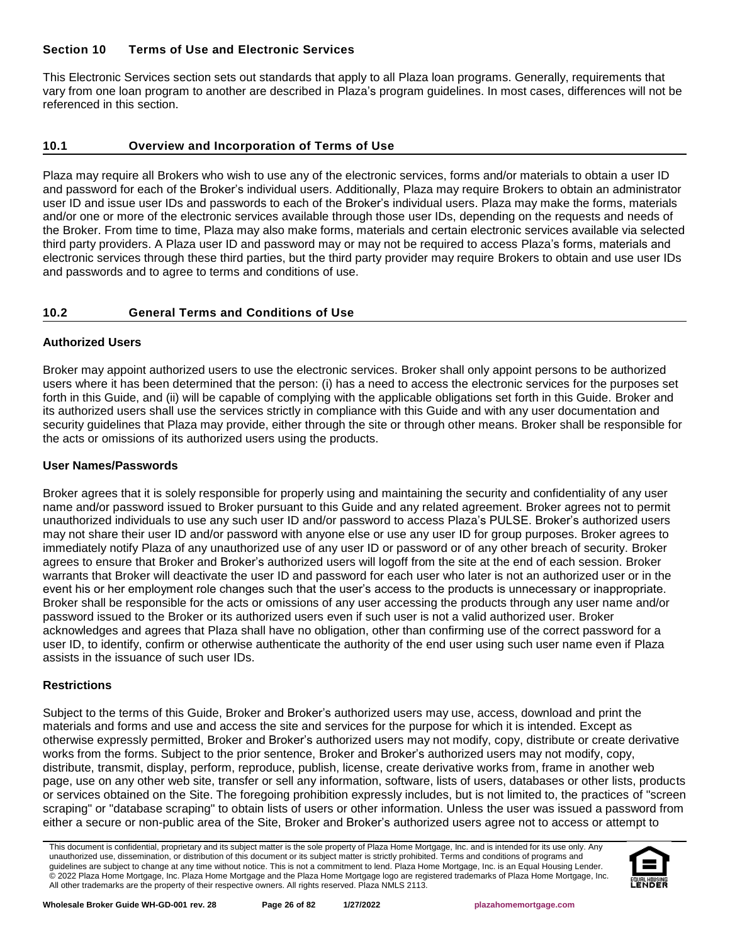## <span id="page-25-0"></span>**Section 10 Terms of Use and Electronic Services**

This Electronic Services section sets out standards that apply to all Plaza loan programs. Generally, requirements that vary from one loan program to another are described in Plaza's program guidelines. In most cases, differences will not be referenced in this section.

## <span id="page-25-1"></span>**10.1 Overview and Incorporation of Terms of Use**

Plaza may require all Brokers who wish to use any of the electronic services, forms and/or materials to obtain a user ID and password for each of the Broker's individual users. Additionally, Plaza may require Brokers to obtain an administrator user ID and issue user IDs and passwords to each of the Broker's individual users. Plaza may make the forms, materials and/or one or more of the electronic services available through those user IDs, depending on the requests and needs of the Broker. From time to time, Plaza may also make forms, materials and certain electronic services available via selected third party providers. A Plaza user ID and password may or may not be required to access Plaza's forms, materials and electronic services through these third parties, but the third party provider may require Brokers to obtain and use user IDs and passwords and to agree to terms and conditions of use.

# <span id="page-25-2"></span>**10.2 General Terms and Conditions of Use**

## **Authorized Users**

Broker may appoint authorized users to use the electronic services. Broker shall only appoint persons to be authorized users where it has been determined that the person: (i) has a need to access the electronic services for the purposes set forth in this Guide, and (ii) will be capable of complying with the applicable obligations set forth in this Guide. Broker and its authorized users shall use the services strictly in compliance with this Guide and with any user documentation and security guidelines that Plaza may provide, either through the site or through other means. Broker shall be responsible for the acts or omissions of its authorized users using the products.

## **User Names/Passwords**

Broker agrees that it is solely responsible for properly using and maintaining the security and confidentiality of any user name and/or password issued to Broker pursuant to this Guide and any related agreement. Broker agrees not to permit unauthorized individuals to use any such user ID and/or password to access Plaza's PULSE. Broker's authorized users may not share their user ID and/or password with anyone else or use any user ID for group purposes. Broker agrees to immediately notify Plaza of any unauthorized use of any user ID or password or of any other breach of security. Broker agrees to ensure that Broker and Broker's authorized users will logoff from the site at the end of each session. Broker warrants that Broker will deactivate the user ID and password for each user who later is not an authorized user or in the event his or her employment role changes such that the user's access to the products is unnecessary or inappropriate. Broker shall be responsible for the acts or omissions of any user accessing the products through any user name and/or password issued to the Broker or its authorized users even if such user is not a valid authorized user. Broker acknowledges and agrees that Plaza shall have no obligation, other than confirming use of the correct password for a user ID, to identify, confirm or otherwise authenticate the authority of the end user using such user name even if Plaza assists in the issuance of such user IDs.

## **Restrictions**

Subject to the terms of this Guide, Broker and Broker's authorized users may use, access, download and print the materials and forms and use and access the site and services for the purpose for which it is intended. Except as otherwise expressly permitted, Broker and Broker's authorized users may not modify, copy, distribute or create derivative works from the forms. Subject to the prior sentence, Broker and Broker's authorized users may not modify, copy, distribute, transmit, display, perform, reproduce, publish, license, create derivative works from, frame in another web page, use on any other web site, transfer or sell any information, software, lists of users, databases or other lists, products or services obtained on the Site. The foregoing prohibition expressly includes, but is not limited to, the practices of "screen scraping" or "database scraping" to obtain lists of users or other information. Unless the user was issued a password from either a secure or non-public area of the Site, Broker and Broker's authorized users agree not to access or attempt to

This document is confidential, proprietary and its subject matter is the sole property of Plaza Home Mortgage, Inc. and is intended for its use only. Any unauthorized use, dissemination, or distribution of this document or its subject matter is strictly prohibited. Terms and conditions of programs and guidelines are subject to change at any time without notice. This is not a commitment to lend. Plaza Home Mortgage, Inc. is an Equal Housing Lender. © 2022 Plaza Home Mortgage, Inc. Plaza Home Mortgage and the Plaza Home Mortgage logo are registered trademarks of Plaza Home Mortgage, Inc. All other trademarks are the property of their respective owners. All rights reserved. Plaza NMLS 2113.

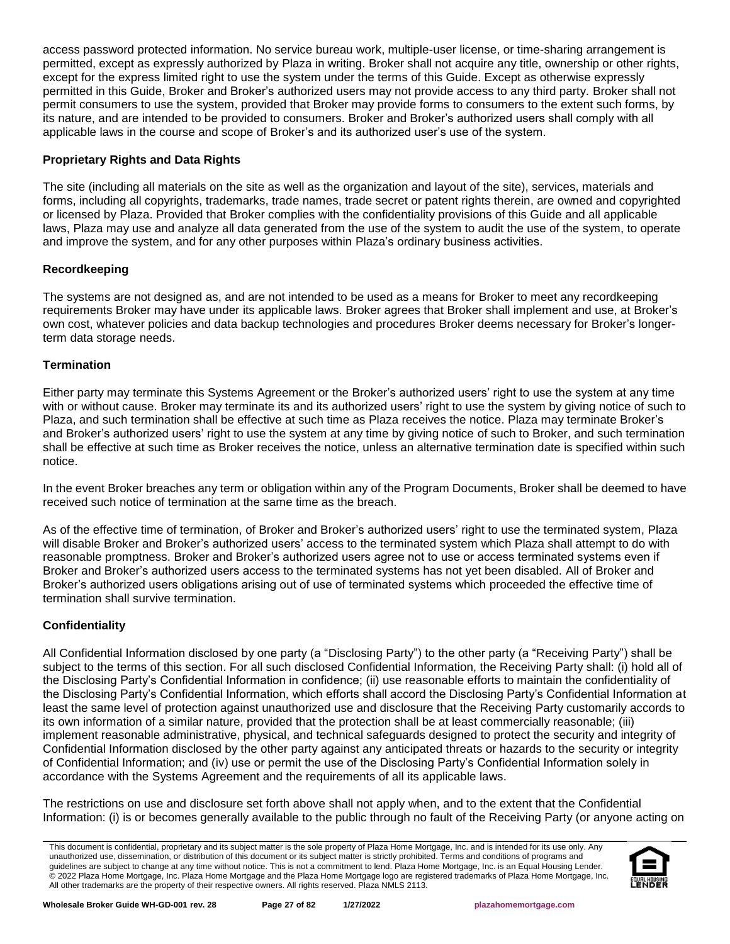access password protected information. No service bureau work, multiple-user license, or time-sharing arrangement is permitted, except as expressly authorized by Plaza in writing. Broker shall not acquire any title, ownership or other rights, except for the express limited right to use the system under the terms of this Guide. Except as otherwise expressly permitted in this Guide, Broker and Broker's authorized users may not provide access to any third party. Broker shall not permit consumers to use the system, provided that Broker may provide forms to consumers to the extent such forms, by its nature, and are intended to be provided to consumers. Broker and Broker's authorized users shall comply with all applicable laws in the course and scope of Broker's and its authorized user's use of the system.

## **Proprietary Rights and Data Rights**

The site (including all materials on the site as well as the organization and layout of the site), services, materials and forms, including all copyrights, trademarks, trade names, trade secret or patent rights therein, are owned and copyrighted or licensed by Plaza. Provided that Broker complies with the confidentiality provisions of this Guide and all applicable laws, Plaza may use and analyze all data generated from the use of the system to audit the use of the system, to operate and improve the system, and for any other purposes within Plaza's ordinary business activities.

## **Recordkeeping**

The systems are not designed as, and are not intended to be used as a means for Broker to meet any recordkeeping requirements Broker may have under its applicable laws. Broker agrees that Broker shall implement and use, at Broker's own cost, whatever policies and data backup technologies and procedures Broker deems necessary for Broker's longerterm data storage needs.

#### **Termination**

Either party may terminate this Systems Agreement or the Broker's authorized users' right to use the system at any time with or without cause. Broker may terminate its and its authorized users' right to use the system by giving notice of such to Plaza, and such termination shall be effective at such time as Plaza receives the notice. Plaza may terminate Broker's and Broker's authorized users' right to use the system at any time by giving notice of such to Broker, and such termination shall be effective at such time as Broker receives the notice, unless an alternative termination date is specified within such notice.

In the event Broker breaches any term or obligation within any of the Program Documents, Broker shall be deemed to have received such notice of termination at the same time as the breach.

As of the effective time of termination, of Broker and Broker's authorized users' right to use the terminated system, Plaza will disable Broker and Broker's authorized users' access to the terminated system which Plaza shall attempt to do with reasonable promptness. Broker and Broker's authorized users agree not to use or access terminated systems even if Broker and Broker's authorized users access to the terminated systems has not yet been disabled. All of Broker and Broker's authorized users obligations arising out of use of terminated systems which proceeded the effective time of termination shall survive termination.

#### **Confidentiality**

All Confidential Information disclosed by one party (a "Disclosing Party") to the other party (a "Receiving Party") shall be subject to the terms of this section. For all such disclosed Confidential Information, the Receiving Party shall: (i) hold all of the Disclosing Party's Confidential Information in confidence; (ii) use reasonable efforts to maintain the confidentiality of the Disclosing Party's Confidential Information, which efforts shall accord the Disclosing Party's Confidential Information at least the same level of protection against unauthorized use and disclosure that the Receiving Party customarily accords to its own information of a similar nature, provided that the protection shall be at least commercially reasonable; (iii) implement reasonable administrative, physical, and technical safeguards designed to protect the security and integrity of Confidential Information disclosed by the other party against any anticipated threats or hazards to the security or integrity of Confidential Information; and (iv) use or permit the use of the Disclosing Party's Confidential Information solely in accordance with the Systems Agreement and the requirements of all its applicable laws.

The restrictions on use and disclosure set forth above shall not apply when, and to the extent that the Confidential Information: (i) is or becomes generally available to the public through no fault of the Receiving Party (or anyone acting on

This document is confidential, proprietary and its subject matter is the sole property of Plaza Home Mortgage, Inc. and is intended for its use only. Any unauthorized use, dissemination, or distribution of this document or its subject matter is strictly prohibited. Terms and conditions of programs and guidelines are subject to change at any time without notice. This is not a commitment to lend. Plaza Home Mortgage, Inc. is an Equal Housing Lender. © 2022 Plaza Home Mortgage, Inc. Plaza Home Mortgage and the Plaza Home Mortgage logo are registered trademarks of Plaza Home Mortgage, Inc. All other trademarks are the property of their respective owners. All rights reserved. Plaza NMLS 2113.

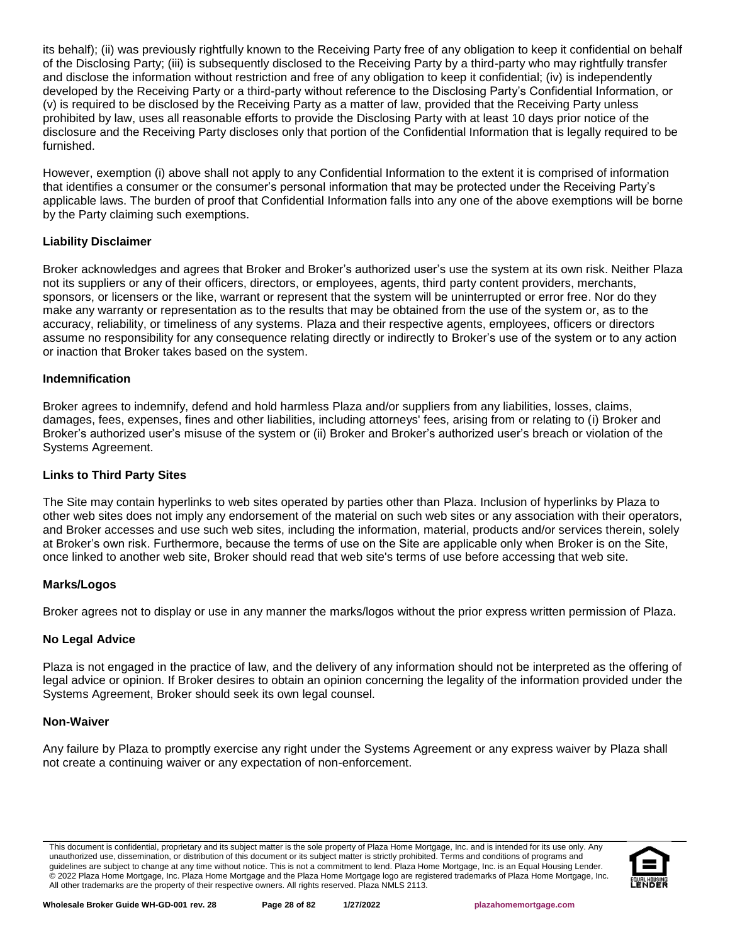its behalf); (ii) was previously rightfully known to the Receiving Party free of any obligation to keep it confidential on behalf of the Disclosing Party; (iii) is subsequently disclosed to the Receiving Party by a third-party who may rightfully transfer and disclose the information without restriction and free of any obligation to keep it confidential; (iv) is independently developed by the Receiving Party or a third-party without reference to the Disclosing Party's Confidential Information, or (v) is required to be disclosed by the Receiving Party as a matter of law, provided that the Receiving Party unless prohibited by law, uses all reasonable efforts to provide the Disclosing Party with at least 10 days prior notice of the disclosure and the Receiving Party discloses only that portion of the Confidential Information that is legally required to be furnished.

However, exemption (i) above shall not apply to any Confidential Information to the extent it is comprised of information that identifies a consumer or the consumer's personal information that may be protected under the Receiving Party's applicable laws. The burden of proof that Confidential Information falls into any one of the above exemptions will be borne by the Party claiming such exemptions.

## **Liability Disclaimer**

Broker acknowledges and agrees that Broker and Broker's authorized user's use the system at its own risk. Neither Plaza not its suppliers or any of their officers, directors, or employees, agents, third party content providers, merchants, sponsors, or licensers or the like, warrant or represent that the system will be uninterrupted or error free. Nor do they make any warranty or representation as to the results that may be obtained from the use of the system or, as to the accuracy, reliability, or timeliness of any systems. Plaza and their respective agents, employees, officers or directors assume no responsibility for any consequence relating directly or indirectly to Broker's use of the system or to any action or inaction that Broker takes based on the system.

#### **Indemnification**

Broker agrees to indemnify, defend and hold harmless Plaza and/or suppliers from any liabilities, losses, claims, damages, fees, expenses, fines and other liabilities, including attorneys' fees, arising from or relating to (i) Broker and Broker's authorized user's misuse of the system or (ii) Broker and Broker's authorized user's breach or violation of the Systems Agreement.

#### **Links to Third Party Sites**

The Site may contain hyperlinks to web sites operated by parties other than Plaza. Inclusion of hyperlinks by Plaza to other web sites does not imply any endorsement of the material on such web sites or any association with their operators, and Broker accesses and use such web sites, including the information, material, products and/or services therein, solely at Broker's own risk. Furthermore, because the terms of use on the Site are applicable only when Broker is on the Site, once linked to another web site, Broker should read that web site's terms of use before accessing that web site.

#### **Marks/Logos**

Broker agrees not to display or use in any manner the marks/logos without the prior express written permission of Plaza.

#### **No Legal Advice**

Plaza is not engaged in the practice of law, and the delivery of any information should not be interpreted as the offering of legal advice or opinion. If Broker desires to obtain an opinion concerning the legality of the information provided under the Systems Agreement, Broker should seek its own legal counsel.

#### **Non-Waiver**

Any failure by Plaza to promptly exercise any right under the Systems Agreement or any express waiver by Plaza shall not create a continuing waiver or any expectation of non-enforcement.

This document is confidential, proprietary and its subject matter is the sole property of Plaza Home Mortgage, Inc. and is intended for its use only. Any unauthorized use, dissemination, or distribution of this document or its subject matter is strictly prohibited. Terms and conditions of programs and guidelines are subject to change at any time without notice. This is not a commitment to lend. Plaza Home Mortgage, Inc. is an Equal Housing Lender. © 2022 Plaza Home Mortgage, Inc. Plaza Home Mortgage and the Plaza Home Mortgage logo are registered trademarks of Plaza Home Mortgage, Inc. All other trademarks are the property of their respective owners. All rights reserved. Plaza NMLS 2113.

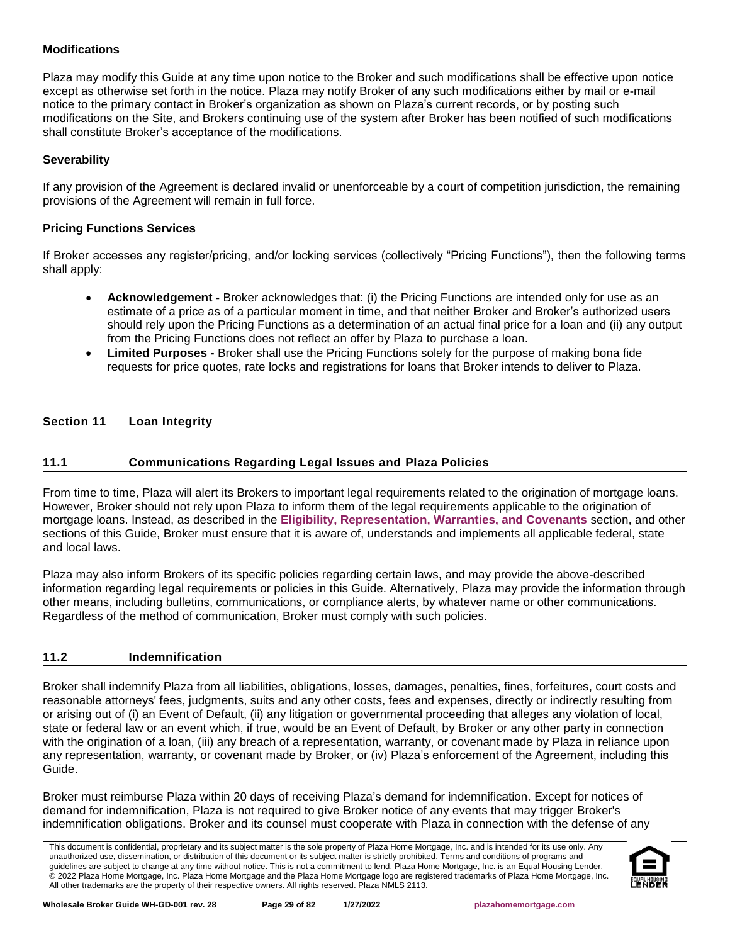## **Modifications**

Plaza may modify this Guide at any time upon notice to the Broker and such modifications shall be effective upon notice except as otherwise set forth in the notice. Plaza may notify Broker of any such modifications either by mail or e-mail notice to the primary contact in Broker's organization as shown on Plaza's current records, or by posting such modifications on the Site, and Brokers continuing use of the system after Broker has been notified of such modifications shall constitute Broker's acceptance of the modifications.

## **Severability**

If any provision of the Agreement is declared invalid or unenforceable by a court of competition jurisdiction, the remaining provisions of the Agreement will remain in full force.

## **Pricing Functions Services**

If Broker accesses any register/pricing, and/or locking services (collectively "Pricing Functions"), then the following terms shall apply:

- **Acknowledgement -** Broker acknowledges that: (i) the Pricing Functions are intended only for use as an estimate of a price as of a particular moment in time, and that neither Broker and Broker's authorized users should rely upon the Pricing Functions as a determination of an actual final price for a loan and (ii) any output from the Pricing Functions does not reflect an offer by Plaza to purchase a loan.
- **Limited Purposes -** Broker shall use the Pricing Functions solely for the purpose of making bona fide requests for price quotes, rate locks and registrations for loans that Broker intends to deliver to Plaza.

## <span id="page-28-0"></span>**Section 11 Loan Integrity**

## <span id="page-28-1"></span>**11.1 Communications Regarding Legal Issues and Plaza Policies**

From time to time, Plaza will alert its Brokers to important legal requirements related to the origination of mortgage loans. However, Broker should not rely upon Plaza to inform them of the legal requirements applicable to the origination of mortgage loans. Instead, as described in the **Eligibility, [Representation, Warranties, and Covenants](#page-19-0)** section, and other sections of this Guide, Broker must ensure that it is aware of, understands and implements all applicable federal, state and local laws.

Plaza may also inform Brokers of its specific policies regarding certain laws, and may provide the above-described information regarding legal requirements or policies in this Guide. Alternatively, Plaza may provide the information through other means, including bulletins, communications, or compliance alerts, by whatever name or other communications. Regardless of the method of communication, Broker must comply with such policies.

#### <span id="page-28-2"></span>**11.2 Indemnification**

Broker shall indemnify Plaza from all liabilities, obligations, losses, damages, penalties, fines, forfeitures, court costs and reasonable attorneys' fees, judgments, suits and any other costs, fees and expenses, directly or indirectly resulting from or arising out of (i) an Event of Default, (ii) any litigation or governmental proceeding that alleges any violation of local, state or federal law or an event which, if true, would be an Event of Default, by Broker or any other party in connection with the origination of a loan, (iii) any breach of a representation, warranty, or covenant made by Plaza in reliance upon any representation, warranty, or covenant made by Broker, or (iv) Plaza's enforcement of the Agreement, including this Guide.

Broker must reimburse Plaza within 20 days of receiving Plaza's demand for indemnification. Except for notices of demand for indemnification, Plaza is not required to give Broker notice of any events that may trigger Broker's indemnification obligations. Broker and its counsel must cooperate with Plaza in connection with the defense of any

This document is confidential, proprietary and its subject matter is the sole property of Plaza Home Mortgage, Inc. and is intended for its use only. Any unauthorized use, dissemination, or distribution of this document or its subject matter is strictly prohibited. Terms and conditions of programs and guidelines are subject to change at any time without notice. This is not a commitment to lend. Plaza Home Mortgage, Inc. is an Equal Housing Lender. © 2022 Plaza Home Mortgage, Inc. Plaza Home Mortgage and the Plaza Home Mortgage logo are registered trademarks of Plaza Home Mortgage, Inc. All other trademarks are the property of their respective owners. All rights reserved. Plaza NMLS 2113.

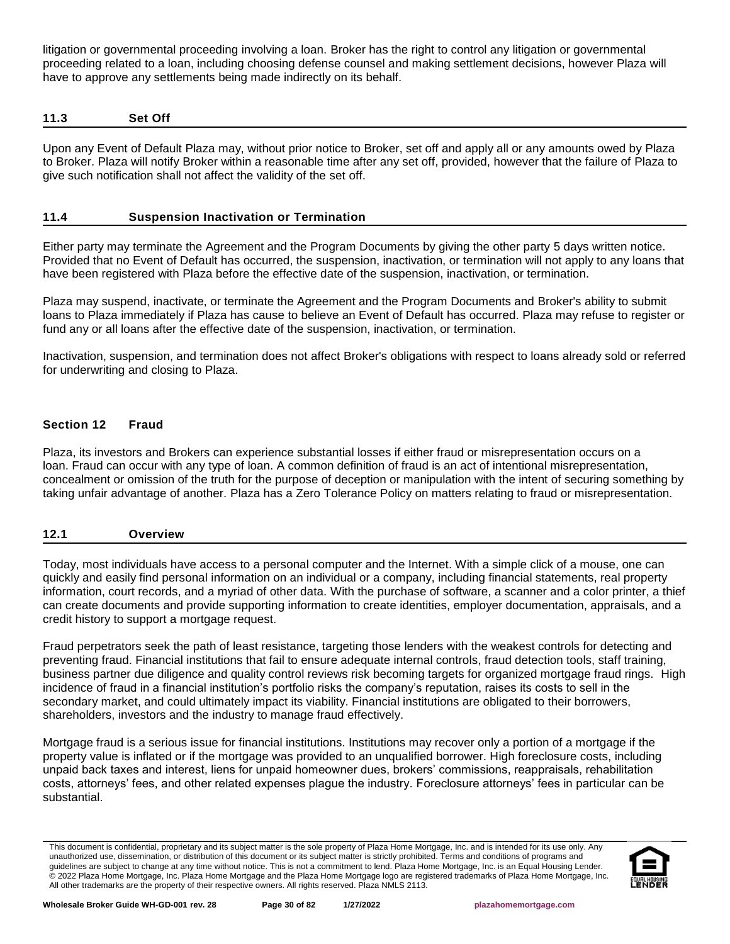litigation or governmental proceeding involving a loan. Broker has the right to control any litigation or governmental proceeding related to a loan, including choosing defense counsel and making settlement decisions, however Plaza will have to approve any settlements being made indirectly on its behalf.

#### <span id="page-29-0"></span>**11.3 Set Off**

Upon any Event of Default Plaza may, without prior notice to Broker, set off and apply all or any amounts owed by Plaza to Broker. Plaza will notify Broker within a reasonable time after any set off, provided, however that the failure of Plaza to give such notification shall not affect the validity of the set off.

## <span id="page-29-1"></span>**11.4 Suspension Inactivation or Termination**

Either party may terminate the Agreement and the Program Documents by giving the other party 5 days written notice. Provided that no Event of Default has occurred, the suspension, inactivation, or termination will not apply to any loans that have been registered with Plaza before the effective date of the suspension, inactivation, or termination.

Plaza may suspend, inactivate, or terminate the Agreement and the Program Documents and Broker's ability to submit loans to Plaza immediately if Plaza has cause to believe an Event of Default has occurred. Plaza may refuse to register or fund any or all loans after the effective date of the suspension, inactivation, or termination.

Inactivation, suspension, and termination does not affect Broker's obligations with respect to loans already sold or referred for underwriting and closing to Plaza.

## <span id="page-29-2"></span>**Section 12 Fraud**

Plaza, its investors and Brokers can experience substantial losses if either fraud or misrepresentation occurs on a loan. Fraud can occur with any type of loan. A common definition of fraud is an act of intentional misrepresentation, concealment or omission of the truth for the purpose of deception or manipulation with the intent of securing something by taking unfair advantage of another. Plaza has a Zero Tolerance Policy on matters relating to fraud or misrepresentation.

#### <span id="page-29-3"></span>**12.1 Overview**

Today, most individuals have access to a personal computer and the Internet. With a simple click of a mouse, one can quickly and easily find personal information on an individual or a company, including financial statements, real property information, court records, and a myriad of other data. With the purchase of software, a scanner and a color printer, a thief can create documents and provide supporting information to create identities, employer documentation, appraisals, and a credit history to support a mortgage request.

Fraud perpetrators seek the path of least resistance, targeting those lenders with the weakest controls for detecting and preventing fraud. Financial institutions that fail to ensure adequate internal controls, fraud detection tools, staff training, business partner due diligence and quality control reviews risk becoming targets for organized mortgage fraud rings. High incidence of fraud in a financial institution's portfolio risks the company's reputation, raises its costs to sell in the secondary market, and could ultimately impact its viability. Financial institutions are obligated to their borrowers, shareholders, investors and the industry to manage fraud effectively.

Mortgage fraud is a serious issue for financial institutions. Institutions may recover only a portion of a mortgage if the property value is inflated or if the mortgage was provided to an unqualified borrower. High foreclosure costs, including unpaid back taxes and interest, liens for unpaid homeowner dues, brokers' commissions, reappraisals, rehabilitation costs, attorneys' fees, and other related expenses plague the industry. Foreclosure attorneys' fees in particular can be substantial.

This document is confidential, proprietary and its subject matter is the sole property of Plaza Home Mortgage, Inc. and is intended for its use only. Any unauthorized use, dissemination, or distribution of this document or its subject matter is strictly prohibited. Terms and conditions of programs and guidelines are subject to change at any time without notice. This is not a commitment to lend. Plaza Home Mortgage, Inc. is an Equal Housing Lender. © 2022 Plaza Home Mortgage, Inc. Plaza Home Mortgage and the Plaza Home Mortgage logo are registered trademarks of Plaza Home Mortgage, Inc. All other trademarks are the property of their respective owners. All rights reserved. Plaza NMLS 2113.

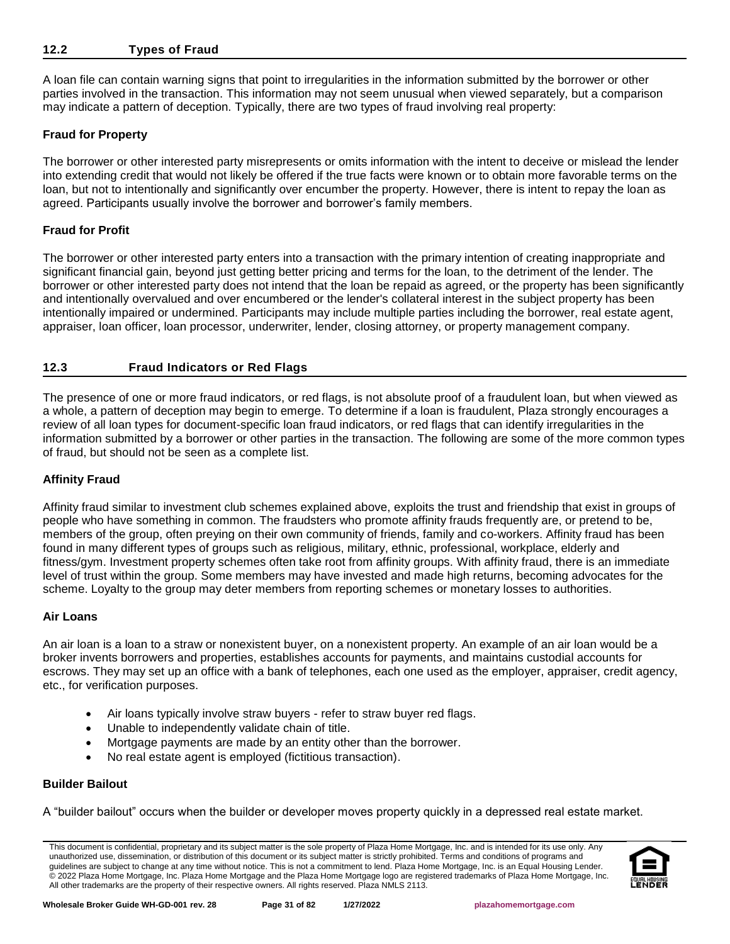#### <span id="page-30-0"></span>**12.2 Types of Fraud**

A loan file can contain warning signs that point to irregularities in the information submitted by the borrower or other parties involved in the transaction. This information may not seem unusual when viewed separately, but a comparison may indicate a pattern of deception. Typically, there are two types of fraud involving real property:

## **Fraud for Property**

The borrower or other interested party misrepresents or omits information with the intent to deceive or mislead the lender into extending credit that would not likely be offered if the true facts were known or to obtain more favorable terms on the loan, but not to intentionally and significantly over encumber the property. However, there is intent to repay the loan as agreed. Participants usually involve the borrower and borrower's family members.

## **Fraud for Profit**

The borrower or other interested party enters into a transaction with the primary intention of creating inappropriate and significant financial gain, beyond just getting better pricing and terms for the loan, to the detriment of the lender. The borrower or other interested party does not intend that the loan be repaid as agreed, or the property has been significantly and intentionally overvalued and over encumbered or the lender's collateral interest in the subject property has been intentionally impaired or undermined. Participants may include multiple parties including the borrower, real estate agent, appraiser, loan officer, loan processor, underwriter, lender, closing attorney, or property management company.

## <span id="page-30-1"></span>**12.3 Fraud Indicators or Red Flags**

The presence of one or more fraud indicators, or red flags, is not absolute proof of a fraudulent loan, but when viewed as a whole, a pattern of deception may begin to emerge. To determine if a loan is fraudulent, Plaza strongly encourages a review of all loan types for document-specific loan fraud indicators, or red flags that can identify irregularities in the information submitted by a borrower or other parties in the transaction. The following are some of the more common types of fraud, but should not be seen as a complete list.

## **Affinity Fraud**

Affinity fraud similar to investment club schemes explained above, exploits the trust and friendship that exist in groups of people who have something in common. The fraudsters who promote affinity frauds frequently are, or pretend to be, members of the group, often preying on their own community of friends, family and co-workers. Affinity fraud has been found in many different types of groups such as religious, military, ethnic, professional, workplace, elderly and fitness/gym. Investment property schemes often take root from affinity groups. With affinity fraud, there is an immediate level of trust within the group. Some members may have invested and made high returns, becoming advocates for the scheme. Loyalty to the group may deter members from reporting schemes or monetary losses to authorities.

#### **Air Loans**

An air loan is a loan to a straw or nonexistent buyer, on a nonexistent property. An example of an air loan would be a broker invents borrowers and properties, establishes accounts for payments, and maintains custodial accounts for escrows. They may set up an office with a bank of telephones, each one used as the employer, appraiser, credit agency, etc., for verification purposes.

- Air loans typically involve straw buyers refer to straw buyer red flags.
- Unable to independently validate chain of title.
- Mortgage payments are made by an entity other than the borrower.
- No real estate agent is employed (fictitious transaction).

#### **Builder Bailout**

A "builder bailout" occurs when the builder or developer moves property quickly in a depressed real estate market.

This document is confidential, proprietary and its subject matter is the sole property of Plaza Home Mortgage, Inc. and is intended for its use only. Any unauthorized use, dissemination, or distribution of this document or its subject matter is strictly prohibited. Terms and conditions of programs and guidelines are subject to change at any time without notice. This is not a commitment to lend. Plaza Home Mortgage, Inc. is an Equal Housing Lender. © 2022 Plaza Home Mortgage, Inc. Plaza Home Mortgage and the Plaza Home Mortgage logo are registered trademarks of Plaza Home Mortgage, Inc. All other trademarks are the property of their respective owners. All rights reserved. Plaza NMLS 2113.

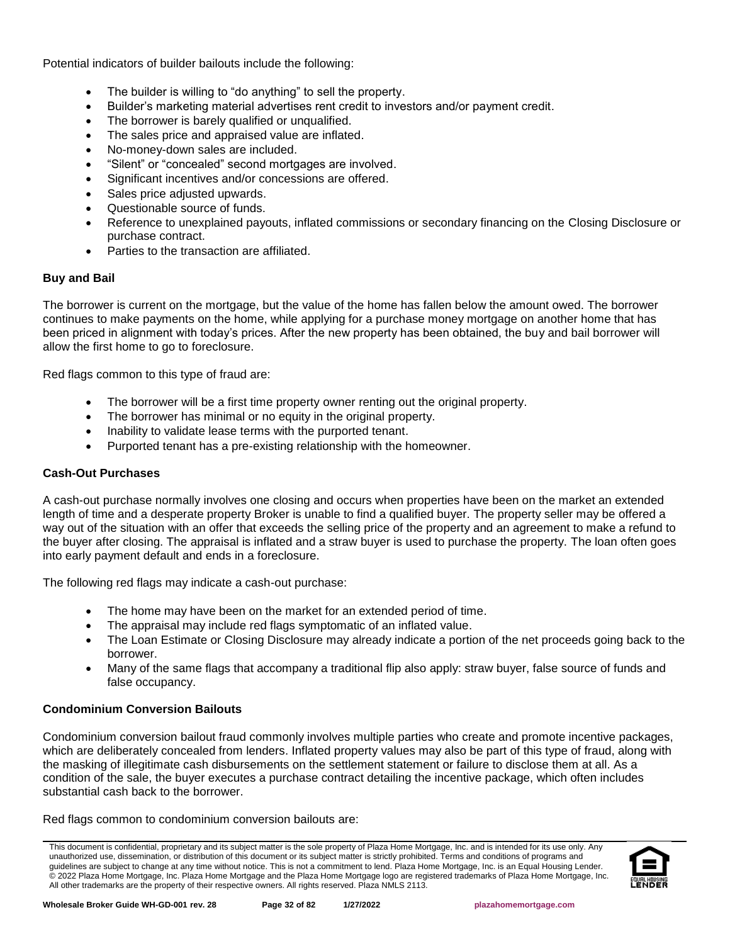Potential indicators of builder bailouts include the following:

- The builder is willing to "do anything" to sell the property.
- Builder's marketing material advertises rent credit to investors and/or payment credit.
- The borrower is barely qualified or unqualified.
- The sales price and appraised value are inflated.
- No-money-down sales are included.
- "Silent" or "concealed" second mortgages are involved.
- Significant incentives and/or concessions are offered.
- Sales price adjusted upwards.
- Questionable source of funds.
- Reference to unexplained payouts, inflated commissions or secondary financing on the Closing Disclosure or purchase contract.
- Parties to the transaction are affiliated.

## **Buy and Bail**

The borrower is current on the mortgage, but the value of the home has fallen below the amount owed. The borrower continues to make payments on the home, while applying for a purchase money mortgage on another home that has been priced in alignment with today's prices. After the new property has been obtained, the buy and bail borrower will allow the first home to go to foreclosure.

Red flags common to this type of fraud are:

- The borrower will be a first time property owner renting out the original property.
- The borrower has minimal or no equity in the original property.
- Inability to validate lease terms with the purported tenant.
- Purported tenant has a pre-existing relationship with the homeowner.

## **Cash-Out Purchases**

A cash-out purchase normally involves one closing and occurs when properties have been on the market an extended length of time and a desperate property Broker is unable to find a qualified buyer. The property seller may be offered a way out of the situation with an offer that exceeds the selling price of the property and an agreement to make a refund to the buyer after closing. The appraisal is inflated and a straw buyer is used to purchase the property. The loan often goes into early payment default and ends in a foreclosure.

The following red flags may indicate a cash-out purchase:

- The home may have been on the market for an extended period of time.
- The appraisal may include red flags symptomatic of an inflated value.
- The Loan Estimate or Closing Disclosure may already indicate a portion of the net proceeds going back to the borrower.
- Many of the same flags that accompany a traditional flip also apply: straw buyer, false source of funds and false occupancy.

# **Condominium Conversion Bailouts**

Condominium conversion bailout fraud commonly involves multiple parties who create and promote incentive packages, which are deliberately concealed from lenders. Inflated property values may also be part of this type of fraud, along with the masking of illegitimate cash disbursements on the settlement statement or failure to disclose them at all. As a condition of the sale, the buyer executes a purchase contract detailing the incentive package, which often includes substantial cash back to the borrower.

Red flags common to condominium conversion bailouts are:

This document is confidential, proprietary and its subject matter is the sole property of Plaza Home Mortgage, Inc. and is intended for its use only. Any unauthorized use, dissemination, or distribution of this document or its subject matter is strictly prohibited. Terms and conditions of programs and guidelines are subject to change at any time without notice. This is not a commitment to lend. Plaza Home Mortgage, Inc. is an Equal Housing Lender. © 2022 Plaza Home Mortgage, Inc. Plaza Home Mortgage and the Plaza Home Mortgage logo are registered trademarks of Plaza Home Mortgage, Inc. All other trademarks are the property of their respective owners. All rights reserved. Plaza NMLS 2113.

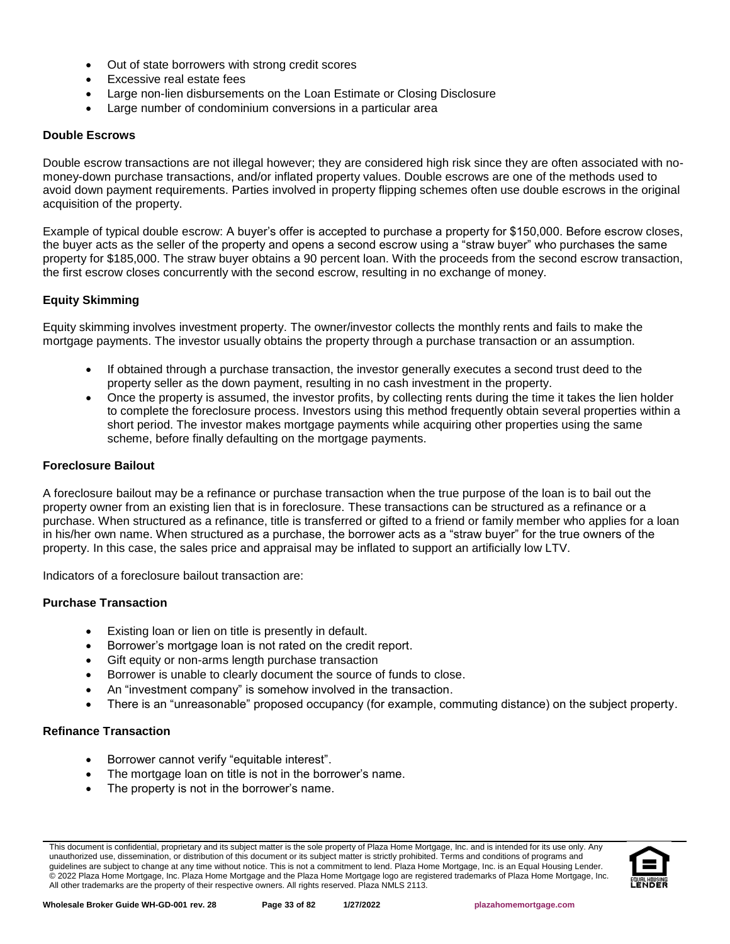- Out of state borrowers with strong credit scores
- Excessive real estate fees
- Large non-lien disbursements on the Loan Estimate or Closing Disclosure
- Large number of condominium conversions in a particular area

#### **Double Escrows**

Double escrow transactions are not illegal however; they are considered high risk since they are often associated with nomoney-down purchase transactions, and/or inflated property values. Double escrows are one of the methods used to avoid down payment requirements. Parties involved in property flipping schemes often use double escrows in the original acquisition of the property.

Example of typical double escrow: A buyer's offer is accepted to purchase a property for \$150,000. Before escrow closes, the buyer acts as the seller of the property and opens a second escrow using a "straw buyer" who purchases the same property for \$185,000. The straw buyer obtains a 90 percent loan. With the proceeds from the second escrow transaction, the first escrow closes concurrently with the second escrow, resulting in no exchange of money.

## **Equity Skimming**

Equity skimming involves investment property. The owner/investor collects the monthly rents and fails to make the mortgage payments. The investor usually obtains the property through a purchase transaction or an assumption.

- If obtained through a purchase transaction, the investor generally executes a second trust deed to the property seller as the down payment, resulting in no cash investment in the property.
- Once the property is assumed, the investor profits, by collecting rents during the time it takes the lien holder to complete the foreclosure process. Investors using this method frequently obtain several properties within a short period. The investor makes mortgage payments while acquiring other properties using the same scheme, before finally defaulting on the mortgage payments.

#### **Foreclosure Bailout**

A foreclosure bailout may be a refinance or purchase transaction when the true purpose of the loan is to bail out the property owner from an existing lien that is in foreclosure. These transactions can be structured as a refinance or a purchase. When structured as a refinance, title is transferred or gifted to a friend or family member who applies for a loan in his/her own name. When structured as a purchase, the borrower acts as a "straw buyer" for the true owners of the property. In this case, the sales price and appraisal may be inflated to support an artificially low LTV.

Indicators of a foreclosure bailout transaction are:

## **Purchase Transaction**

- Existing loan or lien on title is presently in default.
- Borrower's mortgage loan is not rated on the credit report.
- Gift equity or non-arms length purchase transaction
- Borrower is unable to clearly document the source of funds to close.
- An "investment company" is somehow involved in the transaction.
- There is an "unreasonable" proposed occupancy (for example, commuting distance) on the subject property.

#### **Refinance Transaction**

- Borrower cannot verify "equitable interest".
- The mortgage loan on title is not in the borrower's name.
- The property is not in the borrower's name.

This document is confidential, proprietary and its subject matter is the sole property of Plaza Home Mortgage, Inc. and is intended for its use only. Any unauthorized use, dissemination, or distribution of this document or its subject matter is strictly prohibited. Terms and conditions of programs and guidelines are subject to change at any time without notice. This is not a commitment to lend. Plaza Home Mortgage, Inc. is an Equal Housing Lender. © 2022 Plaza Home Mortgage, Inc. Plaza Home Mortgage and the Plaza Home Mortgage logo are registered trademarks of Plaza Home Mortgage, Inc. All other trademarks are the property of their respective owners. All rights reserved. Plaza NMLS 2113.

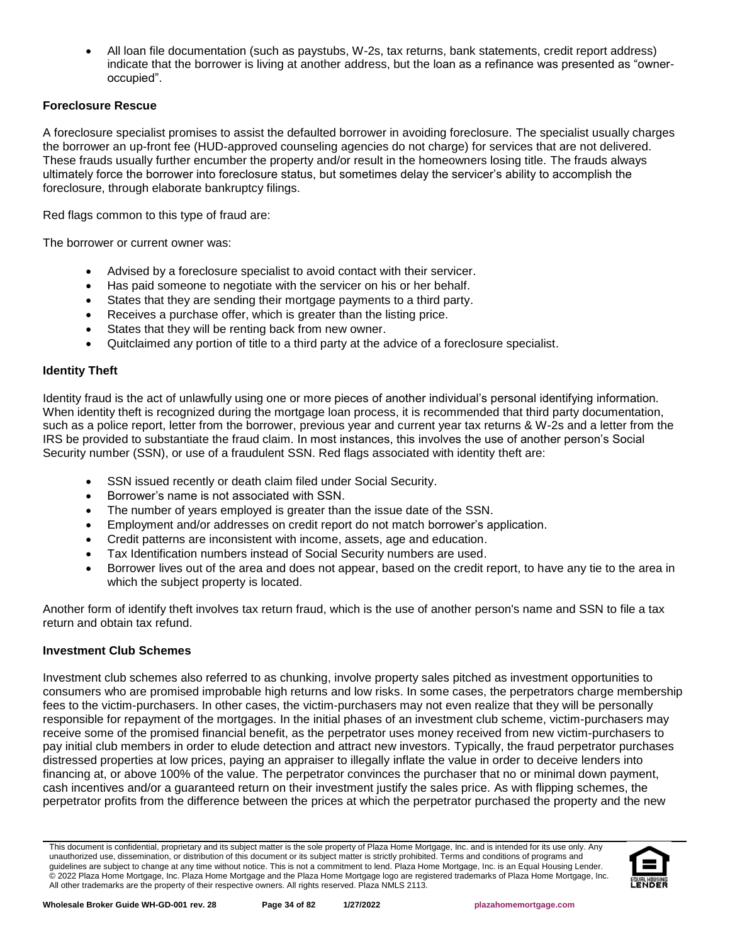• All loan file documentation (such as paystubs, W-2s, tax returns, bank statements, credit report address) indicate that the borrower is living at another address, but the loan as a refinance was presented as "owneroccupied".

## **Foreclosure Rescue**

A foreclosure specialist promises to assist the defaulted borrower in avoiding foreclosure. The specialist usually charges the borrower an up-front fee (HUD-approved counseling agencies do not charge) for services that are not delivered. These frauds usually further encumber the property and/or result in the homeowners losing title. The frauds always ultimately force the borrower into foreclosure status, but sometimes delay the servicer's ability to accomplish the foreclosure, through elaborate bankruptcy filings.

Red flags common to this type of fraud are:

The borrower or current owner was:

- Advised by a foreclosure specialist to avoid contact with their servicer.
- Has paid someone to negotiate with the servicer on his or her behalf.
- States that they are sending their mortgage payments to a third party.
- Receives a purchase offer, which is greater than the listing price.
- States that they will be renting back from new owner.
- Quitclaimed any portion of title to a third party at the advice of a foreclosure specialist.

## **Identity Theft**

Identity fraud is the act of unlawfully using one or more pieces of another individual's personal identifying information. When identity theft is recognized during the mortgage loan process, it is recommended that third party documentation, such as a police report, letter from the borrower, previous year and current year tax returns & W-2s and a letter from the IRS be provided to substantiate the fraud claim. In most instances, this involves the use of another person's Social Security number (SSN), or use of a fraudulent SSN. Red flags associated with identity theft are:

- SSN issued recently or death claim filed under Social Security.
- Borrower's name is not associated with SSN.
- The number of years employed is greater than the issue date of the SSN.
- Employment and/or addresses on credit report do not match borrower's application.
- Credit patterns are inconsistent with income, assets, age and education.
- Tax Identification numbers instead of Social Security numbers are used.
- Borrower lives out of the area and does not appear, based on the credit report, to have any tie to the area in which the subject property is located.

Another form of identify theft involves tax return fraud, which is the use of another person's name and SSN to file a tax return and obtain tax refund.

#### **Investment Club Schemes**

Investment club schemes also referred to as chunking, involve property sales pitched as investment opportunities to consumers who are promised improbable high returns and low risks. In some cases, the perpetrators charge membership fees to the victim-purchasers. In other cases, the victim-purchasers may not even realize that they will be personally responsible for repayment of the mortgages. In the initial phases of an investment club scheme, victim-purchasers may receive some of the promised financial benefit, as the perpetrator uses money received from new victim-purchasers to pay initial club members in order to elude detection and attract new investors. Typically, the fraud perpetrator purchases distressed properties at low prices, paying an appraiser to illegally inflate the value in order to deceive lenders into financing at, or above 100% of the value. The perpetrator convinces the purchaser that no or minimal down payment, cash incentives and/or a guaranteed return on their investment justify the sales price. As with flipping schemes, the perpetrator profits from the difference between the prices at which the perpetrator purchased the property and the new

This document is confidential, proprietary and its subject matter is the sole property of Plaza Home Mortgage, Inc. and is intended for its use only. Any unauthorized use, dissemination, or distribution of this document or its subject matter is strictly prohibited. Terms and conditions of programs and guidelines are subject to change at any time without notice. This is not a commitment to lend. Plaza Home Mortgage, Inc. is an Equal Housing Lender. © 2022 Plaza Home Mortgage, Inc. Plaza Home Mortgage and the Plaza Home Mortgage logo are registered trademarks of Plaza Home Mortgage, Inc. All other trademarks are the property of their respective owners. All rights reserved. Plaza NMLS 2113.

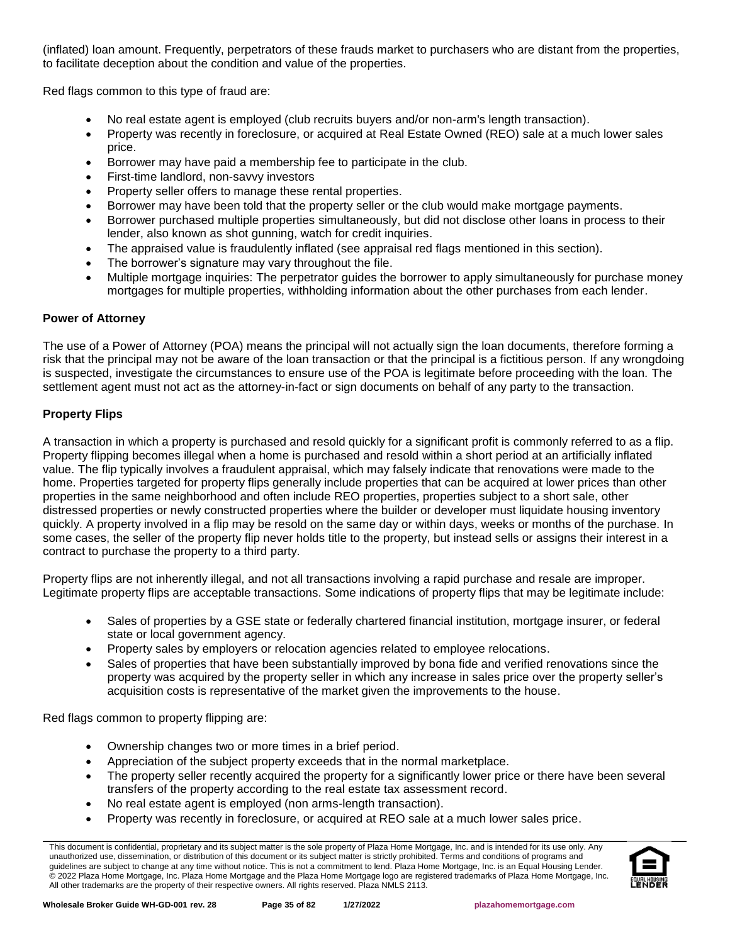(inflated) loan amount. Frequently, perpetrators of these frauds market to purchasers who are distant from the properties, to facilitate deception about the condition and value of the properties.

Red flags common to this type of fraud are:

- No real estate agent is employed (club recruits buyers and/or non-arm's length transaction).
- Property was recently in foreclosure, or acquired at Real Estate Owned (REO) sale at a much lower sales price.
- Borrower may have paid a membership fee to participate in the club.
- First-time landlord, non-savvy investors
- Property seller offers to manage these rental properties.
- Borrower may have been told that the property seller or the club would make mortgage payments.
- Borrower purchased multiple properties simultaneously, but did not disclose other loans in process to their lender, also known as shot gunning, watch for credit inquiries.
- The appraised value is fraudulently inflated (see appraisal red flags mentioned in this section).
- The borrower's signature may vary throughout the file.
- Multiple mortgage inquiries: The perpetrator guides the borrower to apply simultaneously for purchase money mortgages for multiple properties, withholding information about the other purchases from each lender.

# **Power of Attorney**

The use of a Power of Attorney (POA) means the principal will not actually sign the loan documents, therefore forming a risk that the principal may not be aware of the loan transaction or that the principal is a fictitious person. If any wrongdoing is suspected, investigate the circumstances to ensure use of the POA is legitimate before proceeding with the loan. The settlement agent must not act as the attorney-in-fact or sign documents on behalf of any party to the transaction.

# **Property Flips**

A transaction in which a property is purchased and resold quickly for a significant profit is commonly referred to as a flip. Property flipping becomes illegal when a home is purchased and resold within a short period at an artificially inflated value. The flip typically involves a fraudulent appraisal, which may falsely indicate that renovations were made to the home. Properties targeted for property flips generally include properties that can be acquired at lower prices than other properties in the same neighborhood and often include REO properties, properties subject to a short sale, other distressed properties or newly constructed properties where the builder or developer must liquidate housing inventory quickly. A property involved in a flip may be resold on the same day or within days, weeks or months of the purchase. In some cases, the seller of the property flip never holds title to the property, but instead sells or assigns their interest in a contract to purchase the property to a third party.

Property flips are not inherently illegal, and not all transactions involving a rapid purchase and resale are improper. Legitimate property flips are acceptable transactions. Some indications of property flips that may be legitimate include:

- Sales of properties by a GSE state or federally chartered financial institution, mortgage insurer, or federal state or local government agency.
- Property sales by employers or relocation agencies related to employee relocations.
- Sales of properties that have been substantially improved by bona fide and verified renovations since the property was acquired by the property seller in which any increase in sales price over the property seller's acquisition costs is representative of the market given the improvements to the house.

Red flags common to property flipping are:

- Ownership changes two or more times in a brief period.
- Appreciation of the subject property exceeds that in the normal marketplace.
- The property seller recently acquired the property for a significantly lower price or there have been several transfers of the property according to the real estate tax assessment record.
- No real estate agent is employed (non arms-length transaction).
- Property was recently in foreclosure, or acquired at REO sale at a much lower sales price.

This document is confidential, proprietary and its subject matter is the sole property of Plaza Home Mortgage, Inc. and is intended for its use only. Any unauthorized use, dissemination, or distribution of this document or its subject matter is strictly prohibited. Terms and conditions of programs and guidelines are subject to change at any time without notice. This is not a commitment to lend. Plaza Home Mortgage, Inc. is an Equal Housing Lender. © 2022 Plaza Home Mortgage, Inc. Plaza Home Mortgage and the Plaza Home Mortgage logo are registered trademarks of Plaza Home Mortgage, Inc. All other trademarks are the property of their respective owners. All rights reserved. Plaza NMLS 2113.

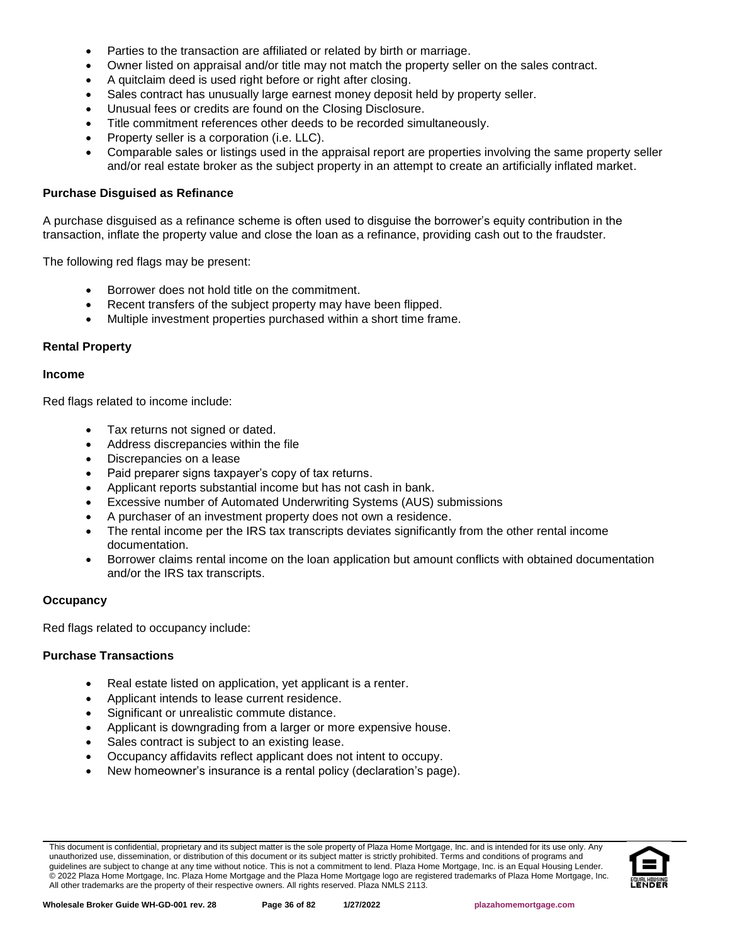- Parties to the transaction are affiliated or related by birth or marriage.
- Owner listed on appraisal and/or title may not match the property seller on the sales contract.
- A quitclaim deed is used right before or right after closing.
- Sales contract has unusually large earnest money deposit held by property seller.
- Unusual fees or credits are found on the Closing Disclosure.
- Title commitment references other deeds to be recorded simultaneously.
- Property seller is a corporation (i.e. LLC).
- Comparable sales or listings used in the appraisal report are properties involving the same property seller and/or real estate broker as the subject property in an attempt to create an artificially inflated market.

#### **Purchase Disguised as Refinance**

A purchase disguised as a refinance scheme is often used to disguise the borrower's equity contribution in the transaction, inflate the property value and close the loan as a refinance, providing cash out to the fraudster.

The following red flags may be present:

- Borrower does not hold title on the commitment.
- Recent transfers of the subject property may have been flipped.
- Multiple investment properties purchased within a short time frame.

#### **Rental Property**

#### **Income**

Red flags related to income include:

- Tax returns not signed or dated.
- Address discrepancies within the file
- Discrepancies on a lease
- Paid preparer signs taxpayer's copy of tax returns.
- Applicant reports substantial income but has not cash in bank.
- Excessive number of Automated Underwriting Systems (AUS) submissions
- A purchaser of an investment property does not own a residence.
- The rental income per the IRS tax transcripts deviates significantly from the other rental income documentation.
- Borrower claims rental income on the loan application but amount conflicts with obtained documentation and/or the IRS tax transcripts.

#### **Occupancy**

Red flags related to occupancy include:

## **Purchase Transactions**

- Real estate listed on application, yet applicant is a renter.
- Applicant intends to lease current residence.
- Significant or unrealistic commute distance.
- Applicant is downgrading from a larger or more expensive house.
- Sales contract is subject to an existing lease.
- Occupancy affidavits reflect applicant does not intent to occupy.
- New homeowner's insurance is a rental policy (declaration's page).

This document is confidential, proprietary and its subject matter is the sole property of Plaza Home Mortgage, Inc. and is intended for its use only. Any unauthorized use, dissemination, or distribution of this document or its subject matter is strictly prohibited. Terms and conditions of programs and guidelines are subject to change at any time without notice. This is not a commitment to lend. Plaza Home Mortgage, Inc. is an Equal Housing Lender. © 2022 Plaza Home Mortgage, Inc. Plaza Home Mortgage and the Plaza Home Mortgage logo are registered trademarks of Plaza Home Mortgage, Inc. All other trademarks are the property of their respective owners. All rights reserved. Plaza NMLS 2113.

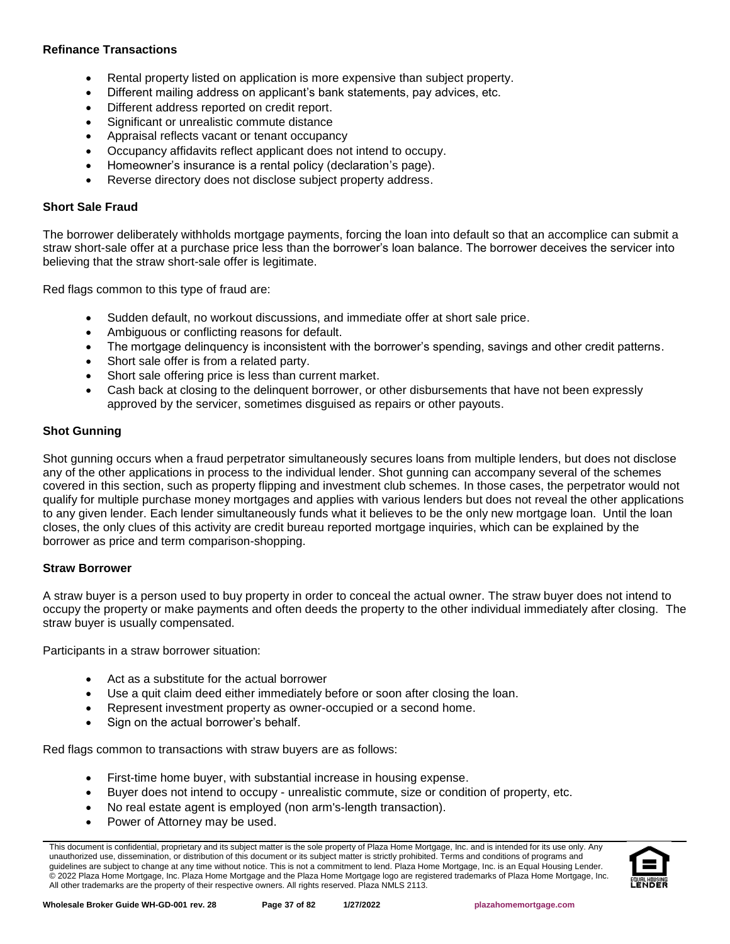### **Refinance Transactions**

- Rental property listed on application is more expensive than subject property.
- Different mailing address on applicant's bank statements, pay advices, etc.
- Different address reported on credit report.
- Significant or unrealistic commute distance
- Appraisal reflects vacant or tenant occupancy
- Occupancy affidavits reflect applicant does not intend to occupy.
- Homeowner's insurance is a rental policy (declaration's page).
- Reverse directory does not disclose subject property address.

### **Short Sale Fraud**

The borrower deliberately withholds mortgage payments, forcing the loan into default so that an accomplice can submit a straw short-sale offer at a purchase price less than the borrower's loan balance. The borrower deceives the servicer into believing that the straw short-sale offer is legitimate.

Red flags common to this type of fraud are:

- Sudden default, no workout discussions, and immediate offer at short sale price.
- Ambiguous or conflicting reasons for default.
- The mortgage delinquency is inconsistent with the borrower's spending, savings and other credit patterns.
- Short sale offer is from a related party.
- Short sale offering price is less than current market.
- Cash back at closing to the delinquent borrower, or other disbursements that have not been expressly approved by the servicer, sometimes disguised as repairs or other payouts.

### **Shot Gunning**

Shot gunning occurs when a fraud perpetrator simultaneously secures loans from multiple lenders, but does not disclose any of the other applications in process to the individual lender. Shot gunning can accompany several of the schemes covered in this section, such as property flipping and investment club schemes. In those cases, the perpetrator would not qualify for multiple purchase money mortgages and applies with various lenders but does not reveal the other applications to any given lender. Each lender simultaneously funds what it believes to be the only new mortgage loan. Until the loan closes, the only clues of this activity are credit bureau reported mortgage inquiries, which can be explained by the borrower as price and term comparison-shopping.

### **Straw Borrower**

A straw buyer is a person used to buy property in order to conceal the actual owner. The straw buyer does not intend to occupy the property or make payments and often deeds the property to the other individual immediately after closing. The straw buyer is usually compensated.

Participants in a straw borrower situation:

- Act as a substitute for the actual borrower
- Use a quit claim deed either immediately before or soon after closing the loan.
- Represent investment property as owner-occupied or a second home.
- Sign on the actual borrower's behalf.

Red flags common to transactions with straw buyers are as follows:

- First-time home buyer, with substantial increase in housing expense.
- Buyer does not intend to occupy unrealistic commute, size or condition of property, etc.
- No real estate agent is employed (non arm's-length transaction).
- Power of Attorney may be used.

This document is confidential, proprietary and its subject matter is the sole property of Plaza Home Mortgage, Inc. and is intended for its use only. Any unauthorized use, dissemination, or distribution of this document or its subject matter is strictly prohibited. Terms and conditions of programs and guidelines are subject to change at any time without notice. This is not a commitment to lend. Plaza Home Mortgage, Inc. is an Equal Housing Lender. © 2022 Plaza Home Mortgage, Inc. Plaza Home Mortgage and the Plaza Home Mortgage logo are registered trademarks of Plaza Home Mortgage, Inc. All other trademarks are the property of their respective owners. All rights reserved. Plaza NMLS 2113.

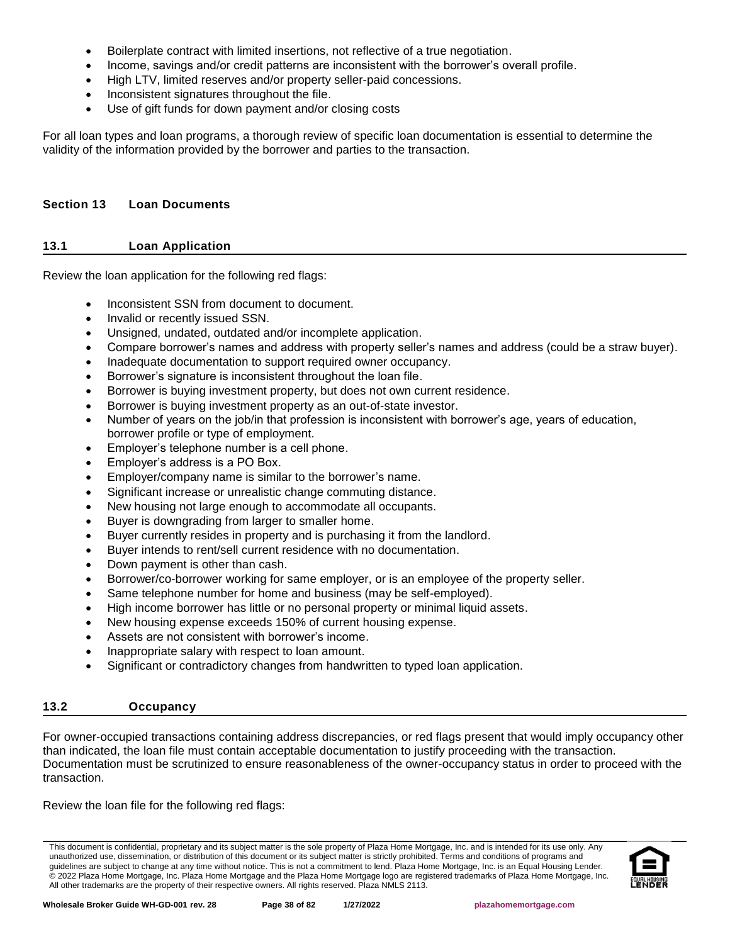- Boilerplate contract with limited insertions, not reflective of a true negotiation.
- Income, savings and/or credit patterns are inconsistent with the borrower's overall profile.
- High LTV, limited reserves and/or property seller-paid concessions.
- Inconsistent signatures throughout the file.
- Use of gift funds for down payment and/or closing costs

For all loan types and loan programs, a thorough review of specific loan documentation is essential to determine the validity of the information provided by the borrower and parties to the transaction.

### **Section 13 Loan Documents**

### **13.1 Loan Application**

Review the loan application for the following red flags:

- Inconsistent SSN from document to document.
- Invalid or recently issued SSN.
- Unsigned, undated, outdated and/or incomplete application.
- Compare borrower's names and address with property seller's names and address (could be a straw buyer).
- Inadequate documentation to support required owner occupancy.
- Borrower's signature is inconsistent throughout the loan file.
- Borrower is buying investment property, but does not own current residence.
- Borrower is buying investment property as an out-of-state investor.
- Number of years on the job/in that profession is inconsistent with borrower's age, years of education, borrower profile or type of employment.
- Employer's telephone number is a cell phone.
- Employer's address is a PO Box.
- Employer/company name is similar to the borrower's name.
- Significant increase or unrealistic change commuting distance.
- New housing not large enough to accommodate all occupants.
- Buyer is downgrading from larger to smaller home.
- Buyer currently resides in property and is purchasing it from the landlord.
- Buyer intends to rent/sell current residence with no documentation.
- Down payment is other than cash.
- Borrower/co-borrower working for same employer, or is an employee of the property seller.
- Same telephone number for home and business (may be self-employed).
- High income borrower has little or no personal property or minimal liquid assets.
- New housing expense exceeds 150% of current housing expense.
- Assets are not consistent with borrower's income.
- Inappropriate salary with respect to loan amount.
- Significant or contradictory changes from handwritten to typed loan application.

# **13.2 Occupancy**

For owner-occupied transactions containing address discrepancies, or red flags present that would imply occupancy other than indicated, the loan file must contain acceptable documentation to justify proceeding with the transaction. Documentation must be scrutinized to ensure reasonableness of the owner-occupancy status in order to proceed with the transaction.

Review the loan file for the following red flags:

This document is confidential, proprietary and its subject matter is the sole property of Plaza Home Mortgage, Inc. and is intended for its use only. Any unauthorized use, dissemination, or distribution of this document or its subject matter is strictly prohibited. Terms and conditions of programs and guidelines are subject to change at any time without notice. This is not a commitment to lend. Plaza Home Mortgage, Inc. is an Equal Housing Lender. © 2022 Plaza Home Mortgage, Inc. Plaza Home Mortgage and the Plaza Home Mortgage logo are registered trademarks of Plaza Home Mortgage, Inc. All other trademarks are the property of their respective owners. All rights reserved. Plaza NMLS 2113.

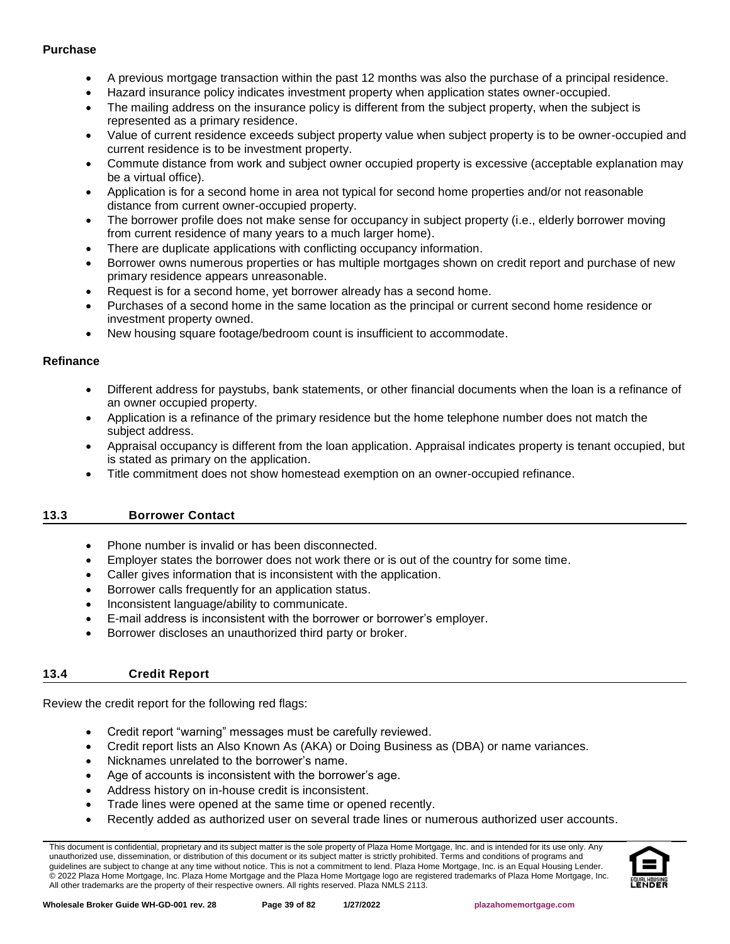### **Purchase**

- A previous mortgage transaction within the past 12 months was also the purchase of a principal residence.
- Hazard insurance policy indicates investment property when application states owner-occupied.
- The mailing address on the insurance policy is different from the subject property, when the subject is represented as a primary residence.
- Value of current residence exceeds subject property value when subject property is to be owner-occupied and current residence is to be investment property.
- Commute distance from work and subject owner occupied property is excessive (acceptable explanation may be a virtual office).
- Application is for a second home in area not typical for second home properties and/or not reasonable distance from current owner-occupied property.
- The borrower profile does not make sense for occupancy in subject property (i.e., elderly borrower moving from current residence of many years to a much larger home).
- There are duplicate applications with conflicting occupancy information.
- Borrower owns numerous properties or has multiple mortgages shown on credit report and purchase of new primary residence appears unreasonable.
- Request is for a second home, yet borrower already has a second home.
- Purchases of a second home in the same location as the principal or current second home residence or investment property owned.
- New housing square footage/bedroom count is insufficient to accommodate.

# **Refinance**

- Different address for paystubs, bank statements, or other financial documents when the loan is a refinance of an owner occupied property.
- Application is a refinance of the primary residence but the home telephone number does not match the subject address.
- Appraisal occupancy is different from the loan application. Appraisal indicates property is tenant occupied, but is stated as primary on the application.
- Title commitment does not show homestead exemption on an owner-occupied refinance.

# **13.3 Borrower Contact**

- Phone number is invalid or has been disconnected.
- Employer states the borrower does not work there or is out of the country for some time.
- Caller gives information that is inconsistent with the application.
- Borrower calls frequently for an application status.
- Inconsistent language/ability to communicate.
- E-mail address is inconsistent with the borrower or borrower's employer.
- Borrower discloses an unauthorized third party or broker.

# **13.4 Credit Report**

Review the credit report for the following red flags:

- Credit report "warning" messages must be carefully reviewed.
- Credit report lists an Also Known As (AKA) or Doing Business as (DBA) or name variances.
- Nicknames unrelated to the borrower's name.
- Age of accounts is inconsistent with the borrower's age.
- Address history on in-house credit is inconsistent.
- Trade lines were opened at the same time or opened recently.
- Recently added as authorized user on several trade lines or numerous authorized user accounts.

This document is confidential, proprietary and its subject matter is the sole property of Plaza Home Mortgage, Inc. and is intended for its use only. Any unauthorized use, dissemination, or distribution of this document or its subject matter is strictly prohibited. Terms and conditions of programs and guidelines are subject to change at any time without notice. This is not a commitment to lend. Plaza Home Mortgage, Inc. is an Equal Housing Lender. © 2022 Plaza Home Mortgage, Inc. Plaza Home Mortgage and the Plaza Home Mortgage logo are registered trademarks of Plaza Home Mortgage, Inc. All other trademarks are the property of their respective owners. All rights reserved. Plaza NMLS 2113.

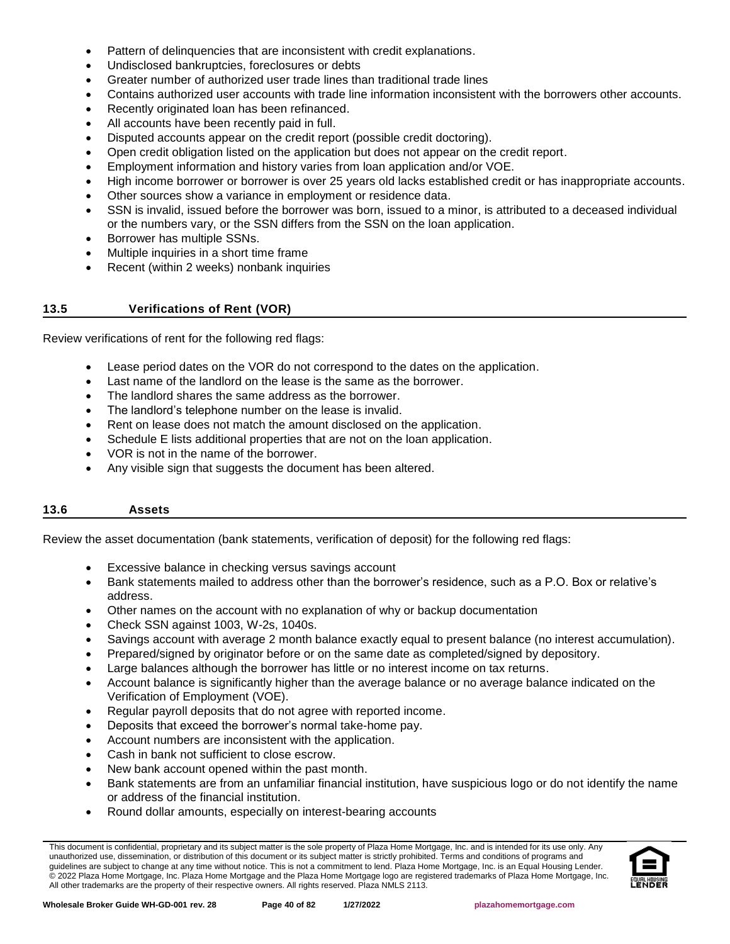- Pattern of delinquencies that are inconsistent with credit explanations.
- Undisclosed bankruptcies, foreclosures or debts
- Greater number of authorized user trade lines than traditional trade lines
- Contains authorized user accounts with trade line information inconsistent with the borrowers other accounts.
- Recently originated loan has been refinanced.
- All accounts have been recently paid in full.
- Disputed accounts appear on the credit report (possible credit doctoring).
- Open credit obligation listed on the application but does not appear on the credit report.
- Employment information and history varies from loan application and/or VOE.
- High income borrower or borrower is over 25 years old lacks established credit or has inappropriate accounts.
- Other sources show a variance in employment or residence data.
- SSN is invalid, issued before the borrower was born, issued to a minor, is attributed to a deceased individual or the numbers vary, or the SSN differs from the SSN on the loan application.
- Borrower has multiple SSNs.
- Multiple inquiries in a short time frame
- Recent (within 2 weeks) nonbank inquiries

### **13.5 Verifications of Rent (VOR)**

Review verifications of rent for the following red flags:

- Lease period dates on the VOR do not correspond to the dates on the application.
- Last name of the landlord on the lease is the same as the borrower.
- The landlord shares the same address as the borrower.
- The landlord's telephone number on the lease is invalid.
- Rent on lease does not match the amount disclosed on the application.
- Schedule E lists additional properties that are not on the loan application.
- VOR is not in the name of the borrower.
- Any visible sign that suggests the document has been altered.

# **13.6 Assets**

Review the asset documentation (bank statements, verification of deposit) for the following red flags:

- Excessive balance in checking versus savings account
- Bank statements mailed to address other than the borrower's residence, such as a P.O. Box or relative's address.
- Other names on the account with no explanation of why or backup documentation
- Check SSN against 1003, W-2s, 1040s.
- Savings account with average 2 month balance exactly equal to present balance (no interest accumulation).
- Prepared/signed by originator before or on the same date as completed/signed by depository.
- Large balances although the borrower has little or no interest income on tax returns.
- Account balance is significantly higher than the average balance or no average balance indicated on the Verification of Employment (VOE).
- Regular payroll deposits that do not agree with reported income.
- Deposits that exceed the borrower's normal take-home pay.
- Account numbers are inconsistent with the application.
- Cash in bank not sufficient to close escrow.
- New bank account opened within the past month.
- Bank statements are from an unfamiliar financial institution, have suspicious logo or do not identify the name or address of the financial institution.
- Round dollar amounts, especially on interest-bearing accounts

This document is confidential, proprietary and its subject matter is the sole property of Plaza Home Mortgage, Inc. and is intended for its use only. Any unauthorized use, dissemination, or distribution of this document or its subject matter is strictly prohibited. Terms and conditions of programs and guidelines are subject to change at any time without notice. This is not a commitment to lend. Plaza Home Mortgage, Inc. is an Equal Housing Lender. © 2022 Plaza Home Mortgage, Inc. Plaza Home Mortgage and the Plaza Home Mortgage logo are registered trademarks of Plaza Home Mortgage, Inc. All other trademarks are the property of their respective owners. All rights reserved. Plaza NMLS 2113.

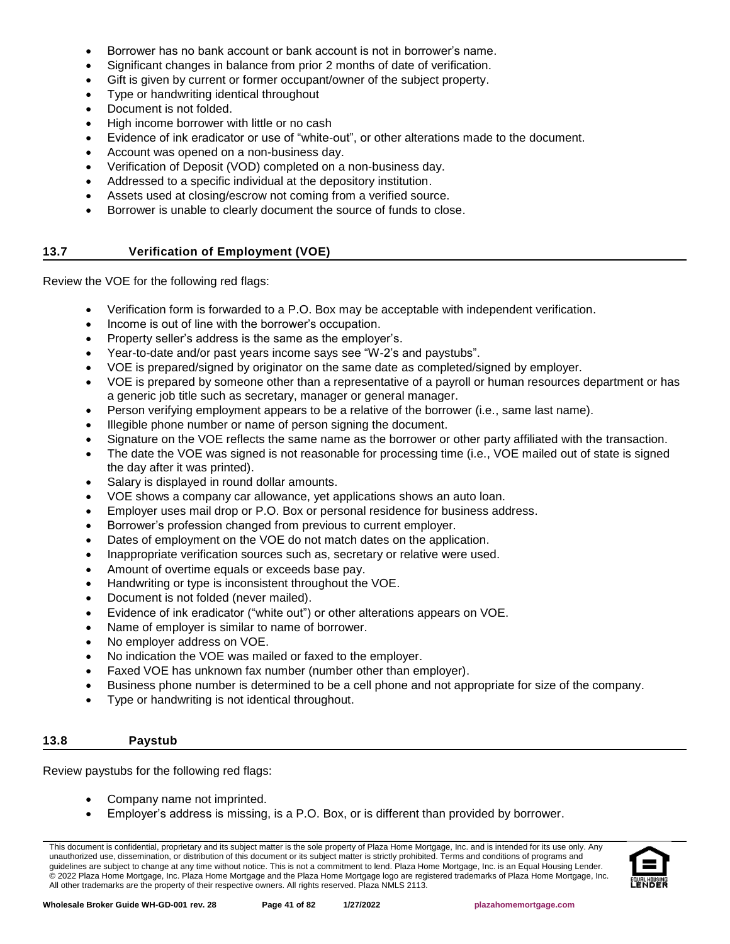- Borrower has no bank account or bank account is not in borrower's name.
- Significant changes in balance from prior 2 months of date of verification.
- Gift is given by current or former occupant/owner of the subject property.
- Type or handwriting identical throughout
- Document is not folded.
- High income borrower with little or no cash
- Evidence of ink eradicator or use of "white-out", or other alterations made to the document.
- Account was opened on a non-business day.
- Verification of Deposit (VOD) completed on a non-business day.
- Addressed to a specific individual at the depository institution.
- Assets used at closing/escrow not coming from a verified source.
- Borrower is unable to clearly document the source of funds to close.

### **13.7 Verification of Employment (VOE)**

Review the VOE for the following red flags:

- Verification form is forwarded to a P.O. Box may be acceptable with independent verification.
- Income is out of line with the borrower's occupation.
- Property seller's address is the same as the employer's.
- Year-to-date and/or past years income says see "W-2's and paystubs".
- VOE is prepared/signed by originator on the same date as completed/signed by employer.
- VOE is prepared by someone other than a representative of a payroll or human resources department or has a generic job title such as secretary, manager or general manager.
- Person verifying employment appears to be a relative of the borrower (i.e., same last name).
- Illegible phone number or name of person signing the document.
- Signature on the VOE reflects the same name as the borrower or other party affiliated with the transaction.
- The date the VOE was signed is not reasonable for processing time (i.e., VOE mailed out of state is signed the day after it was printed).
- Salary is displayed in round dollar amounts.
- VOE shows a company car allowance, yet applications shows an auto loan.
- Employer uses mail drop or P.O. Box or personal residence for business address.
- Borrower's profession changed from previous to current employer.
- Dates of employment on the VOE do not match dates on the application.
- Inappropriate verification sources such as, secretary or relative were used.
- Amount of overtime equals or exceeds base pay.
- Handwriting or type is inconsistent throughout the VOE.
- Document is not folded (never mailed).
- Evidence of ink eradicator ("white out") or other alterations appears on VOE.
- Name of employer is similar to name of borrower.
- No employer address on VOE.
- No indication the VOE was mailed or faxed to the employer.
- Faxed VOE has unknown fax number (number other than employer).
- Business phone number is determined to be a cell phone and not appropriate for size of the company.
- Type or handwriting is not identical throughout.

### **13.8 Paystub**

Review paystubs for the following red flags:

- Company name not imprinted.
- Employer's address is missing, is a P.O. Box, or is different than provided by borrower.

This document is confidential, proprietary and its subject matter is the sole property of Plaza Home Mortgage, Inc. and is intended for its use only. Any unauthorized use, dissemination, or distribution of this document or its subject matter is strictly prohibited. Terms and conditions of programs and guidelines are subject to change at any time without notice. This is not a commitment to lend. Plaza Home Mortgage, Inc. is an Equal Housing Lender. © 2022 Plaza Home Mortgage, Inc. Plaza Home Mortgage and the Plaza Home Mortgage logo are registered trademarks of Plaza Home Mortgage, Inc. All other trademarks are the property of their respective owners. All rights reserved. Plaza NMLS 2113.

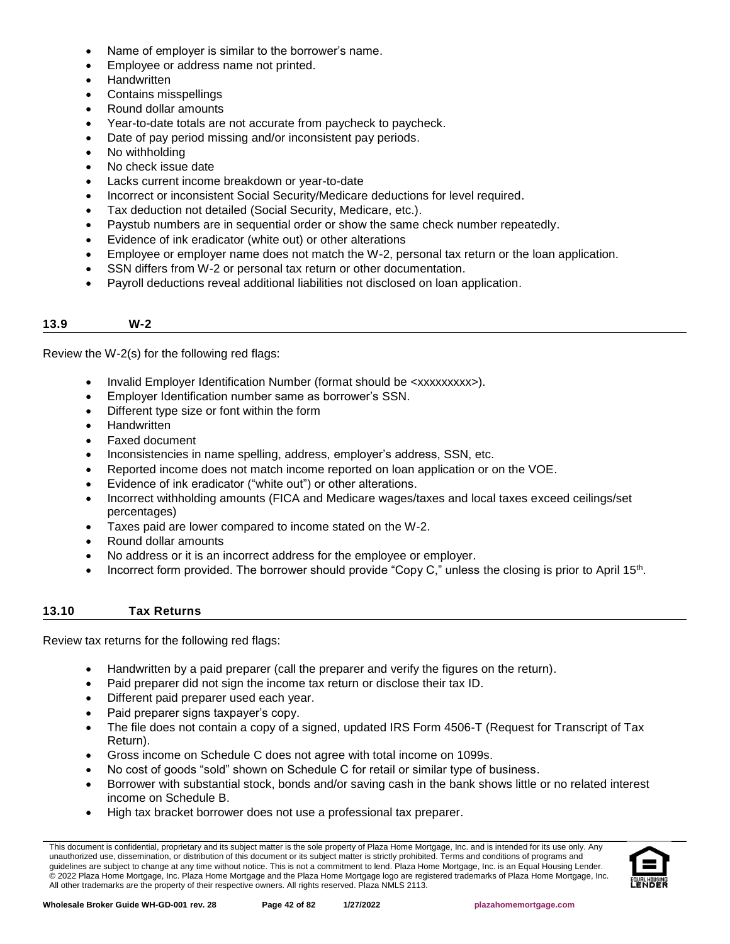- Name of employer is similar to the borrower's name.
- Employee or address name not printed.
- Handwritten
- Contains misspellings
- Round dollar amounts
- Year-to-date totals are not accurate from paycheck to paycheck.
- Date of pay period missing and/or inconsistent pay periods.
- No withholding
- No check issue date
- Lacks current income breakdown or year-to-date
- Incorrect or inconsistent Social Security/Medicare deductions for level required.
- Tax deduction not detailed (Social Security, Medicare, etc.).
- Paystub numbers are in sequential order or show the same check number repeatedly.
- Evidence of ink eradicator (white out) or other alterations
- Employee or employer name does not match the W-2, personal tax return or the loan application.
- SSN differs from W-2 or personal tax return or other documentation.
- Payroll deductions reveal additional liabilities not disclosed on loan application.

#### **13.9 W-2**

Review the W-2(s) for the following red flags:

- Invalid Employer Identification Number (format should be <xxxxxxxxx>).
- Employer Identification number same as borrower's SSN.
- Different type size or font within the form
- **Handwritten**
- Faxed document
- Inconsistencies in name spelling, address, employer's address, SSN, etc.
- Reported income does not match income reported on loan application or on the VOE.
- Evidence of ink eradicator ("white out") or other alterations.
- Incorrect withholding amounts (FICA and Medicare wages/taxes and local taxes exceed ceilings/set percentages)
- Taxes paid are lower compared to income stated on the W-2.
- Round dollar amounts
- No address or it is an incorrect address for the employee or employer.
- Incorrect form provided. The borrower should provide "Copy C," unless the closing is prior to April 15<sup>th</sup>.

# **13.10 Tax Returns**

Review tax returns for the following red flags:

- Handwritten by a paid preparer (call the preparer and verify the figures on the return).
- Paid preparer did not sign the income tax return or disclose their tax ID.
- Different paid preparer used each year.
- Paid preparer signs taxpayer's copy.
- The file does not contain a copy of a signed, updated IRS Form 4506-T (Request for Transcript of Tax Return).
- Gross income on Schedule C does not agree with total income on 1099s.
- No cost of goods "sold" shown on Schedule C for retail or similar type of business.
- Borrower with substantial stock, bonds and/or saving cash in the bank shows little or no related interest income on Schedule B.
- High tax bracket borrower does not use a professional tax preparer.

This document is confidential, proprietary and its subject matter is the sole property of Plaza Home Mortgage, Inc. and is intended for its use only. Any unauthorized use, dissemination, or distribution of this document or its subject matter is strictly prohibited. Terms and conditions of programs and guidelines are subject to change at any time without notice. This is not a commitment to lend. Plaza Home Mortgage, Inc. is an Equal Housing Lender. © 2022 Plaza Home Mortgage, Inc. Plaza Home Mortgage and the Plaza Home Mortgage logo are registered trademarks of Plaza Home Mortgage, Inc. All other trademarks are the property of their respective owners. All rights reserved. Plaza NMLS 2113.

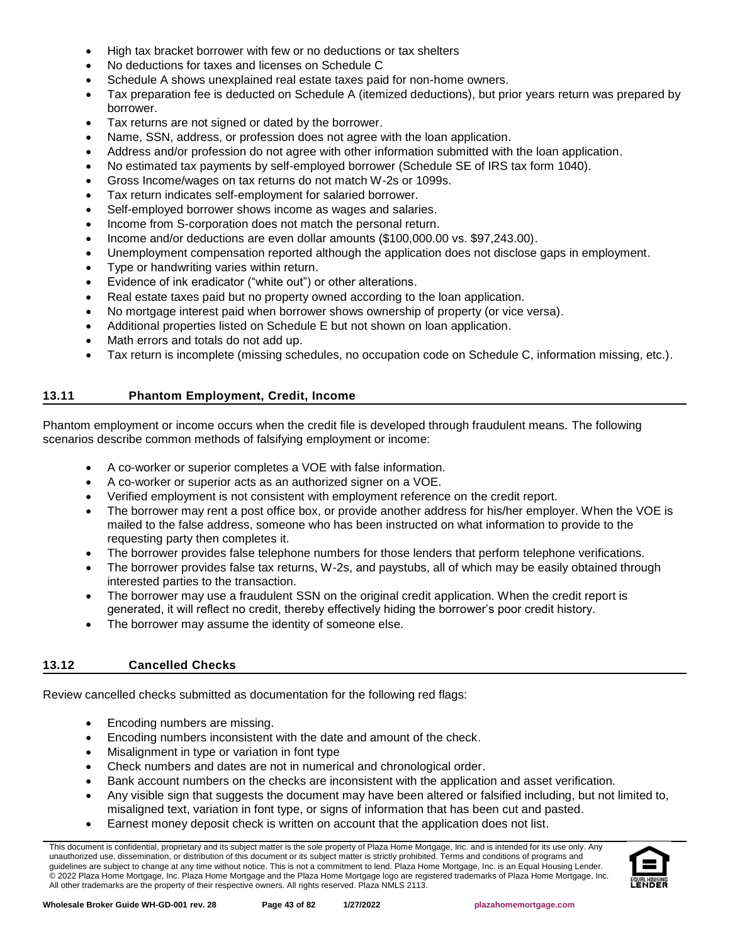- High tax bracket borrower with few or no deductions or tax shelters
- No deductions for taxes and licenses on Schedule C
- Schedule A shows unexplained real estate taxes paid for non-home owners.
- Tax preparation fee is deducted on Schedule A (itemized deductions), but prior years return was prepared by borrower.
- Tax returns are not signed or dated by the borrower.
- Name, SSN, address, or profession does not agree with the loan application.
- Address and/or profession do not agree with other information submitted with the loan application.
- No estimated tax payments by self-employed borrower (Schedule SE of IRS tax form 1040).
- Gross Income/wages on tax returns do not match W-2s or 1099s.
- Tax return indicates self-employment for salaried borrower.
- Self-employed borrower shows income as wages and salaries.
- Income from S-corporation does not match the personal return.
- Income and/or deductions are even dollar amounts (\$100,000.00 vs. \$97,243.00).
- Unemployment compensation reported although the application does not disclose gaps in employment.
- Type or handwriting varies within return.
- Evidence of ink eradicator ("white out") or other alterations.
- Real estate taxes paid but no property owned according to the loan application.
- No mortgage interest paid when borrower shows ownership of property (or vice versa).
- Additional properties listed on Schedule E but not shown on loan application.
- Math errors and totals do not add up.
- Tax return is incomplete (missing schedules, no occupation code on Schedule C, information missing, etc.).

### **13.11 Phantom Employment, Credit, Income**

Phantom employment or income occurs when the credit file is developed through fraudulent means. The following scenarios describe common methods of falsifying employment or income:

- A co-worker or superior completes a VOE with false information.
- A co-worker or superior acts as an authorized signer on a VOE.
- Verified employment is not consistent with employment reference on the credit report.
- The borrower may rent a post office box, or provide another address for his/her employer. When the VOE is mailed to the false address, someone who has been instructed on what information to provide to the requesting party then completes it.
- The borrower provides false telephone numbers for those lenders that perform telephone verifications.
- The borrower provides false tax returns, W-2s, and paystubs, all of which may be easily obtained through interested parties to the transaction.
- The borrower may use a fraudulent SSN on the original credit application. When the credit report is generated, it will reflect no credit, thereby effectively hiding the borrower's poor credit history.
- The borrower may assume the identity of someone else.

# **13.12 Cancelled Checks**

Review cancelled checks submitted as documentation for the following red flags:

- Encoding numbers are missing.
- Encoding numbers inconsistent with the date and amount of the check.
- Misalignment in type or variation in font type
- Check numbers and dates are not in numerical and chronological order.
- Bank account numbers on the checks are inconsistent with the application and asset verification.
- Any visible sign that suggests the document may have been altered or falsified including, but not limited to, misaligned text, variation in font type, or signs of information that has been cut and pasted.
- Earnest money deposit check is written on account that the application does not list.

This document is confidential, proprietary and its subject matter is the sole property of Plaza Home Mortgage, Inc. and is intended for its use only. Any unauthorized use, dissemination, or distribution of this document or its subject matter is strictly prohibited. Terms and conditions of programs and guidelines are subject to change at any time without notice. This is not a commitment to lend. Plaza Home Mortgage, Inc. is an Equal Housing Lender. © 2022 Plaza Home Mortgage, Inc. Plaza Home Mortgage and the Plaza Home Mortgage logo are registered trademarks of Plaza Home Mortgage, Inc. All other trademarks are the property of their respective owners. All rights reserved. Plaza NMLS 2113.

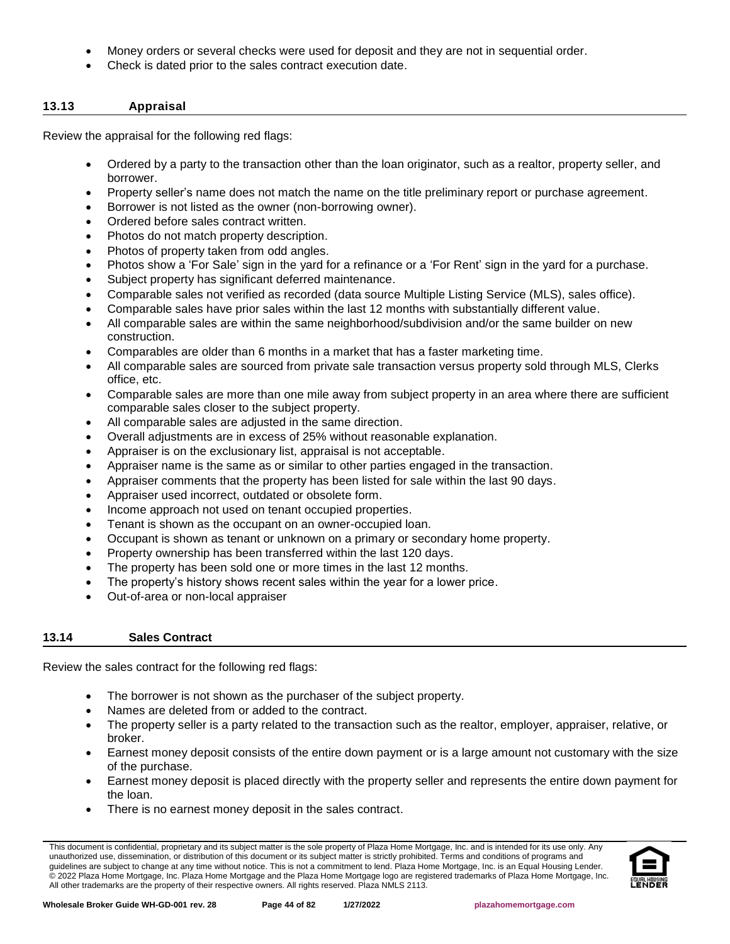- Money orders or several checks were used for deposit and they are not in sequential order.
- Check is dated prior to the sales contract execution date.

### **13.13 Appraisal**

Review the appraisal for the following red flags:

- Ordered by a party to the transaction other than the loan originator, such as a realtor, property seller, and borrower.
- Property seller's name does not match the name on the title preliminary report or purchase agreement.
- Borrower is not listed as the owner (non-borrowing owner).
- Ordered before sales contract written.
- Photos do not match property description.
- Photos of property taken from odd angles.
- Photos show a 'For Sale' sign in the yard for a refinance or a 'For Rent' sign in the yard for a purchase.
- Subject property has significant deferred maintenance.
- Comparable sales not verified as recorded (data source Multiple Listing Service (MLS), sales office).
- Comparable sales have prior sales within the last 12 months with substantially different value.
- All comparable sales are within the same neighborhood/subdivision and/or the same builder on new construction.
- Comparables are older than 6 months in a market that has a faster marketing time.
- All comparable sales are sourced from private sale transaction versus property sold through MLS, Clerks office, etc.
- Comparable sales are more than one mile away from subject property in an area where there are sufficient comparable sales closer to the subject property.
- All comparable sales are adjusted in the same direction.
- Overall adjustments are in excess of 25% without reasonable explanation.
- Appraiser is on the exclusionary list, appraisal is not acceptable.
- Appraiser name is the same as or similar to other parties engaged in the transaction.
- Appraiser comments that the property has been listed for sale within the last 90 days.
- Appraiser used incorrect, outdated or obsolete form.
- Income approach not used on tenant occupied properties.
- Tenant is shown as the occupant on an owner-occupied loan.
- Occupant is shown as tenant or unknown on a primary or secondary home property.
- Property ownership has been transferred within the last 120 days.
- The property has been sold one or more times in the last 12 months.
- The property's history shows recent sales within the year for a lower price.
- Out-of-area or non-local appraiser

### **13.14 Sales Contract**

Review the sales contract for the following red flags:

- The borrower is not shown as the purchaser of the subject property.
- Names are deleted from or added to the contract.
- The property seller is a party related to the transaction such as the realtor, employer, appraiser, relative, or broker.
- Earnest money deposit consists of the entire down payment or is a large amount not customary with the size of the purchase.
- Earnest money deposit is placed directly with the property seller and represents the entire down payment for the loan.
- There is no earnest money deposit in the sales contract.

This document is confidential, proprietary and its subject matter is the sole property of Plaza Home Mortgage, Inc. and is intended for its use only. Any unauthorized use, dissemination, or distribution of this document or its subject matter is strictly prohibited. Terms and conditions of programs and guidelines are subject to change at any time without notice. This is not a commitment to lend. Plaza Home Mortgage, Inc. is an Equal Housing Lender. © 2022 Plaza Home Mortgage, Inc. Plaza Home Mortgage and the Plaza Home Mortgage logo are registered trademarks of Plaza Home Mortgage, Inc. All other trademarks are the property of their respective owners. All rights reserved. Plaza NMLS 2113.

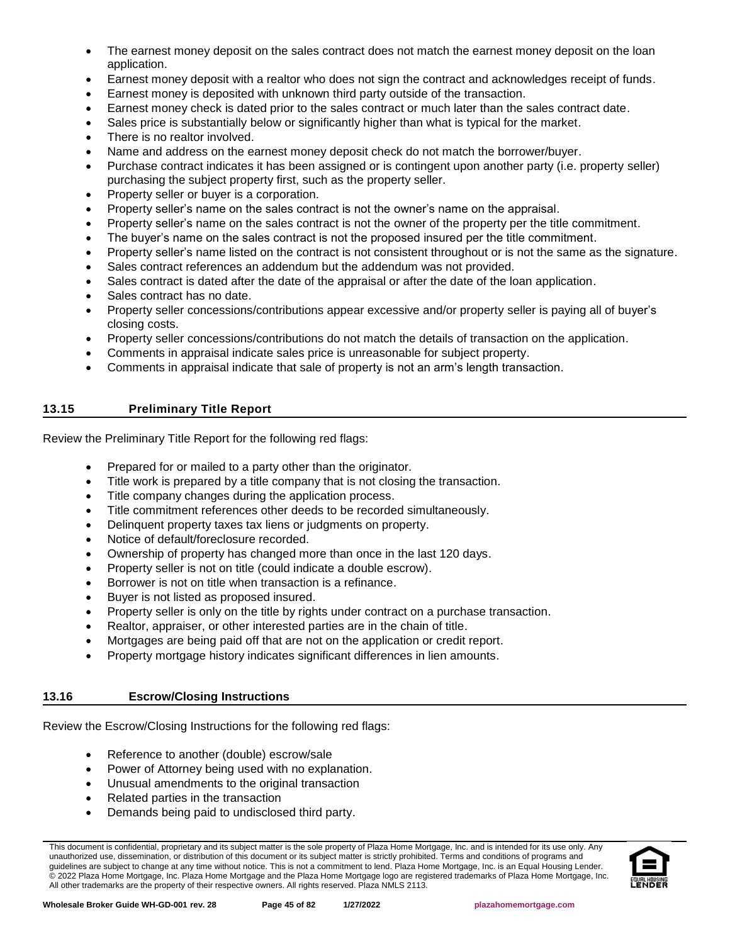- The earnest money deposit on the sales contract does not match the earnest money deposit on the loan application.
- Earnest money deposit with a realtor who does not sign the contract and acknowledges receipt of funds.
- Earnest money is deposited with unknown third party outside of the transaction.
- Earnest money check is dated prior to the sales contract or much later than the sales contract date.
- Sales price is substantially below or significantly higher than what is typical for the market.
- There is no realtor involved.
- Name and address on the earnest money deposit check do not match the borrower/buyer.
- Purchase contract indicates it has been assigned or is contingent upon another party (i.e. property seller) purchasing the subject property first, such as the property seller.
- Property seller or buyer is a corporation.
- Property seller's name on the sales contract is not the owner's name on the appraisal.
- Property seller's name on the sales contract is not the owner of the property per the title commitment.
- The buyer's name on the sales contract is not the proposed insured per the title commitment.
- Property seller's name listed on the contract is not consistent throughout or is not the same as the signature.
- Sales contract references an addendum but the addendum was not provided.
- Sales contract is dated after the date of the appraisal or after the date of the loan application.
- Sales contract has no date.
- Property seller concessions/contributions appear excessive and/or property seller is paying all of buyer's closing costs.
- Property seller concessions/contributions do not match the details of transaction on the application.
- Comments in appraisal indicate sales price is unreasonable for subject property.
- Comments in appraisal indicate that sale of property is not an arm's length transaction.

# **13.15 Preliminary Title Report**

Review the Preliminary Title Report for the following red flags:

- Prepared for or mailed to a party other than the originator.
- Title work is prepared by a title company that is not closing the transaction.
- Title company changes during the application process.
- Title commitment references other deeds to be recorded simultaneously.
- Delinquent property taxes tax liens or judgments on property.
- Notice of default/foreclosure recorded.
- Ownership of property has changed more than once in the last 120 days.
- Property seller is not on title (could indicate a double escrow).
- Borrower is not on title when transaction is a refinance.
- Buyer is not listed as proposed insured.
- Property seller is only on the title by rights under contract on a purchase transaction.
- Realtor, appraiser, or other interested parties are in the chain of title.
- Mortgages are being paid off that are not on the application or credit report.
- Property mortgage history indicates significant differences in lien amounts.

### **13.16 Escrow/Closing Instructions**

Review the Escrow/Closing Instructions for the following red flags:

- Reference to another (double) escrow/sale
- Power of Attorney being used with no explanation.
- Unusual amendments to the original transaction
- Related parties in the transaction
- Demands being paid to undisclosed third party.

This document is confidential, proprietary and its subject matter is the sole property of Plaza Home Mortgage, Inc. and is intended for its use only. Any unauthorized use, dissemination, or distribution of this document or its subject matter is strictly prohibited. Terms and conditions of programs and guidelines are subject to change at any time without notice. This is not a commitment to lend. Plaza Home Mortgage, Inc. is an Equal Housing Lender. © 2022 Plaza Home Mortgage, Inc. Plaza Home Mortgage and the Plaza Home Mortgage logo are registered trademarks of Plaza Home Mortgage, Inc. All other trademarks are the property of their respective owners. All rights reserved. Plaza NMLS 2113.

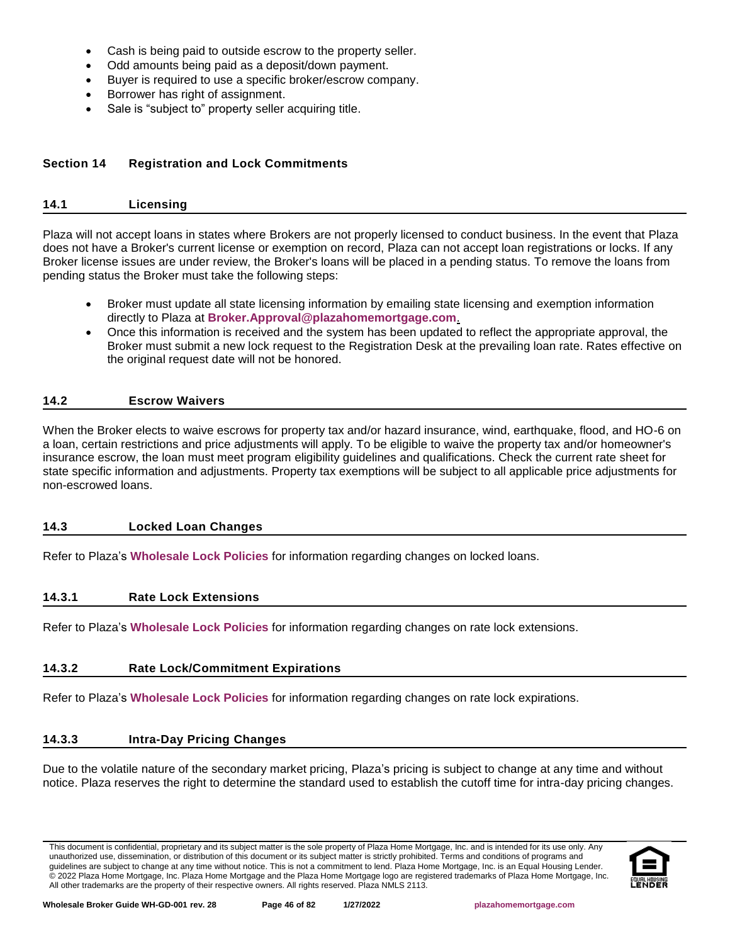- Cash is being paid to outside escrow to the property seller.
- Odd amounts being paid as a deposit/down payment.
- Buyer is required to use a specific broker/escrow company.
- Borrower has right of assignment.
- Sale is "subject to" property seller acquiring title.

# **Section 14 Registration and Lock Commitments**

# **14.1 Licensing**

Plaza will not accept loans in states where Brokers are not properly licensed to conduct business. In the event that Plaza does not have a Broker's current license or exemption on record, Plaza can not accept loan registrations or locks. If any Broker license issues are under review, the Broker's loans will be placed in a pending status. To remove the loans from pending status the Broker must take the following steps:

- Broker must update all state licensing information by emailing state licensing and exemption information directly to Plaza at **[Broker.Approval@plazahomemortgage.com](mailto:Broker.Approval@plazahomemortgage.com)**.
- Once this information is received and the system has been updated to reflect the appropriate approval, the Broker must submit a new lock request to the Registration Desk at the prevailing loan rate. Rates effective on the original request date will not be honored.

### **14.2 Escrow Waivers**

When the Broker elects to waive escrows for property tax and/or hazard insurance, wind, earthquake, flood, and HO-6 on a loan, certain restrictions and price adjustments will apply. To be eligible to waive the property tax and/or homeowner's insurance escrow, the loan must meet program eligibility guidelines and qualifications. Check the current rate sheet for state specific information and adjustments. Property tax exemptions will be subject to all applicable price adjustments for non-escrowed loans.

# **14.3 Locked Loan Changes**

Refer to Plaza's **[Wholesale Lock Policies](http://resourcecenter.plazahomemortgage.com/phmidocpublisher.nsf/All/D1165D371EE42A0107257A21005DEA87?OpenDocument)** for information regarding changes on locked loans.

# **14.3.1 Rate Lock Extensions**

Refer to Plaza's **[Wholesale Lock Policies](http://resourcecenter.plazahomemortgage.com/phmidocpublisher.nsf/All/D1165D371EE42A0107257A21005DEA87?OpenDocument)** for information regarding changes on rate lock extensions.

# **14.3.2 Rate Lock/Commitment Expirations**

Refer to Plaza's **[Wholesale Lock Policies](http://resourcecenter.plazahomemortgage.com/phmidocpublisher.nsf/All/D1165D371EE42A0107257A21005DEA87?OpenDocument)** for information regarding changes on rate lock expirations.

# **14.3.3 Intra-Day Pricing Changes**

Due to the volatile nature of the secondary market pricing, Plaza's pricing is subject to change at any time and without notice. Plaza reserves the right to determine the standard used to establish the cutoff time for intra-day pricing changes.

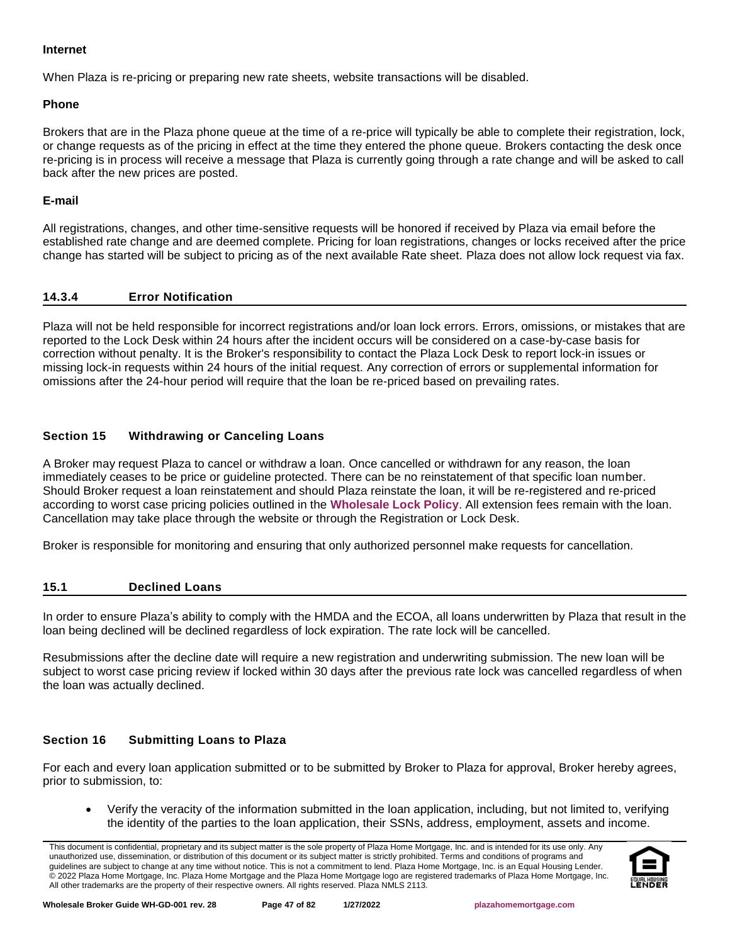### **Internet**

When Plaza is re-pricing or preparing new rate sheets, website transactions will be disabled.

### **Phone**

Brokers that are in the Plaza phone queue at the time of a re-price will typically be able to complete their registration, lock, or change requests as of the pricing in effect at the time they entered the phone queue. Brokers contacting the desk once re-pricing is in process will receive a message that Plaza is currently going through a rate change and will be asked to call back after the new prices are posted.

### **E-mail**

All registrations, changes, and other time-sensitive requests will be honored if received by Plaza via email before the established rate change and are deemed complete. Pricing for loan registrations, changes or locks received after the price change has started will be subject to pricing as of the next available Rate sheet. Plaza does not allow lock request via fax.

### **14.3.4 Error Notification**

Plaza will not be held responsible for incorrect registrations and/or loan lock errors. Errors, omissions, or mistakes that are reported to the Lock Desk within 24 hours after the incident occurs will be considered on a case-by-case basis for correction without penalty. It is the Broker's responsibility to contact the Plaza Lock Desk to report lock-in issues or missing lock-in requests within 24 hours of the initial request. Any correction of errors or supplemental information for omissions after the 24-hour period will require that the loan be re-priced based on prevailing rates.

# **Section 15 Withdrawing or Canceling Loans**

A Broker may request Plaza to cancel or withdraw a loan. Once cancelled or withdrawn for any reason, the loan immediately ceases to be price or guideline protected. There can be no reinstatement of that specific loan number. Should Broker request a loan reinstatement and should Plaza reinstate the loan, it will be re-registered and re-priced according to worst case pricing policies outlined in the **[Wholesale Lock Policy](http://resourcecenter.plazahomemortgage.com/phmidocpublisher.nsf/All/D1165D371EE42A0107257A21005DEA87?OpenDocument)**. All extension fees remain with the loan. Cancellation may take place through the website or through the Registration or Lock Desk.

Broker is responsible for monitoring and ensuring that only authorized personnel make requests for cancellation.

### **15.1 Declined Loans**

In order to ensure Plaza's ability to comply with the HMDA and the ECOA, all loans underwritten by Plaza that result in the loan being declined will be declined regardless of lock expiration. The rate lock will be cancelled.

Resubmissions after the decline date will require a new registration and underwriting submission. The new loan will be subject to worst case pricing review if locked within 30 days after the previous rate lock was cancelled regardless of when the loan was actually declined.

# **Section 16 Submitting Loans to Plaza**

For each and every loan application submitted or to be submitted by Broker to Plaza for approval, Broker hereby agrees, prior to submission, to:

• Verify the veracity of the information submitted in the loan application, including, but not limited to, verifying the identity of the parties to the loan application, their SSNs, address, employment, assets and income.

This document is confidential, proprietary and its subject matter is the sole property of Plaza Home Mortgage, Inc. and is intended for its use only. Any unauthorized use, dissemination, or distribution of this document or its subject matter is strictly prohibited. Terms and conditions of programs and guidelines are subject to change at any time without notice. This is not a commitment to lend. Plaza Home Mortgage, Inc. is an Equal Housing Lender. © 2022 Plaza Home Mortgage, Inc. Plaza Home Mortgage and the Plaza Home Mortgage logo are registered trademarks of Plaza Home Mortgage, Inc. All other trademarks are the property of their respective owners. All rights reserved. Plaza NMLS 2113.

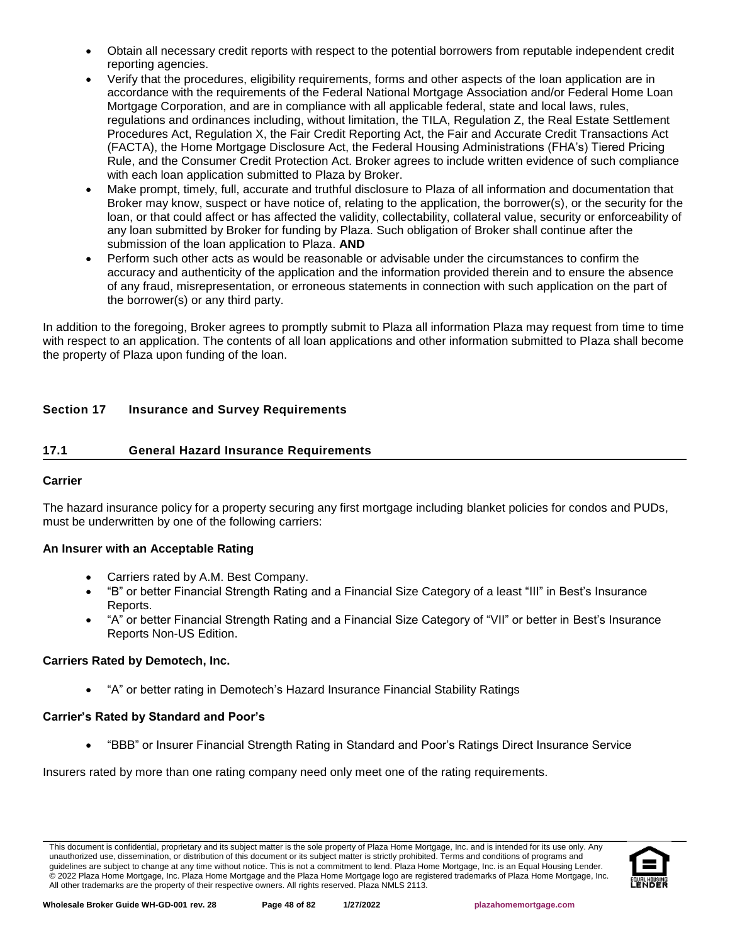- Obtain all necessary credit reports with respect to the potential borrowers from reputable independent credit reporting agencies.
- Verify that the procedures, eligibility requirements, forms and other aspects of the loan application are in accordance with the requirements of the Federal National Mortgage Association and/or Federal Home Loan Mortgage Corporation, and are in compliance with all applicable federal, state and local laws, rules, regulations and ordinances including, without limitation, the TILA, Regulation Z, the Real Estate Settlement Procedures Act, Regulation X, the Fair Credit Reporting Act, the Fair and Accurate Credit Transactions Act (FACTA), the Home Mortgage Disclosure Act, the Federal Housing Administrations (FHA's) Tiered Pricing Rule, and the Consumer Credit Protection Act. Broker agrees to include written evidence of such compliance with each loan application submitted to Plaza by Broker.
- Make prompt, timely, full, accurate and truthful disclosure to Plaza of all information and documentation that Broker may know, suspect or have notice of, relating to the application, the borrower(s), or the security for the loan, or that could affect or has affected the validity, collectability, collateral value, security or enforceability of any loan submitted by Broker for funding by Plaza. Such obligation of Broker shall continue after the submission of the loan application to Plaza. **AND**
- Perform such other acts as would be reasonable or advisable under the circumstances to confirm the accuracy and authenticity of the application and the information provided therein and to ensure the absence of any fraud, misrepresentation, or erroneous statements in connection with such application on the part of the borrower(s) or any third party.

In addition to the foregoing, Broker agrees to promptly submit to Plaza all information Plaza may request from time to time with respect to an application. The contents of all loan applications and other information submitted to Plaza shall become the property of Plaza upon funding of the loan.

# **Section 17 Insurance and Survey Requirements**

# <span id="page-47-0"></span>**17.1 General Hazard Insurance Requirements**

# **Carrier**

The hazard insurance policy for a property securing any first mortgage including blanket policies for condos and PUDs, must be underwritten by one of the following carriers:

# **An Insurer with an Acceptable Rating**

- Carriers rated by A.M. Best Company.
- "B" or better Financial Strength Rating and a Financial Size Category of a least "III" in Best's Insurance Reports.
- "A" or better Financial Strength Rating and a Financial Size Category of "VII" or better in Best's Insurance Reports Non-US Edition.

### **Carriers Rated by Demotech, Inc.**

• "A" or better rating in Demotech's Hazard Insurance Financial Stability Ratings

# **Carrier's Rated by Standard and Poor's**

• "BBB" or Insurer Financial Strength Rating in Standard and Poor's Ratings Direct Insurance Service

Insurers rated by more than one rating company need only meet one of the rating requirements.

This document is confidential, proprietary and its subject matter is the sole property of Plaza Home Mortgage, Inc. and is intended for its use only. Any unauthorized use, dissemination, or distribution of this document or its subject matter is strictly prohibited. Terms and conditions of programs and guidelines are subject to change at any time without notice. This is not a commitment to lend. Plaza Home Mortgage, Inc. is an Equal Housing Lender. © 2022 Plaza Home Mortgage, Inc. Plaza Home Mortgage and the Plaza Home Mortgage logo are registered trademarks of Plaza Home Mortgage, Inc. All other trademarks are the property of their respective owners. All rights reserved. Plaza NMLS 2113.

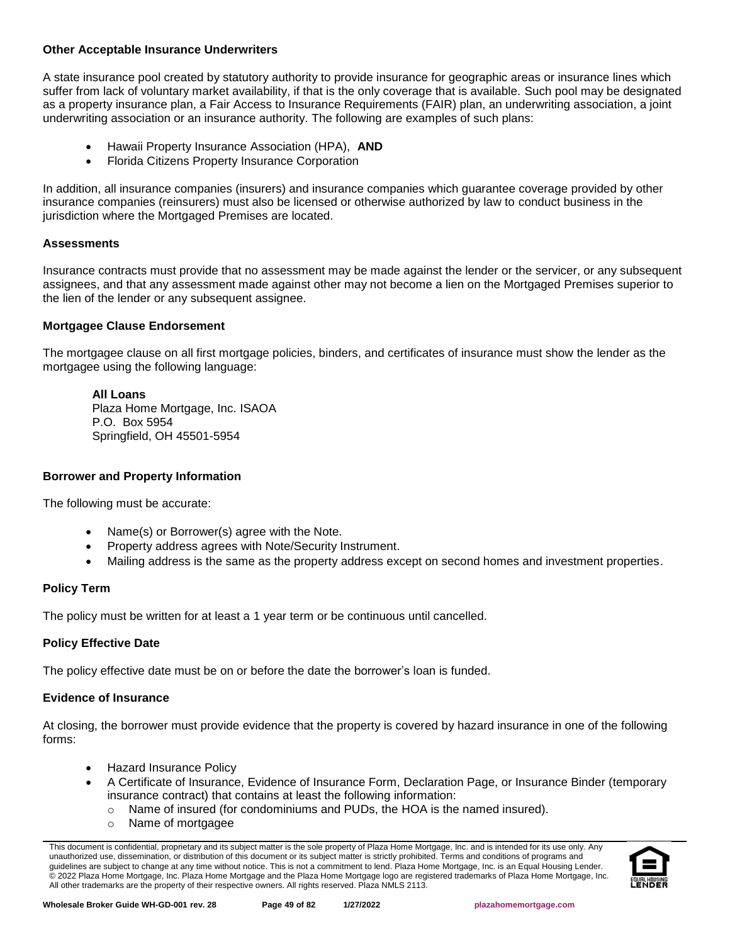### **Other Acceptable Insurance Underwriters**

A state insurance pool created by statutory authority to provide insurance for geographic areas or insurance lines which suffer from lack of voluntary market availability, if that is the only coverage that is available. Such pool may be designated as a property insurance plan, a Fair Access to Insurance Requirements (FAIR) plan, an underwriting association, a joint underwriting association or an insurance authority. The following are examples of such plans:

- Hawaii Property Insurance Association (HPA), **AND**
- Florida Citizens Property Insurance Corporation

In addition, all insurance companies (insurers) and insurance companies which guarantee coverage provided by other insurance companies (reinsurers) must also be licensed or otherwise authorized by law to conduct business in the jurisdiction where the Mortgaged Premises are located.

### **Assessments**

Insurance contracts must provide that no assessment may be made against the lender or the servicer, or any subsequent assignees, and that any assessment made against other may not become a lien on the Mortgaged Premises superior to the lien of the lender or any subsequent assignee.

### **Mortgagee Clause Endorsement**

The mortgagee clause on all first mortgage policies, binders, and certificates of insurance must show the lender as the mortgagee using the following language:

#### **All Loans**

Plaza Home Mortgage, Inc. ISAOA P.O. Box 5954 Springfield, OH 45501-5954

# **Borrower and Property Information**

The following must be accurate:

- Name(s) or Borrower(s) agree with the Note.
- Property address agrees with Note/Security Instrument.
- Mailing address is the same as the property address except on second homes and investment properties.

# **Policy Term**

The policy must be written for at least a 1 year term or be continuous until cancelled.

# **Policy Effective Date**

The policy effective date must be on or before the date the borrower's loan is funded.

# **Evidence of Insurance**

At closing, the borrower must provide evidence that the property is covered by hazard insurance in one of the following forms:

- Hazard Insurance Policy
- A Certificate of Insurance, Evidence of Insurance Form, Declaration Page, or Insurance Binder (temporary insurance contract) that contains at least the following information:
	- $\circ$  Name of insured (for condominiums and PUDs, the HOA is the named insured).
		- o Name of mortgagee

This document is confidential, proprietary and its subject matter is the sole property of Plaza Home Mortgage, Inc. and is intended for its use only. Any unauthorized use, dissemination, or distribution of this document or its subject matter is strictly prohibited. Terms and conditions of programs and guidelines are subject to change at any time without notice. This is not a commitment to lend. Plaza Home Mortgage, Inc. is an Equal Housing Lender. © 2022 Plaza Home Mortgage, Inc. Plaza Home Mortgage and the Plaza Home Mortgage logo are registered trademarks of Plaza Home Mortgage, Inc. All other trademarks are the property of their respective owners. All rights reserved. Plaza NMLS 2113.

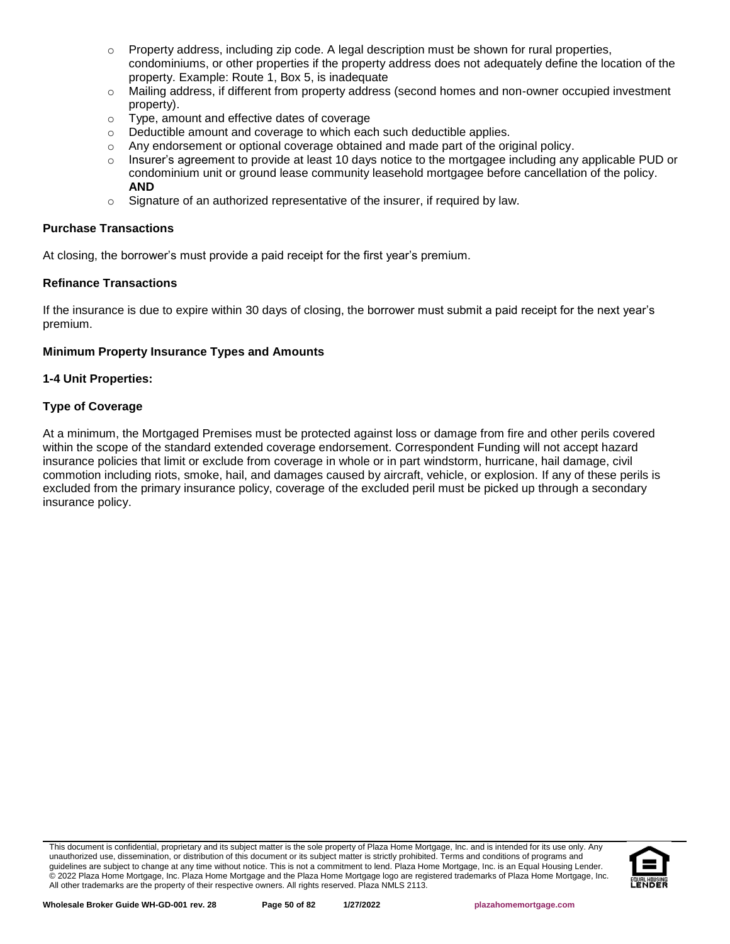- $\circ$  Property address, including zip code. A legal description must be shown for rural properties, condominiums, or other properties if the property address does not adequately define the location of the property. Example: Route 1, Box 5, is inadequate
- o Mailing address, if different from property address (second homes and non-owner occupied investment property).
- o Type, amount and effective dates of coverage
- o Deductible amount and coverage to which each such deductible applies.
- $\circ$  Any endorsement or optional coverage obtained and made part of the original policy.
- Insurer's agreement to provide at least 10 days notice to the mortgagee including any applicable PUD or condominium unit or ground lease community leasehold mortgagee before cancellation of the policy. **AND**
- o Signature of an authorized representative of the insurer, if required by law.

### **Purchase Transactions**

At closing, the borrower's must provide a paid receipt for the first year's premium.

### **Refinance Transactions**

If the insurance is due to expire within 30 days of closing, the borrower must submit a paid receipt for the next year's premium.

### **Minimum Property Insurance Types and Amounts**

### **1-4 Unit Properties:**

### **Type of Coverage**

At a minimum, the Mortgaged Premises must be protected against loss or damage from fire and other perils covered within the scope of the standard extended coverage endorsement. Correspondent Funding will not accept hazard insurance policies that limit or exclude from coverage in whole or in part windstorm, hurricane, hail damage, civil commotion including riots, smoke, hail, and damages caused by aircraft, vehicle, or explosion. If any of these perils is excluded from the primary insurance policy, coverage of the excluded peril must be picked up through a secondary insurance policy.

This document is confidential, proprietary and its subject matter is the sole property of Plaza Home Mortgage, Inc. and is intended for its use only. Any unauthorized use, dissemination, or distribution of this document or its subject matter is strictly prohibited. Terms and conditions of programs and guidelines are subject to change at any time without notice. This is not a commitment to lend. Plaza Home Mortgage, Inc. is an Equal Housing Lender. © 2022 Plaza Home Mortgage, Inc. Plaza Home Mortgage and the Plaza Home Mortgage logo are registered trademarks of Plaza Home Mortgage, Inc. All other trademarks are the property of their respective owners. All rights reserved. Plaza NMLS 2113.

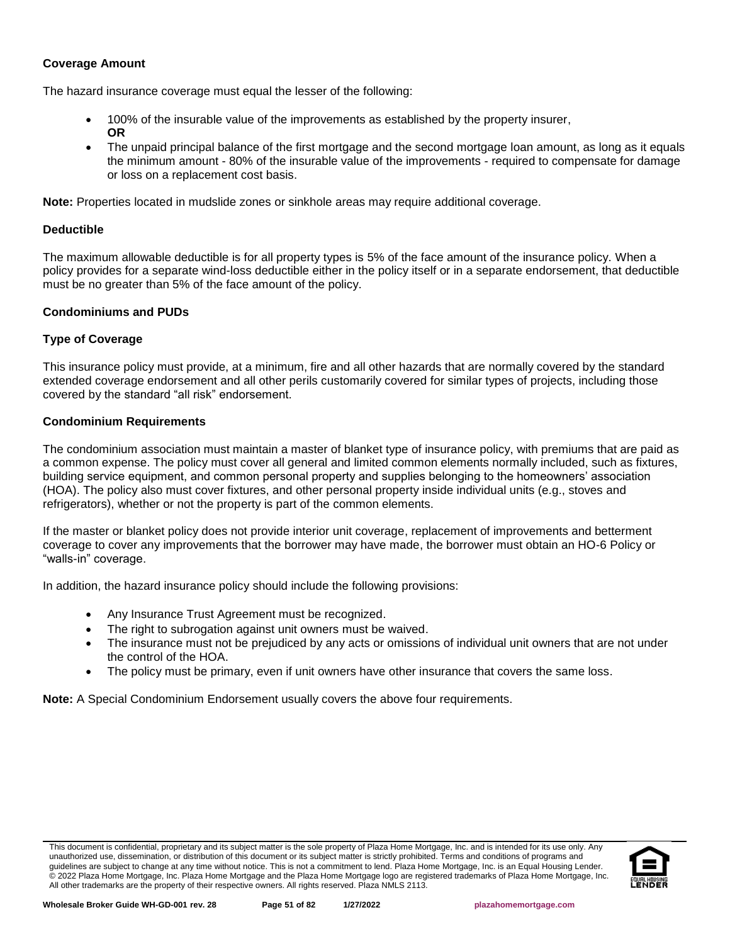### **Coverage Amount**

The hazard insurance coverage must equal the lesser of the following:

- 100% of the insurable value of the improvements as established by the property insurer, **OR**
- The unpaid principal balance of the first mortgage and the second mortgage loan amount, as long as it equals the minimum amount - 80% of the insurable value of the improvements - required to compensate for damage or loss on a replacement cost basis.

**Note:** Properties located in mudslide zones or sinkhole areas may require additional coverage.

### **Deductible**

The maximum allowable deductible is for all property types is 5% of the face amount of the insurance policy. When a policy provides for a separate wind-loss deductible either in the policy itself or in a separate endorsement, that deductible must be no greater than 5% of the face amount of the policy.

# **Condominiums and PUDs**

# **Type of Coverage**

This insurance policy must provide, at a minimum, fire and all other hazards that are normally covered by the standard extended coverage endorsement and all other perils customarily covered for similar types of projects, including those covered by the standard "all risk" endorsement.

### **Condominium Requirements**

The condominium association must maintain a master of blanket type of insurance policy, with premiums that are paid as a common expense. The policy must cover all general and limited common elements normally included, such as fixtures, building service equipment, and common personal property and supplies belonging to the homeowners' association (HOA). The policy also must cover fixtures, and other personal property inside individual units (e.g., stoves and refrigerators), whether or not the property is part of the common elements.

If the master or blanket policy does not provide interior unit coverage, replacement of improvements and betterment coverage to cover any improvements that the borrower may have made, the borrower must obtain an HO-6 Policy or "walls-in" coverage.

In addition, the hazard insurance policy should include the following provisions:

- Any Insurance Trust Agreement must be recognized.
- The right to subrogation against unit owners must be waived.
- The insurance must not be prejudiced by any acts or omissions of individual unit owners that are not under the control of the HOA.
- The policy must be primary, even if unit owners have other insurance that covers the same loss.

**Note:** A Special Condominium Endorsement usually covers the above four requirements.

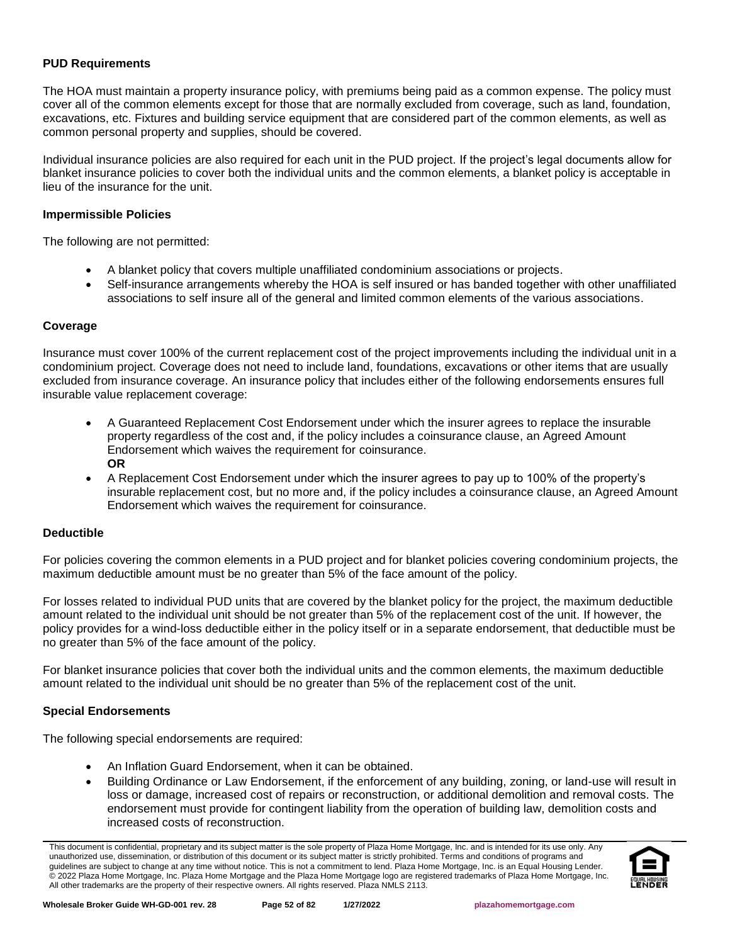### **PUD Requirements**

The HOA must maintain a property insurance policy, with premiums being paid as a common expense. The policy must cover all of the common elements except for those that are normally excluded from coverage, such as land, foundation, excavations, etc. Fixtures and building service equipment that are considered part of the common elements, as well as common personal property and supplies, should be covered.

Individual insurance policies are also required for each unit in the PUD project. If the project's legal documents allow for blanket insurance policies to cover both the individual units and the common elements, a blanket policy is acceptable in lieu of the insurance for the unit.

### **Impermissible Policies**

The following are not permitted:

- A blanket policy that covers multiple unaffiliated condominium associations or projects.
- Self-insurance arrangements whereby the HOA is self insured or has banded together with other unaffiliated associations to self insure all of the general and limited common elements of the various associations.

### **Coverage**

Insurance must cover 100% of the current replacement cost of the project improvements including the individual unit in a condominium project. Coverage does not need to include land, foundations, excavations or other items that are usually excluded from insurance coverage. An insurance policy that includes either of the following endorsements ensures full insurable value replacement coverage:

- A Guaranteed Replacement Cost Endorsement under which the insurer agrees to replace the insurable property regardless of the cost and, if the policy includes a coinsurance clause, an Agreed Amount Endorsement which waives the requirement for coinsurance. **OR**
- A Replacement Cost Endorsement under which the insurer agrees to pay up to 100% of the property's insurable replacement cost, but no more and, if the policy includes a coinsurance clause, an Agreed Amount Endorsement which waives the requirement for coinsurance.

### **Deductible**

For policies covering the common elements in a PUD project and for blanket policies covering condominium projects, the maximum deductible amount must be no greater than 5% of the face amount of the policy.

For losses related to individual PUD units that are covered by the blanket policy for the project, the maximum deductible amount related to the individual unit should be not greater than 5% of the replacement cost of the unit. If however, the policy provides for a wind-loss deductible either in the policy itself or in a separate endorsement, that deductible must be no greater than 5% of the face amount of the policy.

For blanket insurance policies that cover both the individual units and the common elements, the maximum deductible amount related to the individual unit should be no greater than 5% of the replacement cost of the unit.

# **Special Endorsements**

The following special endorsements are required:

- An Inflation Guard Endorsement, when it can be obtained.
- Building Ordinance or Law Endorsement, if the enforcement of any building, zoning, or land-use will result in loss or damage, increased cost of repairs or reconstruction, or additional demolition and removal costs. The endorsement must provide for contingent liability from the operation of building law, demolition costs and increased costs of reconstruction.

This document is confidential, proprietary and its subject matter is the sole property of Plaza Home Mortgage, Inc. and is intended for its use only. Any unauthorized use, dissemination, or distribution of this document or its subject matter is strictly prohibited. Terms and conditions of programs and guidelines are subject to change at any time without notice. This is not a commitment to lend. Plaza Home Mortgage, Inc. is an Equal Housing Lender. © 2022 Plaza Home Mortgage, Inc. Plaza Home Mortgage and the Plaza Home Mortgage logo are registered trademarks of Plaza Home Mortgage, Inc. All other trademarks are the property of their respective owners. All rights reserved. Plaza NMLS 2113.

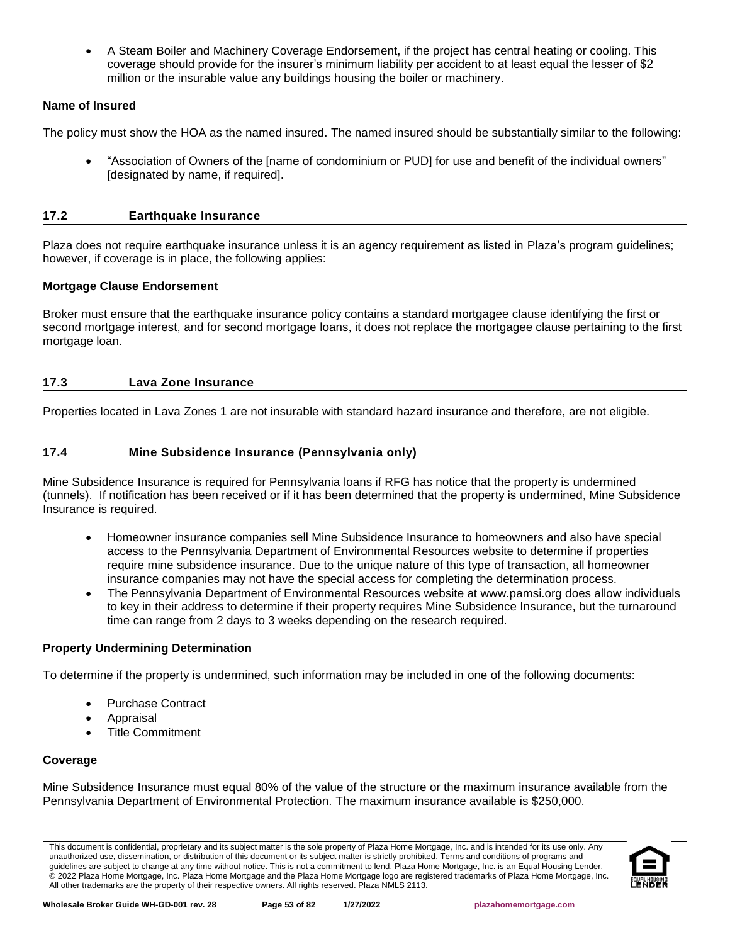• A Steam Boiler and Machinery Coverage Endorsement, if the project has central heating or cooling. This coverage should provide for the insurer's minimum liability per accident to at least equal the lesser of \$2 million or the insurable value any buildings housing the boiler or machinery.

# **Name of Insured**

The policy must show the HOA as the named insured. The named insured should be substantially similar to the following:

• "Association of Owners of the [name of condominium or PUD] for use and benefit of the individual owners" [designated by name, if required].

# **17.2 Earthquake Insurance**

Plaza does not require earthquake insurance unless it is an agency requirement as listed in Plaza's program guidelines; however, if coverage is in place, the following applies:

### **Mortgage Clause Endorsement**

Broker must ensure that the earthquake insurance policy contains a standard mortgagee clause identifying the first or second mortgage interest, and for second mortgage loans, it does not replace the mortgagee clause pertaining to the first mortgage loan.

### **17.3 Lava Zone Insurance**

Properties located in Lava Zones 1 are not insurable with standard hazard insurance and therefore, are not eligible.

# **17.4 Mine Subsidence Insurance (Pennsylvania only)**

Mine Subsidence Insurance is required for Pennsylvania loans if RFG has notice that the property is undermined (tunnels). If notification has been received or if it has been determined that the property is undermined, Mine Subsidence Insurance is required.

- Homeowner insurance companies sell Mine Subsidence Insurance to homeowners and also have special access to the Pennsylvania Department of Environmental Resources website to determine if properties require mine subsidence insurance. Due to the unique nature of this type of transaction, all homeowner insurance companies may not have the special access for completing the determination process.
- The Pennsylvania Department of Environmental Resources website at www.pamsi.org does allow individuals to key in their address to determine if their property requires Mine Subsidence Insurance, but the turnaround time can range from 2 days to 3 weeks depending on the research required.

# **Property Undermining Determination**

To determine if the property is undermined, such information may be included in one of the following documents:

- Purchase Contract
- Appraisal
- Title Commitment

# **Coverage**

Mine Subsidence Insurance must equal 80% of the value of the structure or the maximum insurance available from the Pennsylvania Department of Environmental Protection. The maximum insurance available is \$250,000.

This document is confidential, proprietary and its subject matter is the sole property of Plaza Home Mortgage, Inc. and is intended for its use only. Any unauthorized use, dissemination, or distribution of this document or its subject matter is strictly prohibited. Terms and conditions of programs and guidelines are subject to change at any time without notice. This is not a commitment to lend. Plaza Home Mortgage, Inc. is an Equal Housing Lender. © 2022 Plaza Home Mortgage, Inc. Plaza Home Mortgage and the Plaza Home Mortgage logo are registered trademarks of Plaza Home Mortgage, Inc. All other trademarks are the property of their respective owners. All rights reserved. Plaza NMLS 2113.

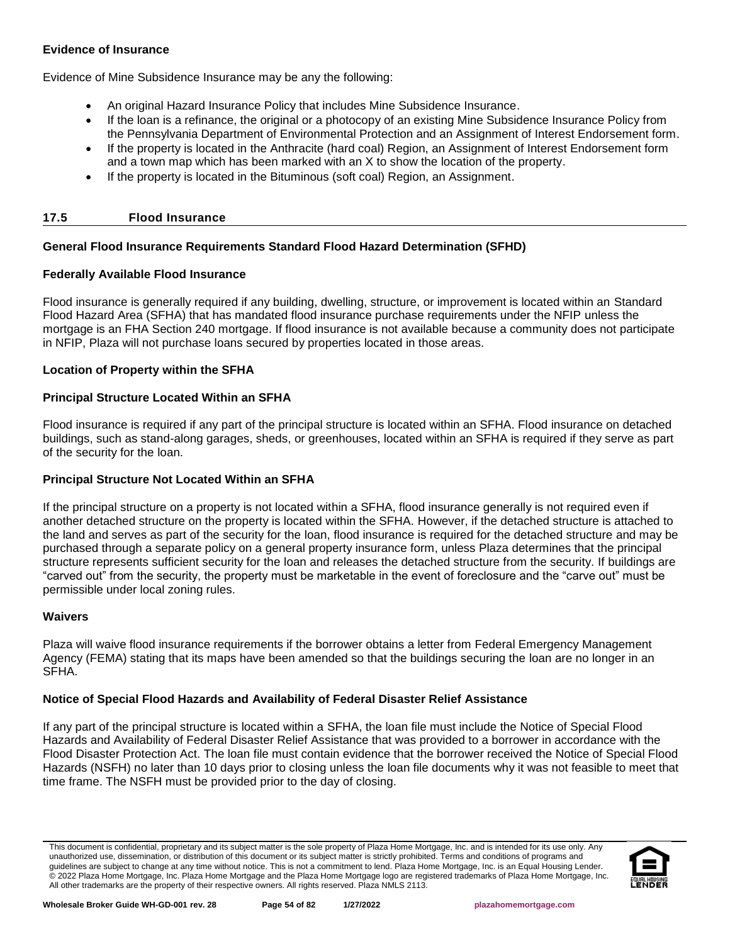# **Evidence of Insurance**

Evidence of Mine Subsidence Insurance may be any the following:

- An original Hazard Insurance Policy that includes Mine Subsidence Insurance.
- If the loan is a refinance, the original or a photocopy of an existing Mine Subsidence Insurance Policy from the Pennsylvania Department of Environmental Protection and an Assignment of Interest Endorsement form.
- If the property is located in the Anthracite (hard coal) Region, an Assignment of Interest Endorsement form and a town map which has been marked with an X to show the location of the property.
- If the property is located in the Bituminous (soft coal) Region, an Assignment.

# **17.5 Flood Insurance**

# **General Flood Insurance Requirements Standard Flood Hazard Determination (SFHD)**

# **Federally Available Flood Insurance**

Flood insurance is generally required if any building, dwelling, structure, or improvement is located within an Standard Flood Hazard Area (SFHA) that has mandated flood insurance purchase requirements under the NFIP unless the mortgage is an FHA Section 240 mortgage. If flood insurance is not available because a community does not participate in NFIP, Plaza will not purchase loans secured by properties located in those areas.

# **Location of Property within the SFHA**

# **Principal Structure Located Within an SFHA**

Flood insurance is required if any part of the principal structure is located within an SFHA. Flood insurance on detached buildings, such as stand-along garages, sheds, or greenhouses, located within an SFHA is required if they serve as part of the security for the loan.

# **Principal Structure Not Located Within an SFHA**

If the principal structure on a property is not located within a SFHA, flood insurance generally is not required even if another detached structure on the property is located within the SFHA. However, if the detached structure is attached to the land and serves as part of the security for the loan, flood insurance is required for the detached structure and may be purchased through a separate policy on a general property insurance form, unless Plaza determines that the principal structure represents sufficient security for the loan and releases the detached structure from the security. If buildings are "carved out" from the security, the property must be marketable in the event of foreclosure and the "carve out" must be permissible under local zoning rules.

### **Waivers**

Plaza will waive flood insurance requirements if the borrower obtains a letter from Federal Emergency Management Agency (FEMA) stating that its maps have been amended so that the buildings securing the loan are no longer in an SFHA.

# **Notice of Special Flood Hazards and Availability of Federal Disaster Relief Assistance**

If any part of the principal structure is located within a SFHA, the loan file must include the Notice of Special Flood Hazards and Availability of Federal Disaster Relief Assistance that was provided to a borrower in accordance with the Flood Disaster Protection Act. The loan file must contain evidence that the borrower received the Notice of Special Flood Hazards (NSFH) no later than 10 days prior to closing unless the loan file documents why it was not feasible to meet that time frame. The NSFH must be provided prior to the day of closing.

This document is confidential, proprietary and its subject matter is the sole property of Plaza Home Mortgage, Inc. and is intended for its use only. Any unauthorized use, dissemination, or distribution of this document or its subject matter is strictly prohibited. Terms and conditions of programs and guidelines are subject to change at any time without notice. This is not a commitment to lend. Plaza Home Mortgage, Inc. is an Equal Housing Lender. © 2022 Plaza Home Mortgage, Inc. Plaza Home Mortgage and the Plaza Home Mortgage logo are registered trademarks of Plaza Home Mortgage, Inc. All other trademarks are the property of their respective owners. All rights reserved. Plaza NMLS 2113.

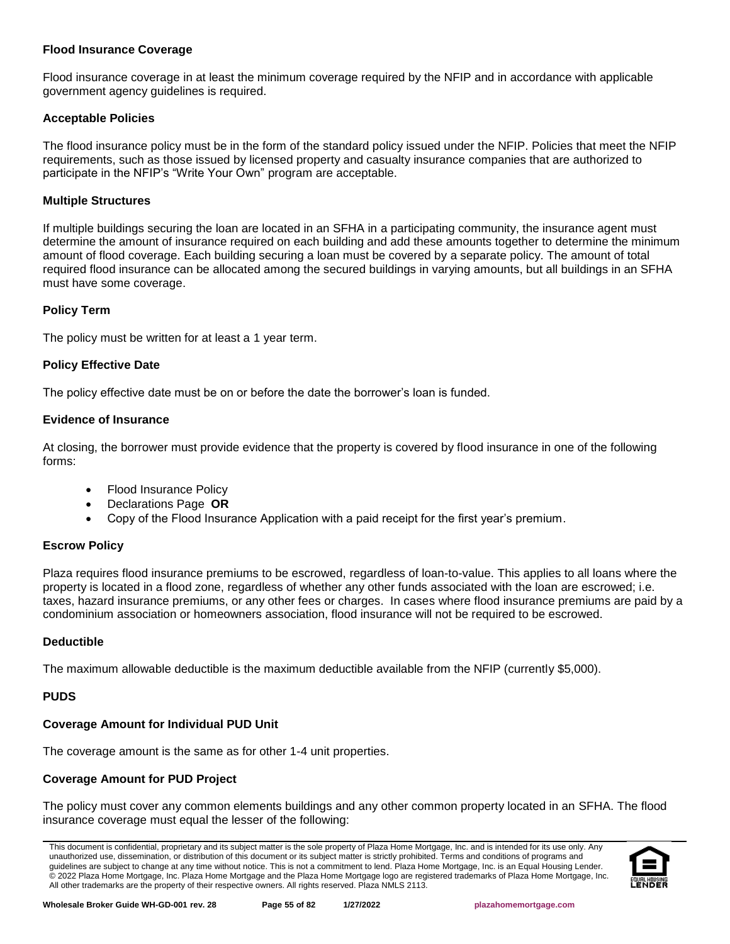### **Flood Insurance Coverage**

Flood insurance coverage in at least the minimum coverage required by the NFIP and in accordance with applicable government agency guidelines is required.

### **Acceptable Policies**

The flood insurance policy must be in the form of the standard policy issued under the NFIP. Policies that meet the NFIP requirements, such as those issued by licensed property and casualty insurance companies that are authorized to participate in the NFIP's "Write Your Own" program are acceptable.

### **Multiple Structures**

If multiple buildings securing the loan are located in an SFHA in a participating community, the insurance agent must determine the amount of insurance required on each building and add these amounts together to determine the minimum amount of flood coverage. Each building securing a loan must be covered by a separate policy. The amount of total required flood insurance can be allocated among the secured buildings in varying amounts, but all buildings in an SFHA must have some coverage.

### **Policy Term**

The policy must be written for at least a 1 year term.

### **Policy Effective Date**

The policy effective date must be on or before the date the borrower's loan is funded.

### **Evidence of Insurance**

At closing, the borrower must provide evidence that the property is covered by flood insurance in one of the following forms:

- Flood Insurance Policy
- Declarations Page **OR**
- Copy of the Flood Insurance Application with a paid receipt for the first year's premium.

# **Escrow Policy**

Plaza requires flood insurance premiums to be escrowed, regardless of loan-to-value. This applies to all loans where the property is located in a flood zone, regardless of whether any other funds associated with the loan are escrowed; i.e. taxes, hazard insurance premiums, or any other fees or charges. In cases where flood insurance premiums are paid by a condominium association or homeowners association, flood insurance will not be required to be escrowed.

### **Deductible**

The maximum allowable deductible is the maximum deductible available from the NFIP (currently \$5,000).

### **PUDS**

# **Coverage Amount for Individual PUD Unit**

The coverage amount is the same as for other 1-4 unit properties.

# **Coverage Amount for PUD Project**

The policy must cover any common elements buildings and any other common property located in an SFHA. The flood insurance coverage must equal the lesser of the following:

This document is confidential, proprietary and its subject matter is the sole property of Plaza Home Mortgage, Inc. and is intended for its use only. Any unauthorized use, dissemination, or distribution of this document or its subject matter is strictly prohibited. Terms and conditions of programs and guidelines are subject to change at any time without notice. This is not a commitment to lend. Plaza Home Mortgage, Inc. is an Equal Housing Lender. © 2022 Plaza Home Mortgage, Inc. Plaza Home Mortgage and the Plaza Home Mortgage logo are registered trademarks of Plaza Home Mortgage, Inc. All other trademarks are the property of their respective owners. All rights reserved. Plaza NMLS 2113.

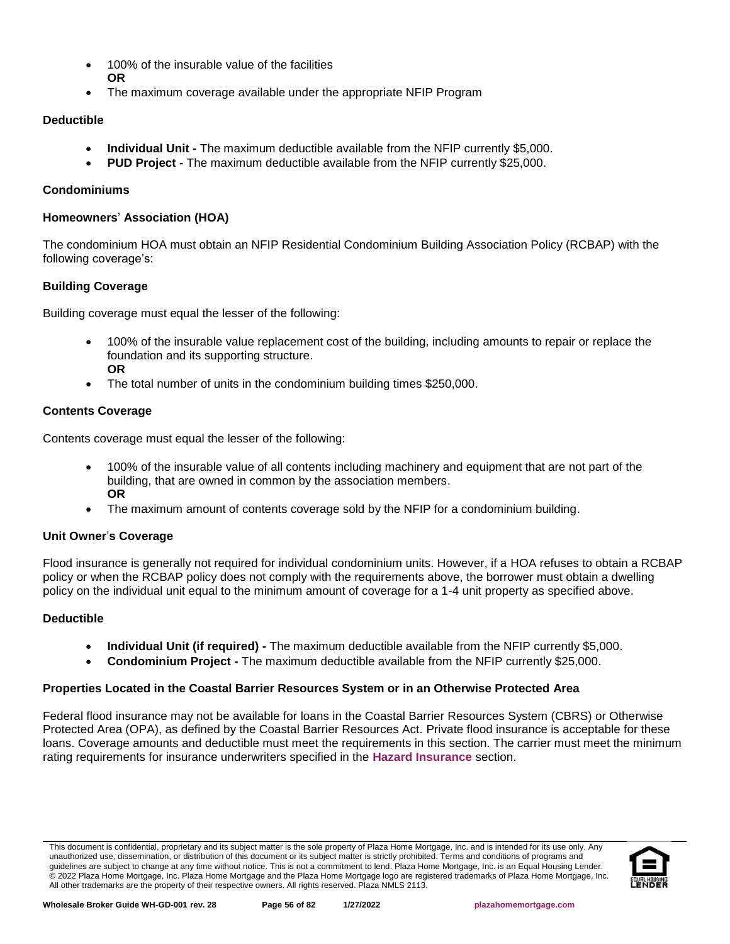- 100% of the insurable value of the facilities **OR**
- The maximum coverage available under the appropriate NFIP Program

# **Deductible**

- **Individual Unit -** The maximum deductible available from the NFIP currently \$5,000.
- **PUD Project -** The maximum deductible available from the NFIP currently \$25,000.

# **Condominiums**

# **Homeowners**' **Association (HOA)**

The condominium HOA must obtain an NFIP Residential Condominium Building Association Policy (RCBAP) with the following coverage's:

# **Building Coverage**

Building coverage must equal the lesser of the following:

- 100% of the insurable value replacement cost of the building, including amounts to repair or replace the foundation and its supporting structure. **OR**
- The total number of units in the condominium building times \$250,000.

# **Contents Coverage**

Contents coverage must equal the lesser of the following:

- 100% of the insurable value of all contents including machinery and equipment that are not part of the building, that are owned in common by the association members. **OR**
- The maximum amount of contents coverage sold by the NFIP for a condominium building.

# **Unit Owner**'**s Coverage**

Flood insurance is generally not required for individual condominium units. However, if a HOA refuses to obtain a RCBAP policy or when the RCBAP policy does not comply with the requirements above, the borrower must obtain a dwelling policy on the individual unit equal to the minimum amount of coverage for a 1-4 unit property as specified above.

# **Deductible**

- **Individual Unit (if required) -** The maximum deductible available from the NFIP currently \$5,000.
- **Condominium Project -** The maximum deductible available from the NFIP currently \$25,000.

# **Properties Located in the Coastal Barrier Resources System or in an Otherwise Protected Area**

Federal flood insurance may not be available for loans in the Coastal Barrier Resources System (CBRS) or Otherwise Protected Area (OPA), as defined by the Coastal Barrier Resources Act. Private flood insurance is acceptable for these loans. Coverage amounts and deductible must meet the requirements in this section. The carrier must meet the minimum rating requirements for insurance underwriters specified in the **[Hazard Insurance](#page-47-0)** section.

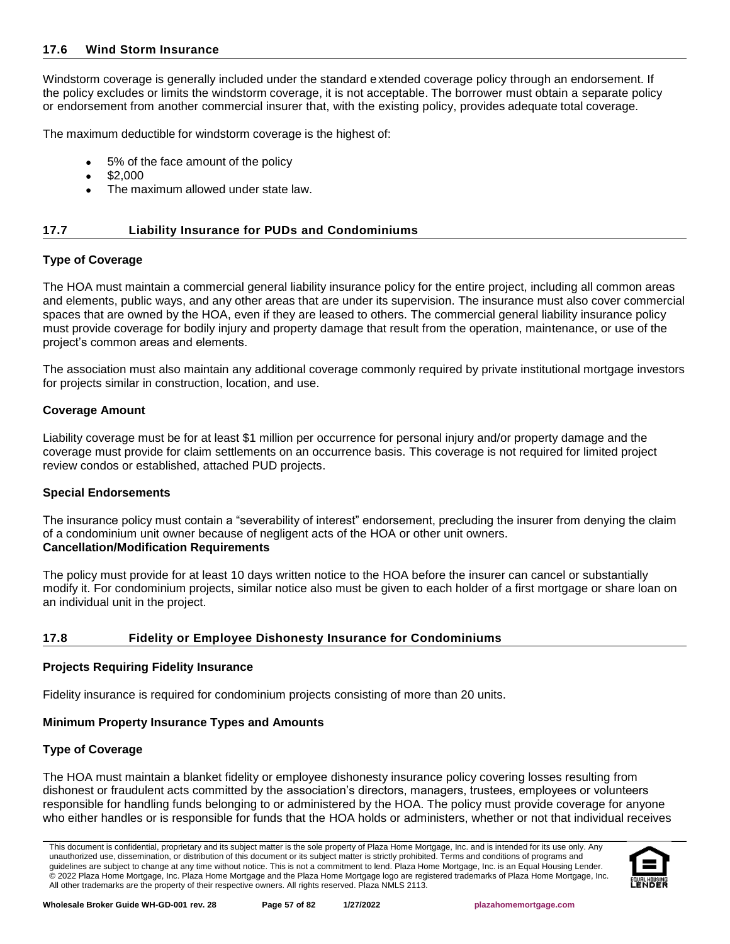### **17.6 Wind Storm Insurance**

Windstorm coverage is generally included under the standard extended coverage policy through an endorsement. If the policy excludes or limits the windstorm coverage, it is not acceptable. The borrower must obtain a separate policy or endorsement from another commercial insurer that, with the existing policy, provides adequate total coverage.

The maximum deductible for windstorm coverage is the highest of:

- 5% of the face amount of the policy
- \$2,000
- The maximum allowed under state law.

### **17.7 Liability Insurance for PUDs and Condominiums**

### **Type of Coverage**

The HOA must maintain a commercial general liability insurance policy for the entire project, including all common areas and elements, public ways, and any other areas that are under its supervision. The insurance must also cover commercial spaces that are owned by the HOA, even if they are leased to others. The commercial general liability insurance policy must provide coverage for bodily injury and property damage that result from the operation, maintenance, or use of the project's common areas and elements.

The association must also maintain any additional coverage commonly required by private institutional mortgage investors for projects similar in construction, location, and use.

### **Coverage Amount**

Liability coverage must be for at least \$1 million per occurrence for personal injury and/or property damage and the coverage must provide for claim settlements on an occurrence basis. This coverage is not required for limited project review condos or established, attached PUD projects.

### **Special Endorsements**

The insurance policy must contain a "severability of interest" endorsement, precluding the insurer from denying the claim of a condominium unit owner because of negligent acts of the HOA or other unit owners. **Cancellation/Modification Requirements**

The policy must provide for at least 10 days written notice to the HOA before the insurer can cancel or substantially modify it. For condominium projects, similar notice also must be given to each holder of a first mortgage or share loan on an individual unit in the project.

# **17.8 Fidelity or Employee Dishonesty Insurance for Condominiums**

### **Projects Requiring Fidelity Insurance**

Fidelity insurance is required for condominium projects consisting of more than 20 units.

### **Minimum Property Insurance Types and Amounts**

### **Type of Coverage**

The HOA must maintain a blanket fidelity or employee dishonesty insurance policy covering losses resulting from dishonest or fraudulent acts committed by the association's directors, managers, trustees, employees or volunteers responsible for handling funds belonging to or administered by the HOA. The policy must provide coverage for anyone who either handles or is responsible for funds that the HOA holds or administers, whether or not that individual receives

This document is confidential, proprietary and its subject matter is the sole property of Plaza Home Mortgage, Inc. and is intended for its use only. Any unauthorized use, dissemination, or distribution of this document or its subject matter is strictly prohibited. Terms and conditions of programs and guidelines are subject to change at any time without notice. This is not a commitment to lend. Plaza Home Mortgage, Inc. is an Equal Housing Lender. © 2022 Plaza Home Mortgage, Inc. Plaza Home Mortgage and the Plaza Home Mortgage logo are registered trademarks of Plaza Home Mortgage, Inc. All other trademarks are the property of their respective owners. All rights reserved. Plaza NMLS 2113.

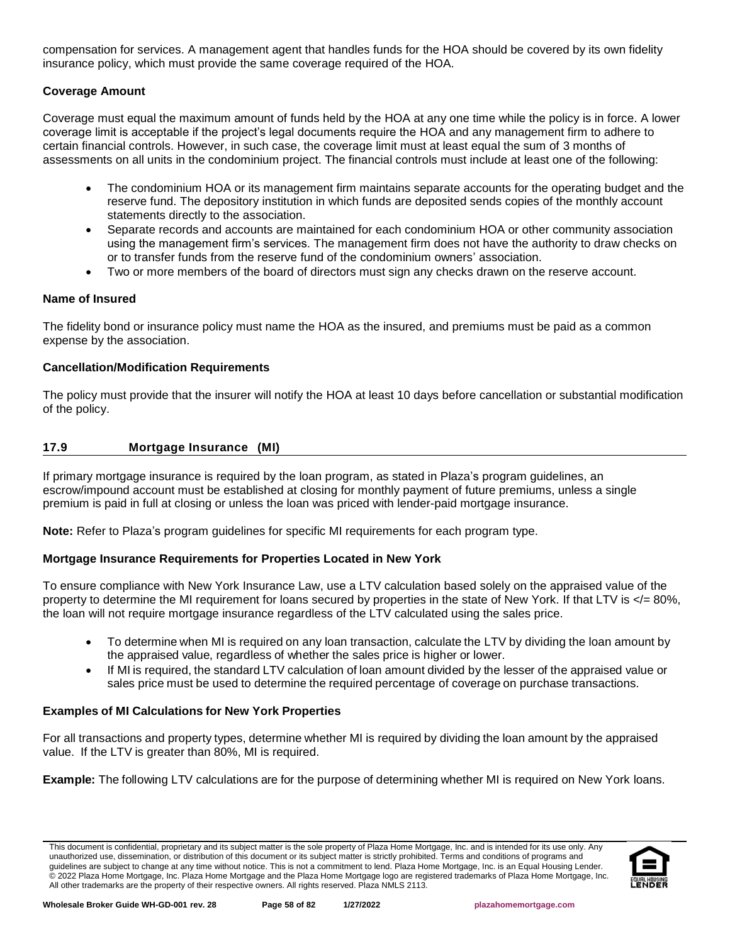compensation for services. A management agent that handles funds for the HOA should be covered by its own fidelity insurance policy, which must provide the same coverage required of the HOA.

# **Coverage Amount**

Coverage must equal the maximum amount of funds held by the HOA at any one time while the policy is in force. A lower coverage limit is acceptable if the project's legal documents require the HOA and any management firm to adhere to certain financial controls. However, in such case, the coverage limit must at least equal the sum of 3 months of assessments on all units in the condominium project. The financial controls must include at least one of the following:

- The condominium HOA or its management firm maintains separate accounts for the operating budget and the reserve fund. The depository institution in which funds are deposited sends copies of the monthly account statements directly to the association.
- Separate records and accounts are maintained for each condominium HOA or other community association using the management firm's services. The management firm does not have the authority to draw checks on or to transfer funds from the reserve fund of the condominium owners' association.
- Two or more members of the board of directors must sign any checks drawn on the reserve account.

# **Name of Insured**

The fidelity bond or insurance policy must name the HOA as the insured, and premiums must be paid as a common expense by the association.

# **Cancellation/Modification Requirements**

The policy must provide that the insurer will notify the HOA at least 10 days before cancellation or substantial modification of the policy.

# **17.9 Mortgage Insurance (MI)**

If primary mortgage insurance is required by the loan program, as stated in Plaza's program guidelines, an escrow/impound account must be established at closing for monthly payment of future premiums, unless a single premium is paid in full at closing or unless the loan was priced with lender-paid mortgage insurance.

**Note:** Refer to Plaza's program guidelines for specific MI requirements for each program type.

# **Mortgage Insurance Requirements for Properties Located in New York**

To ensure compliance with New York Insurance Law, use a LTV calculation based solely on the appraised value of the property to determine the MI requirement for loans secured by properties in the state of New York. If that LTV is </= 80%, the loan will not require mortgage insurance regardless of the LTV calculated using the sales price.

- To determine when MI is required on any loan transaction, calculate the LTV by dividing the loan amount by the appraised value, regardless of whether the sales price is higher or lower.
- If MI is required, the standard LTV calculation of loan amount divided by the lesser of the appraised value or sales price must be used to determine the required percentage of coverage on purchase transactions.

# **Examples of MI Calculations for New York Properties**

For all transactions and property types, determine whether MI is required by dividing the loan amount by the appraised value. If the LTV is greater than 80%, MI is required.

**Example:** The following LTV calculations are for the purpose of determining whether MI is required on New York loans.

This document is confidential, proprietary and its subject matter is the sole property of Plaza Home Mortgage, Inc. and is intended for its use only. Any unauthorized use, dissemination, or distribution of this document or its subject matter is strictly prohibited. Terms and conditions of programs and guidelines are subject to change at any time without notice. This is not a commitment to lend. Plaza Home Mortgage, Inc. is an Equal Housing Lender. © 2022 Plaza Home Mortgage, Inc. Plaza Home Mortgage and the Plaza Home Mortgage logo are registered trademarks of Plaza Home Mortgage, Inc. All other trademarks are the property of their respective owners. All rights reserved. Plaza NMLS 2113.

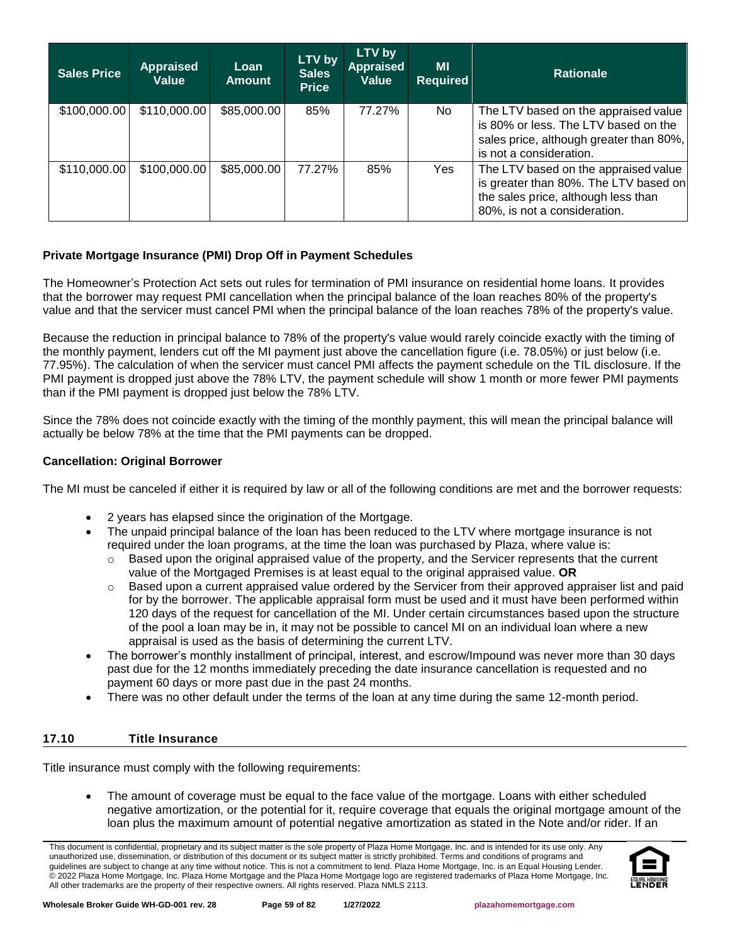| <b>Sales Price</b> | <b>Appraised</b><br>Value | Loan<br><b>Amount</b> | LTV by<br><b>Sales</b><br><b>Price</b> | LTV by<br><b>Appraised</b><br><b>Value</b> | <b>MI</b><br><b>Required</b> | <b>Rationale</b>                                                                                                                                     |
|--------------------|---------------------------|-----------------------|----------------------------------------|--------------------------------------------|------------------------------|------------------------------------------------------------------------------------------------------------------------------------------------------|
| \$100,000.00       | \$110,000.00              | \$85,000.00           | 85%                                    | 77.27%                                     | No                           | The LTV based on the appraised value<br>is 80% or less. The LTV based on the<br>sales price, although greater than 80%,<br>is not a consideration.   |
| \$110,000.00       | \$100,000.00              | \$85,000.00           | 77.27%                                 | 85%                                        | Yes                          | The LTV based on the appraised value<br>is greater than 80%. The LTV based on<br>the sales price, although less than<br>80%, is not a consideration. |

# **Private Mortgage Insurance (PMI) Drop Off in Payment Schedules**

The Homeowner's Protection Act sets out rules for termination of PMI insurance on residential home loans. It provides that the borrower may request PMI cancellation when the principal balance of the loan reaches 80% of the property's value and that the servicer must cancel PMI when the principal balance of the loan reaches 78% of the property's value.

Because the reduction in principal balance to 78% of the property's value would rarely coincide exactly with the timing of the monthly payment, lenders cut off the MI payment just above the cancellation figure (i.e. 78.05%) or just below (i.e. 77.95%). The calculation of when the servicer must cancel PMI affects the payment schedule on the TIL disclosure. If the PMI payment is dropped just above the 78% LTV, the payment schedule will show 1 month or more fewer PMI payments than if the PMI payment is dropped just below the 78% LTV.

Since the 78% does not coincide exactly with the timing of the monthly payment, this will mean the principal balance will actually be below 78% at the time that the PMI payments can be dropped.

### **Cancellation: Original Borrower**

The MI must be canceled if either it is required by law or all of the following conditions are met and the borrower requests:

- 2 years has elapsed since the origination of the Mortgage.
- The unpaid principal balance of the loan has been reduced to the LTV where mortgage insurance is not required under the loan programs, at the time the loan was purchased by Plaza, where value is:
	- $\circ$  Based upon the original appraised value of the property, and the Servicer represents that the current value of the Mortgaged Premises is at least equal to the original appraised value. **OR**
	- $\circ$  Based upon a current appraised value ordered by the Servicer from their approved appraiser list and paid for by the borrower. The applicable appraisal form must be used and it must have been performed within 120 days of the request for cancellation of the MI. Under certain circumstances based upon the structure of the pool a loan may be in, it may not be possible to cancel MI on an individual loan where a new appraisal is used as the basis of determining the current LTV.
- The borrower's monthly installment of principal, interest, and escrow/Impound was never more than 30 days past due for the 12 months immediately preceding the date insurance cancellation is requested and no payment 60 days or more past due in the past 24 months.
- There was no other default under the terms of the loan at any time during the same 12-month period.

# **17.10 Title Insurance**

Title insurance must comply with the following requirements:

• The amount of coverage must be equal to the face value of the mortgage. Loans with either scheduled negative amortization, or the potential for it, require coverage that equals the original mortgage amount of the loan plus the maximum amount of potential negative amortization as stated in the Note and/or rider. If an

This document is confidential, proprietary and its subject matter is the sole property of Plaza Home Mortgage, Inc. and is intended for its use only. Any unauthorized use, dissemination, or distribution of this document or its subject matter is strictly prohibited. Terms and conditions of programs and guidelines are subject to change at any time without notice. This is not a commitment to lend. Plaza Home Mortgage, Inc. is an Equal Housing Lender. © 2022 Plaza Home Mortgage, Inc. Plaza Home Mortgage and the Plaza Home Mortgage logo are registered trademarks of Plaza Home Mortgage, Inc. All other trademarks are the property of their respective owners. All rights reserved. Plaza NMLS 2113.

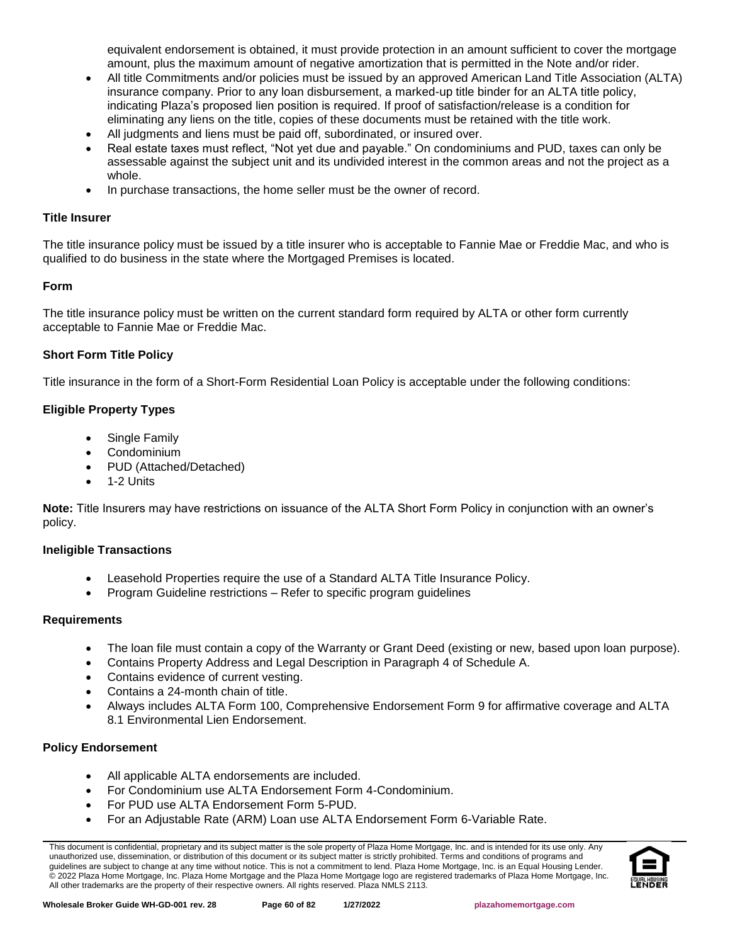equivalent endorsement is obtained, it must provide protection in an amount sufficient to cover the mortgage amount, plus the maximum amount of negative amortization that is permitted in the Note and/or rider.

- All title Commitments and/or policies must be issued by an approved American Land Title Association (ALTA) insurance company. Prior to any loan disbursement, a marked-up title binder for an ALTA title policy, indicating Plaza's proposed lien position is required. If proof of satisfaction/release is a condition for eliminating any liens on the title, copies of these documents must be retained with the title work.
- All judgments and liens must be paid off, subordinated, or insured over.
- Real estate taxes must reflect, "Not yet due and payable." On condominiums and PUD, taxes can only be assessable against the subject unit and its undivided interest in the common areas and not the project as a whole.
- In purchase transactions, the home seller must be the owner of record.

### **Title Insurer**

The title insurance policy must be issued by a title insurer who is acceptable to Fannie Mae or Freddie Mac, and who is qualified to do business in the state where the Mortgaged Premises is located.

### **Form**

The title insurance policy must be written on the current standard form required by ALTA or other form currently acceptable to Fannie Mae or Freddie Mac.

### **Short Form Title Policy**

Title insurance in the form of a Short-Form Residential Loan Policy is acceptable under the following conditions:

# **Eligible Property Types**

- Single Family
- Condominium
- PUD (Attached/Detached)
- 1-2 Units

**Note:** Title Insurers may have restrictions on issuance of the ALTA Short Form Policy in conjunction with an owner's policy.

### **Ineligible Transactions**

- Leasehold Properties require the use of a Standard ALTA Title Insurance Policy.
- Program Guideline restrictions Refer to specific program guidelines

### **Requirements**

- The loan file must contain a copy of the Warranty or Grant Deed (existing or new, based upon loan purpose).
- Contains Property Address and Legal Description in Paragraph 4 of Schedule A.
- Contains evidence of current vesting.
- Contains a 24-month chain of title.
- Always includes ALTA Form 100, Comprehensive Endorsement Form 9 for affirmative coverage and ALTA 8.1 Environmental Lien Endorsement.

### **Policy Endorsement**

- All applicable ALTA endorsements are included.
- For Condominium use ALTA Endorsement Form 4-Condominium.
- For PUD use ALTA Endorsement Form 5-PUD.
- For an Adjustable Rate (ARM) Loan use ALTA Endorsement Form 6-Variable Rate.

This document is confidential, proprietary and its subject matter is the sole property of Plaza Home Mortgage, Inc. and is intended for its use only. Any unauthorized use, dissemination, or distribution of this document or its subject matter is strictly prohibited. Terms and conditions of programs and guidelines are subject to change at any time without notice. This is not a commitment to lend. Plaza Home Mortgage, Inc. is an Equal Housing Lender. © 2022 Plaza Home Mortgage, Inc. Plaza Home Mortgage and the Plaza Home Mortgage logo are registered trademarks of Plaza Home Mortgage, Inc. All other trademarks are the property of their respective owners. All rights reserved. Plaza NMLS 2113.

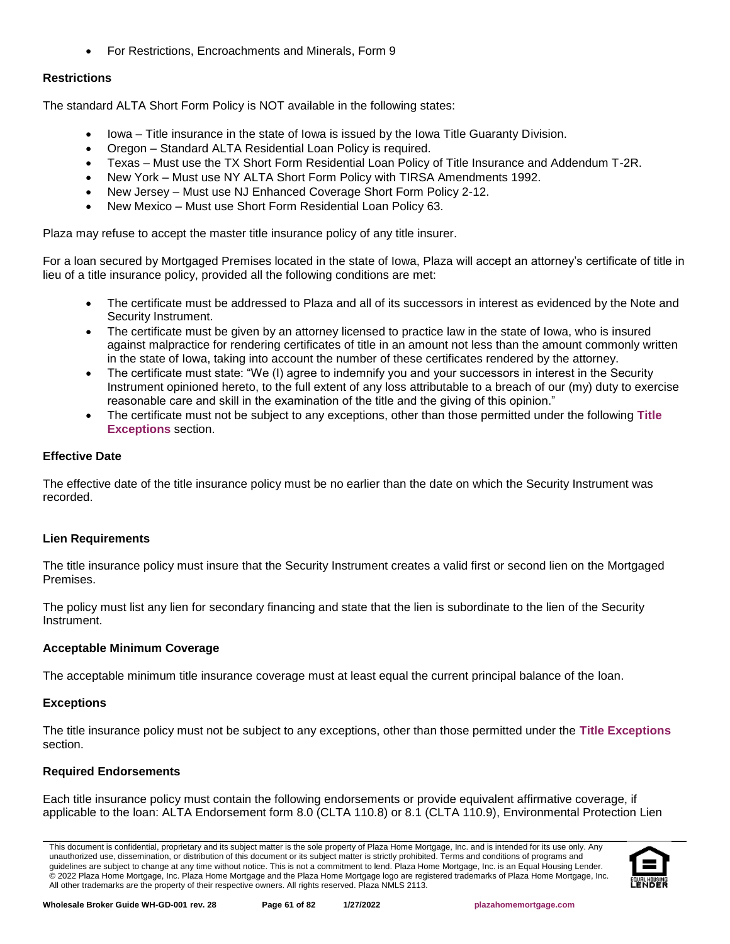• For Restrictions, Encroachments and Minerals, Form 9

# **Restrictions**

The standard ALTA Short Form Policy is NOT available in the following states:

- Iowa Title insurance in the state of Iowa is issued by the Iowa Title Guaranty Division.
- Oregon Standard ALTA Residential Loan Policy is required.
- Texas Must use the TX Short Form Residential Loan Policy of Title Insurance and Addendum T-2R.
- New York Must use NY ALTA Short Form Policy with TIRSA Amendments 1992.
- New Jersey Must use NJ Enhanced Coverage Short Form Policy 2-12.
- New Mexico Must use Short Form Residential Loan Policy 63.

Plaza may refuse to accept the master title insurance policy of any title insurer.

For a loan secured by Mortgaged Premises located in the state of Iowa, Plaza will accept an attorney's certificate of title in lieu of a title insurance policy, provided all the following conditions are met:

- The certificate must be addressed to Plaza and all of its successors in interest as evidenced by the Note and Security Instrument.
- The certificate must be given by an attorney licensed to practice law in the state of Iowa, who is insured against malpractice for rendering certificates of title in an amount not less than the amount commonly written in the state of Iowa, taking into account the number of these certificates rendered by the attorney.
- The certificate must state: "We (I) agree to indemnify you and your successors in interest in the Security Instrument opinioned hereto, to the full extent of any loss attributable to a breach of our (my) duty to exercise reasonable care and skill in the examination of the title and the giving of this opinion."
- The certificate must not be subject to any exceptions, other than those permitted under the following **Title Exceptions** section.

# **Effective Date**

The effective date of the title insurance policy must be no earlier than the date on which the Security Instrument was recorded.

# **Lien Requirements**

The title insurance policy must insure that the Security Instrument creates a valid first or second lien on the Mortgaged Premises.

The policy must list any lien for secondary financing and state that the lien is subordinate to the lien of the Security Instrument.

# **Acceptable Minimum Coverage**

The acceptable minimum title insurance coverage must at least equal the current principal balance of the loan.

# **Exceptions**

The title insurance policy must not be subject to any exceptions, other than those permitted under the **Title Exceptions** section.

# **Required Endorsements**

Each title insurance policy must contain the following endorsements or provide equivalent affirmative coverage, if applicable to the loan: ALTA Endorsement form 8.0 (CLTA 110.8) or 8.1 (CLTA 110.9), Environmental Protection Lien

This document is confidential, proprietary and its subject matter is the sole property of Plaza Home Mortgage, Inc. and is intended for its use only. Any unauthorized use, dissemination, or distribution of this document or its subject matter is strictly prohibited. Terms and conditions of programs and guidelines are subject to change at any time without notice. This is not a commitment to lend. Plaza Home Mortgage, Inc. is an Equal Housing Lender. © 2022 Plaza Home Mortgage, Inc. Plaza Home Mortgage and the Plaza Home Mortgage logo are registered trademarks of Plaza Home Mortgage, Inc. All other trademarks are the property of their respective owners. All rights reserved. Plaza NMLS 2113.

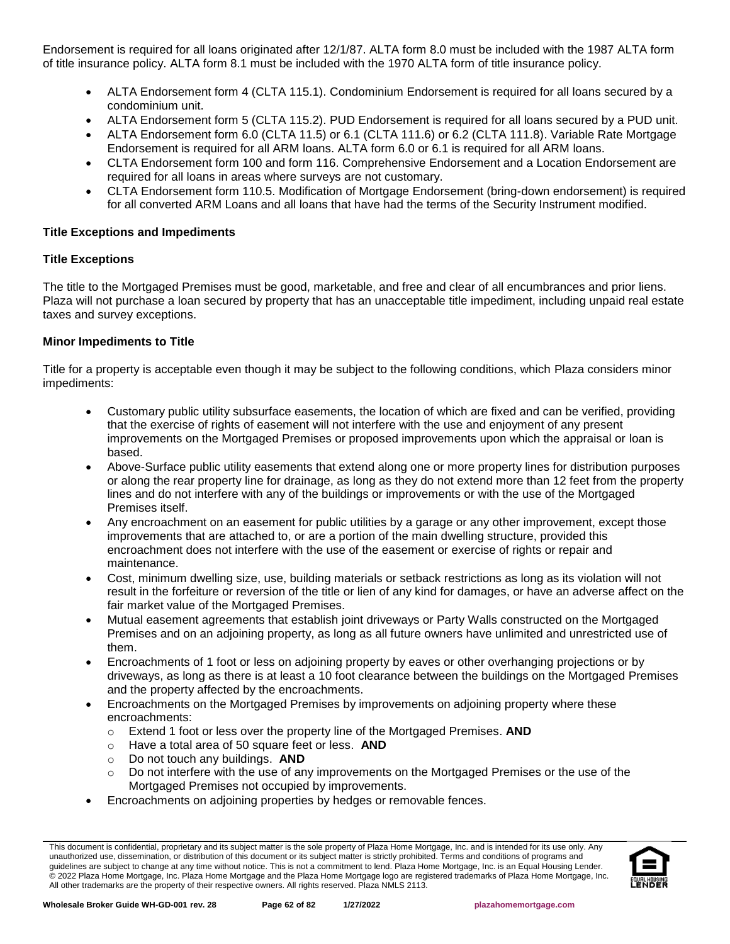Endorsement is required for all loans originated after 12/1/87. ALTA form 8.0 must be included with the 1987 ALTA form of title insurance policy. ALTA form 8.1 must be included with the 1970 ALTA form of title insurance policy.

- ALTA Endorsement form 4 (CLTA 115.1). Condominium Endorsement is required for all loans secured by a condominium unit.
- ALTA Endorsement form 5 (CLTA 115.2). PUD Endorsement is required for all loans secured by a PUD unit.
- ALTA Endorsement form 6.0 (CLTA 11.5) or 6.1 (CLTA 111.6) or 6.2 (CLTA 111.8). Variable Rate Mortgage Endorsement is required for all ARM loans. ALTA form 6.0 or 6.1 is required for all ARM loans.
- CLTA Endorsement form 100 and form 116. Comprehensive Endorsement and a Location Endorsement are required for all loans in areas where surveys are not customary.
- CLTA Endorsement form 110.5. Modification of Mortgage Endorsement (bring-down endorsement) is required for all converted ARM Loans and all loans that have had the terms of the Security Instrument modified.

### **Title Exceptions and Impediments**

# **Title Exceptions**

The title to the Mortgaged Premises must be good, marketable, and free and clear of all encumbrances and prior liens. Plaza will not purchase a loan secured by property that has an unacceptable title impediment, including unpaid real estate taxes and survey exceptions.

# **Minor Impediments to Title**

Title for a property is acceptable even though it may be subject to the following conditions, which Plaza considers minor impediments:

- Customary public utility subsurface easements, the location of which are fixed and can be verified, providing that the exercise of rights of easement will not interfere with the use and enjoyment of any present improvements on the Mortgaged Premises or proposed improvements upon which the appraisal or loan is based.
- Above-Surface public utility easements that extend along one or more property lines for distribution purposes or along the rear property line for drainage, as long as they do not extend more than 12 feet from the property lines and do not interfere with any of the buildings or improvements or with the use of the Mortgaged Premises itself.
- Any encroachment on an easement for public utilities by a garage or any other improvement, except those improvements that are attached to, or are a portion of the main dwelling structure, provided this encroachment does not interfere with the use of the easement or exercise of rights or repair and maintenance.
- Cost, minimum dwelling size, use, building materials or setback restrictions as long as its violation will not result in the forfeiture or reversion of the title or lien of any kind for damages, or have an adverse affect on the fair market value of the Mortgaged Premises.
- Mutual easement agreements that establish joint driveways or Party Walls constructed on the Mortgaged Premises and on an adjoining property, as long as all future owners have unlimited and unrestricted use of them.
- Encroachments of 1 foot or less on adjoining property by eaves or other overhanging projections or by driveways, as long as there is at least a 10 foot clearance between the buildings on the Mortgaged Premises and the property affected by the encroachments.
- Encroachments on the Mortgaged Premises by improvements on adjoining property where these encroachments:
	- o Extend 1 foot or less over the property line of the Mortgaged Premises. **AND**
	- o Have a total area of 50 square feet or less. **AND**
	- o Do not touch any buildings. **AND**
	- o Do not interfere with the use of any improvements on the Mortgaged Premises or the use of the Mortgaged Premises not occupied by improvements.
- Encroachments on adjoining properties by hedges or removable fences.

This document is confidential, proprietary and its subject matter is the sole property of Plaza Home Mortgage, Inc. and is intended for its use only. Any unauthorized use, dissemination, or distribution of this document or its subject matter is strictly prohibited. Terms and conditions of programs and guidelines are subject to change at any time without notice. This is not a commitment to lend. Plaza Home Mortgage, Inc. is an Equal Housing Lender. © 2022 Plaza Home Mortgage, Inc. Plaza Home Mortgage and the Plaza Home Mortgage logo are registered trademarks of Plaza Home Mortgage, Inc. All other trademarks are the property of their respective owners. All rights reserved. Plaza NMLS 2113.

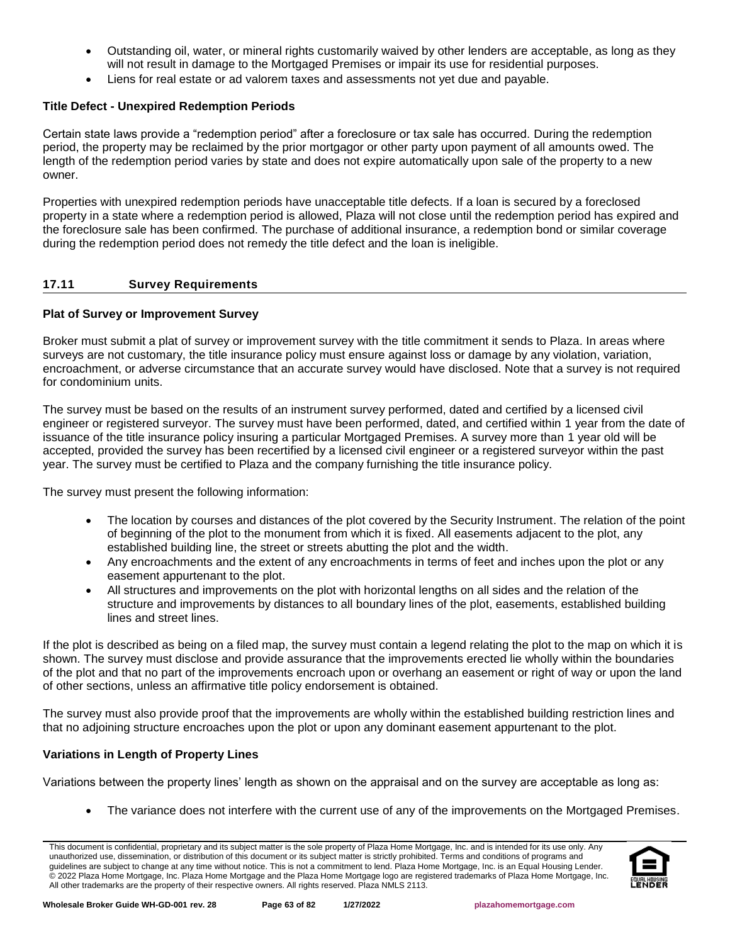- Outstanding oil, water, or mineral rights customarily waived by other lenders are acceptable, as long as they will not result in damage to the Mortgaged Premises or impair its use for residential purposes.
- Liens for real estate or ad valorem taxes and assessments not yet due and payable.

# **Title Defect - Unexpired Redemption Periods**

Certain state laws provide a "redemption period" after a foreclosure or tax sale has occurred. During the redemption period, the property may be reclaimed by the prior mortgagor or other party upon payment of all amounts owed. The length of the redemption period varies by state and does not expire automatically upon sale of the property to a new owner.

Properties with unexpired redemption periods have unacceptable title defects. If a loan is secured by a foreclosed property in a state where a redemption period is allowed, Plaza will not close until the redemption period has expired and the foreclosure sale has been confirmed. The purchase of additional insurance, a redemption bond or similar coverage during the redemption period does not remedy the title defect and the loan is ineligible.

# **17.11 Survey Requirements**

# **Plat of Survey or Improvement Survey**

Broker must submit a plat of survey or improvement survey with the title commitment it sends to Plaza. In areas where surveys are not customary, the title insurance policy must ensure against loss or damage by any violation, variation, encroachment, or adverse circumstance that an accurate survey would have disclosed. Note that a survey is not required for condominium units.

The survey must be based on the results of an instrument survey performed, dated and certified by a licensed civil engineer or registered surveyor. The survey must have been performed, dated, and certified within 1 year from the date of issuance of the title insurance policy insuring a particular Mortgaged Premises. A survey more than 1 year old will be accepted, provided the survey has been recertified by a licensed civil engineer or a registered surveyor within the past year. The survey must be certified to Plaza and the company furnishing the title insurance policy.

The survey must present the following information:

- The location by courses and distances of the plot covered by the Security Instrument. The relation of the point of beginning of the plot to the monument from which it is fixed. All easements adjacent to the plot, any established building line, the street or streets abutting the plot and the width.
- Any encroachments and the extent of any encroachments in terms of feet and inches upon the plot or any easement appurtenant to the plot.
- All structures and improvements on the plot with horizontal lengths on all sides and the relation of the structure and improvements by distances to all boundary lines of the plot, easements, established building lines and street lines.

If the plot is described as being on a filed map, the survey must contain a legend relating the plot to the map on which it is shown. The survey must disclose and provide assurance that the improvements erected lie wholly within the boundaries of the plot and that no part of the improvements encroach upon or overhang an easement or right of way or upon the land of other sections, unless an affirmative title policy endorsement is obtained.

The survey must also provide proof that the improvements are wholly within the established building restriction lines and that no adjoining structure encroaches upon the plot or upon any dominant easement appurtenant to the plot.

# **Variations in Length of Property Lines**

Variations between the property lines' length as shown on the appraisal and on the survey are acceptable as long as:

• The variance does not interfere with the current use of any of the improvements on the Mortgaged Premises.

This document is confidential, proprietary and its subject matter is the sole property of Plaza Home Mortgage, Inc. and is intended for its use only. Any unauthorized use, dissemination, or distribution of this document or its subject matter is strictly prohibited. Terms and conditions of programs and guidelines are subject to change at any time without notice. This is not a commitment to lend. Plaza Home Mortgage, Inc. is an Equal Housing Lender. © 2022 Plaza Home Mortgage, Inc. Plaza Home Mortgage and the Plaza Home Mortgage logo are registered trademarks of Plaza Home Mortgage, Inc. All other trademarks are the property of their respective owners. All rights reserved. Plaza NMLS 2113.

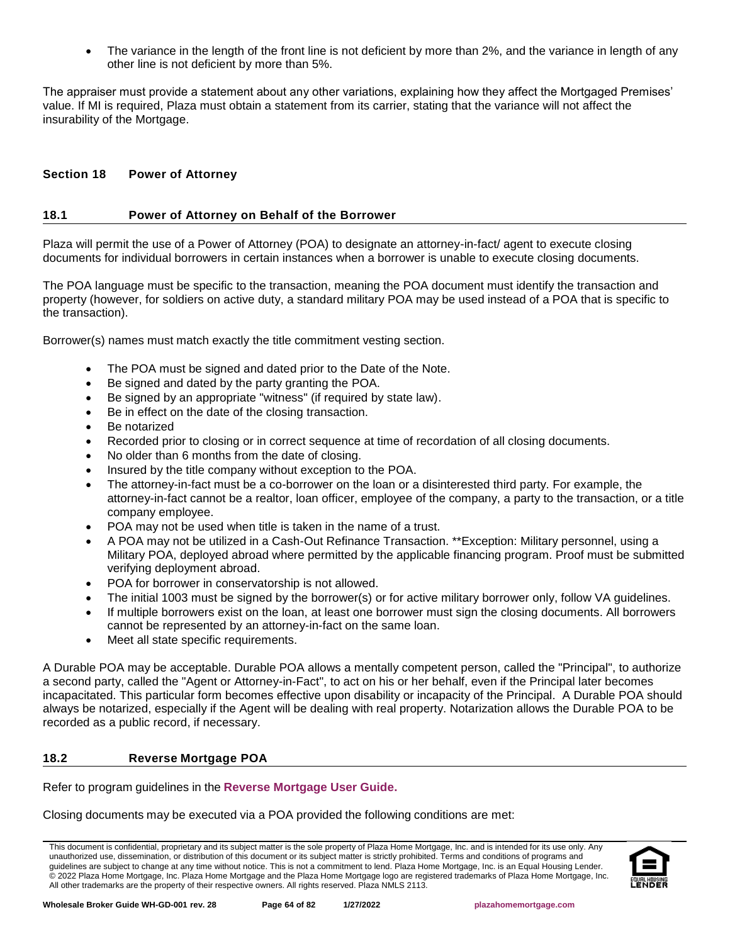The variance in the length of the front line is not deficient by more than 2%, and the variance in length of any other line is not deficient by more than 5%.

The appraiser must provide a statement about any other variations, explaining how they affect the Mortgaged Premises' value. If MI is required, Plaza must obtain a statement from its carrier, stating that the variance will not affect the insurability of the Mortgage.

# **Section 18 Power of Attorney**

# **18.1 Power of Attorney on Behalf of the Borrower**

Plaza will permit the use of a Power of Attorney (POA) to designate an attorney-in-fact/ agent to execute closing documents for individual borrowers in certain instances when a borrower is unable to execute closing documents.

The POA language must be specific to the transaction, meaning the POA document must identify the transaction and property (however, for soldiers on active duty, a standard military POA may be used instead of a POA that is specific to the transaction).

Borrower(s) names must match exactly the title commitment vesting section.

- The POA must be signed and dated prior to the Date of the Note.
- Be signed and dated by the party granting the POA.
- Be signed by an appropriate "witness" (if required by state law).
- Be in effect on the date of the closing transaction.
- Be notarized
- Recorded prior to closing or in correct sequence at time of recordation of all closing documents.
- No older than 6 months from the date of closing.
- Insured by the title company without exception to the POA.
- The attorney-in-fact must be a co-borrower on the loan or a disinterested third party. For example, the attorney-in-fact cannot be a realtor, loan officer, employee of the company, a party to the transaction, or a title company employee.
- POA may not be used when title is taken in the name of a trust.
- A POA may not be utilized in a Cash-Out Refinance Transaction. \*\*Exception: Military personnel, using a Military POA, deployed abroad where permitted by the applicable financing program. Proof must be submitted verifying deployment abroad.
- POA for borrower in conservatorship is not allowed.
- The initial 1003 must be signed by the borrower(s) or for active military borrower only, follow VA guidelines.
- If multiple borrowers exist on the loan, at least one borrower must sign the closing documents. All borrowers cannot be represented by an attorney-in-fact on the same loan.
- Meet all state specific requirements.

A Durable POA may be acceptable. Durable POA allows a mentally competent person, called the "Principal", to authorize a second party, called the "Agent or Attorney-in-Fact", to act on his or her behalf, even if the Principal later becomes incapacitated. This particular form becomes effective upon disability or incapacity of the Principal. A Durable POA should always be notarized, especially if the Agent will be dealing with real property. Notarization allows the Durable POA to be recorded as a public record, if necessary.

# **18.2 Reverse Mortgage POA**

Refer to program guidelines in the **[Reverse Mortgage User Guide.](http://resourcecenter.plazahomemortgage.com/phmidocpublisher.nsf/All/A38B30AEEBD452D507257A2B0079ECEC?OpenDocument)**

Closing documents may be executed via a POA provided the following conditions are met:

This document is confidential, proprietary and its subject matter is the sole property of Plaza Home Mortgage, Inc. and is intended for its use only. Any unauthorized use, dissemination, or distribution of this document or its subject matter is strictly prohibited. Terms and conditions of programs and guidelines are subject to change at any time without notice. This is not a commitment to lend. Plaza Home Mortgage, Inc. is an Equal Housing Lender. © 2022 Plaza Home Mortgage, Inc. Plaza Home Mortgage and the Plaza Home Mortgage logo are registered trademarks of Plaza Home Mortgage, Inc. All other trademarks are the property of their respective owners. All rights reserved. Plaza NMLS 2113.

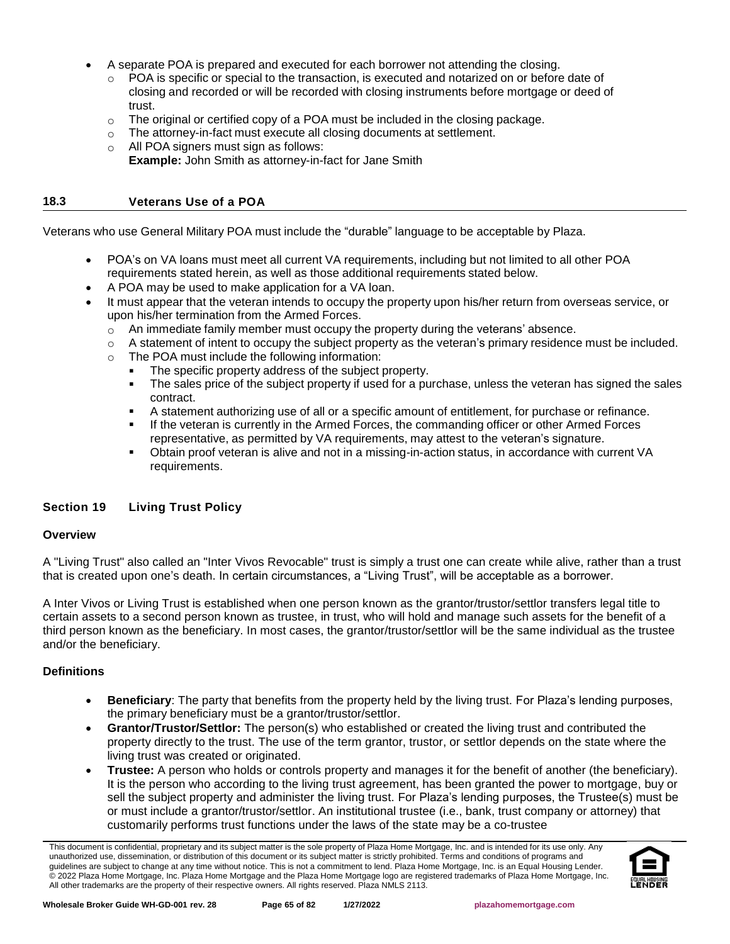- A separate POA is prepared and executed for each borrower not attending the closing.
	- POA is specific or special to the transaction, is executed and notarized on or before date of closing and recorded or will be recorded with closing instruments before mortgage or deed of trust.
	- $\circ$  The original or certified copy of a POA must be included in the closing package.
	- o The attorney-in-fact must execute all closing documents at settlement.
	- o All POA signers must sign as follows:
		- **Example:** John Smith as attorney-in-fact for Jane Smith

#### **18.3 Veterans Use of a POA**

Veterans who use General Military POA must include the "durable" language to be acceptable by Plaza.

- POA's on VA loans must meet all current VA requirements, including but not limited to all other POA requirements stated herein, as well as those additional requirements stated below.
- A POA may be used to make application for a VA loan.
- It must appear that the veteran intends to occupy the property upon his/her return from overseas service, or upon his/her termination from the Armed Forces.
	- $\circ$  An immediate family member must occupy the property during the veterans' absence.
	- $\circ$  A statement of intent to occupy the subject property as the veteran's primary residence must be included.
	- o The POA must include the following information:
		- The specific property address of the subject property.
		- The sales price of the subject property if used for a purchase, unless the veteran has signed the sales contract.
		- A statement authorizing use of all or a specific amount of entitlement, for purchase or refinance.
		- If the veteran is currently in the Armed Forces, the commanding officer or other Armed Forces representative, as permitted by VA requirements, may attest to the veteran's signature.
		- Obtain proof veteran is alive and not in a missing-in-action status, in accordance with current VA requirements.

### **Section 19 Living Trust Policy**

### **Overview**

A "Living Trust" also called an "Inter Vivos Revocable" trust is simply a trust one can create while alive, rather than a trust that is created upon one's death. In certain circumstances, a "Living Trust", will be acceptable as a borrower.

A Inter Vivos or Living Trust is established when one person known as the grantor/trustor/settlor transfers legal title to certain assets to a second person known as trustee, in trust, who will hold and manage such assets for the benefit of a third person known as the beneficiary. In most cases, the grantor/trustor/settlor will be the same individual as the trustee and/or the beneficiary.

### **Definitions**

- **Beneficiary**: The party that benefits from the property held by the living trust. For Plaza's lending purposes, the primary beneficiary must be a grantor/trustor/settlor.
- **Grantor/Trustor/Settlor:** The person(s) who established or created the living trust and contributed the property directly to the trust. The use of the term grantor, trustor, or settlor depends on the state where the living trust was created or originated.
- **Trustee:** A person who holds or controls property and manages it for the benefit of another (the beneficiary). It is the person who according to the living trust agreement, has been granted the power to mortgage, buy or sell the subject property and administer the living trust. For Plaza's lending purposes, the Trustee(s) must be or must include a grantor/trustor/settlor. An institutional trustee (i.e., bank, trust company or attorney) that customarily performs trust functions under the laws of the state may be a co-trustee

This document is confidential, proprietary and its subject matter is the sole property of Plaza Home Mortgage, Inc. and is intended for its use only. Any unauthorized use, dissemination, or distribution of this document or its subject matter is strictly prohibited. Terms and conditions of programs and guidelines are subject to change at any time without notice. This is not a commitment to lend. Plaza Home Mortgage, Inc. is an Equal Housing Lender. © 2022 Plaza Home Mortgage, Inc. Plaza Home Mortgage and the Plaza Home Mortgage logo are registered trademarks of Plaza Home Mortgage, Inc. All other trademarks are the property of their respective owners. All rights reserved. Plaza NMLS 2113.

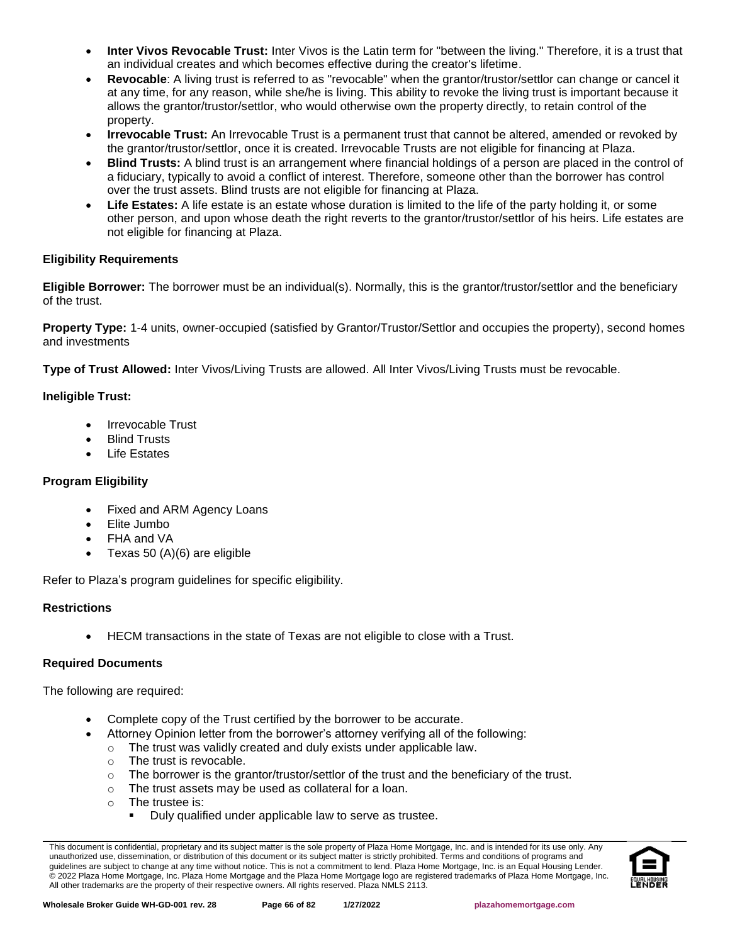- **Inter Vivos Revocable Trust:** Inter Vivos is the Latin term for "between the living." Therefore, it is a trust that an individual creates and which becomes effective during the creator's lifetime.
- **Revocable**: A living trust is referred to as "revocable" when the grantor/trustor/settlor can change or cancel it at any time, for any reason, while she/he is living. This ability to revoke the living trust is important because it allows the grantor/trustor/settlor, who would otherwise own the property directly, to retain control of the property.
- **Irrevocable Trust:** An Irrevocable Trust is a permanent trust that cannot be altered, amended or revoked by the grantor/trustor/settlor, once it is created. Irrevocable Trusts are not eligible for financing at Plaza.
- **Blind Trusts:** A blind trust is an arrangement where financial holdings of a person are placed in the control of a fiduciary, typically to avoid a conflict of interest. Therefore, someone other than the borrower has control over the trust assets. Blind trusts are not eligible for financing at Plaza.
- **Life Estates:** A life estate is an estate whose duration is limited to the life of the party holding it, or some other person, and upon whose death the right reverts to the grantor/trustor/settlor of his heirs. Life estates are not eligible for financing at Plaza.

# **Eligibility Requirements**

**Eligible Borrower:** The borrower must be an individual(s). Normally, this is the grantor/trustor/settlor and the beneficiary of the trust.

**Property Type:** 1-4 units, owner-occupied (satisfied by Grantor/Trustor/Settlor and occupies the property), second homes and investments

**Type of Trust Allowed:** Inter Vivos/Living Trusts are allowed. All Inter Vivos/Living Trusts must be revocable.

# **Ineligible Trust:**

- Irrevocable Trust
- Blind Trusts
- **Life Estates**

# **Program Eligibility**

- Fixed and ARM Agency Loans
- Elite Jumbo
- FHA and VA
- Texas 50 (A)(6) are eligible

Refer to Plaza's program guidelines for specific eligibility.

# **Restrictions**

• HECM transactions in the state of Texas are not eligible to close with a Trust.

# **Required Documents**

The following are required:

- Complete copy of the Trust certified by the borrower to be accurate.
- Attorney Opinion letter from the borrower's attorney verifying all of the following:
	- o The trust was validly created and duly exists under applicable law.
	- o The trust is revocable.
	- $\circ$  The borrower is the grantor/trustor/settlor of the trust and the beneficiary of the trust.
	- o The trust assets may be used as collateral for a loan.
	- o The trustee is:
		- Duly qualified under applicable law to serve as trustee.

This document is confidential, proprietary and its subject matter is the sole property of Plaza Home Mortgage, Inc. and is intended for its use only. Any unauthorized use, dissemination, or distribution of this document or its subject matter is strictly prohibited. Terms and conditions of programs and guidelines are subject to change at any time without notice. This is not a commitment to lend. Plaza Home Mortgage, Inc. is an Equal Housing Lender. © 2022 Plaza Home Mortgage, Inc. Plaza Home Mortgage and the Plaza Home Mortgage logo are registered trademarks of Plaza Home Mortgage, Inc. All other trademarks are the property of their respective owners. All rights reserved. Plaza NMLS 2113.

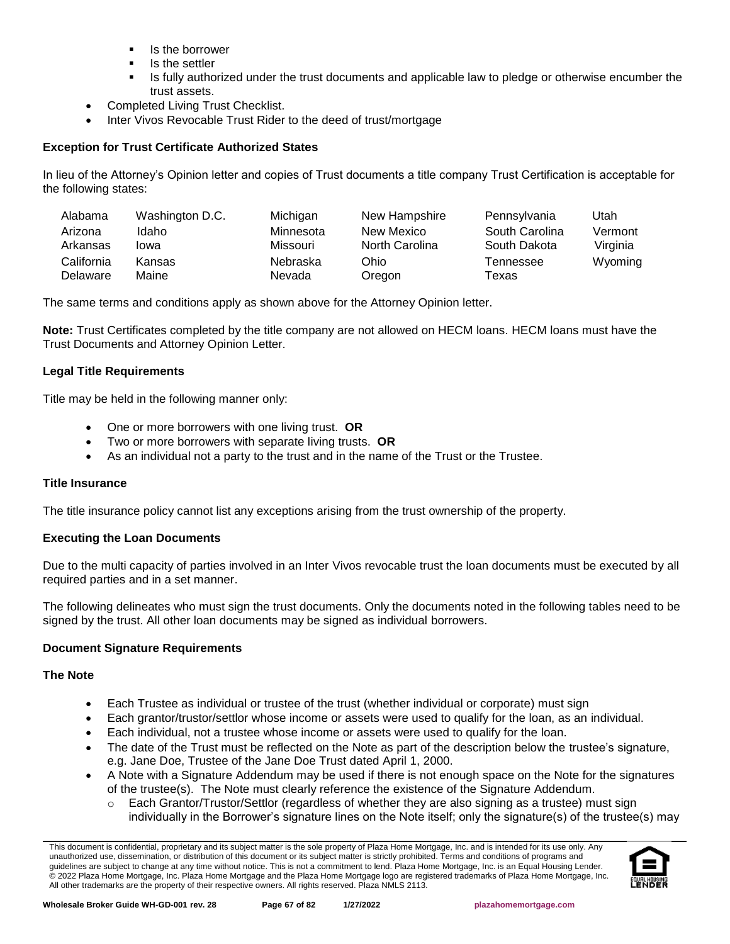- Is the borrower
- Is the settler
- **■** Is fully authorized under the trust documents and applicable law to pledge or otherwise encumber the trust assets.
- Completed Living Trust Checklist.
- Inter Vivos Revocable Trust Rider to the deed of trust/mortgage

### **Exception for Trust Certificate Authorized States**

In lieu of the Attorney's Opinion letter and copies of Trust documents a title company Trust Certification is acceptable for the following states:

| Alabama    | Washington D.C. | Michigan  | New Hampshire  | Pennsylvania   | Utah     |
|------------|-----------------|-----------|----------------|----------------|----------|
| Arizona    | Idaho           | Minnesota | New Mexico     | South Carolina | Vermont  |
| Arkansas   | lowa            | Missouri  | North Carolina | South Dakota   | Virginia |
| California | Kansas          | Nebraska  | Ohio           | Tennessee      | Wyoming  |
| Delaware   | Maine           | Nevada    | Oregon         | Texas          |          |

The same terms and conditions apply as shown above for the Attorney Opinion letter.

**Note:** Trust Certificates completed by the title company are not allowed on HECM loans. HECM loans must have the Trust Documents and Attorney Opinion Letter.

### **Legal Title Requirements**

Title may be held in the following manner only:

- One or more borrowers with one living trust. **OR**
- Two or more borrowers with separate living trusts. **OR**
- As an individual not a party to the trust and in the name of the Trust or the Trustee.

### **Title Insurance**

The title insurance policy cannot list any exceptions arising from the trust ownership of the property.

### **Executing the Loan Documents**

Due to the multi capacity of parties involved in an Inter Vivos revocable trust the loan documents must be executed by all required parties and in a set manner.

The following delineates who must sign the trust documents. Only the documents noted in the following tables need to be signed by the trust. All other loan documents may be signed as individual borrowers.

### **Document Signature Requirements**

### **The Note**

- Each Trustee as individual or trustee of the trust (whether individual or corporate) must sign
- Each grantor/trustor/settlor whose income or assets were used to qualify for the loan, as an individual.
- Each individual, not a trustee whose income or assets were used to qualify for the loan.
- The date of the Trust must be reflected on the Note as part of the description below the trustee's signature, e.g. Jane Doe, Trustee of the Jane Doe Trust dated April 1, 2000.
- A Note with a Signature Addendum may be used if there is not enough space on the Note for the signatures of the trustee(s). The Note must clearly reference the existence of the Signature Addendum.
	- $\circ$  Each Grantor/Trustor/Settlor (regardless of whether they are also signing as a trustee) must sign individually in the Borrower's signature lines on the Note itself; only the signature(s) of the trustee(s) may

This document is confidential, proprietary and its subject matter is the sole property of Plaza Home Mortgage, Inc. and is intended for its use only. Any unauthorized use, dissemination, or distribution of this document or its subject matter is strictly prohibited. Terms and conditions of programs and guidelines are subject to change at any time without notice. This is not a commitment to lend. Plaza Home Mortgage, Inc. is an Equal Housing Lender. © 2022 Plaza Home Mortgage, Inc. Plaza Home Mortgage and the Plaza Home Mortgage logo are registered trademarks of Plaza Home Mortgage, Inc. All other trademarks are the property of their respective owners. All rights reserved. Plaza NMLS 2113.

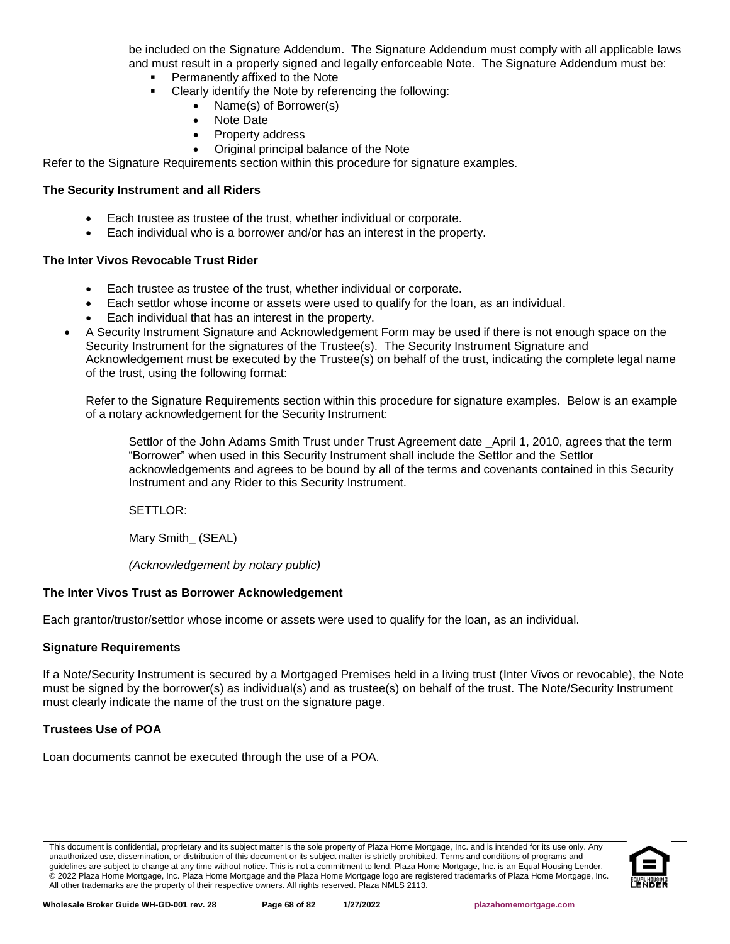be included on the Signature Addendum. The Signature Addendum must comply with all applicable laws and must result in a properly signed and legally enforceable Note. The Signature Addendum must be:

- Permanently affixed to the Note
- Clearly identify the Note by referencing the following:
	- Name(s) of Borrower(s)
	- Note Date
	- Property address
	- Original principal balance of the Note

Refer to the Signature Requirements section within this procedure for signature examples.

### **The Security Instrument and all Riders**

- Each trustee as trustee of the trust, whether individual or corporate.
- Each individual who is a borrower and/or has an interest in the property.

#### **The Inter Vivos Revocable Trust Rider**

- Each trustee as trustee of the trust, whether individual or corporate.
- Each settlor whose income or assets were used to qualify for the loan, as an individual.
- Each individual that has an interest in the property.
- A Security Instrument Signature and Acknowledgement Form may be used if there is not enough space on the Security Instrument for the signatures of the Trustee(s). The Security Instrument Signature and Acknowledgement must be executed by the Trustee(s) on behalf of the trust, indicating the complete legal name of the trust, using the following format:

Refer to the Signature Requirements section within this procedure for signature examples. Below is an example of a notary acknowledgement for the Security Instrument:

Settlor of the John Adams Smith Trust under Trust Agreement date April 1, 2010, agrees that the term "Borrower" when used in this Security Instrument shall include the Settlor and the Settlor acknowledgements and agrees to be bound by all of the terms and covenants contained in this Security Instrument and any Rider to this Security Instrument.

SETTLOR:

Mary Smith\_ (SEAL)

*(Acknowledgement by notary public)*

### **The Inter Vivos Trust as Borrower Acknowledgement**

Each grantor/trustor/settlor whose income or assets were used to qualify for the loan, as an individual.

### **Signature Requirements**

If a Note/Security Instrument is secured by a Mortgaged Premises held in a living trust (Inter Vivos or revocable), the Note must be signed by the borrower(s) as individual(s) and as trustee(s) on behalf of the trust. The Note/Security Instrument must clearly indicate the name of the trust on the signature page.

### **Trustees Use of POA**

Loan documents cannot be executed through the use of a POA.

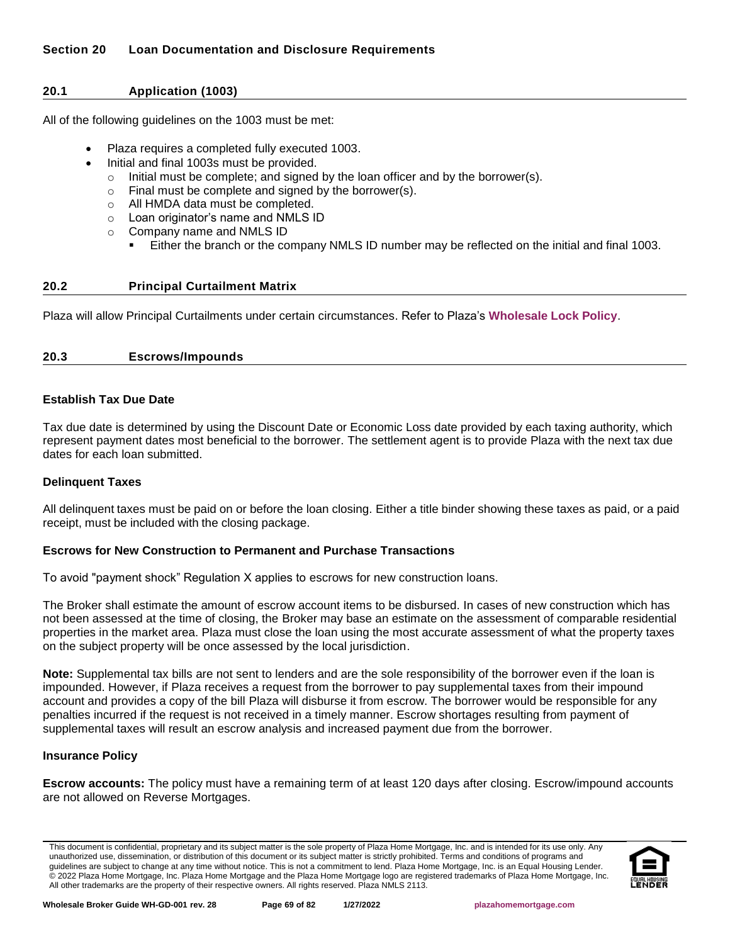### **20.1 Application (1003)**

All of the following guidelines on the 1003 must be met:

- Plaza requires a completed fully executed 1003.
- Initial and final 1003s must be provided.
	- o Initial must be complete; and signed by the loan officer and by the borrower(s).
	- o Final must be complete and signed by the borrower(s).
	- o All HMDA data must be completed.
	- o Loan originator's name and NMLS ID
	- o Company name and NMLS ID
		- Either the branch or the company NMLS ID number may be reflected on the initial and final 1003.

### **20.2 Principal Curtailment Matrix**

Plaza will allow Principal Curtailments under certain circumstances. Refer to Plaza's **[Wholesale Lock Policy](http://resourcecenter.plazahomemortgage.com/phmidocpublisher.nsf/All/D1165D371EE42A0107257A21005DEA87?OpenDocument)**.

### **20.3 Escrows/Impounds**

### **Establish Tax Due Date**

Tax due date is determined by using the Discount Date or Economic Loss date provided by each taxing authority, which represent payment dates most beneficial to the borrower. The settlement agent is to provide Plaza with the next tax due dates for each loan submitted.

### **Delinquent Taxes**

All delinquent taxes must be paid on or before the loan closing. Either a title binder showing these taxes as paid, or a paid receipt, must be included with the closing package.

### **Escrows for New Construction to Permanent and Purchase Transactions**

To avoid "payment shock" Regulation X applies to escrows for new construction loans.

The Broker shall estimate the amount of escrow account items to be disbursed. In cases of new construction which has not been assessed at the time of closing, the Broker may base an estimate on the assessment of comparable residential properties in the market area. Plaza must close the loan using the most accurate assessment of what the property taxes on the subject property will be once assessed by the local jurisdiction.

**Note:** Supplemental tax bills are not sent to lenders and are the sole responsibility of the borrower even if the loan is impounded. However, if Plaza receives a request from the borrower to pay supplemental taxes from their impound account and provides a copy of the bill Plaza will disburse it from escrow. The borrower would be responsible for any penalties incurred if the request is not received in a timely manner. Escrow shortages resulting from payment of supplemental taxes will result an escrow analysis and increased payment due from the borrower.

### **Insurance Policy**

**Escrow accounts:** The policy must have a remaining term of at least 120 days after closing. Escrow/impound accounts are not allowed on Reverse Mortgages.

This document is confidential, proprietary and its subject matter is the sole property of Plaza Home Mortgage, Inc. and is intended for its use only. Any unauthorized use, dissemination, or distribution of this document or its subject matter is strictly prohibited. Terms and conditions of programs and guidelines are subject to change at any time without notice. This is not a commitment to lend. Plaza Home Mortgage, Inc. is an Equal Housing Lender. © 2022 Plaza Home Mortgage, Inc. Plaza Home Mortgage and the Plaza Home Mortgage logo are registered trademarks of Plaza Home Mortgage, Inc. All other trademarks are the property of their respective owners. All rights reserved. Plaza NMLS 2113.

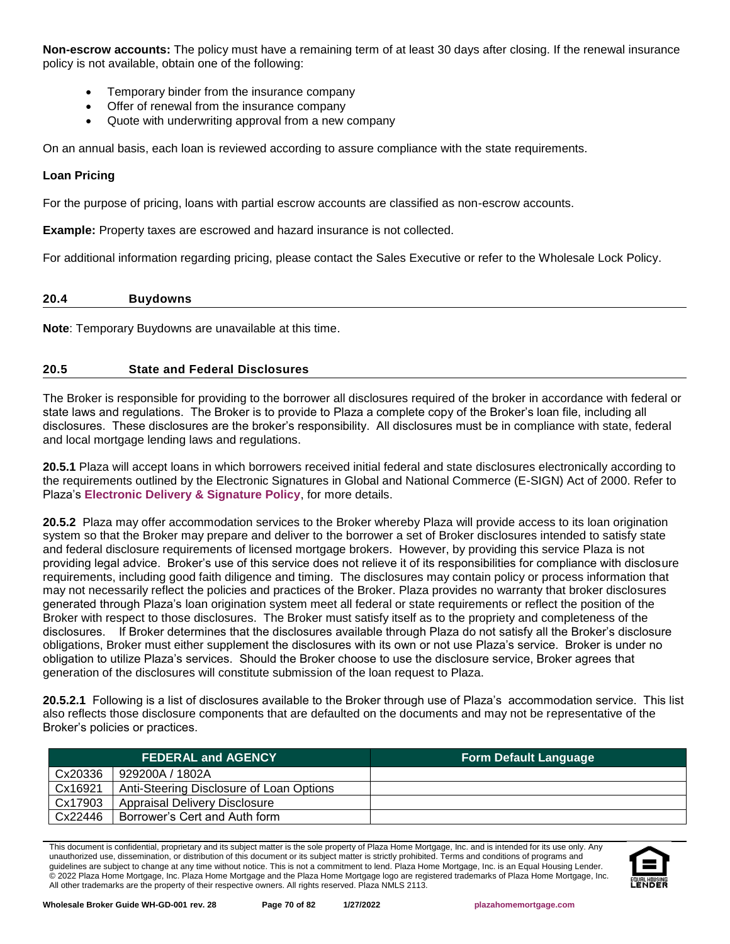**Non-escrow accounts:** The policy must have a remaining term of at least 30 days after closing. If the renewal insurance policy is not available, obtain one of the following:

- Temporary binder from the insurance company
- Offer of renewal from the insurance company
- Quote with underwriting approval from a new company

On an annual basis, each loan is reviewed according to assure compliance with the state requirements.

### **Loan Pricing**

For the purpose of pricing, loans with partial escrow accounts are classified as non-escrow accounts.

**Example:** Property taxes are escrowed and hazard insurance is not collected.

For additional information regarding pricing, please contact the Sales Executive or refer to the Wholesale Lock Policy.

#### **20.4 Buydowns**

**Note**: Temporary Buydowns are unavailable at this time.

### **20.5 State and Federal Disclosures**

The Broker is responsible for providing to the borrower all disclosures required of the broker in accordance with federal or state laws and regulations. The Broker is to provide to Plaza a complete copy of the Broker's loan file, including all disclosures. These disclosures are the broker's responsibility. All disclosures must be in compliance with state, federal and local mortgage lending laws and regulations.

**20.5.1** Plaza will accept loans in which borrowers received initial federal and state disclosures electronically according to the requirements outlined by the Electronic Signatures in Global and National Commerce (E-SIGN) Act of 2000. Refer to Plaza's **[Electronic Delivery & Signature Policy](#page-73-0)**, for more details.

**20.5.2** Plaza may offer accommodation services to the Broker whereby Plaza will provide access to its loan origination system so that the Broker may prepare and deliver to the borrower a set of Broker disclosures intended to satisfy state and federal disclosure requirements of licensed mortgage brokers. However, by providing this service Plaza is not providing legal advice. Broker's use of this service does not relieve it of its responsibilities for compliance with disclosure requirements, including good faith diligence and timing. The disclosures may contain policy or process information that may not necessarily reflect the policies and practices of the Broker. Plaza provides no warranty that broker disclosures generated through Plaza's loan origination system meet all federal or state requirements or reflect the position of the Broker with respect to those disclosures. The Broker must satisfy itself as to the propriety and completeness of the disclosures. If Broker determines that the disclosures available through Plaza do not satisfy all the Broker's disclosure obligations, Broker must either supplement the disclosures with its own or not use Plaza's service. Broker is under no obligation to utilize Plaza's services. Should the Broker choose to use the disclosure service, Broker agrees that generation of the disclosures will constitute submission of the loan request to Plaza.

**20.5.2.1** Following is a list of disclosures available to the Broker through use of Plaza's accommodation service. This list also reflects those disclosure components that are defaulted on the documents and may not be representative of the Broker's policies or practices.

|         | <b>FEDERAL and AGENCY</b>                | <b>Form Default Language</b> |
|---------|------------------------------------------|------------------------------|
| Cx20336 | 929200A / 1802A                          |                              |
| Cx16921 | Anti-Steering Disclosure of Loan Options |                              |
| Cx17903 | <b>Appraisal Delivery Disclosure</b>     |                              |
| Cx22446 | Borrower's Cert and Auth form            |                              |

This document is confidential, proprietary and its subject matter is the sole property of Plaza Home Mortgage, Inc. and is intended for its use only. Any unauthorized use, dissemination, or distribution of this document or its subject matter is strictly prohibited. Terms and conditions of programs and guidelines are subject to change at any time without notice. This is not a commitment to lend. Plaza Home Mortgage, Inc. is an Equal Housing Lender. © 2022 Plaza Home Mortgage, Inc. Plaza Home Mortgage and the Plaza Home Mortgage logo are registered trademarks of Plaza Home Mortgage, Inc. All other trademarks are the property of their respective owners. All rights reserved. Plaza NMLS 2113.

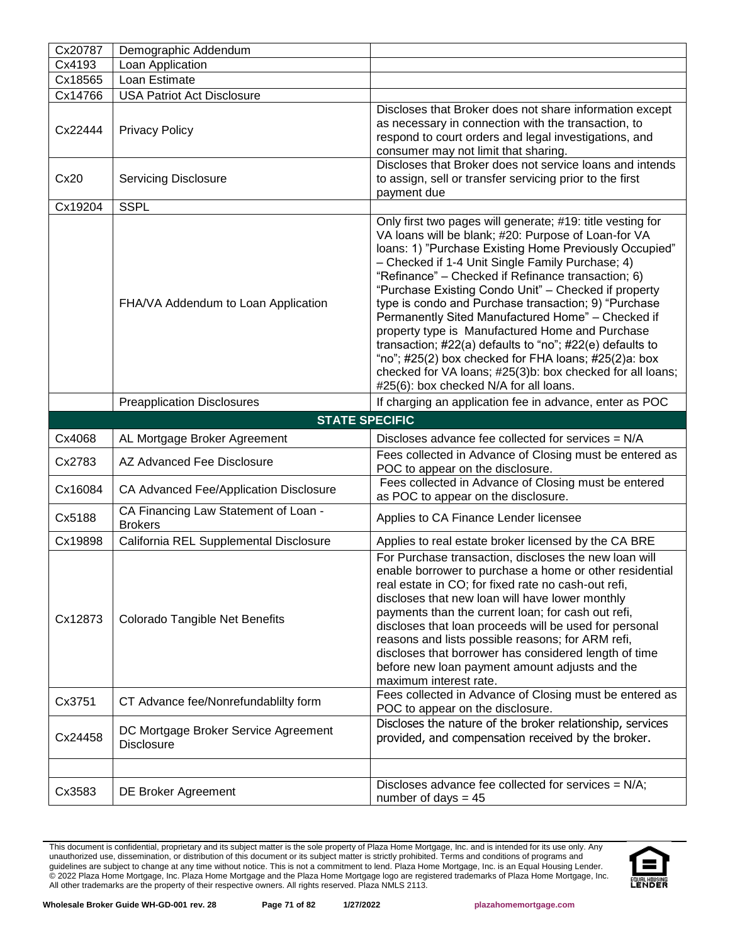| Cx20787          | Demographic Addendum                                       |                                                                                                                                                                                                                                                                                                                                                                                                                                                                                                                                                                                                                                                                                                                                                 |  |  |
|------------------|------------------------------------------------------------|-------------------------------------------------------------------------------------------------------------------------------------------------------------------------------------------------------------------------------------------------------------------------------------------------------------------------------------------------------------------------------------------------------------------------------------------------------------------------------------------------------------------------------------------------------------------------------------------------------------------------------------------------------------------------------------------------------------------------------------------------|--|--|
| Cx4193           | Loan Application                                           |                                                                                                                                                                                                                                                                                                                                                                                                                                                                                                                                                                                                                                                                                                                                                 |  |  |
| Cx18565          | Loan Estimate                                              |                                                                                                                                                                                                                                                                                                                                                                                                                                                                                                                                                                                                                                                                                                                                                 |  |  |
| Cx14766          | <b>USA Patriot Act Disclosure</b>                          |                                                                                                                                                                                                                                                                                                                                                                                                                                                                                                                                                                                                                                                                                                                                                 |  |  |
| Cx22444          | <b>Privacy Policy</b>                                      | Discloses that Broker does not share information except<br>as necessary in connection with the transaction, to<br>respond to court orders and legal investigations, and<br>consumer may not limit that sharing.                                                                                                                                                                                                                                                                                                                                                                                                                                                                                                                                 |  |  |
| Cx20             | <b>Servicing Disclosure</b>                                | Discloses that Broker does not service loans and intends<br>to assign, sell or transfer servicing prior to the first<br>payment due                                                                                                                                                                                                                                                                                                                                                                                                                                                                                                                                                                                                             |  |  |
| Cx19204          | <b>SSPL</b>                                                |                                                                                                                                                                                                                                                                                                                                                                                                                                                                                                                                                                                                                                                                                                                                                 |  |  |
|                  | FHA/VA Addendum to Loan Application                        | Only first two pages will generate; #19: title vesting for<br>VA loans will be blank; #20: Purpose of Loan-for VA<br>loans: 1) "Purchase Existing Home Previously Occupied"<br>- Checked if 1-4 Unit Single Family Purchase; 4)<br>"Refinance" – Checked if Refinance transaction; 6)<br>"Purchase Existing Condo Unit" - Checked if property<br>type is condo and Purchase transaction; 9) "Purchase<br>Permanently Sited Manufactured Home" - Checked if<br>property type is Manufactured Home and Purchase<br>transaction; #22(a) defaults to "no"; #22(e) defaults to<br>"no"; $\#25(2)$ box checked for FHA loans; $\#25(2)$ a: box<br>checked for VA loans; #25(3)b: box checked for all loans;<br>#25(6): box checked N/A for all loans. |  |  |
|                  | <b>Preapplication Disclosures</b>                          | If charging an application fee in advance, enter as POC                                                                                                                                                                                                                                                                                                                                                                                                                                                                                                                                                                                                                                                                                         |  |  |
|                  |                                                            |                                                                                                                                                                                                                                                                                                                                                                                                                                                                                                                                                                                                                                                                                                                                                 |  |  |
|                  |                                                            |                                                                                                                                                                                                                                                                                                                                                                                                                                                                                                                                                                                                                                                                                                                                                 |  |  |
|                  | <b>STATE SPECIFIC</b>                                      |                                                                                                                                                                                                                                                                                                                                                                                                                                                                                                                                                                                                                                                                                                                                                 |  |  |
| Cx4068<br>Cx2783 | AL Mortgage Broker Agreement<br>AZ Advanced Fee Disclosure | Discloses advance fee collected for services = N/A<br>Fees collected in Advance of Closing must be entered as                                                                                                                                                                                                                                                                                                                                                                                                                                                                                                                                                                                                                                   |  |  |
| Cx16084          | CA Advanced Fee/Application Disclosure                     | POC to appear on the disclosure.<br>Fees collected in Advance of Closing must be entered<br>as POC to appear on the disclosure.                                                                                                                                                                                                                                                                                                                                                                                                                                                                                                                                                                                                                 |  |  |
| Cx5188           | CA Financing Law Statement of Loan -<br><b>Brokers</b>     | Applies to CA Finance Lender licensee                                                                                                                                                                                                                                                                                                                                                                                                                                                                                                                                                                                                                                                                                                           |  |  |
| Cx19898          | California REL Supplemental Disclosure                     | Applies to real estate broker licensed by the CA BRE                                                                                                                                                                                                                                                                                                                                                                                                                                                                                                                                                                                                                                                                                            |  |  |
| Cx12873          | Colorado Tangible Net Benefits                             | For Purchase transaction, discloses the new loan will<br>enable borrower to purchase a home or other residential<br>real estate in CO; for fixed rate no cash-out refi,<br>discloses that new loan will have lower monthly<br>payments than the current loan; for cash out refi,<br>discloses that loan proceeds will be used for personal<br>reasons and lists possible reasons; for ARM refi,<br>discloses that borrower has considered length of time<br>before new loan payment amount adjusts and the<br>maximum interest rate.                                                                                                                                                                                                            |  |  |
| Cx3751           | CT Advance fee/Nonrefundablilty form                       | Fees collected in Advance of Closing must be entered as<br>POC to appear on the disclosure.                                                                                                                                                                                                                                                                                                                                                                                                                                                                                                                                                                                                                                                     |  |  |
| Cx24458          | DC Mortgage Broker Service Agreement<br><b>Disclosure</b>  | Discloses the nature of the broker relationship, services<br>provided, and compensation received by the broker.                                                                                                                                                                                                                                                                                                                                                                                                                                                                                                                                                                                                                                 |  |  |
|                  |                                                            | Discloses advance fee collected for services = N/A;                                                                                                                                                                                                                                                                                                                                                                                                                                                                                                                                                                                                                                                                                             |  |  |

This document is confidential, proprietary and its subject matter is the sole property of Plaza Home Mortgage, Inc. and is intended for its use only. Any unauthorized use, dissemination, or distribution of this document or its subject matter is strictly prohibited. Terms and conditions of programs and guidelines are subject to change at any time without notice. This is not a commitment to lend. Plaza Home Mortgage, Inc. is an Equal Housing Lender. © 2022 Plaza Home Mortgage, Inc. Plaza Home Mortgage and the Plaza Home Mortgage logo are registered trademarks of Plaza Home Mortgage, Inc. All other trademarks are the property of their respective owners. All rights reserved. Plaza NMLS 2113.

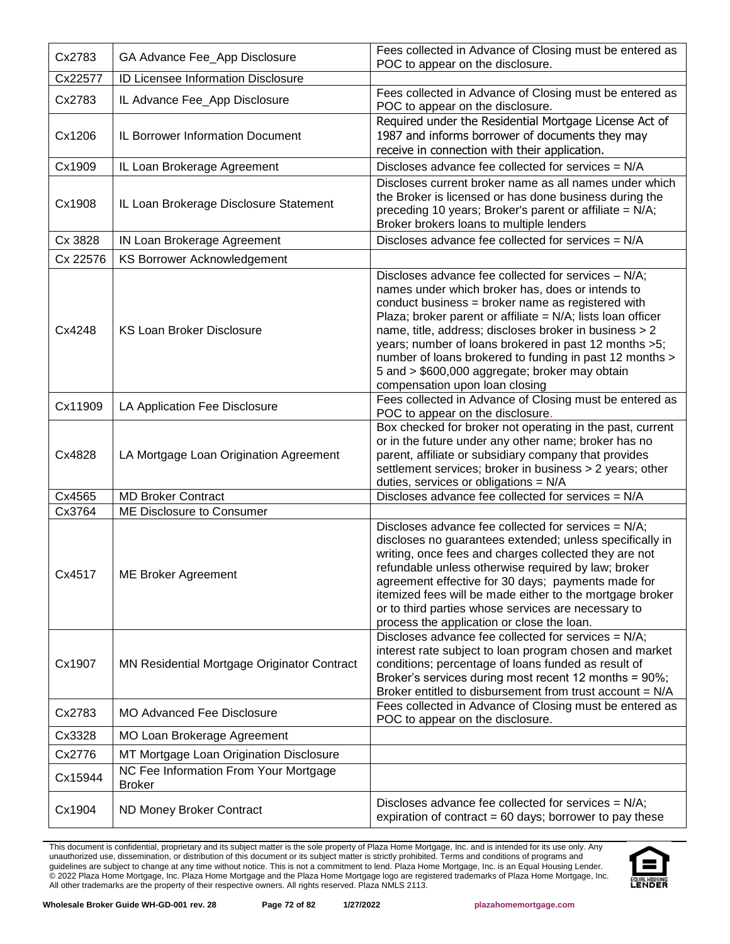| Cx2783   | GA Advance Fee_App Disclosure                          | Fees collected in Advance of Closing must be entered as<br>POC to appear on the disclosure.                                                                                                                                                                                                                                                                                                                                                                                                      |
|----------|--------------------------------------------------------|--------------------------------------------------------------------------------------------------------------------------------------------------------------------------------------------------------------------------------------------------------------------------------------------------------------------------------------------------------------------------------------------------------------------------------------------------------------------------------------------------|
| Cx22577  | ID Licensee Information Disclosure                     |                                                                                                                                                                                                                                                                                                                                                                                                                                                                                                  |
| Cx2783   | IL Advance Fee_App Disclosure                          | Fees collected in Advance of Closing must be entered as<br>POC to appear on the disclosure.                                                                                                                                                                                                                                                                                                                                                                                                      |
| Cx1206   | IL Borrower Information Document                       | Required under the Residential Mortgage License Act of<br>1987 and informs borrower of documents they may<br>receive in connection with their application.                                                                                                                                                                                                                                                                                                                                       |
| Cx1909   | IL Loan Brokerage Agreement                            | Discloses advance fee collected for services = N/A                                                                                                                                                                                                                                                                                                                                                                                                                                               |
| Cx1908   | IL Loan Brokerage Disclosure Statement                 | Discloses current broker name as all names under which<br>the Broker is licensed or has done business during the<br>preceding 10 years; Broker's parent or affiliate = N/A;<br>Broker brokers loans to multiple lenders                                                                                                                                                                                                                                                                          |
| Cx 3828  | IN Loan Brokerage Agreement                            | Discloses advance fee collected for services = N/A                                                                                                                                                                                                                                                                                                                                                                                                                                               |
| Cx 22576 | <b>KS Borrower Acknowledgement</b>                     |                                                                                                                                                                                                                                                                                                                                                                                                                                                                                                  |
| Cx4248   | <b>KS Loan Broker Disclosure</b>                       | Discloses advance fee collected for services - N/A;<br>names under which broker has, does or intends to<br>conduct business = broker name as registered with<br>Plaza; broker parent or affiliate = $N/A$ ; lists loan officer<br>name, title, address; discloses broker in business > 2<br>years; number of loans brokered in past 12 months >5;<br>number of loans brokered to funding in past 12 months ><br>5 and > \$600,000 aggregate; broker may obtain<br>compensation upon loan closing |
| Cx11909  | LA Application Fee Disclosure                          | Fees collected in Advance of Closing must be entered as<br>POC to appear on the disclosure.                                                                                                                                                                                                                                                                                                                                                                                                      |
| Cx4828   | LA Mortgage Loan Origination Agreement                 | Box checked for broker not operating in the past, current<br>or in the future under any other name; broker has no<br>parent, affiliate or subsidiary company that provides<br>settlement services; broker in business > 2 years; other<br>duties, services or obligations = $N/A$                                                                                                                                                                                                                |
| Cx4565   | <b>MD Broker Contract</b>                              | Discloses advance fee collected for services = N/A                                                                                                                                                                                                                                                                                                                                                                                                                                               |
| Cx3764   | ME Disclosure to Consumer                              |                                                                                                                                                                                                                                                                                                                                                                                                                                                                                                  |
| Cx4517   | <b>ME Broker Agreement</b>                             | Discloses advance fee collected for services = N/A;<br>discloses no guarantees extended; unless specifically in<br>writing, once fees and charges collected they are not<br>refundable unless otherwise required by law; broker<br>agreement effective for 30 days; payments made for<br>itemized fees will be made either to the mortgage broker<br>or to third parties whose services are necessary to<br>process the application or close the loan.                                           |
| Cx1907   | MN Residential Mortgage Originator Contract            | Discloses advance fee collected for services = N/A;<br>interest rate subject to loan program chosen and market<br>conditions; percentage of loans funded as result of<br>Broker's services during most recent 12 months = 90%;<br>Broker entitled to disbursement from trust account = N/A                                                                                                                                                                                                       |
| Cx2783   | <b>MO Advanced Fee Disclosure</b>                      | Fees collected in Advance of Closing must be entered as<br>POC to appear on the disclosure.                                                                                                                                                                                                                                                                                                                                                                                                      |
| Cx3328   | MO Loan Brokerage Agreement                            |                                                                                                                                                                                                                                                                                                                                                                                                                                                                                                  |
| Cx2776   | MT Mortgage Loan Origination Disclosure                |                                                                                                                                                                                                                                                                                                                                                                                                                                                                                                  |
| Cx15944  | NC Fee Information From Your Mortgage<br><b>Broker</b> |                                                                                                                                                                                                                                                                                                                                                                                                                                                                                                  |
| Cx1904   | ND Money Broker Contract                               | Discloses advance fee collected for services = N/A;<br>expiration of contract = $60$ days; borrower to pay these                                                                                                                                                                                                                                                                                                                                                                                 |

This document is confidential, proprietary and its subject matter is the sole property of Plaza Home Mortgage, Inc. and is intended for its use only. Any unauthorized use, dissemination, or distribution of this document or its subject matter is strictly prohibited. Terms and conditions of programs and guidelines are subject to change at any time without notice. This is not a commitment to lend. Plaza Home Mortgage, Inc. is an Equal Housing Lender. © 2022 Plaza Home Mortgage, Inc. Plaza Home Mortgage and the Plaza Home Mortgage logo are registered trademarks of Plaza Home Mortgage, Inc. All other trademarks are the property of their respective owners. All rights reserved. Plaza NMLS 2113.

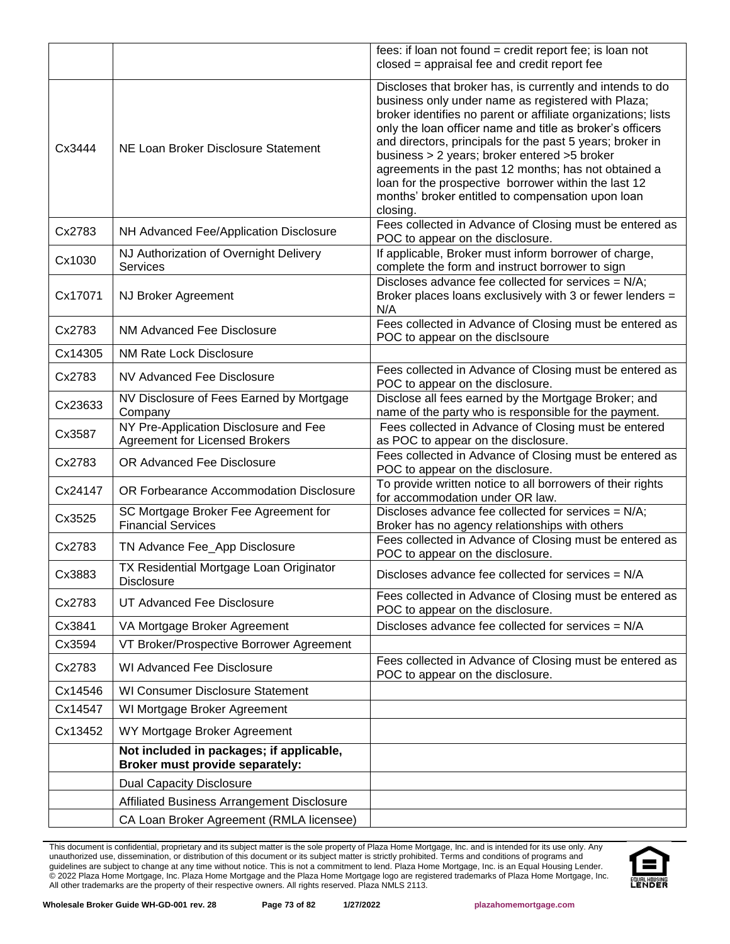|         |                                                                             | fees: if loan not found = credit report fee; is loan not<br>closed = appraisal fee and credit report fee                                                                                                                                                                                                                                                                                                                                                                                                                                    |
|---------|-----------------------------------------------------------------------------|---------------------------------------------------------------------------------------------------------------------------------------------------------------------------------------------------------------------------------------------------------------------------------------------------------------------------------------------------------------------------------------------------------------------------------------------------------------------------------------------------------------------------------------------|
| Cx3444  | NE Loan Broker Disclosure Statement                                         | Discloses that broker has, is currently and intends to do<br>business only under name as registered with Plaza;<br>broker identifies no parent or affiliate organizations; lists<br>only the loan officer name and title as broker's officers<br>and directors, principals for the past 5 years; broker in<br>business > 2 years; broker entered >5 broker<br>agreements in the past 12 months; has not obtained a<br>loan for the prospective borrower within the last 12<br>months' broker entitled to compensation upon loan<br>closing. |
| Cx2783  | NH Advanced Fee/Application Disclosure                                      | Fees collected in Advance of Closing must be entered as<br>POC to appear on the disclosure.                                                                                                                                                                                                                                                                                                                                                                                                                                                 |
| Cx1030  | NJ Authorization of Overnight Delivery<br><b>Services</b>                   | If applicable, Broker must inform borrower of charge,<br>complete the form and instruct borrower to sign                                                                                                                                                                                                                                                                                                                                                                                                                                    |
| Cx17071 | NJ Broker Agreement                                                         | Discloses advance fee collected for services = N/A;<br>Broker places loans exclusively with 3 or fewer lenders =<br>N/A                                                                                                                                                                                                                                                                                                                                                                                                                     |
| Cx2783  | NM Advanced Fee Disclosure                                                  | Fees collected in Advance of Closing must be entered as<br>POC to appear on the disclsoure                                                                                                                                                                                                                                                                                                                                                                                                                                                  |
| Cx14305 | <b>NM Rate Lock Disclosure</b>                                              |                                                                                                                                                                                                                                                                                                                                                                                                                                                                                                                                             |
| Cx2783  | NV Advanced Fee Disclosure                                                  | Fees collected in Advance of Closing must be entered as<br>POC to appear on the disclosure.                                                                                                                                                                                                                                                                                                                                                                                                                                                 |
| Cx23633 | NV Disclosure of Fees Earned by Mortgage<br>Company                         | Disclose all fees earned by the Mortgage Broker; and<br>name of the party who is responsible for the payment.                                                                                                                                                                                                                                                                                                                                                                                                                               |
| Cx3587  | NY Pre-Application Disclosure and Fee<br>Agreement for Licensed Brokers     | Fees collected in Advance of Closing must be entered<br>as POC to appear on the disclosure.                                                                                                                                                                                                                                                                                                                                                                                                                                                 |
| Cx2783  | OR Advanced Fee Disclosure                                                  | Fees collected in Advance of Closing must be entered as<br>POC to appear on the disclosure.                                                                                                                                                                                                                                                                                                                                                                                                                                                 |
| Cx24147 | OR Forbearance Accommodation Disclosure                                     | To provide written notice to all borrowers of their rights<br>for accommodation under OR law.                                                                                                                                                                                                                                                                                                                                                                                                                                               |
| Cx3525  | SC Mortgage Broker Fee Agreement for<br><b>Financial Services</b>           | Discloses advance fee collected for services = N/A;<br>Broker has no agency relationships with others                                                                                                                                                                                                                                                                                                                                                                                                                                       |
| Cx2783  | TN Advance Fee_App Disclosure                                               | Fees collected in Advance of Closing must be entered as<br>POC to appear on the disclosure.                                                                                                                                                                                                                                                                                                                                                                                                                                                 |
| Cx3883  | TX Residential Mortgage Loan Originator<br><b>Disclosure</b>                | Discloses advance fee collected for services $= N/A$                                                                                                                                                                                                                                                                                                                                                                                                                                                                                        |
| Cx2783  | UT Advanced Fee Disclosure                                                  | Fees collected in Advance of Closing must be entered as<br>POC to appear on the disclosure.                                                                                                                                                                                                                                                                                                                                                                                                                                                 |
| Cx3841  | VA Mortgage Broker Agreement                                                | Discloses advance fee collected for services = N/A                                                                                                                                                                                                                                                                                                                                                                                                                                                                                          |
| Cx3594  | VT Broker/Prospective Borrower Agreement                                    |                                                                                                                                                                                                                                                                                                                                                                                                                                                                                                                                             |
| Cx2783  | <b>WI Advanced Fee Disclosure</b>                                           | Fees collected in Advance of Closing must be entered as<br>POC to appear on the disclosure.                                                                                                                                                                                                                                                                                                                                                                                                                                                 |
| Cx14546 | <b>WI Consumer Disclosure Statement</b>                                     |                                                                                                                                                                                                                                                                                                                                                                                                                                                                                                                                             |
| Cx14547 | WI Mortgage Broker Agreement                                                |                                                                                                                                                                                                                                                                                                                                                                                                                                                                                                                                             |
| Cx13452 | WY Mortgage Broker Agreement                                                |                                                                                                                                                                                                                                                                                                                                                                                                                                                                                                                                             |
|         | Not included in packages; if applicable,<br>Broker must provide separately: |                                                                                                                                                                                                                                                                                                                                                                                                                                                                                                                                             |
|         | <b>Dual Capacity Disclosure</b>                                             |                                                                                                                                                                                                                                                                                                                                                                                                                                                                                                                                             |
|         | Affiliated Business Arrangement Disclosure                                  |                                                                                                                                                                                                                                                                                                                                                                                                                                                                                                                                             |
|         | CA Loan Broker Agreement (RMLA licensee)                                    |                                                                                                                                                                                                                                                                                                                                                                                                                                                                                                                                             |

This document is confidential, proprietary and its subject matter is the sole property of Plaza Home Mortgage, Inc. and is intended for its use only. Any unauthorized use, dissemination, or distribution of this document or its subject matter is strictly prohibited. Terms and conditions of programs and guidelines are subject to change at any time without notice. This is not a commitment to lend. Plaza Home Mortgage, Inc. is an Equal Housing Lender. © 2022 Plaza Home Mortgage, Inc. Plaza Home Mortgage and the Plaza Home Mortgage logo are registered trademarks of Plaza Home Mortgage, Inc. All other trademarks are the property of their respective owners. All rights reserved. Plaza NMLS 2113.



**Wholesale Broker Guide WH-GD-001 rev. 28 Page 73 of 82 1/27/2022 [plazahomemortgage.com](http://www.plazahomemortgage.com/)**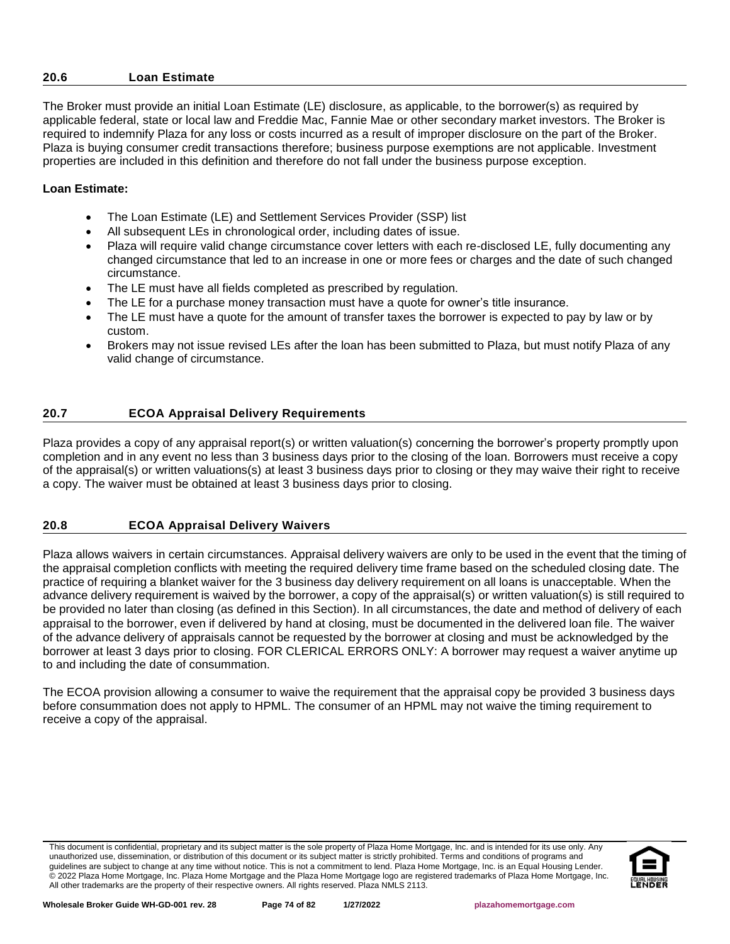#### **20.6 Loan Estimate**

The Broker must provide an initial Loan Estimate (LE) disclosure, as applicable, to the borrower(s) as required by applicable federal, state or local law and Freddie Mac, Fannie Mae or other secondary market investors. The Broker is required to indemnify Plaza for any loss or costs incurred as a result of improper disclosure on the part of the Broker. Plaza is buying consumer credit transactions therefore; business purpose exemptions are not applicable. Investment properties are included in this definition and therefore do not fall under the business purpose exception.

## **Loan Estimate:**

- The Loan Estimate (LE) and Settlement Services Provider (SSP) list
- All subsequent LEs in chronological order, including dates of issue.
- Plaza will require valid change circumstance cover letters with each re-disclosed LE, fully documenting any changed circumstance that led to an increase in one or more fees or charges and the date of such changed circumstance.
- The LE must have all fields completed as prescribed by regulation.
- The LE for a purchase money transaction must have a quote for owner's title insurance.
- The LE must have a quote for the amount of transfer taxes the borrower is expected to pay by law or by custom.
- Brokers may not issue revised LEs after the loan has been submitted to Plaza, but must notify Plaza of any valid change of circumstance.

## **20.7 ECOA Appraisal Delivery Requirements**

Plaza provides a copy of any appraisal report(s) or written valuation(s) concerning the borrower's property promptly upon completion and in any event no less than 3 business days prior to the closing of the loan. Borrowers must receive a copy of the appraisal(s) or written valuations(s) at least 3 business days prior to closing or they may waive their right to receive a copy. The waiver must be obtained at least 3 business days prior to closing.

## **20.8 ECOA Appraisal Delivery Waivers**

Plaza allows waivers in certain circumstances. Appraisal delivery waivers are only to be used in the event that the timing of the appraisal completion conflicts with meeting the required delivery time frame based on the scheduled closing date. The practice of requiring a blanket waiver for the 3 business day delivery requirement on all loans is unacceptable. When the advance delivery requirement is waived by the borrower, a copy of the appraisal(s) or written valuation(s) is still required to be provided no later than closing (as defined in this Section). In all circumstances, the date and method of delivery of each appraisal to the borrower, even if delivered by hand at closing, must be documented in the delivered loan file. The waiver of the advance delivery of appraisals cannot be requested by the borrower at closing and must be acknowledged by the borrower at least 3 days prior to closing. FOR CLERICAL ERRORS ONLY: A borrower may request a waiver anytime up to and including the date of consummation.

The ECOA provision allowing a consumer to waive the requirement that the appraisal copy be provided 3 business days before consummation does not apply to HPML. The consumer of an HPML may not waive the timing requirement to receive a copy of the appraisal.

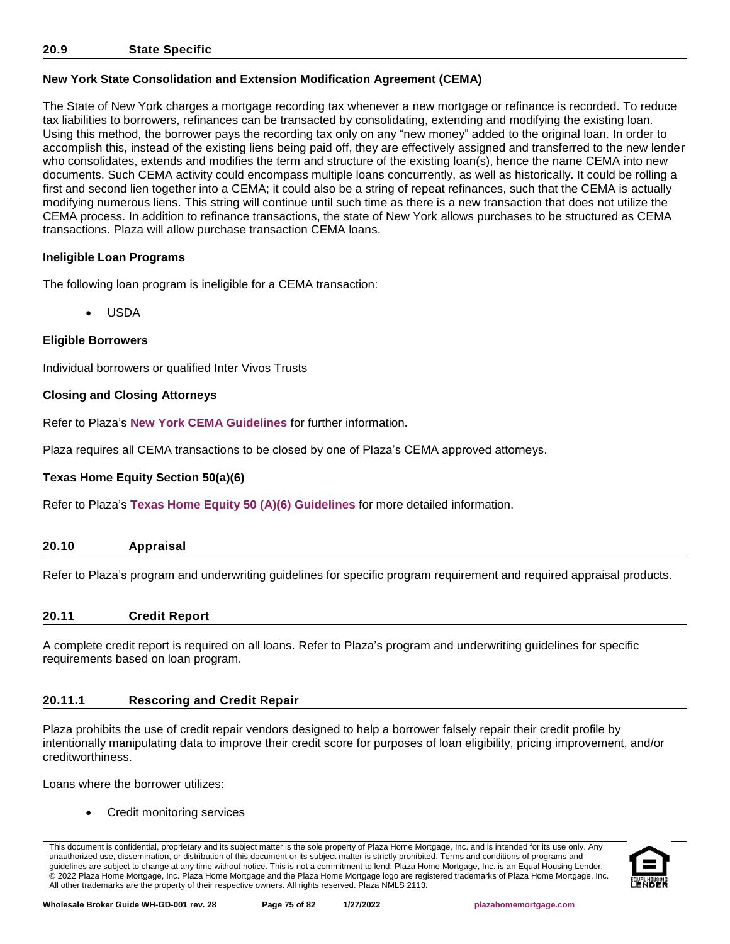## **New York State Consolidation and Extension Modification Agreement (CEMA)**

The State of New York charges a mortgage recording tax whenever a new mortgage or refinance is recorded. To reduce tax liabilities to borrowers, refinances can be transacted by consolidating, extending and modifying the existing loan. Using this method, the borrower pays the recording tax only on any "new money" added to the original loan. In order to accomplish this, instead of the existing liens being paid off, they are effectively assigned and transferred to the new lender who consolidates, extends and modifies the term and structure of the existing loan(s), hence the name CEMA into new documents. Such CEMA activity could encompass multiple loans concurrently, as well as historically. It could be rolling a first and second lien together into a CEMA; it could also be a string of repeat refinances, such that the CEMA is actually modifying numerous liens. This string will continue until such time as there is a new transaction that does not utilize the CEMA process. In addition to refinance transactions, the state of New York allows purchases to be structured as CEMA transactions. Plaza will allow purchase transaction CEMA loans.

## **Ineligible Loan Programs**

The following loan program is ineligible for a CEMA transaction:

• USDA

## **Eligible Borrowers**

Individual borrowers or qualified Inter Vivos Trusts

## **Closing and Closing Attorneys**

Refer to Plaza's **[New York CEMA Guidelines](http://resourcecenter.plazahomemortgage.com/phmidocpublisher.nsf/All/C2D9986E33425F4107257A300067765D?OpenDocument)** for further information.

Plaza requires all CEMA transactions to be closed by one of Plaza's CEMA approved attorneys.

#### **Texas Home Equity Section 50(a)(6)**

Refer to Plaza's **[Texas Home Equity 50 \(A\)\(6\) Guidelines](http://resourcecenter.plazahomemortgage.com/phmidocpublisher.nsf/All/398C9C3CD1AEE982072579CF0070FEBB?OpenDocument)** for more detailed information.

| 20.10 | Appraisal |
|-------|-----------|
|-------|-----------|

Refer to Plaza's program and underwriting guidelines for specific program requirement and required appraisal products.

#### **20.11 Credit Report**

A complete credit report is required on all loans. Refer to Plaza's program and underwriting guidelines for specific requirements based on loan program.

## **20.11.1 Rescoring and Credit Repair**

Plaza prohibits the use of credit repair vendors designed to help a borrower falsely repair their credit profile by intentionally manipulating data to improve their credit score for purposes of loan eligibility, pricing improvement, and/or creditworthiness.

Loans where the borrower utilizes:

• Credit monitoring services

This document is confidential, proprietary and its subject matter is the sole property of Plaza Home Mortgage, Inc. and is intended for its use only. Any unauthorized use, dissemination, or distribution of this document or its subject matter is strictly prohibited. Terms and conditions of programs and guidelines are subject to change at any time without notice. This is not a commitment to lend. Plaza Home Mortgage, Inc. is an Equal Housing Lender. © 2022 Plaza Home Mortgage, Inc. Plaza Home Mortgage and the Plaza Home Mortgage logo are registered trademarks of Plaza Home Mortgage, Inc. All other trademarks are the property of their respective owners. All rights reserved. Plaza NMLS 2113.

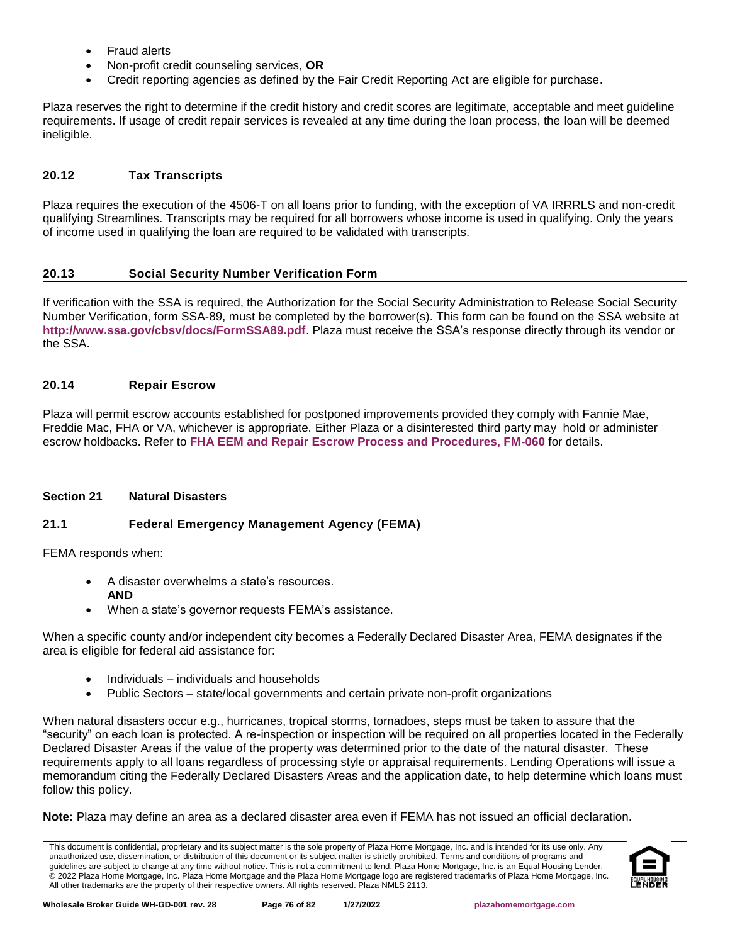- Fraud alerts
- Non-profit credit counseling services, **OR**
- Credit reporting agencies as defined by the Fair Credit Reporting Act are eligible for purchase.

Plaza reserves the right to determine if the credit history and credit scores are legitimate, acceptable and meet guideline requirements. If usage of credit repair services is revealed at any time during the loan process, the loan will be deemed ineligible.

# **20.12 Tax Transcripts**

Plaza requires the execution of the 4506-T on all loans prior to funding, with the exception of VA IRRRLS and non-credit qualifying Streamlines. Transcripts may be required for all borrowers whose income is used in qualifying. Only the years of income used in qualifying the loan are required to be validated with transcripts.

# **20.13 Social Security Number Verification Form**

If verification with the SSA is required, the Authorization for the Social Security Administration to Release Social Security Number Verification, form SSA-89, must be completed by the borrower(s). This form can be found on the SSA website at **<http://www.ssa.gov/cbsv/docs/FormSSA89.pdf>**. Plaza must receive the SSA's response directly through its vendor or the SSA.

# **20.14 Repair Escrow**

Plaza will permit escrow accounts established for postponed improvements provided they comply with Fannie Mae, Freddie Mac, FHA or VA, whichever is appropriate. Either Plaza or a disinterested third party may hold or administer escrow holdbacks. Refer to **[FHA EEM and Repair Escrow Process and Procedures, FM-060](http://resourcecenter.plazahomemortgage.com/phmidocpublisher.nsf/All/03C490350EB14A58072579D600814100?OpenDocument)** for details.

# **Section 21 Natural Disasters**

# **21.1 Federal Emergency Management Agency (FEMA)**

FEMA responds when:

- A disaster overwhelms a state's resources. **AND**
- When a state's governor requests FEMA's assistance.

When a specific county and/or independent city becomes a Federally Declared Disaster Area, FEMA designates if the area is eligible for federal aid assistance for:

- Individuals individuals and households
- Public Sectors state/local governments and certain private non-profit organizations

When natural disasters occur e.g., hurricanes, tropical storms, tornadoes, steps must be taken to assure that the "security" on each loan is protected. A re-inspection or inspection will be required on all properties located in the Federally Declared Disaster Areas if the value of the property was determined prior to the date of the natural disaster. These requirements apply to all loans regardless of processing style or appraisal requirements. Lending Operations will issue a memorandum citing the Federally Declared Disasters Areas and the application date, to help determine which loans must follow this policy.

**Note:** Plaza may define an area as a declared disaster area even if FEMA has not issued an official declaration.

This document is confidential, proprietary and its subject matter is the sole property of Plaza Home Mortgage, Inc. and is intended for its use only. Any unauthorized use, dissemination, or distribution of this document or its subject matter is strictly prohibited. Terms and conditions of programs and guidelines are subject to change at any time without notice. This is not a commitment to lend. Plaza Home Mortgage, Inc. is an Equal Housing Lender. © 2022 Plaza Home Mortgage, Inc. Plaza Home Mortgage and the Plaza Home Mortgage logo are registered trademarks of Plaza Home Mortgage, Inc. All other trademarks are the property of their respective owners. All rights reserved. Plaza NMLS 2113.

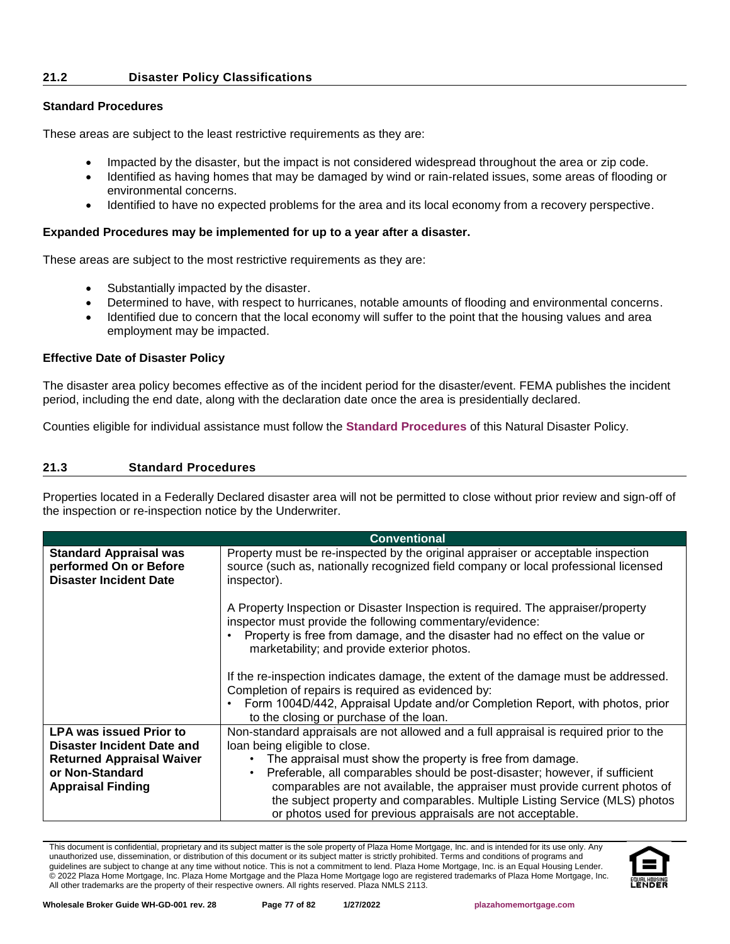#### **21.2 Disaster Policy Classifications**

#### **Standard Procedures**

These areas are subject to the least restrictive requirements as they are:

- Impacted by the disaster, but the impact is not considered widespread throughout the area or zip code.
- Identified as having homes that may be damaged by wind or rain-related issues, some areas of flooding or environmental concerns.
- Identified to have no expected problems for the area and its local economy from a recovery perspective.

#### **Expanded Procedures may be implemented for up to a year after a disaster.**

These areas are subject to the most restrictive requirements as they are:

- Substantially impacted by the disaster.
- Determined to have, with respect to hurricanes, notable amounts of flooding and environmental concerns.
- Identified due to concern that the local economy will suffer to the point that the housing values and area employment may be impacted.

#### **Effective Date of Disaster Policy**

The disaster area policy becomes effective as of the incident period for the disaster/event. FEMA publishes the incident period, including the end date, along with the declaration date once the area is presidentially declared.

Counties eligible for individual assistance must follow the **[Standard Procedures](#page-76-0)** of this Natural Disaster Policy.

#### <span id="page-76-0"></span>**21.3 Standard Procedures**

Properties located in a Federally Declared disaster area will not be permitted to close without prior review and sign-off of the inspection or re-inspection notice by the Underwriter.

|                                                                                                                                                 | <b>Conventional</b>                                                                                                                                                                                                                                                                                                                                                                                                                                                                            |  |  |
|-------------------------------------------------------------------------------------------------------------------------------------------------|------------------------------------------------------------------------------------------------------------------------------------------------------------------------------------------------------------------------------------------------------------------------------------------------------------------------------------------------------------------------------------------------------------------------------------------------------------------------------------------------|--|--|
| <b>Standard Appraisal was</b><br>performed On or Before<br><b>Disaster Incident Date</b>                                                        | Property must be re-inspected by the original appraiser or acceptable inspection<br>source (such as, nationally recognized field company or local professional licensed<br>inspector).                                                                                                                                                                                                                                                                                                         |  |  |
|                                                                                                                                                 | A Property Inspection or Disaster Inspection is required. The appraiser/property<br>inspector must provide the following commentary/evidence:<br>Property is free from damage, and the disaster had no effect on the value or<br>marketability; and provide exterior photos.                                                                                                                                                                                                                   |  |  |
|                                                                                                                                                 | If the re-inspection indicates damage, the extent of the damage must be addressed.<br>Completion of repairs is required as evidenced by:<br>Form 1004D/442, Appraisal Update and/or Completion Report, with photos, prior<br>$\bullet$<br>to the closing or purchase of the loan.                                                                                                                                                                                                              |  |  |
| <b>LPA was issued Prior to</b><br>Disaster Incident Date and<br><b>Returned Appraisal Waiver</b><br>or Non-Standard<br><b>Appraisal Finding</b> | Non-standard appraisals are not allowed and a full appraisal is required prior to the<br>loan being eligible to close.<br>The appraisal must show the property is free from damage.<br>Preferable, all comparables should be post-disaster; however, if sufficient<br>comparables are not available, the appraiser must provide current photos of<br>the subject property and comparables. Multiple Listing Service (MLS) photos<br>or photos used for previous appraisals are not acceptable. |  |  |

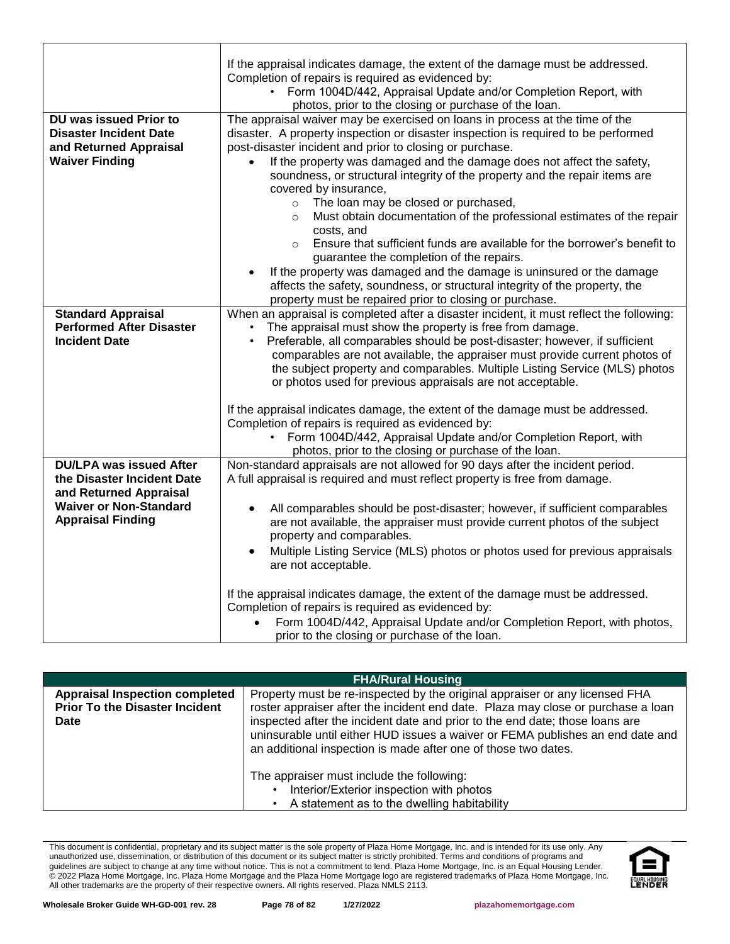| If the appraisal indicates damage, the extent of the damage must be addressed.<br>Completion of repairs is required as evidenced by:<br>Form 1004D/442, Appraisal Update and/or Completion Report, with<br>photos, prior to the closing or purchase of the loan.<br>The appraisal waiver may be exercised on loans in process at the time of the<br>DU was issued Prior to<br><b>Disaster Incident Date</b><br>disaster. A property inspection or disaster inspection is required to be performed<br>post-disaster incident and prior to closing or purchase.<br>and Returned Appraisal<br><b>Waiver Finding</b><br>If the property was damaged and the damage does not affect the safety,<br>$\bullet$<br>soundness, or structural integrity of the property and the repair items are<br>covered by insurance,<br>The loan may be closed or purchased,<br>$\circ$<br>Must obtain documentation of the professional estimates of the repair<br>$\circ$<br>costs, and<br>Ensure that sufficient funds are available for the borrower's benefit to<br>$\circ$<br>guarantee the completion of the repairs.<br>If the property was damaged and the damage is uninsured or the damage<br>affects the safety, soundness, or structural integrity of the property, the<br>property must be repaired prior to closing or purchase.<br>When an appraisal is completed after a disaster incident, it must reflect the following:<br><b>Standard Appraisal</b><br><b>Performed After Disaster</b><br>The appraisal must show the property is free from damage.<br><b>Incident Date</b><br>Preferable, all comparables should be post-disaster; however, if sufficient<br>comparables are not available, the appraiser must provide current photos of<br>the subject property and comparables. Multiple Listing Service (MLS) photos<br>or photos used for previous appraisals are not acceptable.<br>If the appraisal indicates damage, the extent of the damage must be addressed.<br>Completion of repairs is required as evidenced by:<br>Form 1004D/442, Appraisal Update and/or Completion Report, with<br>photos, prior to the closing or purchase of the loan.<br><b>DU/LPA was issued After</b><br>Non-standard appraisals are not allowed for 90 days after the incident period.<br>the Disaster Incident Date<br>A full appraisal is required and must reflect property is free from damage.<br>and Returned Appraisal<br><b>Waiver or Non-Standard</b><br>All comparables should be post-disaster; however, if sufficient comparables<br>$\bullet$ |  |  |
|----------------------------------------------------------------------------------------------------------------------------------------------------------------------------------------------------------------------------------------------------------------------------------------------------------------------------------------------------------------------------------------------------------------------------------------------------------------------------------------------------------------------------------------------------------------------------------------------------------------------------------------------------------------------------------------------------------------------------------------------------------------------------------------------------------------------------------------------------------------------------------------------------------------------------------------------------------------------------------------------------------------------------------------------------------------------------------------------------------------------------------------------------------------------------------------------------------------------------------------------------------------------------------------------------------------------------------------------------------------------------------------------------------------------------------------------------------------------------------------------------------------------------------------------------------------------------------------------------------------------------------------------------------------------------------------------------------------------------------------------------------------------------------------------------------------------------------------------------------------------------------------------------------------------------------------------------------------------------------------------------------------------------------------------------------------------------------------------------------------------------------------------------------------------------------------------------------------------------------------------------------------------------------------------------------------------------------------------------------------------------------------------------------------------------------------------------------------------------------------------------------------------------------------------------|--|--|
|                                                                                                                                                                                                                                                                                                                                                                                                                                                                                                                                                                                                                                                                                                                                                                                                                                                                                                                                                                                                                                                                                                                                                                                                                                                                                                                                                                                                                                                                                                                                                                                                                                                                                                                                                                                                                                                                                                                                                                                                                                                                                                                                                                                                                                                                                                                                                                                                                                                                                                                                                    |  |  |
|                                                                                                                                                                                                                                                                                                                                                                                                                                                                                                                                                                                                                                                                                                                                                                                                                                                                                                                                                                                                                                                                                                                                                                                                                                                                                                                                                                                                                                                                                                                                                                                                                                                                                                                                                                                                                                                                                                                                                                                                                                                                                                                                                                                                                                                                                                                                                                                                                                                                                                                                                    |  |  |
|                                                                                                                                                                                                                                                                                                                                                                                                                                                                                                                                                                                                                                                                                                                                                                                                                                                                                                                                                                                                                                                                                                                                                                                                                                                                                                                                                                                                                                                                                                                                                                                                                                                                                                                                                                                                                                                                                                                                                                                                                                                                                                                                                                                                                                                                                                                                                                                                                                                                                                                                                    |  |  |
|                                                                                                                                                                                                                                                                                                                                                                                                                                                                                                                                                                                                                                                                                                                                                                                                                                                                                                                                                                                                                                                                                                                                                                                                                                                                                                                                                                                                                                                                                                                                                                                                                                                                                                                                                                                                                                                                                                                                                                                                                                                                                                                                                                                                                                                                                                                                                                                                                                                                                                                                                    |  |  |
|                                                                                                                                                                                                                                                                                                                                                                                                                                                                                                                                                                                                                                                                                                                                                                                                                                                                                                                                                                                                                                                                                                                                                                                                                                                                                                                                                                                                                                                                                                                                                                                                                                                                                                                                                                                                                                                                                                                                                                                                                                                                                                                                                                                                                                                                                                                                                                                                                                                                                                                                                    |  |  |
|                                                                                                                                                                                                                                                                                                                                                                                                                                                                                                                                                                                                                                                                                                                                                                                                                                                                                                                                                                                                                                                                                                                                                                                                                                                                                                                                                                                                                                                                                                                                                                                                                                                                                                                                                                                                                                                                                                                                                                                                                                                                                                                                                                                                                                                                                                                                                                                                                                                                                                                                                    |  |  |
|                                                                                                                                                                                                                                                                                                                                                                                                                                                                                                                                                                                                                                                                                                                                                                                                                                                                                                                                                                                                                                                                                                                                                                                                                                                                                                                                                                                                                                                                                                                                                                                                                                                                                                                                                                                                                                                                                                                                                                                                                                                                                                                                                                                                                                                                                                                                                                                                                                                                                                                                                    |  |  |
|                                                                                                                                                                                                                                                                                                                                                                                                                                                                                                                                                                                                                                                                                                                                                                                                                                                                                                                                                                                                                                                                                                                                                                                                                                                                                                                                                                                                                                                                                                                                                                                                                                                                                                                                                                                                                                                                                                                                                                                                                                                                                                                                                                                                                                                                                                                                                                                                                                                                                                                                                    |  |  |
|                                                                                                                                                                                                                                                                                                                                                                                                                                                                                                                                                                                                                                                                                                                                                                                                                                                                                                                                                                                                                                                                                                                                                                                                                                                                                                                                                                                                                                                                                                                                                                                                                                                                                                                                                                                                                                                                                                                                                                                                                                                                                                                                                                                                                                                                                                                                                                                                                                                                                                                                                    |  |  |
|                                                                                                                                                                                                                                                                                                                                                                                                                                                                                                                                                                                                                                                                                                                                                                                                                                                                                                                                                                                                                                                                                                                                                                                                                                                                                                                                                                                                                                                                                                                                                                                                                                                                                                                                                                                                                                                                                                                                                                                                                                                                                                                                                                                                                                                                                                                                                                                                                                                                                                                                                    |  |  |
|                                                                                                                                                                                                                                                                                                                                                                                                                                                                                                                                                                                                                                                                                                                                                                                                                                                                                                                                                                                                                                                                                                                                                                                                                                                                                                                                                                                                                                                                                                                                                                                                                                                                                                                                                                                                                                                                                                                                                                                                                                                                                                                                                                                                                                                                                                                                                                                                                                                                                                                                                    |  |  |
|                                                                                                                                                                                                                                                                                                                                                                                                                                                                                                                                                                                                                                                                                                                                                                                                                                                                                                                                                                                                                                                                                                                                                                                                                                                                                                                                                                                                                                                                                                                                                                                                                                                                                                                                                                                                                                                                                                                                                                                                                                                                                                                                                                                                                                                                                                                                                                                                                                                                                                                                                    |  |  |
|                                                                                                                                                                                                                                                                                                                                                                                                                                                                                                                                                                                                                                                                                                                                                                                                                                                                                                                                                                                                                                                                                                                                                                                                                                                                                                                                                                                                                                                                                                                                                                                                                                                                                                                                                                                                                                                                                                                                                                                                                                                                                                                                                                                                                                                                                                                                                                                                                                                                                                                                                    |  |  |
|                                                                                                                                                                                                                                                                                                                                                                                                                                                                                                                                                                                                                                                                                                                                                                                                                                                                                                                                                                                                                                                                                                                                                                                                                                                                                                                                                                                                                                                                                                                                                                                                                                                                                                                                                                                                                                                                                                                                                                                                                                                                                                                                                                                                                                                                                                                                                                                                                                                                                                                                                    |  |  |
|                                                                                                                                                                                                                                                                                                                                                                                                                                                                                                                                                                                                                                                                                                                                                                                                                                                                                                                                                                                                                                                                                                                                                                                                                                                                                                                                                                                                                                                                                                                                                                                                                                                                                                                                                                                                                                                                                                                                                                                                                                                                                                                                                                                                                                                                                                                                                                                                                                                                                                                                                    |  |  |
|                                                                                                                                                                                                                                                                                                                                                                                                                                                                                                                                                                                                                                                                                                                                                                                                                                                                                                                                                                                                                                                                                                                                                                                                                                                                                                                                                                                                                                                                                                                                                                                                                                                                                                                                                                                                                                                                                                                                                                                                                                                                                                                                                                                                                                                                                                                                                                                                                                                                                                                                                    |  |  |
|                                                                                                                                                                                                                                                                                                                                                                                                                                                                                                                                                                                                                                                                                                                                                                                                                                                                                                                                                                                                                                                                                                                                                                                                                                                                                                                                                                                                                                                                                                                                                                                                                                                                                                                                                                                                                                                                                                                                                                                                                                                                                                                                                                                                                                                                                                                                                                                                                                                                                                                                                    |  |  |
|                                                                                                                                                                                                                                                                                                                                                                                                                                                                                                                                                                                                                                                                                                                                                                                                                                                                                                                                                                                                                                                                                                                                                                                                                                                                                                                                                                                                                                                                                                                                                                                                                                                                                                                                                                                                                                                                                                                                                                                                                                                                                                                                                                                                                                                                                                                                                                                                                                                                                                                                                    |  |  |
|                                                                                                                                                                                                                                                                                                                                                                                                                                                                                                                                                                                                                                                                                                                                                                                                                                                                                                                                                                                                                                                                                                                                                                                                                                                                                                                                                                                                                                                                                                                                                                                                                                                                                                                                                                                                                                                                                                                                                                                                                                                                                                                                                                                                                                                                                                                                                                                                                                                                                                                                                    |  |  |
|                                                                                                                                                                                                                                                                                                                                                                                                                                                                                                                                                                                                                                                                                                                                                                                                                                                                                                                                                                                                                                                                                                                                                                                                                                                                                                                                                                                                                                                                                                                                                                                                                                                                                                                                                                                                                                                                                                                                                                                                                                                                                                                                                                                                                                                                                                                                                                                                                                                                                                                                                    |  |  |
|                                                                                                                                                                                                                                                                                                                                                                                                                                                                                                                                                                                                                                                                                                                                                                                                                                                                                                                                                                                                                                                                                                                                                                                                                                                                                                                                                                                                                                                                                                                                                                                                                                                                                                                                                                                                                                                                                                                                                                                                                                                                                                                                                                                                                                                                                                                                                                                                                                                                                                                                                    |  |  |
|                                                                                                                                                                                                                                                                                                                                                                                                                                                                                                                                                                                                                                                                                                                                                                                                                                                                                                                                                                                                                                                                                                                                                                                                                                                                                                                                                                                                                                                                                                                                                                                                                                                                                                                                                                                                                                                                                                                                                                                                                                                                                                                                                                                                                                                                                                                                                                                                                                                                                                                                                    |  |  |
|                                                                                                                                                                                                                                                                                                                                                                                                                                                                                                                                                                                                                                                                                                                                                                                                                                                                                                                                                                                                                                                                                                                                                                                                                                                                                                                                                                                                                                                                                                                                                                                                                                                                                                                                                                                                                                                                                                                                                                                                                                                                                                                                                                                                                                                                                                                                                                                                                                                                                                                                                    |  |  |
|                                                                                                                                                                                                                                                                                                                                                                                                                                                                                                                                                                                                                                                                                                                                                                                                                                                                                                                                                                                                                                                                                                                                                                                                                                                                                                                                                                                                                                                                                                                                                                                                                                                                                                                                                                                                                                                                                                                                                                                                                                                                                                                                                                                                                                                                                                                                                                                                                                                                                                                                                    |  |  |
|                                                                                                                                                                                                                                                                                                                                                                                                                                                                                                                                                                                                                                                                                                                                                                                                                                                                                                                                                                                                                                                                                                                                                                                                                                                                                                                                                                                                                                                                                                                                                                                                                                                                                                                                                                                                                                                                                                                                                                                                                                                                                                                                                                                                                                                                                                                                                                                                                                                                                                                                                    |  |  |
|                                                                                                                                                                                                                                                                                                                                                                                                                                                                                                                                                                                                                                                                                                                                                                                                                                                                                                                                                                                                                                                                                                                                                                                                                                                                                                                                                                                                                                                                                                                                                                                                                                                                                                                                                                                                                                                                                                                                                                                                                                                                                                                                                                                                                                                                                                                                                                                                                                                                                                                                                    |  |  |
|                                                                                                                                                                                                                                                                                                                                                                                                                                                                                                                                                                                                                                                                                                                                                                                                                                                                                                                                                                                                                                                                                                                                                                                                                                                                                                                                                                                                                                                                                                                                                                                                                                                                                                                                                                                                                                                                                                                                                                                                                                                                                                                                                                                                                                                                                                                                                                                                                                                                                                                                                    |  |  |
|                                                                                                                                                                                                                                                                                                                                                                                                                                                                                                                                                                                                                                                                                                                                                                                                                                                                                                                                                                                                                                                                                                                                                                                                                                                                                                                                                                                                                                                                                                                                                                                                                                                                                                                                                                                                                                                                                                                                                                                                                                                                                                                                                                                                                                                                                                                                                                                                                                                                                                                                                    |  |  |
|                                                                                                                                                                                                                                                                                                                                                                                                                                                                                                                                                                                                                                                                                                                                                                                                                                                                                                                                                                                                                                                                                                                                                                                                                                                                                                                                                                                                                                                                                                                                                                                                                                                                                                                                                                                                                                                                                                                                                                                                                                                                                                                                                                                                                                                                                                                                                                                                                                                                                                                                                    |  |  |
|                                                                                                                                                                                                                                                                                                                                                                                                                                                                                                                                                                                                                                                                                                                                                                                                                                                                                                                                                                                                                                                                                                                                                                                                                                                                                                                                                                                                                                                                                                                                                                                                                                                                                                                                                                                                                                                                                                                                                                                                                                                                                                                                                                                                                                                                                                                                                                                                                                                                                                                                                    |  |  |
|                                                                                                                                                                                                                                                                                                                                                                                                                                                                                                                                                                                                                                                                                                                                                                                                                                                                                                                                                                                                                                                                                                                                                                                                                                                                                                                                                                                                                                                                                                                                                                                                                                                                                                                                                                                                                                                                                                                                                                                                                                                                                                                                                                                                                                                                                                                                                                                                                                                                                                                                                    |  |  |
|                                                                                                                                                                                                                                                                                                                                                                                                                                                                                                                                                                                                                                                                                                                                                                                                                                                                                                                                                                                                                                                                                                                                                                                                                                                                                                                                                                                                                                                                                                                                                                                                                                                                                                                                                                                                                                                                                                                                                                                                                                                                                                                                                                                                                                                                                                                                                                                                                                                                                                                                                    |  |  |
|                                                                                                                                                                                                                                                                                                                                                                                                                                                                                                                                                                                                                                                                                                                                                                                                                                                                                                                                                                                                                                                                                                                                                                                                                                                                                                                                                                                                                                                                                                                                                                                                                                                                                                                                                                                                                                                                                                                                                                                                                                                                                                                                                                                                                                                                                                                                                                                                                                                                                                                                                    |  |  |
|                                                                                                                                                                                                                                                                                                                                                                                                                                                                                                                                                                                                                                                                                                                                                                                                                                                                                                                                                                                                                                                                                                                                                                                                                                                                                                                                                                                                                                                                                                                                                                                                                                                                                                                                                                                                                                                                                                                                                                                                                                                                                                                                                                                                                                                                                                                                                                                                                                                                                                                                                    |  |  |
| <b>Appraisal Finding</b><br>are not available, the appraiser must provide current photos of the subject                                                                                                                                                                                                                                                                                                                                                                                                                                                                                                                                                                                                                                                                                                                                                                                                                                                                                                                                                                                                                                                                                                                                                                                                                                                                                                                                                                                                                                                                                                                                                                                                                                                                                                                                                                                                                                                                                                                                                                                                                                                                                                                                                                                                                                                                                                                                                                                                                                            |  |  |
| property and comparables.                                                                                                                                                                                                                                                                                                                                                                                                                                                                                                                                                                                                                                                                                                                                                                                                                                                                                                                                                                                                                                                                                                                                                                                                                                                                                                                                                                                                                                                                                                                                                                                                                                                                                                                                                                                                                                                                                                                                                                                                                                                                                                                                                                                                                                                                                                                                                                                                                                                                                                                          |  |  |
| Multiple Listing Service (MLS) photos or photos used for previous appraisals<br>$\bullet$                                                                                                                                                                                                                                                                                                                                                                                                                                                                                                                                                                                                                                                                                                                                                                                                                                                                                                                                                                                                                                                                                                                                                                                                                                                                                                                                                                                                                                                                                                                                                                                                                                                                                                                                                                                                                                                                                                                                                                                                                                                                                                                                                                                                                                                                                                                                                                                                                                                          |  |  |
| are not acceptable.                                                                                                                                                                                                                                                                                                                                                                                                                                                                                                                                                                                                                                                                                                                                                                                                                                                                                                                                                                                                                                                                                                                                                                                                                                                                                                                                                                                                                                                                                                                                                                                                                                                                                                                                                                                                                                                                                                                                                                                                                                                                                                                                                                                                                                                                                                                                                                                                                                                                                                                                |  |  |
|                                                                                                                                                                                                                                                                                                                                                                                                                                                                                                                                                                                                                                                                                                                                                                                                                                                                                                                                                                                                                                                                                                                                                                                                                                                                                                                                                                                                                                                                                                                                                                                                                                                                                                                                                                                                                                                                                                                                                                                                                                                                                                                                                                                                                                                                                                                                                                                                                                                                                                                                                    |  |  |
| If the appraisal indicates damage, the extent of the damage must be addressed.                                                                                                                                                                                                                                                                                                                                                                                                                                                                                                                                                                                                                                                                                                                                                                                                                                                                                                                                                                                                                                                                                                                                                                                                                                                                                                                                                                                                                                                                                                                                                                                                                                                                                                                                                                                                                                                                                                                                                                                                                                                                                                                                                                                                                                                                                                                                                                                                                                                                     |  |  |
| Completion of repairs is required as evidenced by:                                                                                                                                                                                                                                                                                                                                                                                                                                                                                                                                                                                                                                                                                                                                                                                                                                                                                                                                                                                                                                                                                                                                                                                                                                                                                                                                                                                                                                                                                                                                                                                                                                                                                                                                                                                                                                                                                                                                                                                                                                                                                                                                                                                                                                                                                                                                                                                                                                                                                                 |  |  |
| Form 1004D/442, Appraisal Update and/or Completion Report, with photos,                                                                                                                                                                                                                                                                                                                                                                                                                                                                                                                                                                                                                                                                                                                                                                                                                                                                                                                                                                                                                                                                                                                                                                                                                                                                                                                                                                                                                                                                                                                                                                                                                                                                                                                                                                                                                                                                                                                                                                                                                                                                                                                                                                                                                                                                                                                                                                                                                                                                            |  |  |
| prior to the closing or purchase of the loan.                                                                                                                                                                                                                                                                                                                                                                                                                                                                                                                                                                                                                                                                                                                                                                                                                                                                                                                                                                                                                                                                                                                                                                                                                                                                                                                                                                                                                                                                                                                                                                                                                                                                                                                                                                                                                                                                                                                                                                                                                                                                                                                                                                                                                                                                                                                                                                                                                                                                                                      |  |  |

| <b>FHA/Rural Housing</b>                                                                      |                                                                                                                                                                                                                                                                                                                                                                                                     |  |
|-----------------------------------------------------------------------------------------------|-----------------------------------------------------------------------------------------------------------------------------------------------------------------------------------------------------------------------------------------------------------------------------------------------------------------------------------------------------------------------------------------------------|--|
| <b>Appraisal Inspection completed</b><br><b>Prior To the Disaster Incident</b><br><b>Date</b> | Property must be re-inspected by the original appraiser or any licensed FHA<br>roster appraiser after the incident end date. Plaza may close or purchase a loan<br>inspected after the incident date and prior to the end date; those loans are<br>uninsurable until either HUD issues a waiver or FEMA publishes an end date and<br>an additional inspection is made after one of those two dates. |  |
|                                                                                               | The appraiser must include the following:<br>Interior/Exterior inspection with photos<br>A statement as to the dwelling habitability                                                                                                                                                                                                                                                                |  |

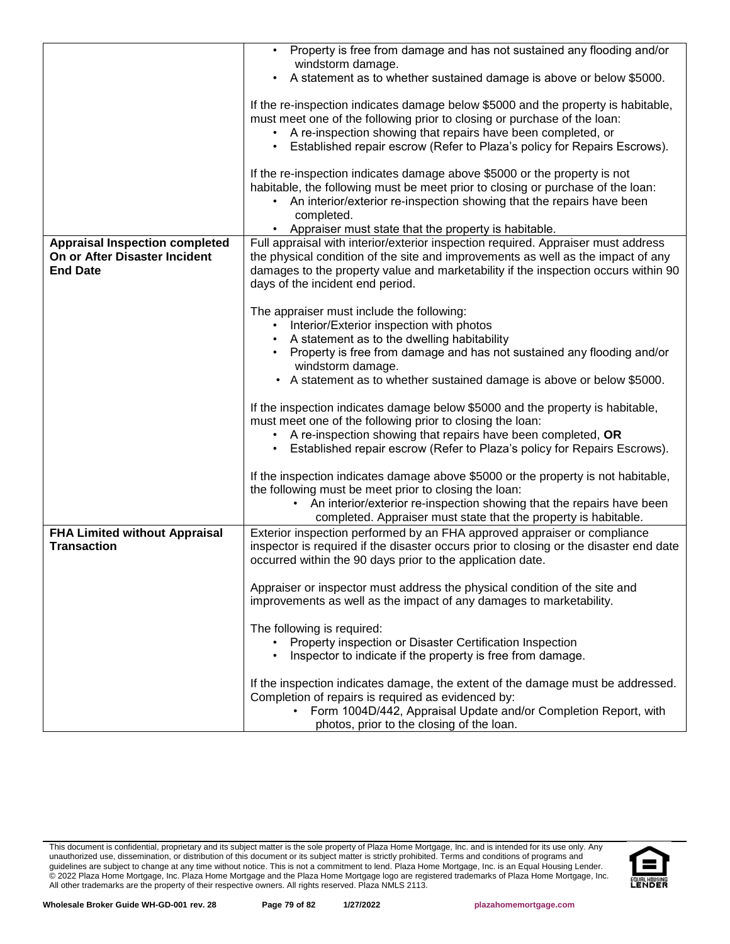|                                       | • Property is free from damage and has not sustained any flooding and/or                                                                                      |
|---------------------------------------|---------------------------------------------------------------------------------------------------------------------------------------------------------------|
|                                       | windstorm damage.<br>A statement as to whether sustained damage is above or below \$5000.                                                                     |
|                                       |                                                                                                                                                               |
|                                       | If the re-inspection indicates damage below \$5000 and the property is habitable,<br>must meet one of the following prior to closing or purchase of the loan: |
|                                       | A re-inspection showing that repairs have been completed, or<br>$\bullet$                                                                                     |
|                                       | Established repair escrow (Refer to Plaza's policy for Repairs Escrows).                                                                                      |
|                                       | If the re-inspection indicates damage above \$5000 or the property is not                                                                                     |
|                                       | habitable, the following must be meet prior to closing or purchase of the loan:                                                                               |
|                                       | An interior/exterior re-inspection showing that the repairs have been<br>completed.                                                                           |
|                                       | • Appraiser must state that the property is habitable.                                                                                                        |
| <b>Appraisal Inspection completed</b> | Full appraisal with interior/exterior inspection required. Appraiser must address                                                                             |
| On or After Disaster Incident         | the physical condition of the site and improvements as well as the impact of any                                                                              |
| <b>End Date</b>                       | damages to the property value and marketability if the inspection occurs within 90                                                                            |
|                                       | days of the incident end period.                                                                                                                              |
|                                       | The appraiser must include the following:                                                                                                                     |
|                                       | Interior/Exterior inspection with photos                                                                                                                      |
|                                       | A statement as to the dwelling habitability                                                                                                                   |
|                                       | Property is free from damage and has not sustained any flooding and/or<br>windstorm damage.                                                                   |
|                                       | • A statement as to whether sustained damage is above or below \$5000.                                                                                        |
|                                       |                                                                                                                                                               |
|                                       | If the inspection indicates damage below \$5000 and the property is habitable,<br>must meet one of the following prior to closing the loan:                   |
|                                       | • A re-inspection showing that repairs have been completed, OR                                                                                                |
|                                       | Established repair escrow (Refer to Plaza's policy for Repairs Escrows).                                                                                      |
|                                       |                                                                                                                                                               |
|                                       | If the inspection indicates damage above \$5000 or the property is not habitable,<br>the following must be meet prior to closing the loan:                    |
|                                       | • An interior/exterior re-inspection showing that the repairs have been                                                                                       |
|                                       | completed. Appraiser must state that the property is habitable.                                                                                               |
| <b>FHA Limited without Appraisal</b>  | Exterior inspection performed by an FHA approved appraiser or compliance                                                                                      |
| <b>Transaction</b>                    | inspector is required if the disaster occurs prior to closing or the disaster end date<br>occurred within the 90 days prior to the application date.          |
|                                       |                                                                                                                                                               |
|                                       | Appraiser or inspector must address the physical condition of the site and                                                                                    |
|                                       | improvements as well as the impact of any damages to marketability.                                                                                           |
|                                       | The following is required:                                                                                                                                    |
|                                       | Property inspection or Disaster Certification Inspection                                                                                                      |
|                                       | Inspector to indicate if the property is free from damage.                                                                                                    |
|                                       | If the inspection indicates damage, the extent of the damage must be addressed.                                                                               |
|                                       | Completion of repairs is required as evidenced by:                                                                                                            |
|                                       | • Form 1004D/442, Appraisal Update and/or Completion Report, with                                                                                             |
|                                       | photos, prior to the closing of the loan.                                                                                                                     |

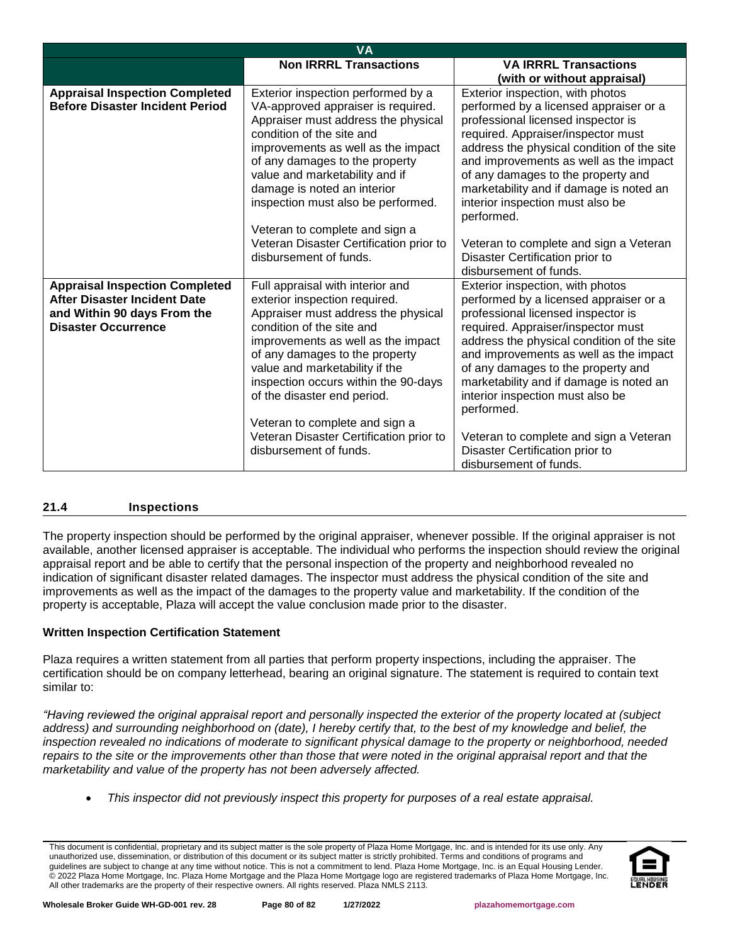| <b>VA</b>                                                                                                                                 |                                                                                                                                                                                                                                                                                                                                                               |                                                                                                                                                                                                                                                                                                                                                                                   |  |  |
|-------------------------------------------------------------------------------------------------------------------------------------------|---------------------------------------------------------------------------------------------------------------------------------------------------------------------------------------------------------------------------------------------------------------------------------------------------------------------------------------------------------------|-----------------------------------------------------------------------------------------------------------------------------------------------------------------------------------------------------------------------------------------------------------------------------------------------------------------------------------------------------------------------------------|--|--|
|                                                                                                                                           | <b>Non IRRRL Transactions</b>                                                                                                                                                                                                                                                                                                                                 | <b>VA IRRRL Transactions</b>                                                                                                                                                                                                                                                                                                                                                      |  |  |
|                                                                                                                                           |                                                                                                                                                                                                                                                                                                                                                               | (with or without appraisal)                                                                                                                                                                                                                                                                                                                                                       |  |  |
| <b>Appraisal Inspection Completed</b><br><b>Before Disaster Incident Period</b>                                                           | Exterior inspection performed by a<br>VA-approved appraiser is required.<br>Appraiser must address the physical<br>condition of the site and<br>improvements as well as the impact<br>of any damages to the property<br>value and marketability and if<br>damage is noted an interior<br>inspection must also be performed.<br>Veteran to complete and sign a | Exterior inspection, with photos<br>performed by a licensed appraiser or a<br>professional licensed inspector is<br>required. Appraiser/inspector must<br>address the physical condition of the site<br>and improvements as well as the impact<br>of any damages to the property and<br>marketability and if damage is noted an<br>interior inspection must also be<br>performed. |  |  |
|                                                                                                                                           | Veteran Disaster Certification prior to<br>disbursement of funds.                                                                                                                                                                                                                                                                                             | Veteran to complete and sign a Veteran<br>Disaster Certification prior to<br>disbursement of funds.                                                                                                                                                                                                                                                                               |  |  |
| <b>Appraisal Inspection Completed</b><br><b>After Disaster Incident Date</b><br>and Within 90 days From the<br><b>Disaster Occurrence</b> | Full appraisal with interior and<br>exterior inspection required.<br>Appraiser must address the physical<br>condition of the site and<br>improvements as well as the impact<br>of any damages to the property<br>value and marketability if the<br>inspection occurs within the 90-days<br>of the disaster end period.<br>Veteran to complete and sign a      | Exterior inspection, with photos<br>performed by a licensed appraiser or a<br>professional licensed inspector is<br>required. Appraiser/inspector must<br>address the physical condition of the site<br>and improvements as well as the impact<br>of any damages to the property and<br>marketability and if damage is noted an<br>interior inspection must also be<br>performed. |  |  |
|                                                                                                                                           | Veteran Disaster Certification prior to<br>disbursement of funds.                                                                                                                                                                                                                                                                                             | Veteran to complete and sign a Veteran<br>Disaster Certification prior to<br>disbursement of funds.                                                                                                                                                                                                                                                                               |  |  |

## **21.4 Inspections**

The property inspection should be performed by the original appraiser, whenever possible. If the original appraiser is not available, another licensed appraiser is acceptable. The individual who performs the inspection should review the original appraisal report and be able to certify that the personal inspection of the property and neighborhood revealed no indication of significant disaster related damages. The inspector must address the physical condition of the site and improvements as well as the impact of the damages to the property value and marketability. If the condition of the property is acceptable, Plaza will accept the value conclusion made prior to the disaster.

## **Written Inspection Certification Statement**

Plaza requires a written statement from all parties that perform property inspections, including the appraiser. The certification should be on company letterhead, bearing an original signature. The statement is required to contain text similar to:

*"Having reviewed the original appraisal report and personally inspected the exterior of the property located at (subject*  address) and surrounding neighborhood on (date), I hereby certify that, to the best of my knowledge and belief, the *inspection revealed no indications of moderate to significant physical damage to the property or neighborhood, needed*  repairs to the site or the improvements other than those that were noted in the original appraisal report and that the *marketability and value of the property has not been adversely affected.* 

• *This inspector did not previously inspect this property for purposes of a real estate appraisal.* 

This document is confidential, proprietary and its subject matter is the sole property of Plaza Home Mortgage, Inc. and is intended for its use only. Any unauthorized use, dissemination, or distribution of this document or its subject matter is strictly prohibited. Terms and conditions of programs and guidelines are subject to change at any time without notice. This is not a commitment to lend. Plaza Home Mortgage, Inc. is an Equal Housing Lender. © 2022 Plaza Home Mortgage, Inc. Plaza Home Mortgage and the Plaza Home Mortgage logo are registered trademarks of Plaza Home Mortgage, Inc. All other trademarks are the property of their respective owners. All rights reserved. Plaza NMLS 2113.

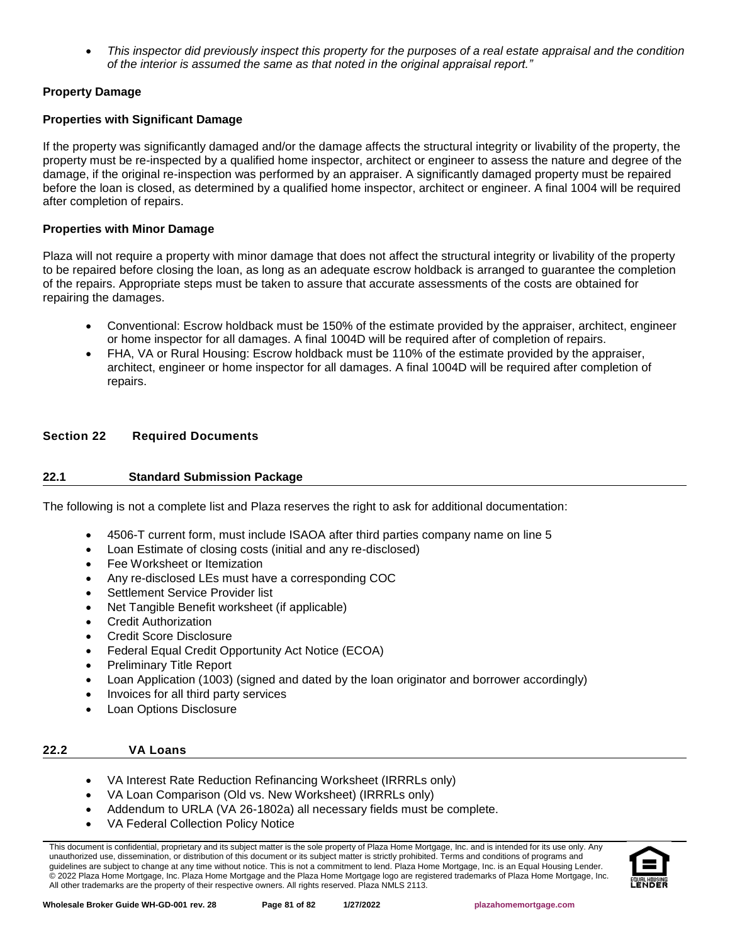• *This inspector did previously inspect this property for the purposes of a real estate appraisal and the condition of the interior is assumed the same as that noted in the original appraisal report."* 

## **Property Damage**

## **Properties with Significant Damage**

If the property was significantly damaged and/or the damage affects the structural integrity or livability of the property, the property must be re-inspected by a qualified home inspector, architect or engineer to assess the nature and degree of the damage, if the original re-inspection was performed by an appraiser. A significantly damaged property must be repaired before the loan is closed, as determined by a qualified home inspector, architect or engineer. A final 1004 will be required after completion of repairs.

## **Properties with Minor Damage**

Plaza will not require a property with minor damage that does not affect the structural integrity or livability of the property to be repaired before closing the loan, as long as an adequate escrow holdback is arranged to guarantee the completion of the repairs. Appropriate steps must be taken to assure that accurate assessments of the costs are obtained for repairing the damages.

- Conventional: Escrow holdback must be 150% of the estimate provided by the appraiser, architect, engineer or home inspector for all damages. A final 1004D will be required after of completion of repairs.
- FHA, VA or Rural Housing: Escrow holdback must be 110% of the estimate provided by the appraiser, architect, engineer or home inspector for all damages. A final 1004D will be required after completion of repairs.

## **Section 22 Required Documents**

## **22.1 Standard Submission Package**

The following is not a complete list and Plaza reserves the right to ask for additional documentation:

- 4506-T current form, must include ISAOA after third parties company name on line 5
- Loan Estimate of closing costs (initial and any re-disclosed)
- Fee Worksheet or Itemization
- Any re-disclosed LEs must have a corresponding COC
- Settlement Service Provider list
- Net Tangible Benefit worksheet (if applicable)
- Credit Authorization
- Credit Score Disclosure
- Federal Equal Credit Opportunity Act Notice (ECOA)
- Preliminary Title Report
- Loan Application (1003) (signed and dated by the loan originator and borrower accordingly)
- Invoices for all third party services
- Loan Options Disclosure

## **22.2 VA Loans**

- VA Interest Rate Reduction Refinancing Worksheet (IRRRLs only)
- VA Loan Comparison (Old vs. New Worksheet) (IRRRLs only)
- Addendum to URLA (VA 26-1802a) all necessary fields must be complete.
- VA Federal Collection Policy Notice

This document is confidential, proprietary and its subject matter is the sole property of Plaza Home Mortgage, Inc. and is intended for its use only. Any unauthorized use, dissemination, or distribution of this document or its subject matter is strictly prohibited. Terms and conditions of programs and guidelines are subject to change at any time without notice. This is not a commitment to lend. Plaza Home Mortgage, Inc. is an Equal Housing Lender. © 2022 Plaza Home Mortgage, Inc. Plaza Home Mortgage and the Plaza Home Mortgage logo are registered trademarks of Plaza Home Mortgage, Inc. All other trademarks are the property of their respective owners. All rights reserved. Plaza NMLS 2113.